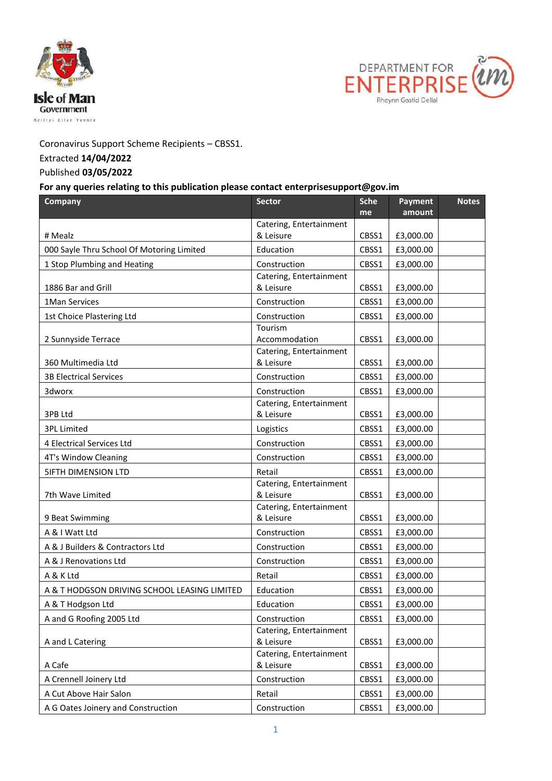



## Coronavirus Support Scheme Recipients – CBSS1.

## Extracted **14/04/2022**

## Published **03/05/2022**

## **For any queries relating to this publication please contact enterprisesupport@gov.im**

| Company                                      | <b>Sector</b>                            | <b>Sche</b><br>me | Payment<br>amount | <b>Notes</b> |
|----------------------------------------------|------------------------------------------|-------------------|-------------------|--------------|
|                                              | Catering, Entertainment                  |                   |                   |              |
| # Mealz                                      | & Leisure                                | CBSS1             | £3,000.00         |              |
| 000 Sayle Thru School Of Motoring Limited    | Education                                | CBSS1             | £3,000.00         |              |
| 1 Stop Plumbing and Heating                  | Construction                             | CBSS1             | £3,000.00         |              |
|                                              | Catering, Entertainment                  |                   |                   |              |
| 1886 Bar and Grill                           | & Leisure                                | CBSS1             | £3,000.00         |              |
| 1Man Services                                | Construction                             | CBSS1             | £3,000.00         |              |
| 1st Choice Plastering Ltd                    | Construction                             | CBSS1             | £3,000.00         |              |
|                                              | Tourism                                  |                   |                   |              |
| 2 Sunnyside Terrace                          | Accommodation<br>Catering, Entertainment | CBSS1             | £3,000.00         |              |
| 360 Multimedia Ltd                           | & Leisure                                | CBSS1             | £3,000.00         |              |
| <b>3B Electrical Services</b>                | Construction                             | CBSS1             | £3,000.00         |              |
| 3dworx                                       | Construction                             | CBSS1             | £3,000.00         |              |
|                                              | Catering, Entertainment                  |                   |                   |              |
| 3PB Ltd                                      | & Leisure                                | CBSS1             | £3,000.00         |              |
| <b>3PL Limited</b>                           | Logistics                                | CBSS1             | £3,000.00         |              |
| 4 Electrical Services Ltd                    | Construction                             | CBSS1             | £3,000.00         |              |
| 4T's Window Cleaning                         | Construction                             | CBSS1             | £3,000.00         |              |
| <b>SIFTH DIMENSION LTD</b>                   | Retail                                   | CBSS1             | £3,000.00         |              |
|                                              | Catering, Entertainment                  |                   |                   |              |
| 7th Wave Limited                             | & Leisure                                | CBSS1             | £3,000.00         |              |
| 9 Beat Swimming                              | Catering, Entertainment<br>& Leisure     | CBSS1             | £3,000.00         |              |
| A & I Watt Ltd                               | Construction                             | CBSS1             | £3,000.00         |              |
| A & J Builders & Contractors Ltd             | Construction                             | CBSS1             | £3,000.00         |              |
| A & J Renovations Ltd                        | Construction                             | CBSS1             | £3,000.00         |              |
| A & K Ltd                                    | Retail                                   | CBSS1             | £3,000.00         |              |
| A & T HODGSON DRIVING SCHOOL LEASING LIMITED | Education                                | CBSS1             | £3,000.00         |              |
| A & T Hodgson Ltd                            | Education                                | CBSS1             | £3,000.00         |              |
| A and G Roofing 2005 Ltd                     | Construction                             | CBSS1             | £3,000.00         |              |
|                                              | Catering, Entertainment                  |                   |                   |              |
| A and L Catering                             | & Leisure                                | CBSS1             | £3,000.00         |              |
| A Cafe                                       | Catering, Entertainment<br>& Leisure     | CBSS1             | £3,000.00         |              |
| A Crennell Joinery Ltd                       | Construction                             | CBSS1             | £3,000.00         |              |
| A Cut Above Hair Salon                       | Retail                                   | CBSS1             | £3,000.00         |              |
| A G Oates Joinery and Construction           | Construction                             | CBSS1             | £3,000.00         |              |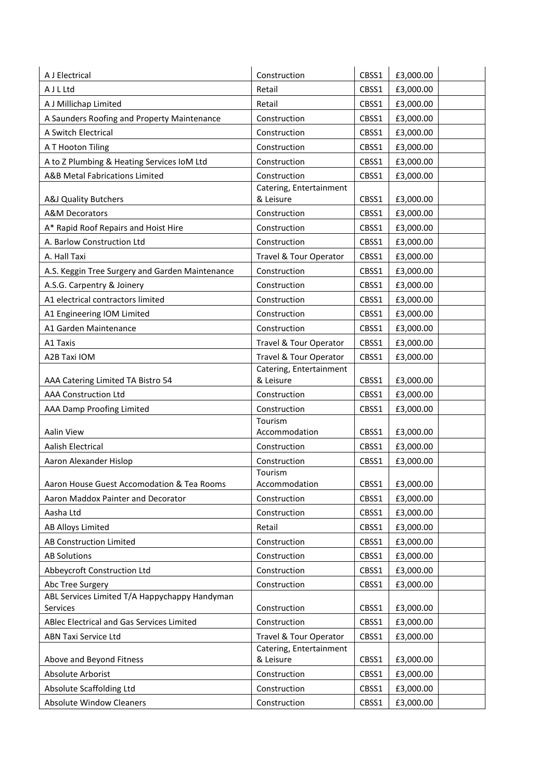| A J Electrical                                  | Construction            | CBSS1 | £3,000.00 |
|-------------------------------------------------|-------------------------|-------|-----------|
| A J L Ltd                                       | Retail                  | CBSS1 | £3,000.00 |
| A J Millichap Limited                           | Retail                  | CBSS1 | £3,000.00 |
| A Saunders Roofing and Property Maintenance     | Construction            | CBSS1 | £3,000.00 |
| A Switch Electrical                             | Construction            | CBSS1 | £3,000.00 |
| A T Hooton Tiling                               | Construction            | CBSS1 | £3,000.00 |
| A to Z Plumbing & Heating Services IoM Ltd      | Construction            | CBSS1 | £3,000.00 |
| A&B Metal Fabrications Limited                  | Construction            | CBSS1 | £3,000.00 |
|                                                 | Catering, Entertainment |       |           |
| A&J Quality Butchers                            | & Leisure               | CBSS1 | £3,000.00 |
| <b>A&amp;M Decorators</b>                       | Construction            | CBSS1 | £3,000.00 |
| A* Rapid Roof Repairs and Hoist Hire            | Construction            | CBSS1 | £3,000.00 |
| A. Barlow Construction Ltd                      | Construction            | CBSS1 | £3,000.00 |
| A. Hall Taxi                                    | Travel & Tour Operator  | CBSS1 | £3,000.00 |
| A.S. Keggin Tree Surgery and Garden Maintenance | Construction            | CBSS1 | £3,000.00 |
| A.S.G. Carpentry & Joinery                      | Construction            | CBSS1 | £3,000.00 |
| A1 electrical contractors limited               | Construction            | CBSS1 | £3,000.00 |
| A1 Engineering IOM Limited                      | Construction            | CBSS1 | £3,000.00 |
| A1 Garden Maintenance                           | Construction            | CBSS1 | £3,000.00 |
| A1 Taxis                                        | Travel & Tour Operator  | CBSS1 | £3,000.00 |
| A2B Taxi IOM                                    | Travel & Tour Operator  | CBSS1 | £3,000.00 |
|                                                 | Catering, Entertainment |       |           |
| AAA Catering Limited TA Bistro 54               | & Leisure               | CBSS1 | £3,000.00 |
| <b>AAA Construction Ltd</b>                     | Construction            | CBSS1 | £3,000.00 |
| AAA Damp Proofing Limited                       | Construction            | CBSS1 | £3,000.00 |
|                                                 | Tourism                 |       |           |
| Aalin View                                      | Accommodation           | CBSS1 | £3,000.00 |
| Aalish Electrical                               | Construction            | CBSS1 | £3,000.00 |
| Aaron Alexander Hislop                          | Construction<br>Tourism | CBSS1 | £3,000.00 |
| Aaron House Guest Accomodation & Tea Rooms      | Accommodation           | CBSS1 | £3,000.00 |
| Aaron Maddox Painter and Decorator              | Construction            | CBSS1 | £3,000.00 |
| Aasha Ltd                                       | Construction            | CBSS1 | £3,000.00 |
| <b>AB Alloys Limited</b>                        | Retail                  | CBSS1 | £3,000.00 |
| AB Construction Limited                         | Construction            | CBSS1 | £3,000.00 |
| <b>AB Solutions</b>                             | Construction            | CBSS1 | £3,000.00 |
| Abbeycroft Construction Ltd                     | Construction            | CBSS1 | £3,000.00 |
| Abc Tree Surgery                                | Construction            | CBSS1 | £3,000.00 |
| ABL Services Limited T/A Happychappy Handyman   |                         |       |           |
| Services                                        | Construction            | CBSS1 | £3,000.00 |
| ABlec Electrical and Gas Services Limited       | Construction            | CBSS1 | £3,000.00 |
| <b>ABN Taxi Service Ltd</b>                     | Travel & Tour Operator  | CBSS1 | £3,000.00 |
|                                                 | Catering, Entertainment |       |           |
| Above and Beyond Fitness                        | & Leisure               | CBSS1 | £3,000.00 |
| Absolute Arborist                               | Construction            | CBSS1 | £3,000.00 |
| Absolute Scaffolding Ltd                        | Construction            | CBSS1 | £3,000.00 |
| <b>Absolute Window Cleaners</b>                 | Construction            | CBSS1 | £3,000.00 |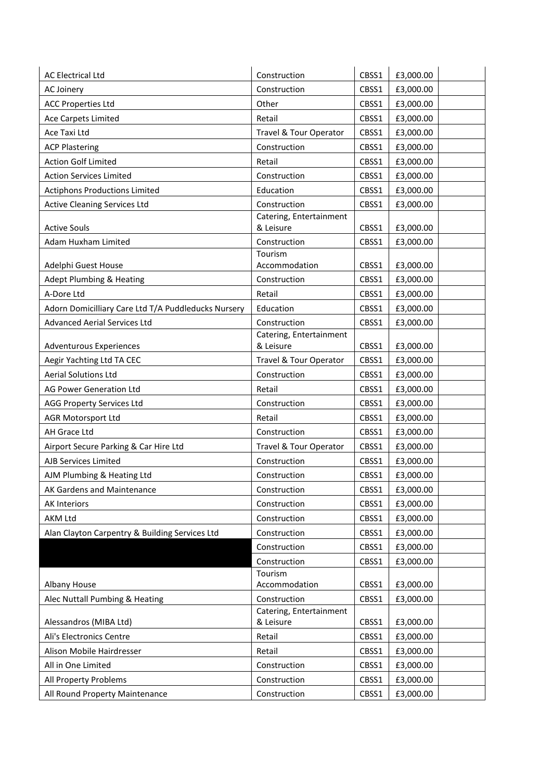| <b>AC Electrical Ltd</b>                            | Construction                         | CBSS1 | £3,000.00 |
|-----------------------------------------------------|--------------------------------------|-------|-----------|
| AC Joinery                                          | Construction                         | CBSS1 | £3,000.00 |
| <b>ACC Properties Ltd</b>                           | Other                                | CBSS1 | £3,000.00 |
| <b>Ace Carpets Limited</b>                          | Retail                               | CBSS1 | £3,000.00 |
| Ace Taxi Ltd                                        | Travel & Tour Operator               | CBSS1 | £3,000.00 |
| <b>ACP Plastering</b>                               | Construction                         | CBSS1 | £3,000.00 |
| <b>Action Golf Limited</b>                          | Retail                               | CBSS1 | £3,000.00 |
| <b>Action Services Limited</b>                      | Construction                         | CBSS1 | £3,000.00 |
| <b>Actiphons Productions Limited</b>                | Education                            | CBSS1 | £3,000.00 |
| <b>Active Cleaning Services Ltd</b>                 | Construction                         | CBSS1 | £3,000.00 |
|                                                     | Catering, Entertainment              |       |           |
| <b>Active Souls</b>                                 | & Leisure                            | CBSS1 | £3,000.00 |
| Adam Huxham Limited                                 | Construction<br>Tourism              | CBSS1 | £3,000.00 |
| Adelphi Guest House                                 | Accommodation                        | CBSS1 | £3,000.00 |
| <b>Adept Plumbing &amp; Heating</b>                 | Construction                         | CBSS1 | £3,000.00 |
| A-Dore Ltd                                          | Retail                               | CBSS1 | £3,000.00 |
| Adorn Domicilliary Care Ltd T/A Puddleducks Nursery | Education                            | CBSS1 | £3,000.00 |
| <b>Advanced Aerial Services Ltd</b>                 | Construction                         | CBSS1 | £3,000.00 |
|                                                     | Catering, Entertainment              |       |           |
| <b>Adventurous Experiences</b>                      | & Leisure                            | CBSS1 | £3,000.00 |
| Aegir Yachting Ltd TA CEC                           | Travel & Tour Operator               | CBSS1 | £3,000.00 |
| <b>Aerial Solutions Ltd</b>                         | Construction                         | CBSS1 | £3,000.00 |
| AG Power Generation Ltd                             | Retail                               | CBSS1 | £3,000.00 |
| <b>AGG Property Services Ltd</b>                    | Construction                         | CBSS1 | £3,000.00 |
| <b>AGR Motorsport Ltd</b>                           | Retail                               | CBSS1 | £3,000.00 |
| AH Grace Ltd                                        | Construction                         | CBSS1 | £3,000.00 |
| Airport Secure Parking & Car Hire Ltd               | Travel & Tour Operator               | CBSS1 | £3,000.00 |
| AJB Services Limited                                | Construction                         | CBSS1 | £3,000.00 |
| AJM Plumbing & Heating Ltd                          | Construction                         | CBSS1 | £3,000.00 |
| AK Gardens and Maintenance                          | Construction                         | CBSS1 | £3,000.00 |
| <b>AK Interiors</b>                                 | Construction                         | CBSS1 | £3,000.00 |
| <b>AKM Ltd</b>                                      | Construction                         | CBSS1 | £3,000.00 |
| Alan Clayton Carpentry & Building Services Ltd      | Construction                         | CBSS1 | £3,000.00 |
|                                                     | Construction                         | CBSS1 | £3,000.00 |
|                                                     | Construction                         | CBSS1 | £3,000.00 |
|                                                     | Tourism                              |       |           |
| Albany House                                        | Accommodation                        | CBSS1 | £3,000.00 |
| Alec Nuttall Pumbing & Heating                      | Construction                         | CBSS1 | £3,000.00 |
| Alessandros (MIBA Ltd)                              | Catering, Entertainment<br>& Leisure | CBSS1 | £3,000.00 |
| Ali's Electronics Centre                            | Retail                               | CBSS1 | £3,000.00 |
| Alison Mobile Hairdresser                           | Retail                               | CBSS1 | £3,000.00 |
| All in One Limited                                  | Construction                         | CBSS1 | £3,000.00 |
| All Property Problems                               | Construction                         | CBSS1 | £3,000.00 |
| All Round Property Maintenance                      | Construction                         | CBSS1 | £3,000.00 |
|                                                     |                                      |       |           |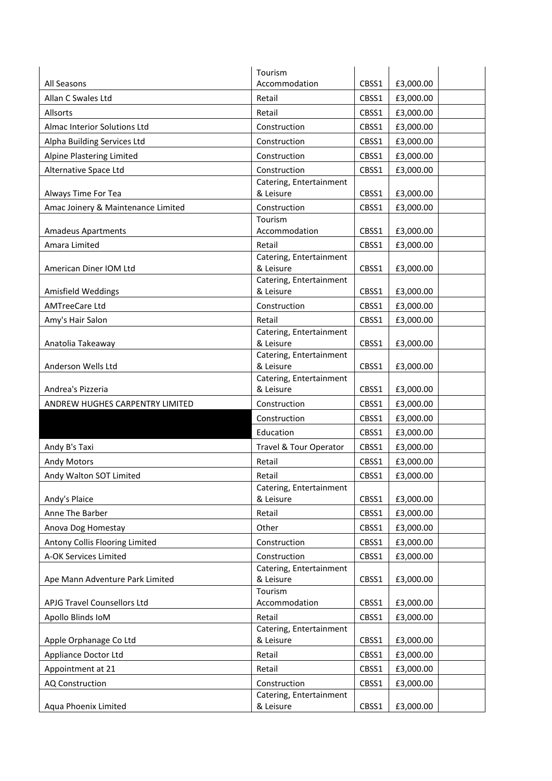|                                    | Tourism                              |       |           |
|------------------------------------|--------------------------------------|-------|-----------|
| All Seasons                        | Accommodation                        | CBSS1 | £3,000.00 |
| Allan C Swales Ltd                 | Retail                               | CBSS1 | £3,000.00 |
| Allsorts                           | Retail                               | CBSS1 | £3,000.00 |
| Almac Interior Solutions Ltd       | Construction                         | CBSS1 | £3,000.00 |
| Alpha Building Services Ltd        | Construction                         | CBSS1 | £3,000.00 |
| Alpine Plastering Limited          | Construction                         | CBSS1 | £3,000.00 |
| Alternative Space Ltd              | Construction                         | CBSS1 | £3,000.00 |
|                                    | Catering, Entertainment              |       |           |
| Always Time For Tea                | & Leisure                            | CBSS1 | £3,000.00 |
| Amac Joinery & Maintenance Limited | Construction                         | CBSS1 | £3,000.00 |
|                                    | Tourism                              |       |           |
| <b>Amadeus Apartments</b>          | Accommodation                        | CBSS1 | £3,000.00 |
| Amara Limited                      | Retail                               | CBSS1 | £3,000.00 |
| American Diner IOM Ltd             | Catering, Entertainment<br>& Leisure | CBSS1 | £3,000.00 |
|                                    | Catering, Entertainment              |       |           |
| Amisfield Weddings                 | & Leisure                            | CBSS1 | £3,000.00 |
| <b>AMTreeCare Ltd</b>              | Construction                         | CBSS1 | £3,000.00 |
| Amy's Hair Salon                   | Retail                               | CBSS1 | £3,000.00 |
|                                    | Catering, Entertainment              |       |           |
| Anatolia Takeaway                  | & Leisure                            | CBSS1 | £3,000.00 |
|                                    | Catering, Entertainment              |       |           |
| Anderson Wells Ltd                 | & Leisure                            | CBSS1 | £3,000.00 |
| Andrea's Pizzeria                  | Catering, Entertainment<br>& Leisure | CBSS1 | £3,000.00 |
| ANDREW HUGHES CARPENTRY LIMITED    | Construction                         | CBSS1 | £3,000.00 |
|                                    | Construction                         | CBSS1 | £3,000.00 |
|                                    | Education                            | CBSS1 | £3,000.00 |
| Andy B's Taxi                      | <b>Travel &amp; Tour Operator</b>    | CBSS1 | £3,000.00 |
| <b>Andy Motors</b>                 | Retail                               | CBSS1 | £3,000.00 |
| Andy Walton SOT Limited            | Retail                               | CBSS1 | £3,000.00 |
|                                    | Catering, Entertainment              |       |           |
| Andy's Plaice                      | & Leisure                            | CBSS1 | £3,000.00 |
| Anne The Barber                    | Retail                               | CBSS1 | £3,000.00 |
| Anova Dog Homestay                 | Other                                | CBSS1 | £3,000.00 |
| Antony Collis Flooring Limited     | Construction                         | CBSS1 | £3,000.00 |
| A-OK Services Limited              | Construction                         | CBSS1 | £3,000.00 |
|                                    | Catering, Entertainment              |       |           |
| Ape Mann Adventure Park Limited    | & Leisure                            | CBSS1 | £3,000.00 |
|                                    | Tourism                              |       |           |
| APJG Travel Counsellors Ltd        | Accommodation                        | CBSS1 | £3,000.00 |
| Apollo Blinds IoM                  | Retail<br>Catering, Entertainment    | CBSS1 | £3,000.00 |
| Apple Orphanage Co Ltd             | & Leisure                            | CBSS1 | £3,000.00 |
| Appliance Doctor Ltd               | Retail                               | CBSS1 | £3,000.00 |
| Appointment at 21                  | Retail                               | CBSS1 | £3,000.00 |
| <b>AQ Construction</b>             | Construction                         | CBSS1 | £3,000.00 |
|                                    | Catering, Entertainment              |       |           |
| Aqua Phoenix Limited               | & Leisure                            | CBSS1 | £3,000.00 |
|                                    |                                      |       |           |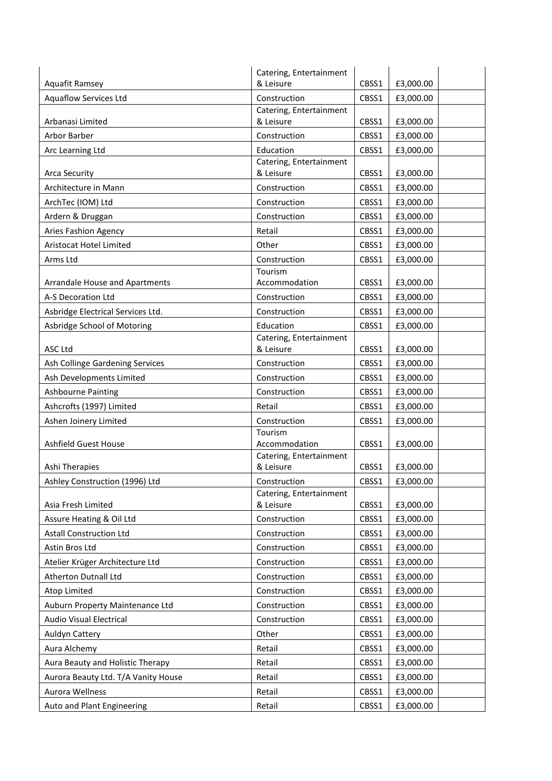|                                       | Catering, Entertainment              |       |           |
|---------------------------------------|--------------------------------------|-------|-----------|
| Aquafit Ramsey                        | & Leisure                            | CBSS1 | £3,000.00 |
| <b>Aquaflow Services Ltd</b>          | Construction                         | CBSS1 | £3,000.00 |
| Arbanasi Limited                      | Catering, Entertainment<br>& Leisure | CBSS1 | £3,000.00 |
| Arbor Barber                          | Construction                         | CBSS1 | £3,000.00 |
| Arc Learning Ltd                      | Education                            | CBSS1 | £3,000.00 |
|                                       | Catering, Entertainment              |       |           |
| <b>Arca Security</b>                  | & Leisure                            | CBSS1 | £3,000.00 |
| Architecture in Mann                  | Construction                         | CBSS1 | £3,000.00 |
| ArchTec (IOM) Ltd                     | Construction                         | CBSS1 | £3,000.00 |
| Ardern & Druggan                      | Construction                         | CBSS1 | £3,000.00 |
| Aries Fashion Agency                  | Retail                               | CBSS1 | £3,000.00 |
| Aristocat Hotel Limited               | Other                                | CBSS1 | £3,000.00 |
| Arms Ltd                              | Construction                         | CBSS1 | £3,000.00 |
|                                       | Tourism                              |       |           |
| <b>Arrandale House and Apartments</b> | Accommodation                        | CBSS1 | £3,000.00 |
| A-S Decoration Ltd                    | Construction                         | CBSS1 | £3,000.00 |
| Asbridge Electrical Services Ltd.     | Construction                         | CBSS1 | £3,000.00 |
| Asbridge School of Motoring           | Education                            | CBSS1 | £3,000.00 |
| <b>ASC Ltd</b>                        | Catering, Entertainment<br>& Leisure | CBSS1 | £3,000.00 |
| Ash Collinge Gardening Services       | Construction                         | CBSS1 | £3,000.00 |
| Ash Developments Limited              | Construction                         | CBSS1 | £3,000.00 |
| <b>Ashbourne Painting</b>             | Construction                         | CBSS1 | £3,000.00 |
| Ashcrofts (1997) Limited              | Retail                               | CBSS1 | £3,000.00 |
| Ashen Joinery Limited                 | Construction                         | CBSS1 | £3,000.00 |
|                                       | Tourism                              |       |           |
| <b>Ashfield Guest House</b>           | Accommodation                        | CBSS1 | £3,000.00 |
| Ashi Therapies                        | Catering, Entertainment<br>& Leisure | CBSS1 | £3,000.00 |
| Ashley Construction (1996) Ltd        | Construction                         | CBSS1 | £3,000.00 |
|                                       | Catering, Entertainment              |       |           |
| Asia Fresh Limited                    | & Leisure                            | CBSS1 | £3,000.00 |
| Assure Heating & Oil Ltd              | Construction                         | CBSS1 | £3,000.00 |
| <b>Astall Construction Ltd</b>        | Construction                         | CBSS1 | £3,000.00 |
| Astin Bros Ltd                        | Construction                         | CBSS1 | £3,000.00 |
| Atelier Krüger Architecture Ltd       | Construction                         | CBSS1 | £3,000.00 |
| Atherton Dutnall Ltd                  | Construction                         | CBSS1 | £3,000.00 |
| Atop Limited                          | Construction                         | CBSS1 | £3,000.00 |
| Auburn Property Maintenance Ltd       | Construction                         | CBSS1 | £3,000.00 |
| <b>Audio Visual Electrical</b>        | Construction                         | CBSS1 | £3,000.00 |
| <b>Auldyn Cattery</b>                 | Other                                | CBSS1 | £3,000.00 |
| Aura Alchemy                          | Retail                               | CBSS1 | £3,000.00 |
| Aura Beauty and Holistic Therapy      | Retail                               | CBSS1 | £3,000.00 |
| Aurora Beauty Ltd. T/A Vanity House   | Retail                               | CBSS1 | £3,000.00 |
| Aurora Wellness                       | Retail                               | CBSS1 | £3,000.00 |
| Auto and Plant Engineering            | Retail                               | CBSS1 | £3,000.00 |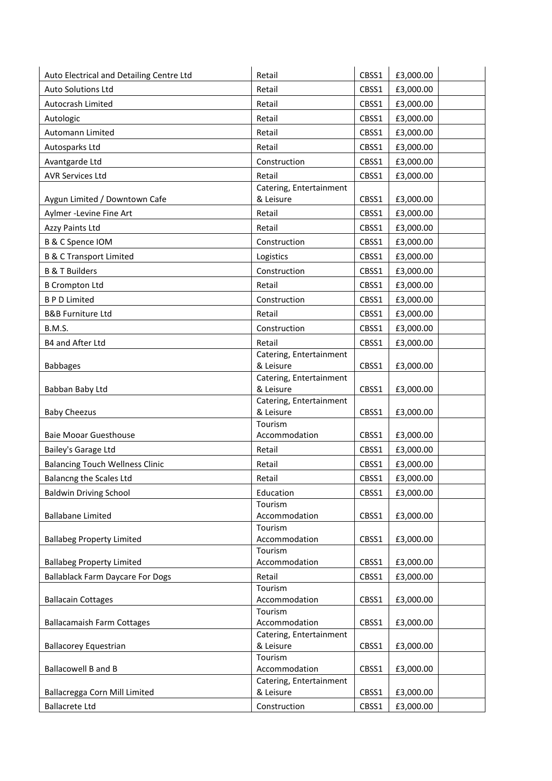| Auto Electrical and Detailing Centre Ltd | Retail                               | CBSS1 | £3,000.00 |
|------------------------------------------|--------------------------------------|-------|-----------|
| Auto Solutions Ltd                       | Retail                               | CBSS1 | £3,000.00 |
| Autocrash Limited                        | Retail                               | CBSS1 | £3,000.00 |
| Autologic                                | Retail                               | CBSS1 | £3,000.00 |
| Automann Limited                         | Retail                               | CBSS1 | £3,000.00 |
| Autosparks Ltd                           | Retail                               | CBSS1 | £3,000.00 |
| Avantgarde Ltd                           | Construction                         | CBSS1 | £3,000.00 |
| <b>AVR Services Ltd</b>                  | Retail                               | CBSS1 | £3,000.00 |
|                                          | Catering, Entertainment              |       |           |
| Aygun Limited / Downtown Cafe            | & Leisure                            | CBSS1 | £3,000.00 |
| Aylmer -Levine Fine Art                  | Retail                               | CBSS1 | £3,000.00 |
| Azzy Paints Ltd                          | Retail                               | CBSS1 | £3,000.00 |
| B & C Spence IOM                         | Construction                         | CBSS1 | £3,000.00 |
| <b>B &amp; C Transport Limited</b>       | Logistics                            | CBSS1 | £3,000.00 |
| <b>B &amp; T Builders</b>                | Construction                         | CBSS1 | £3,000.00 |
| <b>B Crompton Ltd</b>                    | Retail                               | CBSS1 | £3,000.00 |
| <b>BPD</b> Limited                       | Construction                         | CBSS1 | £3,000.00 |
| <b>B&amp;B Furniture Ltd</b>             | Retail                               | CBSS1 | £3,000.00 |
| B.M.S.                                   | Construction                         | CBSS1 | £3,000.00 |
| B4 and After Ltd                         | Retail                               | CBSS1 | £3,000.00 |
|                                          | Catering, Entertainment              |       |           |
| <b>Babbages</b>                          | & Leisure                            | CBSS1 | £3,000.00 |
|                                          | Catering, Entertainment              |       |           |
| Babban Baby Ltd                          | & Leisure                            | CBSS1 | £3,000.00 |
| <b>Baby Cheezus</b>                      | Catering, Entertainment<br>& Leisure | CBSS1 | £3,000.00 |
|                                          | Tourism                              |       |           |
| <b>Baie Mooar Guesthouse</b>             | Accommodation                        | CBSS1 | £3,000.00 |
| Bailey's Garage Ltd                      | Retail                               | CBSS1 | £3,000.00 |
| <b>Balancing Touch Wellness Clinic</b>   | Retail                               | CBSS1 | £3,000.00 |
| <b>Balancng the Scales Ltd</b>           | Retail                               | CBSS1 | £3,000.00 |
| <b>Baldwin Driving School</b>            | Education                            | CBSS1 | £3,000.00 |
|                                          | Tourism                              |       |           |
| <b>Ballabane Limited</b>                 | Accommodation                        | CBSS1 | £3,000.00 |
|                                          | Tourism                              |       |           |
| <b>Ballabeg Property Limited</b>         | Accommodation<br>Tourism             | CBSS1 | £3,000.00 |
| <b>Ballabeg Property Limited</b>         | Accommodation                        | CBSS1 | £3,000.00 |
| <b>Ballablack Farm Daycare For Dogs</b>  | Retail                               | CBSS1 | £3,000.00 |
|                                          | Tourism                              |       |           |
| <b>Ballacain Cottages</b>                | Accommodation                        | CBSS1 | £3,000.00 |
|                                          | Tourism                              |       |           |
| <b>Ballacamaish Farm Cottages</b>        | Accommodation                        | CBSS1 | £3,000.00 |
| <b>Ballacorey Equestrian</b>             | Catering, Entertainment<br>& Leisure | CBSS1 | £3,000.00 |
|                                          | Tourism                              |       |           |
| Ballacowell B and B                      | Accommodation                        | CBSS1 | £3,000.00 |
|                                          | Catering, Entertainment              |       |           |
| Ballacregga Corn Mill Limited            | & Leisure                            | CBSS1 | £3,000.00 |
| <b>Ballacrete Ltd</b>                    | Construction                         | CBSS1 | £3,000.00 |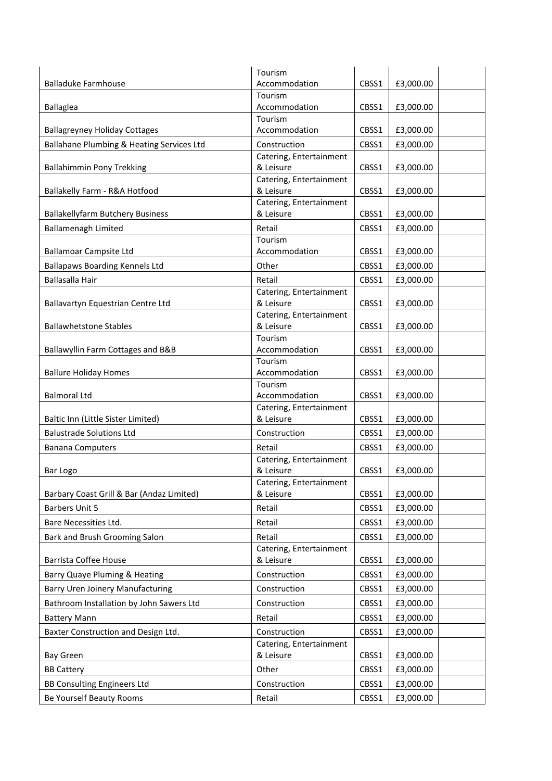|                                           | Tourism                              |       |           |
|-------------------------------------------|--------------------------------------|-------|-----------|
| <b>Balladuke Farmhouse</b>                | Accommodation                        | CBSS1 | £3,000.00 |
|                                           | Tourism                              |       |           |
| Ballaglea                                 | Accommodation                        | CBSS1 | £3,000.00 |
|                                           | Tourism                              |       |           |
| <b>Ballagreyney Holiday Cottages</b>      | Accommodation                        | CBSS1 | £3,000.00 |
| Ballahane Plumbing & Heating Services Ltd | Construction                         | CBSS1 | £3,000.00 |
|                                           | Catering, Entertainment              |       |           |
| <b>Ballahimmin Pony Trekking</b>          | & Leisure                            | CBSS1 | £3,000.00 |
| Ballakelly Farm - R&A Hotfood             | Catering, Entertainment<br>& Leisure | CBSS1 | £3,000.00 |
|                                           | Catering, Entertainment              |       |           |
| <b>Ballakellyfarm Butchery Business</b>   | & Leisure                            | CBSS1 | £3,000.00 |
| <b>Ballamenagh Limited</b>                | Retail                               | CBSS1 | £3,000.00 |
|                                           | Tourism                              |       |           |
| <b>Ballamoar Campsite Ltd</b>             | Accommodation                        | CBSS1 | £3,000.00 |
| <b>Ballapaws Boarding Kennels Ltd</b>     | Other                                | CBSS1 | £3,000.00 |
|                                           |                                      |       |           |
| Ballasalla Hair                           | Retail<br>Catering, Entertainment    | CBSS1 | £3,000.00 |
| Ballavartyn Equestrian Centre Ltd         | & Leisure                            | CBSS1 | £3,000.00 |
|                                           | Catering, Entertainment              |       |           |
| <b>Ballawhetstone Stables</b>             | & Leisure                            | CBSS1 | £3,000.00 |
|                                           | Tourism                              |       |           |
| Ballawyllin Farm Cottages and B&B         | Accommodation                        | CBSS1 | £3,000.00 |
|                                           | Tourism                              |       |           |
| <b>Ballure Holiday Homes</b>              | Accommodation                        | CBSS1 | £3,000.00 |
|                                           | Tourism                              |       |           |
| <b>Balmoral Ltd</b>                       | Accommodation                        | CBSS1 | £3,000.00 |
|                                           | Catering, Entertainment              |       |           |
| Baltic Inn (Little Sister Limited)        | & Leisure                            | CBSS1 | £3,000.00 |
| <b>Balustrade Solutions Ltd</b>           | Construction                         | CBSS1 | £3,000.00 |
| <b>Banana Computers</b>                   | Retail                               | CBSS1 | £3,000.00 |
|                                           | Catering, Entertainment              |       |           |
| Bar Logo                                  | & Leisure                            | CBSS1 | £3,000.00 |
|                                           | Catering, Entertainment              |       |           |
| Barbary Coast Grill & Bar (Andaz Limited) | & Leisure                            | CBSS1 | £3,000.00 |
| <b>Barbers Unit 5</b>                     | Retail                               | CBSS1 | £3,000.00 |
| Bare Necessities Ltd.                     | Retail                               | CBSS1 | £3,000.00 |
| Bark and Brush Grooming Salon             | Retail                               | CBSS1 | £3,000.00 |
|                                           | Catering, Entertainment              |       |           |
| <b>Barrista Coffee House</b>              | & Leisure                            | CBSS1 | £3,000.00 |
| Barry Quaye Pluming & Heating             | Construction                         | CBSS1 | £3,000.00 |
| <b>Barry Uren Joinery Manufacturing</b>   | Construction                         | CBSS1 | £3,000.00 |
| Bathroom Installation by John Sawers Ltd  | Construction                         | CBSS1 | £3,000.00 |
| <b>Battery Mann</b>                       | Retail                               | CBSS1 | £3,000.00 |
|                                           | Construction                         |       |           |
| Baxter Construction and Design Ltd.       | Catering, Entertainment              | CBSS1 | £3,000.00 |
| <b>Bay Green</b>                          | & Leisure                            | CBSS1 | £3,000.00 |
|                                           |                                      |       |           |
| <b>BB Cattery</b>                         | Other                                | CBSS1 | £3,000.00 |
| <b>BB Consulting Engineers Ltd</b>        | Construction                         | CBSS1 | £3,000.00 |
| Be Yourself Beauty Rooms                  | Retail                               | CBSS1 | £3,000.00 |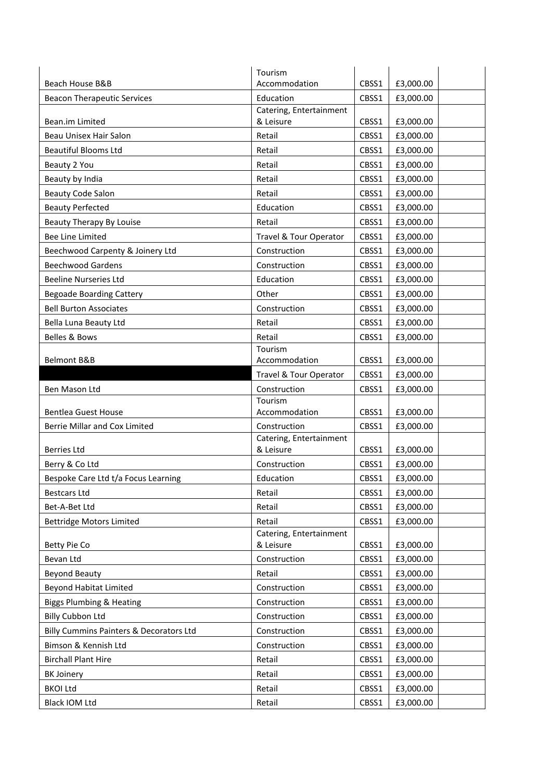|                                         | Tourism                              |       |           |
|-----------------------------------------|--------------------------------------|-------|-----------|
| Beach House B&B                         | Accommodation                        | CBSS1 | £3,000.00 |
| <b>Beacon Therapeutic Services</b>      | Education                            | CBSS1 | £3,000.00 |
| Bean.im Limited                         | Catering, Entertainment<br>& Leisure | CBSS1 | £3,000.00 |
| Beau Unisex Hair Salon                  | Retail                               | CBSS1 | £3,000.00 |
| <b>Beautiful Blooms Ltd</b>             | Retail                               | CBSS1 | £3,000.00 |
| Beauty 2 You                            | Retail                               | CBSS1 | £3,000.00 |
| Beauty by India                         | Retail                               | CBSS1 | £3,000.00 |
| <b>Beauty Code Salon</b>                | Retail                               | CBSS1 | £3,000.00 |
| <b>Beauty Perfected</b>                 | Education                            | CBSS1 | £3,000.00 |
| Beauty Therapy By Louise                | Retail                               | CBSS1 | £3,000.00 |
| <b>Bee Line Limited</b>                 | Travel & Tour Operator               | CBSS1 | £3,000.00 |
| Beechwood Carpenty & Joinery Ltd        | Construction                         | CBSS1 | £3,000.00 |
| <b>Beechwood Gardens</b>                | Construction                         | CBSS1 | £3,000.00 |
| <b>Beeline Nurseries Ltd</b>            | Education                            | CBSS1 | £3,000.00 |
| <b>Begoade Boarding Cattery</b>         | Other                                | CBSS1 | £3,000.00 |
| <b>Bell Burton Associates</b>           | Construction                         | CBSS1 | £3,000.00 |
| Bella Luna Beauty Ltd                   | Retail                               | CBSS1 | £3,000.00 |
| <b>Belles &amp; Bows</b>                | Retail                               | CBSS1 |           |
|                                         | Tourism                              |       | £3,000.00 |
| Belmont B&B                             | Accommodation                        | CBSS1 | £3,000.00 |
|                                         | Travel & Tour Operator               | CBSS1 | £3,000.00 |
| Ben Mason Ltd                           | Construction                         | CBSS1 | £3,000.00 |
|                                         | Tourism                              |       |           |
| <b>Bentlea Guest House</b>              | Accommodation                        | CBSS1 | £3,000.00 |
| Berrie Millar and Cox Limited           | Construction                         | CBSS1 | £3,000.00 |
| <b>Berries Ltd</b>                      | Catering, Entertainment<br>& Leisure | CBSS1 | £3,000.00 |
| Berry & Co Ltd                          | Construction                         | CBSS1 | £3,000.00 |
| Bespoke Care Ltd t/a Focus Learning     | Education                            | CBSS1 | £3,000.00 |
| <b>Bestcars Ltd</b>                     | Retail                               | CBSS1 | £3,000.00 |
| Bet-A-Bet Ltd                           | Retail                               | CBSS1 | £3,000.00 |
| <b>Bettridge Motors Limited</b>         | Retail                               | CBSS1 | £3,000.00 |
|                                         | Catering, Entertainment              |       |           |
| Betty Pie Co                            | & Leisure                            | CBSS1 | £3,000.00 |
| Bevan Ltd                               | Construction                         | CBSS1 | £3,000.00 |
| <b>Beyond Beauty</b>                    | Retail                               | CBSS1 | £3,000.00 |
| <b>Beyond Habitat Limited</b>           | Construction                         | CBSS1 | £3,000.00 |
| <b>Biggs Plumbing &amp; Heating</b>     | Construction                         | CBSS1 | £3,000.00 |
| <b>Billy Cubbon Ltd</b>                 | Construction                         | CBSS1 | £3,000.00 |
| Billy Cummins Painters & Decorators Ltd | Construction                         | CBSS1 | £3,000.00 |
| Bimson & Kennish Ltd                    | Construction                         | CBSS1 | £3,000.00 |
| <b>Birchall Plant Hire</b>              | Retail                               | CBSS1 | £3,000.00 |
| <b>BK Joinery</b>                       | Retail                               | CBSS1 | £3,000.00 |
| <b>BKOI Ltd</b>                         | Retail                               | CBSS1 | £3,000.00 |
| Black IOM Ltd                           | Retail                               | CBSS1 | £3,000.00 |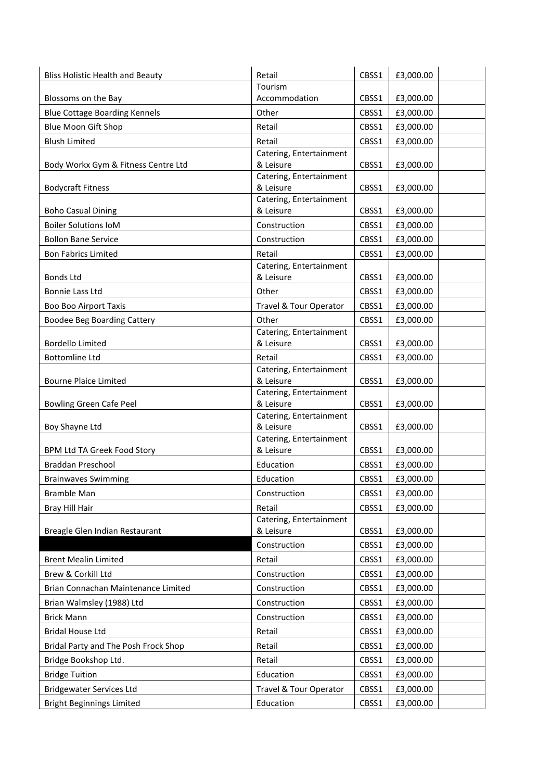| <b>Bliss Holistic Health and Beauty</b> | Retail                               | CBSS1 | £3,000.00 |
|-----------------------------------------|--------------------------------------|-------|-----------|
|                                         | Tourism                              |       |           |
| Blossoms on the Bay                     | Accommodation                        | CBSS1 | £3,000.00 |
| <b>Blue Cottage Boarding Kennels</b>    | Other                                | CBSS1 | £3,000.00 |
| Blue Moon Gift Shop                     | Retail                               | CBSS1 | £3,000.00 |
| <b>Blush Limited</b>                    | Retail                               | CBSS1 | £3,000.00 |
|                                         | Catering, Entertainment              |       |           |
| Body Workx Gym & Fitness Centre Ltd     | & Leisure                            | CBSS1 | £3,000.00 |
| <b>Bodycraft Fitness</b>                | Catering, Entertainment<br>& Leisure | CBSS1 | £3,000.00 |
|                                         | Catering, Entertainment              |       |           |
| <b>Boho Casual Dining</b>               | & Leisure                            | CBSS1 | £3,000.00 |
| <b>Boiler Solutions IoM</b>             | Construction                         | CBSS1 | £3,000.00 |
| <b>Bollon Bane Service</b>              | Construction                         | CBSS1 | £3,000.00 |
| <b>Bon Fabrics Limited</b>              | Retail                               | CBSS1 | £3,000.00 |
|                                         | Catering, Entertainment              |       |           |
| <b>Bonds Ltd</b>                        | & Leisure                            | CBSS1 | £3,000.00 |
| Bonnie Lass Ltd                         | Other                                | CBSS1 | £3,000.00 |
| <b>Boo Boo Airport Taxis</b>            | Travel & Tour Operator               | CBSS1 | £3,000.00 |
| <b>Boodee Beg Boarding Cattery</b>      | Other                                | CBSS1 | £3,000.00 |
|                                         | Catering, Entertainment              |       |           |
| <b>Bordello Limited</b>                 | & Leisure                            | CBSS1 | £3,000.00 |
| <b>Bottomline Ltd</b>                   | Retail                               | CBSS1 | £3,000.00 |
|                                         | Catering, Entertainment              |       |           |
| <b>Bourne Plaice Limited</b>            | & Leisure                            | CBSS1 | £3,000.00 |
|                                         | Catering, Entertainment              |       |           |
| Bowling Green Cafe Peel                 | & Leisure<br>Catering, Entertainment | CBSS1 | £3,000.00 |
| Boy Shayne Ltd                          | & Leisure                            | CBSS1 | £3,000.00 |
|                                         | Catering, Entertainment              |       |           |
| BPM Ltd TA Greek Food Story             | & Leisure                            | CBSS1 | £3,000.00 |
| Braddan Preschool                       | Education                            | CBSS1 | £3,000.00 |
| <b>Brainwaves Swimming</b>              | Education                            | CBSS1 | £3,000.00 |
| <b>Bramble Man</b>                      | Construction                         | CBSS1 | £3,000.00 |
| Bray Hill Hair                          | Retail                               | CBSS1 | £3,000.00 |
|                                         | Catering, Entertainment              |       |           |
| Breagle Glen Indian Restaurant          | & Leisure                            | CBSS1 | £3,000.00 |
|                                         | Construction                         | CBSS1 | £3,000.00 |
| <b>Brent Mealin Limited</b>             | Retail                               | CBSS1 | £3,000.00 |
| Brew & Corkill Ltd                      | Construction                         | CBSS1 | £3,000.00 |
| Brian Connachan Maintenance Limited     | Construction                         | CBSS1 | £3,000.00 |
| Brian Walmsley (1988) Ltd               | Construction                         | CBSS1 | £3,000.00 |
| <b>Brick Mann</b>                       | Construction                         | CBSS1 | £3,000.00 |
| <b>Bridal House Ltd</b>                 | Retail                               | CBSS1 | £3,000.00 |
| Bridal Party and The Posh Frock Shop    | Retail                               | CBSS1 | £3,000.00 |
| Bridge Bookshop Ltd.                    | Retail                               | CBSS1 | £3,000.00 |
|                                         | Education                            |       |           |
| <b>Bridge Tuition</b>                   |                                      | CBSS1 | £3,000.00 |
| <b>Bridgewater Services Ltd</b>         | Travel & Tour Operator               | CBSS1 | £3,000.00 |
| <b>Bright Beginnings Limited</b>        | Education                            | CBSS1 | £3,000.00 |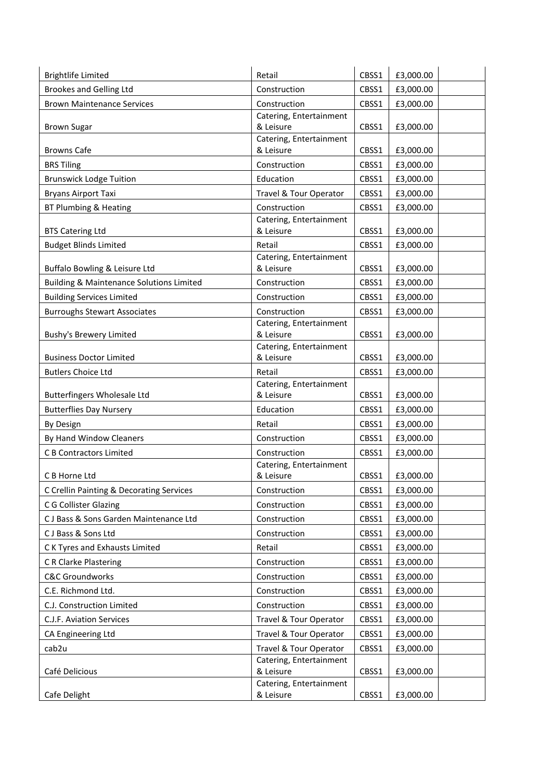| <b>Brightlife Limited</b>                           | Retail                                  | CBSS1 | £3,000.00 |
|-----------------------------------------------------|-----------------------------------------|-------|-----------|
| <b>Brookes and Gelling Ltd</b>                      | Construction                            | CBSS1 | £3,000.00 |
| <b>Brown Maintenance Services</b>                   | Construction                            | CBSS1 | £3,000.00 |
|                                                     | Catering, Entertainment                 |       |           |
| <b>Brown Sugar</b>                                  | & Leisure                               | CBSS1 | £3,000.00 |
| <b>Browns Cafe</b>                                  | Catering, Entertainment<br>& Leisure    | CBSS1 |           |
|                                                     |                                         |       | £3,000.00 |
| <b>BRS Tiling</b>                                   | Construction                            | CBSS1 | £3,000.00 |
| <b>Brunswick Lodge Tuition</b>                      | Education                               | CBSS1 | £3,000.00 |
| <b>Bryans Airport Taxi</b>                          | Travel & Tour Operator                  | CBSS1 | £3,000.00 |
| BT Plumbing & Heating                               | Construction                            | CBSS1 | £3,000.00 |
| <b>BTS Catering Ltd</b>                             | Catering, Entertainment<br>& Leisure    | CBSS1 | £3,000.00 |
| <b>Budget Blinds Limited</b>                        | Retail                                  | CBSS1 | £3,000.00 |
|                                                     | Catering, Entertainment                 |       |           |
| Buffalo Bowling & Leisure Ltd                       | & Leisure                               | CBSS1 | £3,000.00 |
| <b>Building &amp; Maintenance Solutions Limited</b> | Construction                            | CBSS1 | £3,000.00 |
| <b>Building Services Limited</b>                    | Construction                            | CBSS1 | £3,000.00 |
| <b>Burroughs Stewart Associates</b>                 | Construction                            | CBSS1 | £3,000.00 |
|                                                     | Catering, Entertainment                 |       |           |
| Bushy's Brewery Limited                             | & Leisure                               | CBSS1 | £3,000.00 |
|                                                     | Catering, Entertainment                 |       |           |
| <b>Business Doctor Limited</b>                      | & Leisure                               | CBSS1 | £3,000.00 |
| <b>Butlers Choice Ltd</b>                           | Retail                                  | CBSS1 | £3,000.00 |
| <b>Butterfingers Wholesale Ltd</b>                  | Catering, Entertainment<br>& Leisure    | CBSS1 | £3,000.00 |
| <b>Butterflies Day Nursery</b>                      | Education                               | CBSS1 | £3,000.00 |
| By Design                                           | Retail                                  | CBSS1 | £3,000.00 |
| By Hand Window Cleaners                             | Construction                            | CBSS1 | £3,000.00 |
| <b>C B Contractors Limited</b>                      |                                         | CBSS1 | £3,000.00 |
|                                                     | Construction<br>Catering, Entertainment |       |           |
| C B Horne Ltd                                       | & Leisure                               | CBSS1 | £3,000.00 |
| C Crellin Painting & Decorating Services            | Construction                            | CBSS1 | £3,000.00 |
| C G Collister Glazing                               | Construction                            | CBSS1 | £3,000.00 |
| CJ Bass & Sons Garden Maintenance Ltd               | Construction                            | CBSS1 | £3,000.00 |
| CJ Bass & Sons Ltd                                  | Construction                            | CBSS1 | £3,000.00 |
| C K Tyres and Exhausts Limited                      | Retail                                  | CBSS1 | £3,000.00 |
| <b>C R Clarke Plastering</b>                        | Construction                            | CBSS1 | £3,000.00 |
| <b>C&amp;C Groundworks</b>                          | Construction                            | CBSS1 | £3,000.00 |
| C.E. Richmond Ltd.                                  |                                         |       |           |
|                                                     | Construction                            | CBSS1 | £3,000.00 |
| C.J. Construction Limited                           | Construction                            | CBSS1 | £3,000.00 |
| C.J.F. Aviation Services                            | Travel & Tour Operator                  | CBSS1 | £3,000.00 |
| CA Engineering Ltd                                  | Travel & Tour Operator                  | CBSS1 | £3,000.00 |
| cab2u                                               | Travel & Tour Operator                  | CBSS1 | £3,000.00 |
| Café Delicious                                      | Catering, Entertainment<br>& Leisure    | CBSS1 | £3,000.00 |
|                                                     | Catering, Entertainment                 |       |           |
| Cafe Delight                                        | & Leisure                               | CBSS1 | £3,000.00 |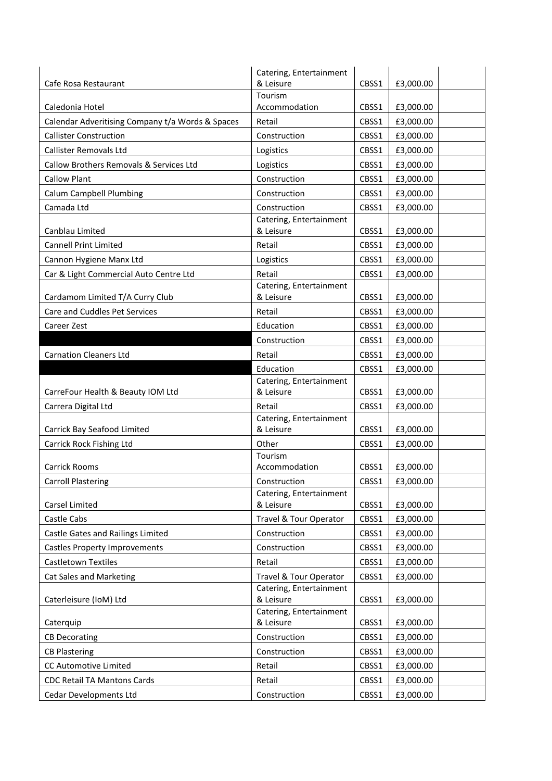|                                                  | Catering, Entertainment              |       |           |
|--------------------------------------------------|--------------------------------------|-------|-----------|
| Cafe Rosa Restaurant                             | & Leisure                            | CBSS1 | £3,000.00 |
|                                                  | Tourism                              |       |           |
| Caledonia Hotel                                  | Accommodation                        | CBSS1 | £3,000.00 |
| Calendar Adveritising Company t/a Words & Spaces | Retail                               | CBSS1 | £3,000.00 |
| <b>Callister Construction</b>                    | Construction                         | CBSS1 | £3,000.00 |
| Callister Removals Ltd                           | Logistics                            | CBSS1 | £3,000.00 |
| Callow Brothers Removals & Services Ltd          | Logistics                            | CBSS1 | £3,000.00 |
| <b>Callow Plant</b>                              | Construction                         | CBSS1 | £3,000.00 |
| <b>Calum Campbell Plumbing</b>                   | Construction                         | CBSS1 | £3,000.00 |
| Camada Ltd                                       | Construction                         | CBSS1 | £3,000.00 |
|                                                  | Catering, Entertainment              |       |           |
| Canblau Limited                                  | & Leisure                            | CBSS1 | £3,000.00 |
| <b>Cannell Print Limited</b>                     | Retail                               | CBSS1 | £3,000.00 |
| Cannon Hygiene Manx Ltd                          | Logistics                            | CBSS1 | £3,000.00 |
| Car & Light Commercial Auto Centre Ltd           | Retail                               | CBSS1 | £3,000.00 |
|                                                  | Catering, Entertainment              |       |           |
| Cardamom Limited T/A Curry Club                  | & Leisure                            | CBSS1 | £3,000.00 |
| Care and Cuddles Pet Services                    | Retail                               | CBSS1 | £3,000.00 |
| Career Zest                                      | Education                            | CBSS1 | £3,000.00 |
|                                                  | Construction                         | CBSS1 | £3,000.00 |
| <b>Carnation Cleaners Ltd</b>                    | Retail                               | CBSS1 | £3,000.00 |
|                                                  | Education                            | CBSS1 | £3,000.00 |
|                                                  | Catering, Entertainment              |       |           |
| CarreFour Health & Beauty IOM Ltd                | & Leisure                            | CBSS1 | £3,000.00 |
| Carrera Digital Ltd                              | Retail                               | CBSS1 | £3,000.00 |
| Carrick Bay Seafood Limited                      | Catering, Entertainment<br>& Leisure | CBSS1 | £3,000.00 |
|                                                  | Other                                | CBSS1 |           |
| Carrick Rock Fishing Ltd                         | Tourism                              |       | £3,000.00 |
| <b>Carrick Rooms</b>                             | Accommodation                        | CBSS1 | £3,000.00 |
| <b>Carroll Plastering</b>                        | Construction                         | CBSS1 | £3,000.00 |
|                                                  | Catering, Entertainment              |       |           |
| Carsel Limited                                   | & Leisure                            | CBSS1 | £3,000.00 |
| Castle Cabs                                      | Travel & Tour Operator               | CBSS1 | £3,000.00 |
| Castle Gates and Railings Limited                | Construction                         | CBSS1 | £3,000.00 |
| <b>Castles Property Improvements</b>             | Construction                         | CBSS1 | £3,000.00 |
| Castletown Textiles                              | Retail                               | CBSS1 | £3,000.00 |
| <b>Cat Sales and Marketing</b>                   | Travel & Tour Operator               | CBSS1 | £3,000.00 |
|                                                  | Catering, Entertainment              |       |           |
| Caterleisure (IoM) Ltd                           | & Leisure                            | CBSS1 | £3,000.00 |
|                                                  | Catering, Entertainment              |       |           |
| Caterquip                                        | & Leisure                            | CBSS1 | £3,000.00 |
| <b>CB Decorating</b>                             | Construction                         | CBSS1 | £3,000.00 |
| <b>CB Plastering</b>                             | Construction                         | CBSS1 | £3,000.00 |
| CC Automotive Limited                            | Retail                               | CBSS1 | £3,000.00 |
| CDC Retail TA Mantons Cards                      | Retail                               | CBSS1 | £3,000.00 |
| Cedar Developments Ltd                           | Construction                         | CBSS1 | £3,000.00 |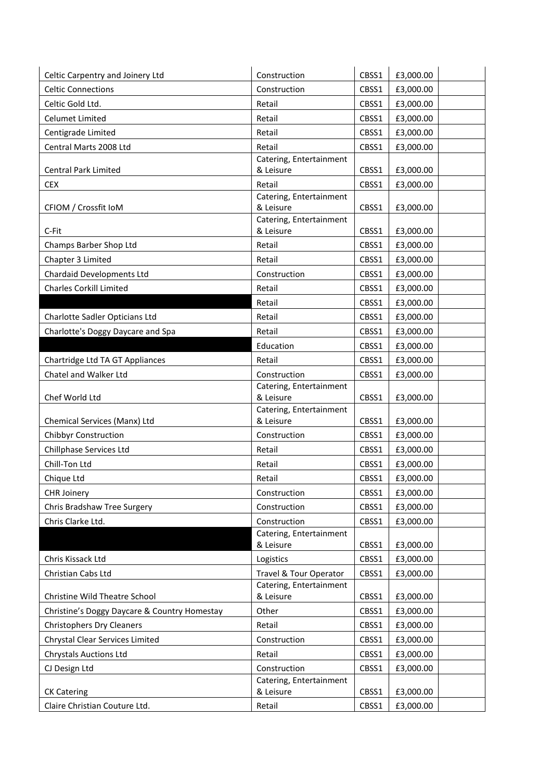| Celtic Carpentry and Joinery Ltd             | Construction                            | CBSS1 | £3,000.00 |
|----------------------------------------------|-----------------------------------------|-------|-----------|
| <b>Celtic Connections</b>                    | Construction                            | CBSS1 | £3,000.00 |
| Celtic Gold Ltd.                             | Retail                                  | CBSS1 | £3,000.00 |
| <b>Celumet Limited</b>                       | Retail                                  | CBSS1 | £3,000.00 |
| Centigrade Limited                           | Retail                                  | CBSS1 | £3,000.00 |
| Central Marts 2008 Ltd                       | Retail                                  | CBSS1 | £3,000.00 |
|                                              | Catering, Entertainment                 |       |           |
| <b>Central Park Limited</b>                  | & Leisure                               | CBSS1 | £3,000.00 |
| <b>CEX</b>                                   | Retail                                  | CBSS1 | £3,000.00 |
| CFIOM / Crossfit IoM                         | Catering, Entertainment<br>& Leisure    | CBSS1 | £3,000.00 |
|                                              | Catering, Entertainment                 |       |           |
| C-Fit                                        | & Leisure                               | CBSS1 | £3,000.00 |
| Champs Barber Shop Ltd                       | Retail                                  | CBSS1 | £3,000.00 |
| Chapter 3 Limited                            | Retail                                  | CBSS1 | £3,000.00 |
| <b>Chardaid Developments Ltd</b>             | Construction                            | CBSS1 | £3,000.00 |
| <b>Charles Corkill Limited</b>               | Retail                                  | CBSS1 | £3,000.00 |
|                                              | Retail                                  | CBSS1 | £3,000.00 |
| Charlotte Sadler Opticians Ltd               | Retail                                  | CBSS1 | £3,000.00 |
| Charlotte's Doggy Daycare and Spa            | Retail                                  | CBSS1 | £3,000.00 |
|                                              | Education                               | CBSS1 | £3,000.00 |
| Chartridge Ltd TA GT Appliances              | Retail                                  | CBSS1 | £3,000.00 |
| Chatel and Walker Ltd                        | Construction                            | CBSS1 | £3,000.00 |
|                                              | Catering, Entertainment                 |       |           |
| Chef World Ltd                               | & Leisure                               | CBSS1 | £3,000.00 |
| Chemical Services (Manx) Ltd                 | Catering, Entertainment<br>& Leisure    | CBSS1 | £3,000.00 |
| <b>Chibbyr Construction</b>                  | Construction                            | CBSS1 | £3,000.00 |
| Chillphase Services Ltd                      | Retail                                  | CBSS1 | £3,000.00 |
| Chill-Ton Ltd                                | Retail                                  | CBSS1 | £3,000.00 |
| Chique Ltd                                   | Retail                                  | CBSS1 | £3,000.00 |
|                                              |                                         |       |           |
| CHR Joinery                                  | Construction                            | CBSS1 | £3,000.00 |
| Chris Bradshaw Tree Surgery                  | Construction                            | CBSS1 | £3,000.00 |
| Chris Clarke Ltd.                            | Construction<br>Catering, Entertainment | CBSS1 | £3,000.00 |
|                                              | & Leisure                               | CBSS1 | £3,000.00 |
| Chris Kissack Ltd                            | Logistics                               | CBSS1 | £3,000.00 |
| Christian Cabs Ltd                           | Travel & Tour Operator                  | CBSS1 | £3,000.00 |
|                                              | Catering, Entertainment                 |       |           |
| <b>Christine Wild Theatre School</b>         | & Leisure                               | CBSS1 | £3,000.00 |
| Christine's Doggy Daycare & Country Homestay | Other                                   | CBSS1 | £3,000.00 |
| <b>Christophers Dry Cleaners</b>             | Retail                                  | CBSS1 | £3,000.00 |
| Chrystal Clear Services Limited              | Construction                            | CBSS1 | £3,000.00 |
| <b>Chrystals Auctions Ltd</b>                | Retail                                  | CBSS1 | £3,000.00 |
| CJ Design Ltd                                | Construction                            | CBSS1 | £3,000.00 |
|                                              | Catering, Entertainment                 |       |           |
| <b>CK Catering</b>                           | & Leisure                               | CBSS1 | £3,000.00 |
| Claire Christian Couture Ltd.                | Retail                                  | CBSS1 | £3,000.00 |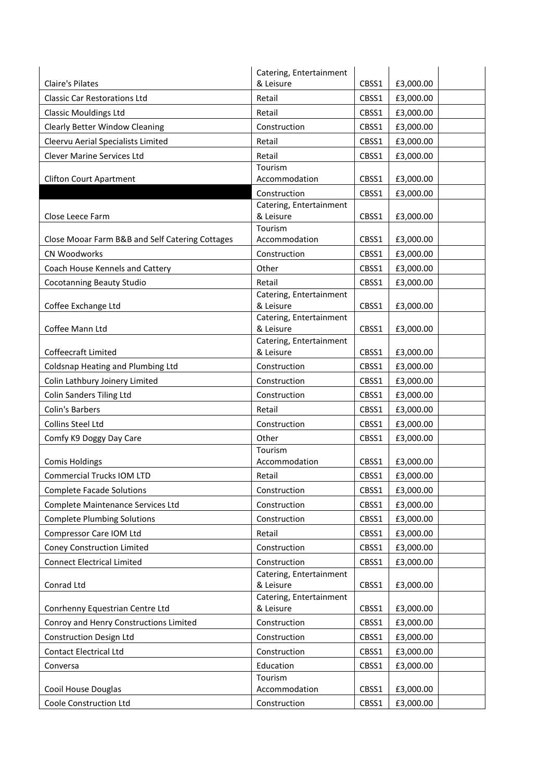|                                                 | Catering, Entertainment              |       |           |
|-------------------------------------------------|--------------------------------------|-------|-----------|
| Claire's Pilates                                | & Leisure                            | CBSS1 | £3,000.00 |
| <b>Classic Car Restorations Ltd</b>             | Retail                               | CBSS1 | £3,000.00 |
| <b>Classic Mouldings Ltd</b>                    | Retail                               | CBSS1 | £3,000.00 |
| <b>Clearly Better Window Cleaning</b>           | Construction                         | CBSS1 | £3,000.00 |
| Cleervu Aerial Specialists Limited              | Retail                               | CBSS1 | £3,000.00 |
| <b>Clever Marine Services Ltd</b>               | Retail                               | CBSS1 | £3,000.00 |
|                                                 | Tourism                              |       |           |
| <b>Clifton Court Apartment</b>                  | Accommodation                        | CBSS1 | £3,000.00 |
|                                                 | Construction                         | CBSS1 | £3,000.00 |
| Close Leece Farm                                | Catering, Entertainment<br>& Leisure | CBSS1 | £3,000.00 |
|                                                 | Tourism                              |       |           |
| Close Mooar Farm B&B and Self Catering Cottages | Accommodation                        | CBSS1 | £3,000.00 |
| CN Woodworks                                    | Construction                         | CBSS1 | £3,000.00 |
| Coach House Kennels and Cattery                 | Other                                | CBSS1 | £3,000.00 |
| <b>Cocotanning Beauty Studio</b>                | Retail                               | CBSS1 | £3,000.00 |
|                                                 | Catering, Entertainment              |       |           |
| Coffee Exchange Ltd                             | & Leisure                            | CBSS1 | £3,000.00 |
|                                                 | Catering, Entertainment              |       |           |
| Coffee Mann Ltd                                 | & Leisure<br>Catering, Entertainment | CBSS1 | £3,000.00 |
| Coffeecraft Limited                             | & Leisure                            | CBSS1 | £3,000.00 |
| Coldsnap Heating and Plumbing Ltd               | Construction                         | CBSS1 | £3,000.00 |
| Colin Lathbury Joinery Limited                  | Construction                         | CBSS1 | £3,000.00 |
| <b>Colin Sanders Tiling Ltd</b>                 | Construction                         | CBSS1 | £3,000.00 |
| Colin's Barbers                                 | Retail                               | CBSS1 | £3,000.00 |
| Collins Steel Ltd                               | Construction                         | CBSS1 | £3,000.00 |
| Comfy K9 Doggy Day Care                         | Other                                | CBSS1 | £3,000.00 |
|                                                 | Tourism                              |       |           |
| <b>Comis Holdings</b>                           | Accommodation                        | CBSS1 | £3,000.00 |
| Commercial Trucks IOM LTD                       | Retail                               | CBSS1 | £3,000.00 |
| <b>Complete Facade Solutions</b>                | Construction                         | CBSS1 | £3,000.00 |
| Complete Maintenance Services Ltd               | Construction                         | CBSS1 | £3,000.00 |
| <b>Complete Plumbing Solutions</b>              | Construction                         | CBSS1 | £3,000.00 |
| Compressor Care IOM Ltd                         | Retail                               | CBSS1 | £3,000.00 |
| <b>Coney Construction Limited</b>               | Construction                         | CBSS1 | £3,000.00 |
| <b>Connect Electrical Limited</b>               | Construction                         | CBSS1 | £3,000.00 |
|                                                 | Catering, Entertainment              |       |           |
| Conrad Ltd                                      | & Leisure<br>Catering, Entertainment | CBSS1 | £3,000.00 |
| Conrhenny Equestrian Centre Ltd                 | & Leisure                            | CBSS1 | £3,000.00 |
| Conroy and Henry Constructions Limited          | Construction                         | CBSS1 | £3,000.00 |
| <b>Construction Design Ltd</b>                  | Construction                         | CBSS1 | £3,000.00 |
| <b>Contact Electrical Ltd</b>                   | Construction                         | CBSS1 | £3,000.00 |
| Conversa                                        | Education                            | CBSS1 | £3,000.00 |
|                                                 | Tourism                              |       |           |
| Cooil House Douglas                             | Accommodation                        | CBSS1 | £3,000.00 |
| Coole Construction Ltd                          | Construction                         | CBSS1 | £3,000.00 |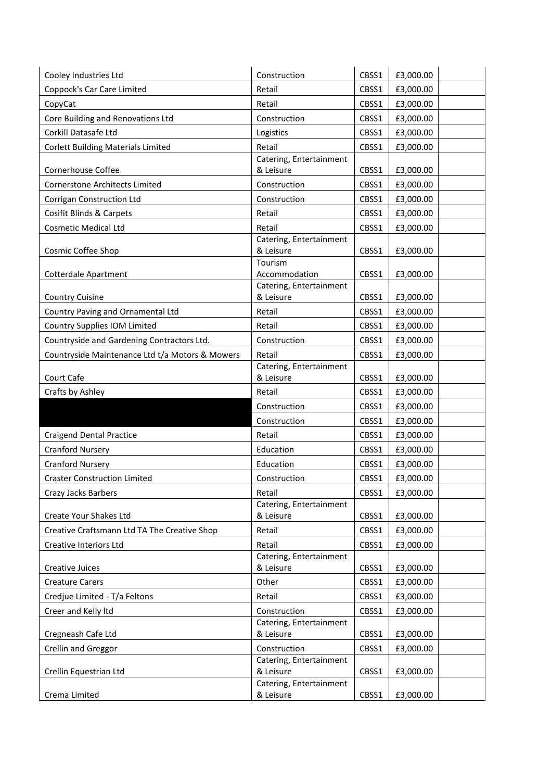| Cooley Industries Ltd                           | Construction                         | CBSS1 | £3,000.00 |
|-------------------------------------------------|--------------------------------------|-------|-----------|
| Coppock's Car Care Limited                      | Retail                               | CBSS1 | £3,000.00 |
| CopyCat                                         | Retail                               | CBSS1 | £3,000.00 |
| Core Building and Renovations Ltd               | Construction                         | CBSS1 | £3,000.00 |
| Corkill Datasafe Ltd                            | Logistics                            | CBSS1 | £3,000.00 |
| <b>Corlett Building Materials Limited</b>       | Retail                               | CBSS1 | £3,000.00 |
|                                                 | Catering, Entertainment              |       |           |
| <b>Cornerhouse Coffee</b>                       | & Leisure                            | CBSS1 | £3,000.00 |
| Cornerstone Architects Limited                  | Construction                         | CBSS1 | £3,000.00 |
| Corrigan Construction Ltd                       | Construction                         | CBSS1 | £3,000.00 |
| Cosifit Blinds & Carpets                        | Retail                               | CBSS1 | £3,000.00 |
| <b>Cosmetic Medical Ltd</b>                     | Retail                               | CBSS1 | £3,000.00 |
|                                                 | Catering, Entertainment              |       |           |
| Cosmic Coffee Shop                              | & Leisure                            | CBSS1 | £3,000.00 |
| <b>Cotterdale Apartment</b>                     | Tourism<br>Accommodation             | CBSS1 | £3,000.00 |
|                                                 | Catering, Entertainment              |       |           |
| <b>Country Cuisine</b>                          | & Leisure                            | CBSS1 | £3,000.00 |
| Country Paving and Ornamental Ltd               | Retail                               | CBSS1 | £3,000.00 |
| Country Supplies IOM Limited                    | Retail                               | CBSS1 | £3,000.00 |
| Countryside and Gardening Contractors Ltd.      | Construction                         | CBSS1 | £3,000.00 |
| Countryside Maintenance Ltd t/a Motors & Mowers | Retail                               | CBSS1 | £3,000.00 |
|                                                 | Catering, Entertainment              |       |           |
| Court Cafe                                      | & Leisure                            | CBSS1 | £3,000.00 |
| Crafts by Ashley                                | Retail                               | CBSS1 | £3,000.00 |
|                                                 | Construction                         | CBSS1 | £3,000.00 |
|                                                 | Construction                         | CBSS1 | £3,000.00 |
| <b>Craigend Dental Practice</b>                 | Retail                               | CBSS1 | £3,000.00 |
| <b>Cranford Nursery</b>                         | Education                            | CBSS1 | £3,000.00 |
| <b>Cranford Nursery</b>                         | Education                            | CBSS1 | £3,000.00 |
| <b>Craster Construction Limited</b>             | Construction                         | CBSS1 | £3,000.00 |
| Crazy Jacks Barbers                             | Retail                               | CBSS1 | £3,000.00 |
|                                                 | Catering, Entertainment              |       |           |
| Create Your Shakes Ltd                          | & Leisure                            | CBSS1 | £3,000.00 |
| Creative Craftsmann Ltd TA The Creative Shop    | Retail                               | CBSS1 | £3,000.00 |
| Creative Interiors Ltd                          | Retail                               | CBSS1 | £3,000.00 |
| <b>Creative Juices</b>                          | Catering, Entertainment<br>& Leisure | CBSS1 | £3,000.00 |
| <b>Creature Carers</b>                          | Other                                | CBSS1 | £3,000.00 |
| Credjue Limited - T/a Feltons                   | Retail                               | CBSS1 | £3,000.00 |
| Creer and Kelly Itd                             | Construction                         | CBSS1 | £3,000.00 |
|                                                 | Catering, Entertainment              |       |           |
| Cregneash Cafe Ltd                              | & Leisure                            | CBSS1 | £3,000.00 |
| Crellin and Greggor                             | Construction                         | CBSS1 | £3,000.00 |
|                                                 | Catering, Entertainment              |       |           |
| Crellin Equestrian Ltd                          | & Leisure                            | CBSS1 | £3,000.00 |
|                                                 | Catering, Entertainment              |       |           |
| Crema Limited                                   | & Leisure                            | CBSS1 | £3,000.00 |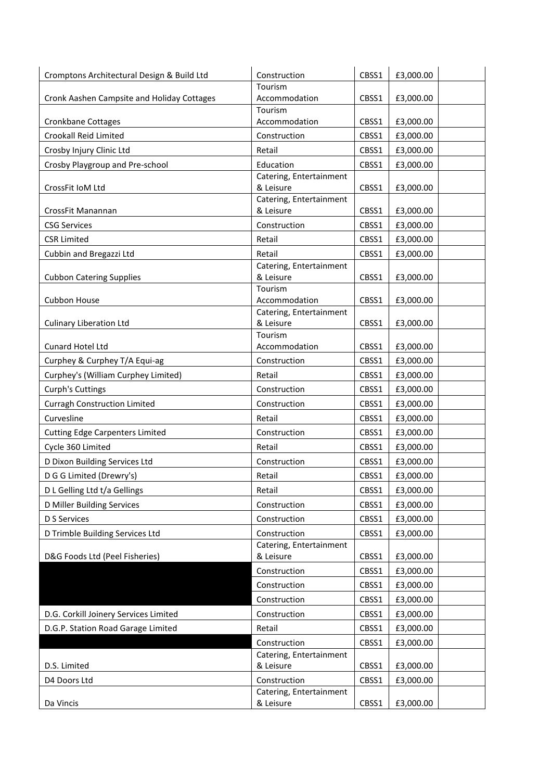| Cromptons Architectural Design & Build Ltd | Construction                         | CBSS1 | £3,000.00 |
|--------------------------------------------|--------------------------------------|-------|-----------|
|                                            | Tourism                              |       |           |
| Cronk Aashen Campsite and Holiday Cottages | Accommodation                        | CBSS1 | £3,000.00 |
| Cronkbane Cottages                         | Tourism<br>Accommodation             | CBSS1 | £3,000.00 |
| <b>Crookall Reid Limited</b>               | Construction                         | CBSS1 | £3,000.00 |
| Crosby Injury Clinic Ltd                   | Retail                               | CBSS1 | £3,000.00 |
| Crosby Playgroup and Pre-school            | Education                            | CBSS1 | £3,000.00 |
| CrossFit IoM Ltd                           | Catering, Entertainment<br>& Leisure | CBSS1 | £3,000.00 |
|                                            | Catering, Entertainment              |       |           |
| CrossFit Manannan                          | & Leisure                            | CBSS1 | £3,000.00 |
| <b>CSG Services</b>                        | Construction                         | CBSS1 | £3,000.00 |
| <b>CSR Limited</b>                         | Retail                               | CBSS1 | £3,000.00 |
| Cubbin and Bregazzi Ltd                    | Retail                               | CBSS1 | £3,000.00 |
|                                            | Catering, Entertainment              |       |           |
| <b>Cubbon Catering Supplies</b>            | & Leisure<br>Tourism                 | CBSS1 | £3,000.00 |
| Cubbon House                               | Accommodation                        | CBSS1 | £3,000.00 |
|                                            | Catering, Entertainment              |       |           |
| <b>Culinary Liberation Ltd</b>             | & Leisure                            | CBSS1 | £3,000.00 |
|                                            | Tourism                              |       |           |
| Cunard Hotel Ltd                           | Accommodation                        | CBSS1 | £3,000.00 |
| Curphey & Curphey T/A Equi-ag              | Construction                         | CBSS1 | £3,000.00 |
| Curphey's (William Curphey Limited)        | Retail                               | CBSS1 | £3,000.00 |
| Curph's Cuttings                           | Construction                         | CBSS1 | £3,000.00 |
| <b>Curragh Construction Limited</b>        | Construction                         | CBSS1 | £3,000.00 |
| Curvesline                                 | Retail                               | CBSS1 | £3,000.00 |
| <b>Cutting Edge Carpenters Limited</b>     | Construction                         | CBSS1 | £3,000.00 |
| Cycle 360 Limited                          | Retail                               | CBSS1 | £3,000.00 |
| D Dixon Building Services Ltd              | Construction                         | CBSS1 | £3,000.00 |
| D G G Limited (Drewry's)                   | Retail                               | CBSS1 | £3,000.00 |
| D L Gelling Ltd t/a Gellings               | Retail                               | CBSS1 | £3,000.00 |
| D Miller Building Services                 | Construction                         | CBSS1 | £3,000.00 |
| D S Services                               | Construction                         | CBSS1 | £3,000.00 |
| D Trimble Building Services Ltd            | Construction                         | CBSS1 | £3,000.00 |
|                                            | Catering, Entertainment              |       |           |
| D&G Foods Ltd (Peel Fisheries)             | & Leisure                            | CBSS1 | £3,000.00 |
|                                            | Construction                         | CBSS1 | £3,000.00 |
|                                            | Construction                         | CBSS1 | £3,000.00 |
|                                            | Construction                         | CBSS1 | £3,000.00 |
| D.G. Corkill Joinery Services Limited      | Construction                         | CBSS1 | £3,000.00 |
| D.G.P. Station Road Garage Limited         | Retail                               | CBSS1 | £3,000.00 |
|                                            | Construction                         | CBSS1 | £3,000.00 |
|                                            | Catering, Entertainment              |       |           |
| D.S. Limited                               | & Leisure                            | CBSS1 | £3,000.00 |
| D4 Doors Ltd                               | Construction                         | CBSS1 | £3,000.00 |
|                                            | Catering, Entertainment              |       |           |
| Da Vincis                                  | & Leisure                            | CBSS1 | £3,000.00 |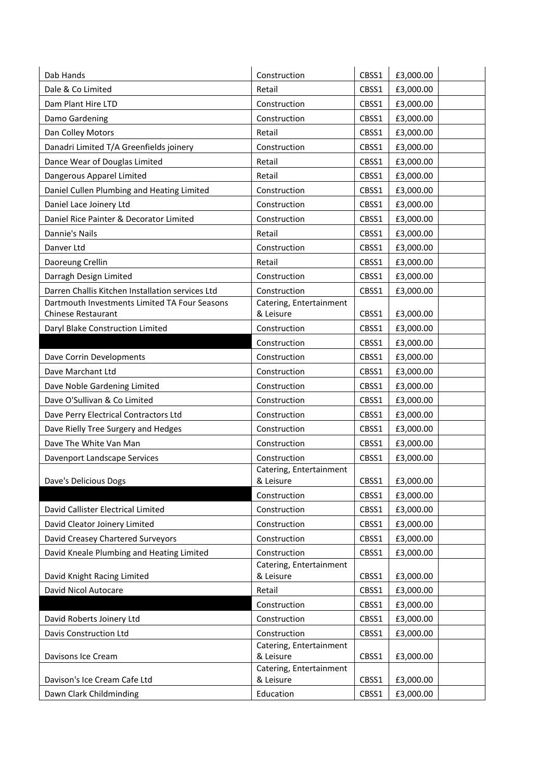| Dab Hands                                        | Construction                         | CBSS1 | £3,000.00 |
|--------------------------------------------------|--------------------------------------|-------|-----------|
| Dale & Co Limited                                | Retail                               | CBSS1 | £3,000.00 |
| Dam Plant Hire LTD                               | Construction                         | CBSS1 | £3,000.00 |
| Damo Gardening                                   | Construction                         | CBSS1 | £3,000.00 |
| Dan Colley Motors                                | Retail                               | CBSS1 | £3,000.00 |
| Danadri Limited T/A Greenfields joinery          | Construction                         | CBSS1 | £3,000.00 |
| Dance Wear of Douglas Limited                    | Retail                               | CBSS1 | £3,000.00 |
| Dangerous Apparel Limited                        | Retail                               | CBSS1 | £3,000.00 |
| Daniel Cullen Plumbing and Heating Limited       | Construction                         | CBSS1 | £3,000.00 |
| Daniel Lace Joinery Ltd                          | Construction                         | CBSS1 | £3,000.00 |
| Daniel Rice Painter & Decorator Limited          | Construction                         | CBSS1 | £3,000.00 |
| Dannie's Nails                                   | Retail                               | CBSS1 | £3,000.00 |
| Danver Ltd                                       | Construction                         | CBSS1 | £3,000.00 |
| Daoreung Crellin                                 | Retail                               | CBSS1 | £3,000.00 |
| Darragh Design Limited                           | Construction                         | CBSS1 | £3,000.00 |
| Darren Challis Kitchen Installation services Ltd | Construction                         | CBSS1 | £3,000.00 |
| Dartmouth Investments Limited TA Four Seasons    | Catering, Entertainment              |       |           |
| Chinese Restaurant                               | & Leisure                            | CBSS1 | £3,000.00 |
| Daryl Blake Construction Limited                 | Construction                         | CBSS1 | £3,000.00 |
|                                                  | Construction                         | CBSS1 | £3,000.00 |
| Dave Corrin Developments                         | Construction                         | CBSS1 | £3,000.00 |
| Dave Marchant Ltd                                | Construction                         | CBSS1 | £3,000.00 |
| Dave Noble Gardening Limited                     | Construction                         | CBSS1 | £3,000.00 |
| Dave O'Sullivan & Co Limited                     | Construction                         | CBSS1 | £3,000.00 |
| Dave Perry Electrical Contractors Ltd            | Construction                         | CBSS1 | £3,000.00 |
| Dave Rielly Tree Surgery and Hedges              | Construction                         | CBSS1 | £3,000.00 |
| Dave The White Van Man                           | Construction                         | CBSS1 | £3,000.00 |
| Davenport Landscape Services                     | Construction                         | CBSS1 | £3,000.00 |
| Dave's Delicious Dogs                            | Catering, Entertainment<br>& Leisure | CBSS1 | £3,000.00 |
|                                                  | Construction                         | CBSS1 | £3,000.00 |
| David Callister Electrical Limited               | Construction                         | CBSS1 | £3,000.00 |
| David Cleator Joinery Limited                    | Construction                         | CBSS1 | £3,000.00 |
| David Creasey Chartered Surveyors                | Construction                         | CBSS1 | £3,000.00 |
| David Kneale Plumbing and Heating Limited        | Construction                         | CBSS1 | £3,000.00 |
|                                                  | Catering, Entertainment              |       |           |
| David Knight Racing Limited                      | & Leisure                            | CBSS1 | £3,000.00 |
| David Nicol Autocare                             | Retail                               | CBSS1 | £3,000.00 |
|                                                  | Construction                         | CBSS1 | £3,000.00 |
| David Roberts Joinery Ltd                        | Construction                         | CBSS1 | £3,000.00 |
| Davis Construction Ltd                           | Construction                         | CBSS1 | £3,000.00 |
|                                                  | Catering, Entertainment              |       |           |
| Davisons Ice Cream                               | & Leisure<br>Catering, Entertainment | CBSS1 | £3,000.00 |
| Davison's Ice Cream Cafe Ltd                     | & Leisure                            | CBSS1 | £3,000.00 |
| Dawn Clark Childminding                          | Education                            | CBSS1 | £3,000.00 |
|                                                  |                                      |       |           |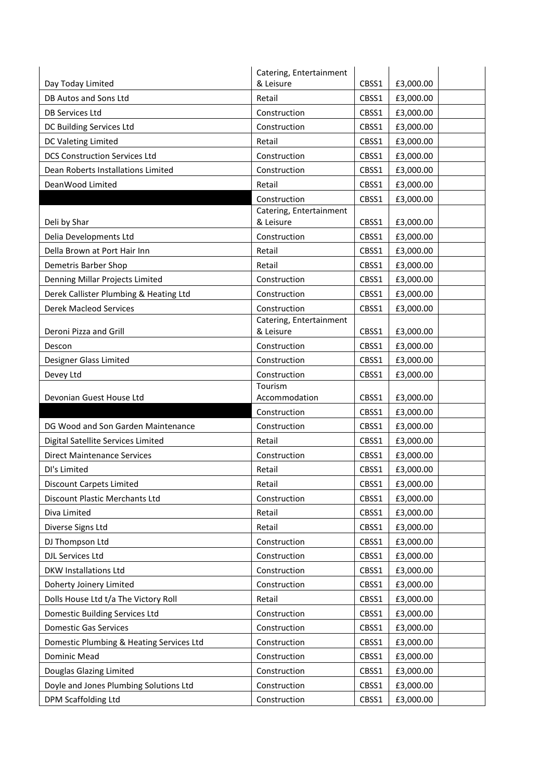|                                                                   | Catering, Entertainment              |       |           |  |
|-------------------------------------------------------------------|--------------------------------------|-------|-----------|--|
| Day Today Limited                                                 | & Leisure                            | CBSS1 | £3,000.00 |  |
| DB Autos and Sons Ltd                                             | Retail                               | CBSS1 | £3,000.00 |  |
| DB Services Ltd                                                   | Construction                         | CBSS1 | £3,000.00 |  |
| DC Building Services Ltd                                          | Construction                         | CBSS1 | £3,000.00 |  |
| DC Valeting Limited                                               | Retail                               | CBSS1 | £3,000.00 |  |
| <b>DCS Construction Services Ltd</b>                              | Construction                         | CBSS1 | £3,000.00 |  |
| Dean Roberts Installations Limited                                | Construction                         | CBSS1 | £3,000.00 |  |
| DeanWood Limited                                                  | Retail                               | CBSS1 | £3,000.00 |  |
|                                                                   | Construction                         | CBSS1 | £3,000.00 |  |
|                                                                   | Catering, Entertainment              |       |           |  |
| Deli by Shar                                                      | & Leisure                            | CBSS1 | £3,000.00 |  |
| Delia Developments Ltd                                            | Construction                         | CBSS1 | £3,000.00 |  |
| Della Brown at Port Hair Inn                                      | Retail                               | CBSS1 | £3,000.00 |  |
| Demetris Barber Shop                                              | Retail                               | CBSS1 | £3,000.00 |  |
| Denning Millar Projects Limited                                   | Construction                         | CBSS1 | £3,000.00 |  |
| Derek Callister Plumbing & Heating Ltd                            | Construction                         | CBSS1 | £3,000.00 |  |
| <b>Derek Macleod Services</b>                                     | Construction                         | CBSS1 | £3,000.00 |  |
| Deroni Pizza and Grill                                            | Catering, Entertainment<br>& Leisure | CBSS1 | £3,000.00 |  |
| Descon                                                            | Construction                         | CBSS1 | £3,000.00 |  |
| Designer Glass Limited                                            | Construction                         | CBSS1 | £3,000.00 |  |
| Devey Ltd                                                         | Construction                         | CBSS1 | £3,000.00 |  |
|                                                                   | Tourism                              |       |           |  |
|                                                                   |                                      |       |           |  |
| Devonian Guest House Ltd                                          | Accommodation                        | CBSS1 | £3,000.00 |  |
|                                                                   | Construction                         | CBSS1 | £3,000.00 |  |
| DG Wood and Son Garden Maintenance                                | Construction                         | CBSS1 | £3,000.00 |  |
| Digital Satellite Services Limited                                | Retail                               | CBSS1 | £3,000.00 |  |
| <b>Direct Maintenance Services</b>                                | Construction                         | CBSS1 | £3,000.00 |  |
| DI's Limited                                                      | Retail                               | CBSS1 | £3,000.00 |  |
| <b>Discount Carpets Limited</b>                                   | Retail                               | CBSS1 | £3,000.00 |  |
| Discount Plastic Merchants Ltd                                    | Construction                         | CBSS1 | £3,000.00 |  |
| Diva Limited                                                      | Retail                               | CBSS1 | £3,000.00 |  |
| Diverse Signs Ltd                                                 | Retail                               | CBSS1 | £3,000.00 |  |
| DJ Thompson Ltd                                                   | Construction                         | CBSS1 | £3,000.00 |  |
| DJL Services Ltd                                                  | Construction                         | CBSS1 | £3,000.00 |  |
| <b>DKW Installations Ltd</b>                                      | Construction                         | CBSS1 | £3,000.00 |  |
| Doherty Joinery Limited                                           | Construction                         | CBSS1 | £3,000.00 |  |
| Dolls House Ltd t/a The Victory Roll                              | Retail                               | CBSS1 | £3,000.00 |  |
| Domestic Building Services Ltd                                    | Construction                         | CBSS1 | £3,000.00 |  |
| <b>Domestic Gas Services</b>                                      | Construction                         | CBSS1 | £3,000.00 |  |
|                                                                   | Construction                         | CBSS1 | £3,000.00 |  |
| Domestic Plumbing & Heating Services Ltd<br>Dominic Mead          | Construction                         | CBSS1 | £3,000.00 |  |
|                                                                   | Construction                         | CBSS1 | £3,000.00 |  |
| Douglas Glazing Limited<br>Doyle and Jones Plumbing Solutions Ltd | Construction                         | CBSS1 | £3,000.00 |  |
| DPM Scaffolding Ltd                                               | Construction                         | CBSS1 | £3,000.00 |  |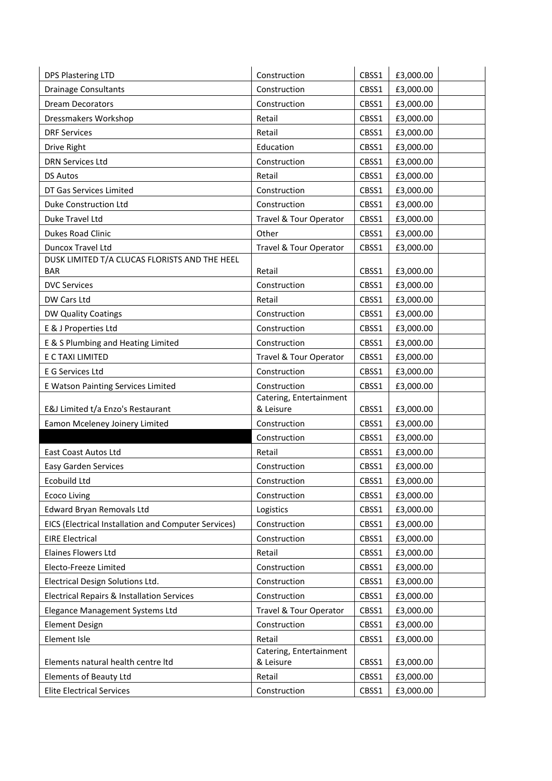| <b>DPS Plastering LTD</b>                             | Construction                         | CBSS1 | £3,000.00 |
|-------------------------------------------------------|--------------------------------------|-------|-----------|
| <b>Drainage Consultants</b>                           | Construction                         | CBSS1 | £3,000.00 |
| <b>Dream Decorators</b>                               | Construction                         | CBSS1 | £3,000.00 |
| Dressmakers Workshop                                  | Retail                               | CBSS1 | £3,000.00 |
| <b>DRF Services</b>                                   | Retail                               | CBSS1 | £3,000.00 |
| Drive Right                                           | Education                            | CBSS1 | £3,000.00 |
| <b>DRN Services Ltd</b>                               | Construction                         | CBSS1 | £3,000.00 |
| <b>DS Autos</b>                                       | Retail                               | CBSS1 | £3,000.00 |
| DT Gas Services Limited                               | Construction                         | CBSS1 | £3,000.00 |
| Duke Construction Ltd                                 | Construction                         | CBSS1 | £3,000.00 |
| Duke Travel Ltd                                       | Travel & Tour Operator               | CBSS1 | £3,000.00 |
| Dukes Road Clinic                                     | Other                                | CBSS1 | £3,000.00 |
| Duncox Travel Ltd                                     | Travel & Tour Operator               | CBSS1 | £3,000.00 |
| DUSK LIMITED T/A CLUCAS FLORISTS AND THE HEEL         |                                      |       |           |
| <b>BAR</b>                                            | Retail                               | CBSS1 | £3,000.00 |
| <b>DVC Services</b>                                   | Construction                         | CBSS1 | £3,000.00 |
| DW Cars Ltd                                           | Retail                               | CBSS1 | £3,000.00 |
| DW Quality Coatings                                   | Construction                         | CBSS1 | £3,000.00 |
| E & J Properties Ltd                                  | Construction                         | CBSS1 | £3,000.00 |
| E & S Plumbing and Heating Limited                    | Construction                         | CBSS1 | £3,000.00 |
| E C TAXI LIMITED                                      | Travel & Tour Operator               | CBSS1 | £3,000.00 |
| E G Services Ltd                                      | Construction                         | CBSS1 | £3,000.00 |
| E Watson Painting Services Limited                    | Construction                         | CBSS1 | £3,000.00 |
| E&J Limited t/a Enzo's Restaurant                     | Catering, Entertainment<br>& Leisure | CBSS1 | £3,000.00 |
| Eamon Mceleney Joinery Limited                        | Construction                         | CBSS1 | £3,000.00 |
|                                                       | Construction                         | CBSS1 | £3,000.00 |
| East Coast Autos Ltd                                  | Retail                               | CBSS1 | £3,000.00 |
| <b>Easy Garden Services</b>                           | Construction                         | CBSS1 | £3,000.00 |
| Ecobuild Ltd                                          | Construction                         | CBSS1 | £3,000.00 |
| <b>Ecoco Living</b>                                   | Construction                         | CBSS1 | £3,000.00 |
| Edward Bryan Removals Ltd                             | Logistics                            | CBSS1 | £3,000.00 |
| EICS (Electrical Installation and Computer Services)  | Construction                         | CBSS1 | £3,000.00 |
| <b>EIRE Electrical</b>                                | Construction                         | CBSS1 | £3,000.00 |
| Elaines Flowers Ltd                                   | Retail                               | CBSS1 | £3,000.00 |
| Electo-Freeze Limited                                 | Construction                         | CBSS1 | £3,000.00 |
| Electrical Design Solutions Ltd.                      | Construction                         | CBSS1 | £3,000.00 |
| <b>Electrical Repairs &amp; Installation Services</b> | Construction                         | CBSS1 | £3,000.00 |
| Elegance Management Systems Ltd                       | Travel & Tour Operator               | CBSS1 | £3,000.00 |
| <b>Element Design</b>                                 | Construction                         | CBSS1 | £3,000.00 |
| Element Isle                                          | Retail                               | CBSS1 | £3,000.00 |
|                                                       | Catering, Entertainment              |       |           |
| Elements natural health centre Itd                    | & Leisure                            | CBSS1 | £3,000.00 |
| Elements of Beauty Ltd                                | Retail                               | CBSS1 | £3,000.00 |
| <b>Elite Electrical Services</b>                      | Construction                         | CBSS1 | £3,000.00 |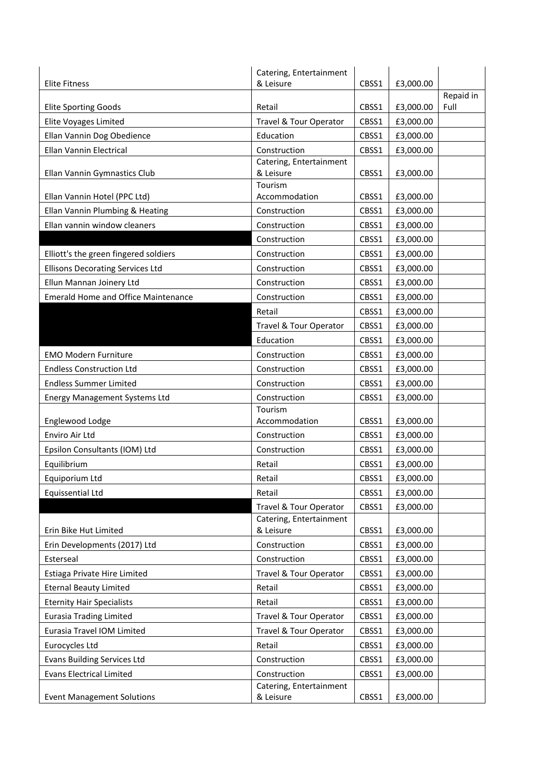|                                            | Catering, Entertainment                 |       |           |                   |
|--------------------------------------------|-----------------------------------------|-------|-----------|-------------------|
| <b>Elite Fitness</b>                       | & Leisure                               | CBSS1 | £3,000.00 |                   |
| <b>Elite Sporting Goods</b>                | Retail                                  | CBSS1 | £3,000.00 | Repaid in<br>Full |
| <b>Elite Voyages Limited</b>               | Travel & Tour Operator                  | CBSS1 | £3,000.00 |                   |
| Ellan Vannin Dog Obedience                 | Education                               | CBSS1 | £3,000.00 |                   |
|                                            |                                         |       |           |                   |
| Ellan Vannin Electrical                    | Construction<br>Catering, Entertainment | CBSS1 | £3,000.00 |                   |
| Ellan Vannin Gymnastics Club               | & Leisure                               | CBSS1 | £3,000.00 |                   |
|                                            | Tourism                                 |       |           |                   |
| Ellan Vannin Hotel (PPC Ltd)               | Accommodation                           | CBSS1 | £3,000.00 |                   |
| Ellan Vannin Plumbing & Heating            | Construction                            | CBSS1 | £3,000.00 |                   |
| Ellan vannin window cleaners               | Construction                            | CBSS1 | £3,000.00 |                   |
|                                            | Construction                            | CBSS1 | £3,000.00 |                   |
| Elliott's the green fingered soldiers      | Construction                            | CBSS1 | £3,000.00 |                   |
| <b>Ellisons Decorating Services Ltd</b>    | Construction                            | CBSS1 | £3,000.00 |                   |
| Ellun Mannan Joinery Ltd                   | Construction                            | CBSS1 | £3,000.00 |                   |
| <b>Emerald Home and Office Maintenance</b> | Construction                            | CBSS1 | £3,000.00 |                   |
|                                            | Retail                                  | CBSS1 | £3,000.00 |                   |
|                                            | Travel & Tour Operator                  | CBSS1 | £3,000.00 |                   |
|                                            | Education                               | CBSS1 | £3,000.00 |                   |
| <b>EMO Modern Furniture</b>                | Construction                            | CBSS1 | £3,000.00 |                   |
| <b>Endless Construction Ltd</b>            | Construction                            | CBSS1 | £3,000.00 |                   |
| <b>Endless Summer Limited</b>              | Construction                            | CBSS1 | £3,000.00 |                   |
| <b>Energy Management Systems Ltd</b>       | Construction                            | CBSS1 | £3,000.00 |                   |
|                                            | Tourism                                 |       |           |                   |
| Englewood Lodge                            | Accommodation                           | CBSS1 | £3,000.00 |                   |
| Enviro Air Ltd                             | Construction                            | CBSS1 | £3,000.00 |                   |
| Epsilon Consultants (IOM) Ltd              | Construction                            | CBSS1 | £3,000.00 |                   |
| Equilibrium                                | Retail                                  | CBSS1 | £3,000.00 |                   |
| Equiporium Ltd                             | Retail                                  | CBSS1 | £3,000.00 |                   |
| <b>Equissential Ltd</b>                    | Retail                                  | CBSS1 | £3,000.00 |                   |
|                                            | Travel & Tour Operator                  | CBSS1 | £3,000.00 |                   |
| Erin Bike Hut Limited                      | Catering, Entertainment<br>& Leisure    | CBSS1 | £3,000.00 |                   |
| Erin Developments (2017) Ltd               | Construction                            | CBSS1 | £3,000.00 |                   |
| Esterseal                                  | Construction                            | CBSS1 | £3,000.00 |                   |
| Estiaga Private Hire Limited               | Travel & Tour Operator                  | CBSS1 | £3,000.00 |                   |
| <b>Eternal Beauty Limited</b>              | Retail                                  | CBSS1 | £3,000.00 |                   |
| <b>Eternity Hair Specialists</b>           | Retail                                  | CBSS1 | £3,000.00 |                   |
| <b>Eurasia Trading Limited</b>             | Travel & Tour Operator                  | CBSS1 | £3,000.00 |                   |
| Eurasia Travel IOM Limited                 | Travel & Tour Operator                  | CBSS1 | £3,000.00 |                   |
| Eurocycles Ltd                             | Retail                                  | CBSS1 | £3,000.00 |                   |
| <b>Evans Building Services Ltd</b>         | Construction                            | CBSS1 | £3,000.00 |                   |
| <b>Evans Electrical Limited</b>            | Construction                            | CBSS1 | £3,000.00 |                   |
|                                            | Catering, Entertainment                 |       |           |                   |
| <b>Event Management Solutions</b>          | & Leisure                               | CBSS1 | £3,000.00 |                   |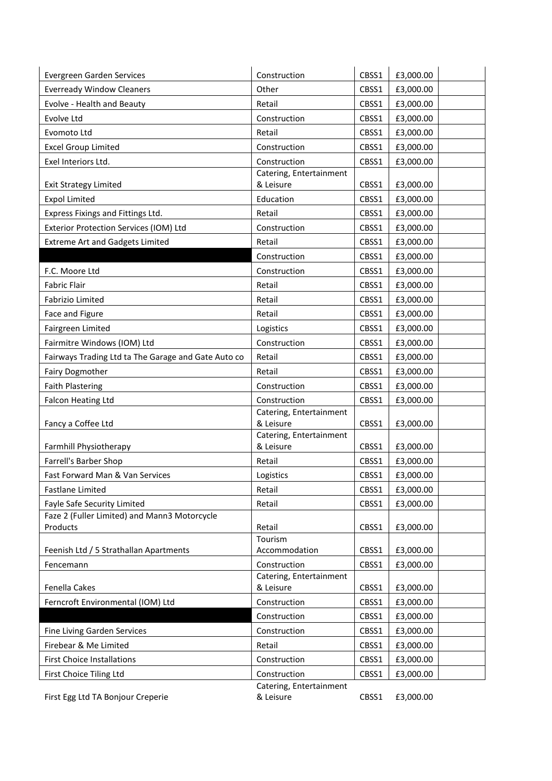| <b>Everready Window Cleaners</b><br>Other<br>CBSS1<br>£3,000.00<br>Evolve - Health and Beauty<br>Retail<br>CBSS1<br>£3,000.00<br>Evolve Ltd<br>Construction<br>CBSS1<br>£3,000.00<br>Retail<br>CBSS1<br>£3,000.00<br>Evomoto Ltd<br><b>Excel Group Limited</b><br>Construction<br>CBSS1<br>£3,000.00 |
|------------------------------------------------------------------------------------------------------------------------------------------------------------------------------------------------------------------------------------------------------------------------------------------------------|
|                                                                                                                                                                                                                                                                                                      |
|                                                                                                                                                                                                                                                                                                      |
|                                                                                                                                                                                                                                                                                                      |
|                                                                                                                                                                                                                                                                                                      |
|                                                                                                                                                                                                                                                                                                      |
| CBSS1<br>Exel Interiors Ltd.<br>Construction<br>£3,000.00                                                                                                                                                                                                                                            |
| Catering, Entertainment                                                                                                                                                                                                                                                                              |
| & Leisure<br>CBSS1<br><b>Exit Strategy Limited</b><br>£3,000.00                                                                                                                                                                                                                                      |
| <b>Expol Limited</b><br>Education<br>CBSS1<br>£3,000.00                                                                                                                                                                                                                                              |
| Express Fixings and Fittings Ltd.<br>Retail<br>CBSS1<br>£3,000.00                                                                                                                                                                                                                                    |
| Exterior Protection Services (IOM) Ltd<br>Construction<br>CBSS1<br>£3,000.00                                                                                                                                                                                                                         |
| <b>Extreme Art and Gadgets Limited</b><br>Retail<br>CBSS1<br>£3,000.00                                                                                                                                                                                                                               |
| Construction<br>CBSS1<br>£3,000.00                                                                                                                                                                                                                                                                   |
| F.C. Moore Ltd<br>£3,000.00<br>Construction<br>CBSS1                                                                                                                                                                                                                                                 |
| <b>Fabric Flair</b><br>Retail<br>CBSS1<br>£3,000.00                                                                                                                                                                                                                                                  |
| Retail<br>CBSS1<br>£3,000.00<br>Fabrizio Limited                                                                                                                                                                                                                                                     |
| Face and Figure<br>Retail<br>CBSS1<br>£3,000.00                                                                                                                                                                                                                                                      |
| Fairgreen Limited<br>CBSS1<br>£3,000.00<br>Logistics                                                                                                                                                                                                                                                 |
| Fairmitre Windows (IOM) Ltd<br>Construction<br>£3,000.00<br>CBSS1                                                                                                                                                                                                                                    |
| Fairways Trading Ltd ta The Garage and Gate Auto co<br>Retail<br>CBSS1<br>£3,000.00                                                                                                                                                                                                                  |
| <b>Fairy Dogmother</b><br>Retail<br>CBSS1<br>£3,000.00                                                                                                                                                                                                                                               |
| <b>Faith Plastering</b><br>£3,000.00<br>Construction<br>CBSS1                                                                                                                                                                                                                                        |
| <b>Falcon Heating Ltd</b><br>Construction<br>£3,000.00<br>CBSS1                                                                                                                                                                                                                                      |
| Catering, Entertainment                                                                                                                                                                                                                                                                              |
| & Leisure<br>Fancy a Coffee Ltd<br>CBSS1<br>£3,000.00                                                                                                                                                                                                                                                |
| Catering, Entertainment<br>& Leisure<br>Farmhill Physiotherapy<br>CBSS1<br>£3,000.00                                                                                                                                                                                                                 |
| Farrell's Barber Shop<br>Retail<br>CBSS1<br>£3,000.00                                                                                                                                                                                                                                                |
| £3,000.00<br>Fast Forward Man & Van Services<br>Logistics<br>CBSS1                                                                                                                                                                                                                                   |
| <b>Fastlane Limited</b><br>CBSS1<br>£3,000.00<br>Retail                                                                                                                                                                                                                                              |
| Retail<br>Fayle Safe Security Limited<br>CBSS1<br>£3,000.00                                                                                                                                                                                                                                          |
| Faze 2 (Fuller Limited) and Mann3 Motorcycle                                                                                                                                                                                                                                                         |
| Products<br>Retail<br>CBSS1<br>£3,000.00                                                                                                                                                                                                                                                             |
| Tourism                                                                                                                                                                                                                                                                                              |
| Feenish Ltd / 5 Strathallan Apartments<br>Accommodation<br>CBSS1<br>£3,000.00                                                                                                                                                                                                                        |
| Construction<br>CBSS1<br>£3,000.00<br>Fencemann<br>Catering, Entertainment                                                                                                                                                                                                                           |
| & Leisure<br>Fenella Cakes<br>CBSS1<br>£3,000.00                                                                                                                                                                                                                                                     |
| Ferncroft Environmental (IOM) Ltd<br>Construction<br>CBSS1<br>£3,000.00                                                                                                                                                                                                                              |
| Construction<br>CBSS1<br>£3,000.00                                                                                                                                                                                                                                                                   |
| Fine Living Garden Services<br>Construction<br>£3,000.00<br>CBSS1                                                                                                                                                                                                                                    |
| Firebear & Me Limited<br>Retail<br>CBSS1<br>£3,000.00                                                                                                                                                                                                                                                |
| <b>First Choice Installations</b><br>Construction<br>£3,000.00<br>CBSS1                                                                                                                                                                                                                              |
| Construction<br>£3,000.00<br>First Choice Tiling Ltd<br>CBSS1                                                                                                                                                                                                                                        |
| Catering, Entertainment                                                                                                                                                                                                                                                                              |

First Egg Ltd TA Bonjour Creperie

& Leisure CBSS1 £3,000.00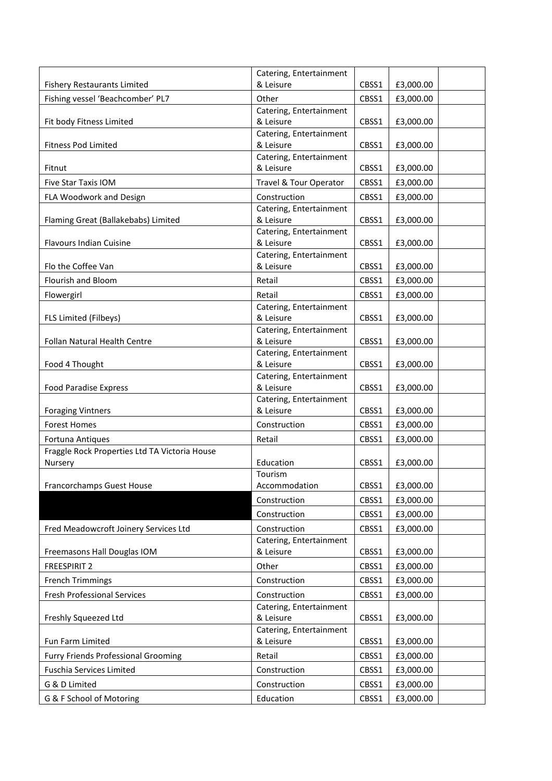|                                               | Catering, Entertainment              |       |           |
|-----------------------------------------------|--------------------------------------|-------|-----------|
| <b>Fishery Restaurants Limited</b>            | & Leisure                            | CBSS1 | £3,000.00 |
| Fishing vessel 'Beachcomber' PL7              | Other                                | CBSS1 | £3,000.00 |
|                                               | Catering, Entertainment              |       |           |
| Fit body Fitness Limited                      | & Leisure                            | CBSS1 | £3,000.00 |
|                                               | Catering, Entertainment              |       |           |
| <b>Fitness Pod Limited</b>                    | & Leisure                            | CBSS1 | £3,000.00 |
| Fitnut                                        | Catering, Entertainment<br>& Leisure | CBSS1 | £3,000.00 |
|                                               |                                      |       |           |
| Five Star Taxis IOM                           | Travel & Tour Operator               | CBSS1 | £3,000.00 |
| FLA Woodwork and Design                       | Construction                         | CBSS1 | £3,000.00 |
| Flaming Great (Ballakebabs) Limited           | Catering, Entertainment<br>& Leisure | CBSS1 | £3,000.00 |
|                                               | Catering, Entertainment              |       |           |
| Flavours Indian Cuisine                       | & Leisure                            | CBSS1 | £3,000.00 |
|                                               | Catering, Entertainment              |       |           |
| Flo the Coffee Van                            | & Leisure                            | CBSS1 | £3,000.00 |
| Flourish and Bloom                            | Retail                               | CBSS1 | £3,000.00 |
| Flowergirl                                    | Retail                               | CBSS1 | £3,000.00 |
|                                               | Catering, Entertainment              |       |           |
| FLS Limited (Filbeys)                         | & Leisure                            | CBSS1 | £3,000.00 |
|                                               | Catering, Entertainment              |       |           |
| Follan Natural Health Centre                  | & Leisure                            | CBSS1 | £3,000.00 |
|                                               | Catering, Entertainment              |       |           |
| Food 4 Thought                                | & Leisure                            | CBSS1 | £3,000.00 |
| <b>Food Paradise Express</b>                  | Catering, Entertainment<br>& Leisure | CBSS1 | £3,000.00 |
|                                               | Catering, Entertainment              |       |           |
| <b>Foraging Vintners</b>                      | & Leisure                            | CBSS1 | £3,000.00 |
| <b>Forest Homes</b>                           | Construction                         | CBSS1 | £3,000.00 |
| Fortuna Antiques                              | Retail                               | CBSS1 | £3,000.00 |
| Fraggle Rock Properties Ltd TA Victoria House |                                      |       |           |
| Nursery                                       | Education                            | CBSS1 | £3,000.00 |
|                                               | Tourism                              |       |           |
| Francorchamps Guest House                     | Accommodation                        | CBSS1 | £3,000.00 |
|                                               | Construction                         | CBSS1 | £3,000.00 |
|                                               | Construction                         | CBSS1 | £3,000.00 |
| Fred Meadowcroft Joinery Services Ltd         | Construction                         | CBSS1 | £3,000.00 |
|                                               | Catering, Entertainment              |       |           |
| Freemasons Hall Douglas IOM                   | & Leisure                            | CBSS1 | £3,000.00 |
| FREESPIRIT 2                                  | Other                                | CBSS1 | £3,000.00 |
| <b>French Trimmings</b>                       | Construction                         | CBSS1 | £3,000.00 |
| <b>Fresh Professional Services</b>            | Construction                         | CBSS1 | £3,000.00 |
|                                               | Catering, Entertainment              |       |           |
| Freshly Squeezed Ltd                          | & Leisure                            | CBSS1 | £3,000.00 |
|                                               | Catering, Entertainment              |       |           |
| Fun Farm Limited                              | & Leisure                            | CBSS1 | £3,000.00 |
| <b>Furry Friends Professional Grooming</b>    | Retail                               | CBSS1 | £3,000.00 |
| Fuschia Services Limited                      | Construction                         | CBSS1 | £3,000.00 |
| G & D Limited                                 | Construction                         | CBSS1 | £3,000.00 |
| G & F School of Motoring                      | Education                            | CBSS1 | £3,000.00 |
|                                               |                                      |       |           |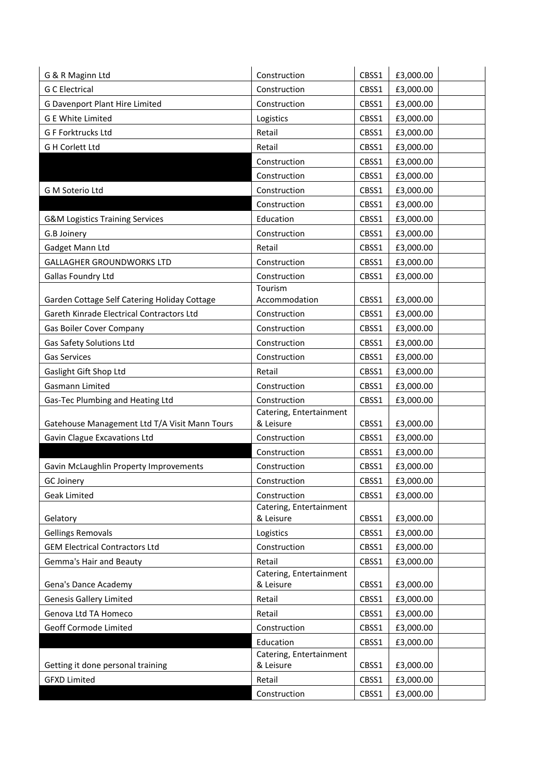| <b>G C Electrical</b><br>Construction<br>£3,000.00<br>CBSS1<br>G Davenport Plant Hire Limited<br>Construction<br>CBSS1<br>£3,000.00<br><b>G E White Limited</b><br>CBSS1<br>£3,000.00<br>Logistics<br>G F Forktrucks Ltd<br>Retail<br>£3,000.00<br>CBSS1<br><b>G H Corlett Ltd</b><br>Retail<br>£3,000.00<br>CBSS1<br>Construction<br>CBSS1<br>£3,000.00<br>Construction<br>CBSS1<br>£3,000.00<br>G M Soterio Ltd<br>Construction<br>CBSS1<br>£3,000.00<br>Construction<br>CBSS1<br>£3,000.00<br>Education<br>CBSS1<br>£3,000.00<br><b>G&amp;M Logistics Training Services</b><br>G.B Joinery<br>Construction<br>CBSS1<br>£3,000.00<br>Retail<br>Gadget Mann Ltd<br>CBSS1<br>£3,000.00<br>GALLAGHER GROUNDWORKS LTD<br>Construction<br>CBSS1<br>£3,000.00<br>Construction<br>Gallas Foundry Ltd<br>CBSS1<br>£3,000.00<br>Tourism<br>Garden Cottage Self Catering Holiday Cottage<br>Accommodation<br>CBSS1<br>£3,000.00<br>Gareth Kinrade Electrical Contractors Ltd<br>Construction<br>CBSS1<br>£3,000.00<br>Gas Boiler Cover Company<br>Construction<br>CBSS1<br>£3,000.00<br>Gas Safety Solutions Ltd<br>Construction<br>£3,000.00<br>CBSS1<br><b>Gas Services</b><br>Construction<br>CBSS1<br>£3,000.00<br>Gaslight Gift Shop Ltd<br>Retail<br>CBSS1<br>£3,000.00<br>Gasmann Limited<br>Construction<br>£3,000.00<br>CBSS1<br>Gas-Tec Plumbing and Heating Ltd<br>Construction<br>CBSS1<br>£3,000.00<br>Catering, Entertainment<br>Gatehouse Management Ltd T/A Visit Mann Tours<br>& Leisure<br>CBSS1<br>£3,000.00<br>Gavin Clague Excavations Ltd<br>Construction<br>CBSS1<br>£3,000.00<br>Construction<br>CBSS1<br>£3,000.00<br>Gavin McLaughlin Property Improvements<br>Construction<br>CBSS1<br>£3,000.00<br>CBSS1<br>£3,000.00<br><b>GC Joinerv</b><br>Construction<br>CBSS1<br>£3,000.00<br><b>Geak Limited</b><br>Construction<br>Catering, Entertainment<br>& Leisure<br>CBSS1<br>£3,000.00<br>Gelatory<br><b>Gellings Removals</b><br>Logistics<br>CBSS1<br>£3,000.00<br><b>GEM Electrical Contractors Ltd</b><br>Construction<br>CBSS1<br>£3,000.00<br>Retail<br><b>Gemma's Hair and Beauty</b><br>£3,000.00<br>CBSS1<br>Catering, Entertainment<br>Gena's Dance Academy<br>& Leisure<br>CBSS1<br>£3,000.00<br><b>Genesis Gallery Limited</b><br>Retail<br>CBSS1<br>£3,000.00<br>Retail<br>Genova Ltd TA Homeco<br>CBSS1<br>£3,000.00<br>Geoff Cormode Limited<br>Construction<br>CBSS1<br>£3,000.00<br>Education<br>CBSS1<br>£3,000.00<br>Catering, Entertainment<br>Getting it done personal training<br>& Leisure<br>CBSS1<br>£3,000.00<br><b>GFXD Limited</b><br>Retail<br>CBSS1<br>£3,000.00 | G & R Maginn Ltd | Construction | CBSS1 | £3,000.00 |
|-------------------------------------------------------------------------------------------------------------------------------------------------------------------------------------------------------------------------------------------------------------------------------------------------------------------------------------------------------------------------------------------------------------------------------------------------------------------------------------------------------------------------------------------------------------------------------------------------------------------------------------------------------------------------------------------------------------------------------------------------------------------------------------------------------------------------------------------------------------------------------------------------------------------------------------------------------------------------------------------------------------------------------------------------------------------------------------------------------------------------------------------------------------------------------------------------------------------------------------------------------------------------------------------------------------------------------------------------------------------------------------------------------------------------------------------------------------------------------------------------------------------------------------------------------------------------------------------------------------------------------------------------------------------------------------------------------------------------------------------------------------------------------------------------------------------------------------------------------------------------------------------------------------------------------------------------------------------------------------------------------------------------------------------------------------------------------------------------------------------------------------------------------------------------------------------------------------------------------------------------------------------------------------------------------------------------------------------------------------------------------------------------------------------------------------------------------------------------------------------------------------------------------------------------------------------------------------------------------------------|------------------|--------------|-------|-----------|
|                                                                                                                                                                                                                                                                                                                                                                                                                                                                                                                                                                                                                                                                                                                                                                                                                                                                                                                                                                                                                                                                                                                                                                                                                                                                                                                                                                                                                                                                                                                                                                                                                                                                                                                                                                                                                                                                                                                                                                                                                                                                                                                                                                                                                                                                                                                                                                                                                                                                                                                                                                                                                   |                  |              |       |           |
|                                                                                                                                                                                                                                                                                                                                                                                                                                                                                                                                                                                                                                                                                                                                                                                                                                                                                                                                                                                                                                                                                                                                                                                                                                                                                                                                                                                                                                                                                                                                                                                                                                                                                                                                                                                                                                                                                                                                                                                                                                                                                                                                                                                                                                                                                                                                                                                                                                                                                                                                                                                                                   |                  |              |       |           |
|                                                                                                                                                                                                                                                                                                                                                                                                                                                                                                                                                                                                                                                                                                                                                                                                                                                                                                                                                                                                                                                                                                                                                                                                                                                                                                                                                                                                                                                                                                                                                                                                                                                                                                                                                                                                                                                                                                                                                                                                                                                                                                                                                                                                                                                                                                                                                                                                                                                                                                                                                                                                                   |                  |              |       |           |
|                                                                                                                                                                                                                                                                                                                                                                                                                                                                                                                                                                                                                                                                                                                                                                                                                                                                                                                                                                                                                                                                                                                                                                                                                                                                                                                                                                                                                                                                                                                                                                                                                                                                                                                                                                                                                                                                                                                                                                                                                                                                                                                                                                                                                                                                                                                                                                                                                                                                                                                                                                                                                   |                  |              |       |           |
|                                                                                                                                                                                                                                                                                                                                                                                                                                                                                                                                                                                                                                                                                                                                                                                                                                                                                                                                                                                                                                                                                                                                                                                                                                                                                                                                                                                                                                                                                                                                                                                                                                                                                                                                                                                                                                                                                                                                                                                                                                                                                                                                                                                                                                                                                                                                                                                                                                                                                                                                                                                                                   |                  |              |       |           |
|                                                                                                                                                                                                                                                                                                                                                                                                                                                                                                                                                                                                                                                                                                                                                                                                                                                                                                                                                                                                                                                                                                                                                                                                                                                                                                                                                                                                                                                                                                                                                                                                                                                                                                                                                                                                                                                                                                                                                                                                                                                                                                                                                                                                                                                                                                                                                                                                                                                                                                                                                                                                                   |                  |              |       |           |
|                                                                                                                                                                                                                                                                                                                                                                                                                                                                                                                                                                                                                                                                                                                                                                                                                                                                                                                                                                                                                                                                                                                                                                                                                                                                                                                                                                                                                                                                                                                                                                                                                                                                                                                                                                                                                                                                                                                                                                                                                                                                                                                                                                                                                                                                                                                                                                                                                                                                                                                                                                                                                   |                  |              |       |           |
|                                                                                                                                                                                                                                                                                                                                                                                                                                                                                                                                                                                                                                                                                                                                                                                                                                                                                                                                                                                                                                                                                                                                                                                                                                                                                                                                                                                                                                                                                                                                                                                                                                                                                                                                                                                                                                                                                                                                                                                                                                                                                                                                                                                                                                                                                                                                                                                                                                                                                                                                                                                                                   |                  |              |       |           |
|                                                                                                                                                                                                                                                                                                                                                                                                                                                                                                                                                                                                                                                                                                                                                                                                                                                                                                                                                                                                                                                                                                                                                                                                                                                                                                                                                                                                                                                                                                                                                                                                                                                                                                                                                                                                                                                                                                                                                                                                                                                                                                                                                                                                                                                                                                                                                                                                                                                                                                                                                                                                                   |                  |              |       |           |
|                                                                                                                                                                                                                                                                                                                                                                                                                                                                                                                                                                                                                                                                                                                                                                                                                                                                                                                                                                                                                                                                                                                                                                                                                                                                                                                                                                                                                                                                                                                                                                                                                                                                                                                                                                                                                                                                                                                                                                                                                                                                                                                                                                                                                                                                                                                                                                                                                                                                                                                                                                                                                   |                  |              |       |           |
|                                                                                                                                                                                                                                                                                                                                                                                                                                                                                                                                                                                                                                                                                                                                                                                                                                                                                                                                                                                                                                                                                                                                                                                                                                                                                                                                                                                                                                                                                                                                                                                                                                                                                                                                                                                                                                                                                                                                                                                                                                                                                                                                                                                                                                                                                                                                                                                                                                                                                                                                                                                                                   |                  |              |       |           |
|                                                                                                                                                                                                                                                                                                                                                                                                                                                                                                                                                                                                                                                                                                                                                                                                                                                                                                                                                                                                                                                                                                                                                                                                                                                                                                                                                                                                                                                                                                                                                                                                                                                                                                                                                                                                                                                                                                                                                                                                                                                                                                                                                                                                                                                                                                                                                                                                                                                                                                                                                                                                                   |                  |              |       |           |
|                                                                                                                                                                                                                                                                                                                                                                                                                                                                                                                                                                                                                                                                                                                                                                                                                                                                                                                                                                                                                                                                                                                                                                                                                                                                                                                                                                                                                                                                                                                                                                                                                                                                                                                                                                                                                                                                                                                                                                                                                                                                                                                                                                                                                                                                                                                                                                                                                                                                                                                                                                                                                   |                  |              |       |           |
|                                                                                                                                                                                                                                                                                                                                                                                                                                                                                                                                                                                                                                                                                                                                                                                                                                                                                                                                                                                                                                                                                                                                                                                                                                                                                                                                                                                                                                                                                                                                                                                                                                                                                                                                                                                                                                                                                                                                                                                                                                                                                                                                                                                                                                                                                                                                                                                                                                                                                                                                                                                                                   |                  |              |       |           |
|                                                                                                                                                                                                                                                                                                                                                                                                                                                                                                                                                                                                                                                                                                                                                                                                                                                                                                                                                                                                                                                                                                                                                                                                                                                                                                                                                                                                                                                                                                                                                                                                                                                                                                                                                                                                                                                                                                                                                                                                                                                                                                                                                                                                                                                                                                                                                                                                                                                                                                                                                                                                                   |                  |              |       |           |
|                                                                                                                                                                                                                                                                                                                                                                                                                                                                                                                                                                                                                                                                                                                                                                                                                                                                                                                                                                                                                                                                                                                                                                                                                                                                                                                                                                                                                                                                                                                                                                                                                                                                                                                                                                                                                                                                                                                                                                                                                                                                                                                                                                                                                                                                                                                                                                                                                                                                                                                                                                                                                   |                  |              |       |           |
|                                                                                                                                                                                                                                                                                                                                                                                                                                                                                                                                                                                                                                                                                                                                                                                                                                                                                                                                                                                                                                                                                                                                                                                                                                                                                                                                                                                                                                                                                                                                                                                                                                                                                                                                                                                                                                                                                                                                                                                                                                                                                                                                                                                                                                                                                                                                                                                                                                                                                                                                                                                                                   |                  |              |       |           |
|                                                                                                                                                                                                                                                                                                                                                                                                                                                                                                                                                                                                                                                                                                                                                                                                                                                                                                                                                                                                                                                                                                                                                                                                                                                                                                                                                                                                                                                                                                                                                                                                                                                                                                                                                                                                                                                                                                                                                                                                                                                                                                                                                                                                                                                                                                                                                                                                                                                                                                                                                                                                                   |                  |              |       |           |
|                                                                                                                                                                                                                                                                                                                                                                                                                                                                                                                                                                                                                                                                                                                                                                                                                                                                                                                                                                                                                                                                                                                                                                                                                                                                                                                                                                                                                                                                                                                                                                                                                                                                                                                                                                                                                                                                                                                                                                                                                                                                                                                                                                                                                                                                                                                                                                                                                                                                                                                                                                                                                   |                  |              |       |           |
|                                                                                                                                                                                                                                                                                                                                                                                                                                                                                                                                                                                                                                                                                                                                                                                                                                                                                                                                                                                                                                                                                                                                                                                                                                                                                                                                                                                                                                                                                                                                                                                                                                                                                                                                                                                                                                                                                                                                                                                                                                                                                                                                                                                                                                                                                                                                                                                                                                                                                                                                                                                                                   |                  |              |       |           |
|                                                                                                                                                                                                                                                                                                                                                                                                                                                                                                                                                                                                                                                                                                                                                                                                                                                                                                                                                                                                                                                                                                                                                                                                                                                                                                                                                                                                                                                                                                                                                                                                                                                                                                                                                                                                                                                                                                                                                                                                                                                                                                                                                                                                                                                                                                                                                                                                                                                                                                                                                                                                                   |                  |              |       |           |
|                                                                                                                                                                                                                                                                                                                                                                                                                                                                                                                                                                                                                                                                                                                                                                                                                                                                                                                                                                                                                                                                                                                                                                                                                                                                                                                                                                                                                                                                                                                                                                                                                                                                                                                                                                                                                                                                                                                                                                                                                                                                                                                                                                                                                                                                                                                                                                                                                                                                                                                                                                                                                   |                  |              |       |           |
|                                                                                                                                                                                                                                                                                                                                                                                                                                                                                                                                                                                                                                                                                                                                                                                                                                                                                                                                                                                                                                                                                                                                                                                                                                                                                                                                                                                                                                                                                                                                                                                                                                                                                                                                                                                                                                                                                                                                                                                                                                                                                                                                                                                                                                                                                                                                                                                                                                                                                                                                                                                                                   |                  |              |       |           |
|                                                                                                                                                                                                                                                                                                                                                                                                                                                                                                                                                                                                                                                                                                                                                                                                                                                                                                                                                                                                                                                                                                                                                                                                                                                                                                                                                                                                                                                                                                                                                                                                                                                                                                                                                                                                                                                                                                                                                                                                                                                                                                                                                                                                                                                                                                                                                                                                                                                                                                                                                                                                                   |                  |              |       |           |
|                                                                                                                                                                                                                                                                                                                                                                                                                                                                                                                                                                                                                                                                                                                                                                                                                                                                                                                                                                                                                                                                                                                                                                                                                                                                                                                                                                                                                                                                                                                                                                                                                                                                                                                                                                                                                                                                                                                                                                                                                                                                                                                                                                                                                                                                                                                                                                                                                                                                                                                                                                                                                   |                  |              |       |           |
|                                                                                                                                                                                                                                                                                                                                                                                                                                                                                                                                                                                                                                                                                                                                                                                                                                                                                                                                                                                                                                                                                                                                                                                                                                                                                                                                                                                                                                                                                                                                                                                                                                                                                                                                                                                                                                                                                                                                                                                                                                                                                                                                                                                                                                                                                                                                                                                                                                                                                                                                                                                                                   |                  |              |       |           |
|                                                                                                                                                                                                                                                                                                                                                                                                                                                                                                                                                                                                                                                                                                                                                                                                                                                                                                                                                                                                                                                                                                                                                                                                                                                                                                                                                                                                                                                                                                                                                                                                                                                                                                                                                                                                                                                                                                                                                                                                                                                                                                                                                                                                                                                                                                                                                                                                                                                                                                                                                                                                                   |                  |              |       |           |
|                                                                                                                                                                                                                                                                                                                                                                                                                                                                                                                                                                                                                                                                                                                                                                                                                                                                                                                                                                                                                                                                                                                                                                                                                                                                                                                                                                                                                                                                                                                                                                                                                                                                                                                                                                                                                                                                                                                                                                                                                                                                                                                                                                                                                                                                                                                                                                                                                                                                                                                                                                                                                   |                  |              |       |           |
|                                                                                                                                                                                                                                                                                                                                                                                                                                                                                                                                                                                                                                                                                                                                                                                                                                                                                                                                                                                                                                                                                                                                                                                                                                                                                                                                                                                                                                                                                                                                                                                                                                                                                                                                                                                                                                                                                                                                                                                                                                                                                                                                                                                                                                                                                                                                                                                                                                                                                                                                                                                                                   |                  |              |       |           |
|                                                                                                                                                                                                                                                                                                                                                                                                                                                                                                                                                                                                                                                                                                                                                                                                                                                                                                                                                                                                                                                                                                                                                                                                                                                                                                                                                                                                                                                                                                                                                                                                                                                                                                                                                                                                                                                                                                                                                                                                                                                                                                                                                                                                                                                                                                                                                                                                                                                                                                                                                                                                                   |                  |              |       |           |
|                                                                                                                                                                                                                                                                                                                                                                                                                                                                                                                                                                                                                                                                                                                                                                                                                                                                                                                                                                                                                                                                                                                                                                                                                                                                                                                                                                                                                                                                                                                                                                                                                                                                                                                                                                                                                                                                                                                                                                                                                                                                                                                                                                                                                                                                                                                                                                                                                                                                                                                                                                                                                   |                  |              |       |           |
|                                                                                                                                                                                                                                                                                                                                                                                                                                                                                                                                                                                                                                                                                                                                                                                                                                                                                                                                                                                                                                                                                                                                                                                                                                                                                                                                                                                                                                                                                                                                                                                                                                                                                                                                                                                                                                                                                                                                                                                                                                                                                                                                                                                                                                                                                                                                                                                                                                                                                                                                                                                                                   |                  |              |       |           |
|                                                                                                                                                                                                                                                                                                                                                                                                                                                                                                                                                                                                                                                                                                                                                                                                                                                                                                                                                                                                                                                                                                                                                                                                                                                                                                                                                                                                                                                                                                                                                                                                                                                                                                                                                                                                                                                                                                                                                                                                                                                                                                                                                                                                                                                                                                                                                                                                                                                                                                                                                                                                                   |                  |              |       |           |
|                                                                                                                                                                                                                                                                                                                                                                                                                                                                                                                                                                                                                                                                                                                                                                                                                                                                                                                                                                                                                                                                                                                                                                                                                                                                                                                                                                                                                                                                                                                                                                                                                                                                                                                                                                                                                                                                                                                                                                                                                                                                                                                                                                                                                                                                                                                                                                                                                                                                                                                                                                                                                   |                  |              |       |           |
|                                                                                                                                                                                                                                                                                                                                                                                                                                                                                                                                                                                                                                                                                                                                                                                                                                                                                                                                                                                                                                                                                                                                                                                                                                                                                                                                                                                                                                                                                                                                                                                                                                                                                                                                                                                                                                                                                                                                                                                                                                                                                                                                                                                                                                                                                                                                                                                                                                                                                                                                                                                                                   |                  |              |       |           |
|                                                                                                                                                                                                                                                                                                                                                                                                                                                                                                                                                                                                                                                                                                                                                                                                                                                                                                                                                                                                                                                                                                                                                                                                                                                                                                                                                                                                                                                                                                                                                                                                                                                                                                                                                                                                                                                                                                                                                                                                                                                                                                                                                                                                                                                                                                                                                                                                                                                                                                                                                                                                                   |                  |              |       |           |
|                                                                                                                                                                                                                                                                                                                                                                                                                                                                                                                                                                                                                                                                                                                                                                                                                                                                                                                                                                                                                                                                                                                                                                                                                                                                                                                                                                                                                                                                                                                                                                                                                                                                                                                                                                                                                                                                                                                                                                                                                                                                                                                                                                                                                                                                                                                                                                                                                                                                                                                                                                                                                   |                  |              |       |           |
|                                                                                                                                                                                                                                                                                                                                                                                                                                                                                                                                                                                                                                                                                                                                                                                                                                                                                                                                                                                                                                                                                                                                                                                                                                                                                                                                                                                                                                                                                                                                                                                                                                                                                                                                                                                                                                                                                                                                                                                                                                                                                                                                                                                                                                                                                                                                                                                                                                                                                                                                                                                                                   |                  |              |       |           |
|                                                                                                                                                                                                                                                                                                                                                                                                                                                                                                                                                                                                                                                                                                                                                                                                                                                                                                                                                                                                                                                                                                                                                                                                                                                                                                                                                                                                                                                                                                                                                                                                                                                                                                                                                                                                                                                                                                                                                                                                                                                                                                                                                                                                                                                                                                                                                                                                                                                                                                                                                                                                                   |                  |              |       |           |
|                                                                                                                                                                                                                                                                                                                                                                                                                                                                                                                                                                                                                                                                                                                                                                                                                                                                                                                                                                                                                                                                                                                                                                                                                                                                                                                                                                                                                                                                                                                                                                                                                                                                                                                                                                                                                                                                                                                                                                                                                                                                                                                                                                                                                                                                                                                                                                                                                                                                                                                                                                                                                   |                  |              |       |           |
|                                                                                                                                                                                                                                                                                                                                                                                                                                                                                                                                                                                                                                                                                                                                                                                                                                                                                                                                                                                                                                                                                                                                                                                                                                                                                                                                                                                                                                                                                                                                                                                                                                                                                                                                                                                                                                                                                                                                                                                                                                                                                                                                                                                                                                                                                                                                                                                                                                                                                                                                                                                                                   |                  |              |       |           |
|                                                                                                                                                                                                                                                                                                                                                                                                                                                                                                                                                                                                                                                                                                                                                                                                                                                                                                                                                                                                                                                                                                                                                                                                                                                                                                                                                                                                                                                                                                                                                                                                                                                                                                                                                                                                                                                                                                                                                                                                                                                                                                                                                                                                                                                                                                                                                                                                                                                                                                                                                                                                                   |                  |              |       |           |
|                                                                                                                                                                                                                                                                                                                                                                                                                                                                                                                                                                                                                                                                                                                                                                                                                                                                                                                                                                                                                                                                                                                                                                                                                                                                                                                                                                                                                                                                                                                                                                                                                                                                                                                                                                                                                                                                                                                                                                                                                                                                                                                                                                                                                                                                                                                                                                                                                                                                                                                                                                                                                   |                  | Construction | CBSS1 | £3,000.00 |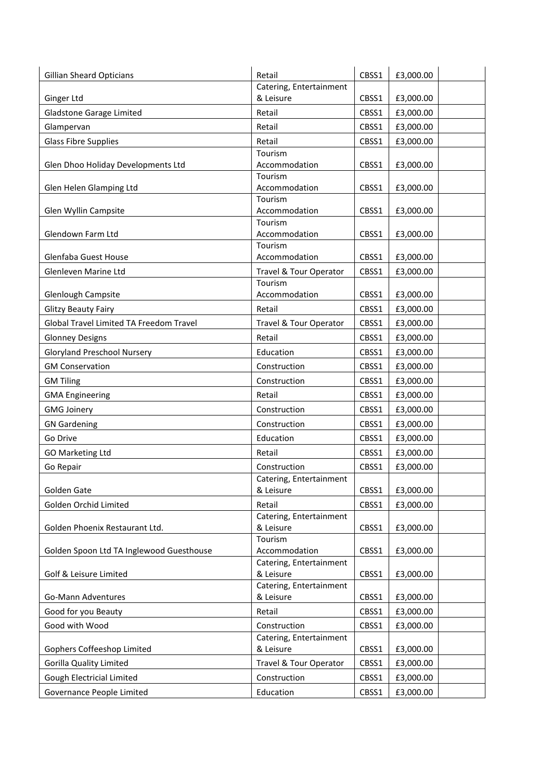| <b>Gillian Sheard Opticians</b>          | Retail                            | CBSS1 | £3,000.00 |
|------------------------------------------|-----------------------------------|-------|-----------|
|                                          | Catering, Entertainment           |       |           |
| Ginger Ltd                               | & Leisure                         | CBSS1 | £3,000.00 |
| Gladstone Garage Limited                 | Retail                            | CBSS1 | £3,000.00 |
| Glampervan                               | Retail                            | CBSS1 | £3,000.00 |
| <b>Glass Fibre Supplies</b>              | Retail                            | CBSS1 | £3,000.00 |
|                                          | Tourism                           |       |           |
| Glen Dhoo Holiday Developments Ltd       | Accommodation<br>Tourism          | CBSS1 | £3,000.00 |
| Glen Helen Glamping Ltd                  | Accommodation                     | CBSS1 | £3,000.00 |
|                                          | Tourism                           |       |           |
| Glen Wyllin Campsite                     | Accommodation                     | CBSS1 | £3,000.00 |
|                                          | Tourism                           |       |           |
| Glendown Farm Ltd                        | Accommodation                     | CBSS1 | £3,000.00 |
| Glenfaba Guest House                     | Tourism<br>Accommodation          | CBSS1 | £3,000.00 |
|                                          |                                   |       |           |
| Glenleven Marine Ltd                     | Travel & Tour Operator<br>Tourism | CBSS1 | £3,000.00 |
| Glenlough Campsite                       | Accommodation                     | CBSS1 | £3,000.00 |
| <b>Glitzy Beauty Fairy</b>               | Retail                            | CBSS1 | £3,000.00 |
| Global Travel Limited TA Freedom Travel  | <b>Travel &amp; Tour Operator</b> | CBSS1 | £3,000.00 |
|                                          |                                   |       |           |
| <b>Glonney Designs</b>                   | Retail                            | CBSS1 | £3,000.00 |
| <b>Gloryland Preschool Nursery</b>       | Education                         | CBSS1 | £3,000.00 |
| <b>GM Conservation</b>                   | Construction                      | CBSS1 | £3,000.00 |
| <b>GM Tiling</b>                         | Construction                      | CBSS1 | £3,000.00 |
| <b>GMA Engineering</b>                   | Retail                            | CBSS1 | £3,000.00 |
| <b>GMG Joinery</b>                       | Construction                      | CBSS1 | £3,000.00 |
| <b>GN Gardening</b>                      | Construction                      | CBSS1 | £3,000.00 |
| Go Drive                                 | Education                         | CBSS1 | £3,000.00 |
| <b>GO Marketing Ltd</b>                  | Retail                            | CBSS1 | £3,000.00 |
| Go Repair                                | Construction                      | CBSS1 | £3,000.00 |
|                                          | Catering, Entertainment           |       |           |
| <b>Golden Gate</b>                       | & Leisure                         | CBSS1 | £3,000.00 |
| Golden Orchid Limited                    | Retail                            | CBSS1 | £3,000.00 |
|                                          | Catering, Entertainment           |       |           |
| Golden Phoenix Restaurant Ltd.           | & Leisure<br>Tourism              | CBSS1 | £3,000.00 |
| Golden Spoon Ltd TA Inglewood Guesthouse | Accommodation                     | CBSS1 | £3,000.00 |
|                                          | Catering, Entertainment           |       |           |
| Golf & Leisure Limited                   | & Leisure                         | CBSS1 | £3,000.00 |
|                                          | Catering, Entertainment           |       |           |
| Go-Mann Adventures                       | & Leisure                         | CBSS1 | £3,000.00 |
| Good for you Beauty                      | Retail                            | CBSS1 | £3,000.00 |
| Good with Wood                           | Construction                      | CBSS1 | £3,000.00 |
|                                          | Catering, Entertainment           |       |           |
| Gophers Coffeeshop Limited               | & Leisure                         | CBSS1 | £3,000.00 |
| <b>Gorilla Quality Limited</b>           | Travel & Tour Operator            | CBSS1 | £3,000.00 |
| Gough Electricial Limited                | Construction                      | CBSS1 | £3,000.00 |
| Governance People Limited                | Education                         | CBSS1 | £3,000.00 |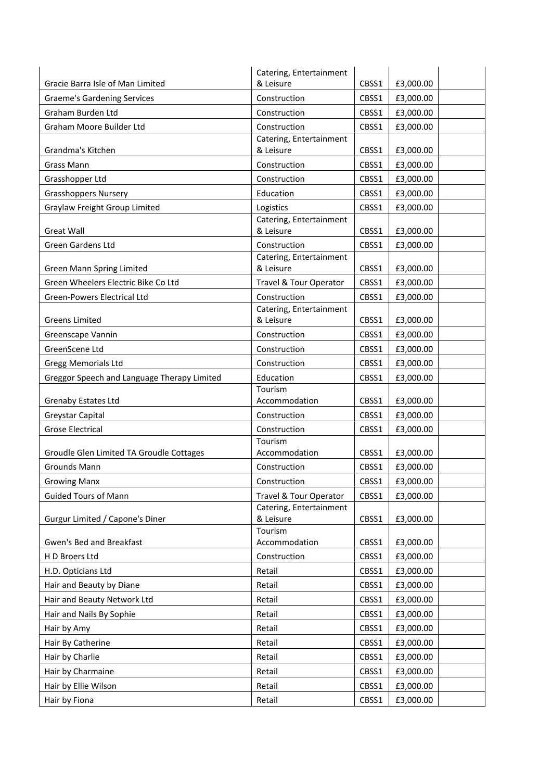|                                             | Catering, Entertainment                           |       |                        |  |
|---------------------------------------------|---------------------------------------------------|-------|------------------------|--|
| Gracie Barra Isle of Man Limited            | & Leisure                                         | CBSS1 | £3,000.00              |  |
| <b>Graeme's Gardening Services</b>          | Construction                                      | CBSS1 | £3,000.00              |  |
| <b>Graham Burden Ltd</b>                    | Construction                                      | CBSS1 | £3,000.00              |  |
| Graham Moore Builder Ltd                    | Construction                                      | CBSS1 | £3,000.00              |  |
|                                             | Catering, Entertainment                           |       |                        |  |
| Grandma's Kitchen                           | & Leisure                                         | CBSS1 | £3,000.00              |  |
| Grass Mann                                  | Construction                                      | CBSS1 | £3,000.00              |  |
| Grasshopper Ltd                             | Construction                                      | CBSS1 | £3,000.00              |  |
| <b>Grasshoppers Nursery</b>                 | Education                                         | CBSS1 | £3,000.00              |  |
| Graylaw Freight Group Limited               | Logistics                                         | CBSS1 | £3,000.00              |  |
| <b>Great Wall</b>                           | Catering, Entertainment<br>& Leisure              |       |                        |  |
|                                             |                                                   | CBSS1 | £3,000.00              |  |
| <b>Green Gardens Ltd</b>                    | Construction<br>Catering, Entertainment           | CBSS1 | £3,000.00              |  |
| Green Mann Spring Limited                   | & Leisure                                         | CBSS1 | £3,000.00              |  |
| Green Wheelers Electric Bike Co Ltd         | Travel & Tour Operator                            | CBSS1 | £3,000.00              |  |
| Green-Powers Electrical Ltd                 | Construction                                      | CBSS1 | £3,000.00              |  |
|                                             | Catering, Entertainment                           |       |                        |  |
| <b>Greens Limited</b>                       | & Leisure                                         | CBSS1 | £3,000.00              |  |
| Greenscape Vannin                           | Construction                                      | CBSS1 | £3,000.00              |  |
| GreenScene Ltd                              | Construction                                      | CBSS1 | £3,000.00              |  |
| Gregg Memorials Ltd                         | Construction                                      | CBSS1 | £3,000.00              |  |
| Greggor Speech and Language Therapy Limited | Education                                         | CBSS1 | £3,000.00              |  |
|                                             | Tourism                                           |       |                        |  |
| <b>Grenaby Estates Ltd</b>                  | Accommodation                                     | CBSS1 | £3,000.00              |  |
| Greystar Capital                            | Construction                                      | CBSS1 | £3,000.00              |  |
| <b>Grose Electrical</b>                     | Construction                                      | CBSS1 | £3,000.00              |  |
| Groudle Glen Limited TA Groudle Cottages    | Tourism<br>Accommodation                          | CBSS1 |                        |  |
| Grounds Mann                                | Construction                                      | CBSS1 | £3,000.00<br>£3,000.00 |  |
|                                             |                                                   |       |                        |  |
| <b>Growing Manx</b>                         | Construction                                      | CBSS1 | £3,000.00              |  |
| <b>Guided Tours of Mann</b>                 | Travel & Tour Operator<br>Catering, Entertainment | CBSS1 | £3,000.00              |  |
| Gurgur Limited / Capone's Diner             | & Leisure                                         | CBSS1 | £3,000.00              |  |
|                                             | Tourism                                           |       |                        |  |
| Gwen's Bed and Breakfast                    | Accommodation                                     | CBSS1 | £3,000.00              |  |
| H D Broers Ltd                              | Construction                                      | CBSS1 | £3,000.00              |  |
| H.D. Opticians Ltd                          | Retail                                            | CBSS1 | £3,000.00              |  |
| Hair and Beauty by Diane                    | Retail                                            | CBSS1 | £3,000.00              |  |
| Hair and Beauty Network Ltd                 | Retail                                            | CBSS1 | £3,000.00              |  |
| Hair and Nails By Sophie                    | Retail                                            | CBSS1 | £3,000.00              |  |
| Hair by Amy                                 | Retail                                            | CBSS1 | £3,000.00              |  |
| Hair By Catherine                           | Retail                                            | CBSS1 | £3,000.00              |  |
| Hair by Charlie                             | Retail                                            | CBSS1 | £3,000.00              |  |
| Hair by Charmaine                           | Retail                                            | CBSS1 | £3,000.00              |  |
| Hair by Ellie Wilson                        | Retail                                            | CBSS1 | £3,000.00              |  |
| Hair by Fiona                               | Retail                                            | CBSS1 | £3,000.00              |  |
|                                             |                                                   |       |                        |  |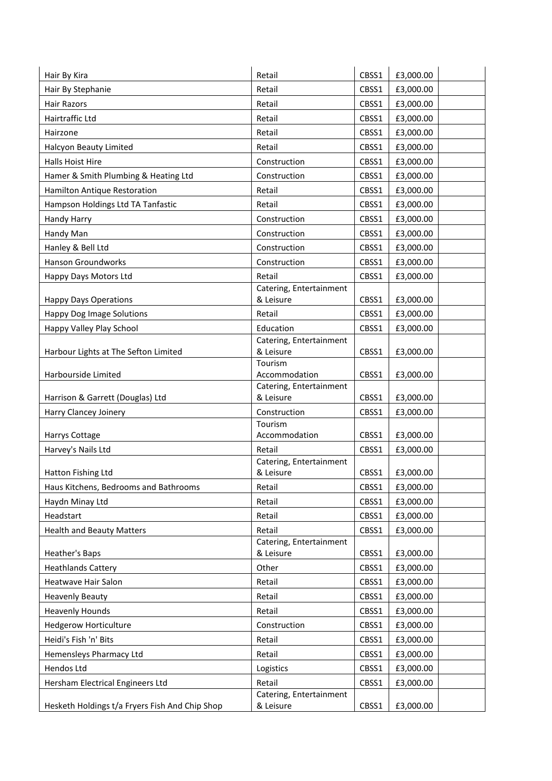| Hair By Kira                                   | Retail                               | CBSS1 | £3,000.00 |
|------------------------------------------------|--------------------------------------|-------|-----------|
| Hair By Stephanie                              | Retail                               | CBSS1 | £3,000.00 |
| <b>Hair Razors</b>                             | Retail                               | CBSS1 | £3,000.00 |
| Hairtraffic Ltd                                | Retail                               | CBSS1 | £3,000.00 |
| Hairzone                                       | Retail                               | CBSS1 | £3,000.00 |
| Halcyon Beauty Limited                         | Retail                               | CBSS1 | £3,000.00 |
| Halls Hoist Hire                               | Construction                         | CBSS1 | £3,000.00 |
| Hamer & Smith Plumbing & Heating Ltd           | Construction                         | CBSS1 | £3,000.00 |
| <b>Hamilton Antique Restoration</b>            | Retail                               | CBSS1 | £3,000.00 |
| Hampson Holdings Ltd TA Tanfastic              | Retail                               | CBSS1 | £3,000.00 |
| Handy Harry                                    | Construction                         | CBSS1 | £3,000.00 |
| Handy Man                                      | Construction                         | CBSS1 | £3,000.00 |
| Hanley & Bell Ltd                              | Construction                         | CBSS1 | £3,000.00 |
| Hanson Groundworks                             | Construction                         | CBSS1 | £3,000.00 |
| Happy Days Motors Ltd                          | Retail                               | CBSS1 | £3,000.00 |
|                                                | Catering, Entertainment              |       |           |
| <b>Happy Days Operations</b>                   | & Leisure                            | CBSS1 | £3,000.00 |
| <b>Happy Dog Image Solutions</b>               | Retail                               | CBSS1 | £3,000.00 |
| Happy Valley Play School                       | Education                            | CBSS1 | £3,000.00 |
|                                                | Catering, Entertainment              |       |           |
| Harbour Lights at The Sefton Limited           | & Leisure<br>Tourism                 | CBSS1 | £3,000.00 |
| Harbourside Limited                            | Accommodation                        | CBSS1 | £3,000.00 |
|                                                | Catering, Entertainment              |       |           |
| Harrison & Garrett (Douglas) Ltd               | & Leisure                            | CBSS1 | £3,000.00 |
| Harry Clancey Joinery                          | Construction                         | CBSS1 | £3,000.00 |
| Harrys Cottage                                 | Tourism<br>Accommodation             | CBSS1 | £3,000.00 |
| Harvey's Nails Ltd                             | Retail                               | CBSS1 | £3,000.00 |
|                                                | Catering, Entertainment              |       |           |
| Hatton Fishing Ltd                             | & Leisure                            | CBSS1 | £3,000.00 |
| Haus Kitchens, Bedrooms and Bathrooms          | Retail                               | CBSS1 | £3,000.00 |
| Haydn Minay Ltd                                | Retail                               | CBSS1 | £3,000.00 |
| Headstart                                      | Retail                               | CBSS1 | £3,000.00 |
| <b>Health and Beauty Matters</b>               | Retail                               | CBSS1 | £3,000.00 |
|                                                | Catering, Entertainment              |       |           |
| Heather's Baps                                 | & Leisure                            | CBSS1 | £3,000.00 |
| <b>Heathlands Cattery</b>                      | Other                                | CBSS1 | £3,000.00 |
| Heatwave Hair Salon                            | Retail                               | CBSS1 | £3,000.00 |
| <b>Heavenly Beauty</b>                         | Retail                               | CBSS1 | £3,000.00 |
| <b>Heavenly Hounds</b>                         | Retail                               | CBSS1 | £3,000.00 |
| <b>Hedgerow Horticulture</b>                   | Construction                         | CBSS1 | £3,000.00 |
| Heidi's Fish 'n' Bits                          | Retail                               | CBSS1 | £3,000.00 |
| Hemensleys Pharmacy Ltd                        | Retail                               | CBSS1 | £3,000.00 |
| Hendos Ltd                                     | Logistics                            | CBSS1 | £3,000.00 |
| Hersham Electrical Engineers Ltd               | Retail                               | CBSS1 | £3,000.00 |
| Hesketh Holdings t/a Fryers Fish And Chip Shop | Catering, Entertainment<br>& Leisure | CBSS1 | £3,000.00 |
|                                                |                                      |       |           |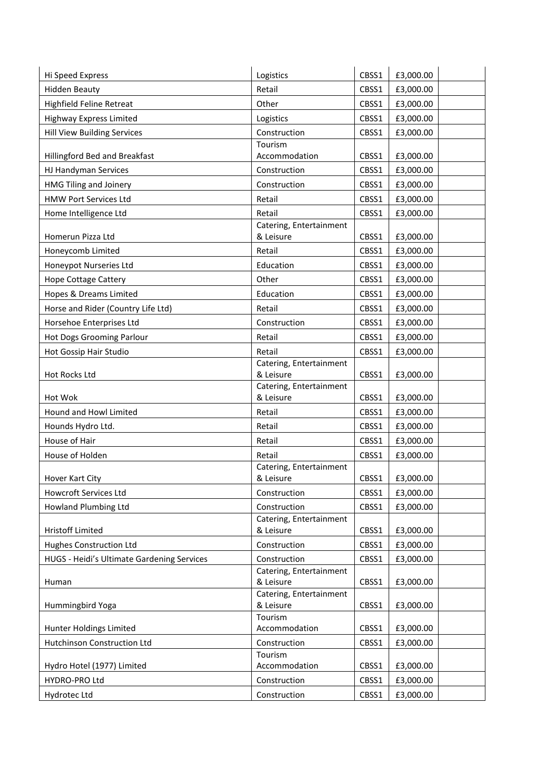| Hi Speed Express                           | Logistics                            | CBSS1 | £3,000.00 |
|--------------------------------------------|--------------------------------------|-------|-----------|
| <b>Hidden Beauty</b>                       | Retail                               | CBSS1 | £3,000.00 |
| Highfield Feline Retreat                   | Other                                | CBSS1 | £3,000.00 |
| <b>Highway Express Limited</b>             | Logistics                            | CBSS1 | £3,000.00 |
| <b>Hill View Building Services</b>         | Construction                         | CBSS1 | £3,000.00 |
|                                            | Tourism                              |       |           |
| Hillingford Bed and Breakfast              | Accommodation                        | CBSS1 | £3,000.00 |
| HJ Handyman Services                       | Construction                         | CBSS1 | £3,000.00 |
| HMG Tiling and Joinery                     | Construction                         | CBSS1 | £3,000.00 |
| <b>HMW Port Services Ltd</b>               | Retail                               | CBSS1 | £3,000.00 |
| Home Intelligence Ltd                      | Retail                               | CBSS1 | £3,000.00 |
|                                            | Catering, Entertainment              |       |           |
| Homerun Pizza Ltd                          | & Leisure                            | CBSS1 | £3,000.00 |
| Honeycomb Limited                          | Retail                               | CBSS1 | £3,000.00 |
| Honeypot Nurseries Ltd                     | Education                            | CBSS1 | £3,000.00 |
| <b>Hope Cottage Cattery</b>                | Other                                | CBSS1 | £3,000.00 |
| Hopes & Dreams Limited                     | Education                            | CBSS1 | £3,000.00 |
| Horse and Rider (Country Life Ltd)         | Retail                               | CBSS1 | £3,000.00 |
| Horsehoe Enterprises Ltd                   | Construction                         | CBSS1 | £3,000.00 |
| <b>Hot Dogs Grooming Parlour</b>           | Retail                               | CBSS1 | £3,000.00 |
| Hot Gossip Hair Studio                     | Retail                               | CBSS1 | £3,000.00 |
|                                            | Catering, Entertainment              |       |           |
| Hot Rocks Ltd                              | & Leisure<br>Catering, Entertainment | CBSS1 | £3,000.00 |
| Hot Wok                                    | & Leisure                            | CBSS1 | £3,000.00 |
| Hound and Howl Limited                     | Retail                               | CBSS1 | £3,000.00 |
| Hounds Hydro Ltd.                          | Retail                               | CBSS1 | £3,000.00 |
| House of Hair                              | Retail                               | CBSS1 | £3,000.00 |
| House of Holden                            | Retail                               | CBSS1 | £3,000.00 |
|                                            | Catering, Entertainment              |       |           |
| Hover Kart City                            | & Leisure                            | CBSS1 | £3,000.00 |
| Howcroft Services Ltd                      | Construction                         | CBSS1 | £3,000.00 |
| Howland Plumbing Ltd                       | Construction                         | CBSS1 | £3,000.00 |
|                                            | Catering, Entertainment              |       |           |
| <b>Hristoff Limited</b>                    | & Leisure                            | CBSS1 | £3,000.00 |
| <b>Hughes Construction Ltd</b>             | Construction                         | CBSS1 | £3,000.00 |
| HUGS - Heidi's Ultimate Gardening Services | Construction                         | CBSS1 | £3,000.00 |
| Human                                      | Catering, Entertainment<br>& Leisure | CBSS1 | £3,000.00 |
|                                            | Catering, Entertainment              |       |           |
| Hummingbird Yoga                           | & Leisure                            | CBSS1 | £3,000.00 |
|                                            | Tourism                              |       |           |
| Hunter Holdings Limited                    | Accommodation                        | CBSS1 | £3,000.00 |
| Hutchinson Construction Ltd                | Construction                         | CBSS1 | £3,000.00 |
| Hydro Hotel (1977) Limited                 | Tourism<br>Accommodation             | CBSS1 | £3,000.00 |
| HYDRO-PRO Ltd                              | Construction                         | CBSS1 | £3,000.00 |
|                                            |                                      |       |           |
| Hydrotec Ltd                               | Construction                         | CBSS1 | £3,000.00 |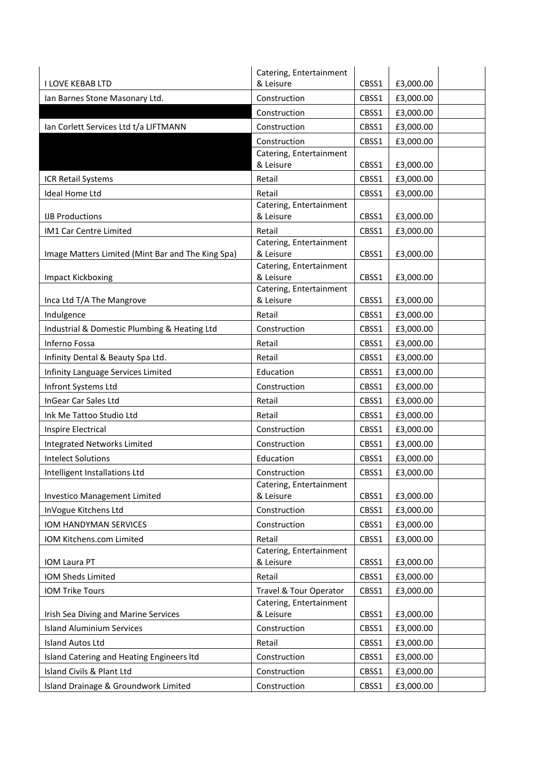|                                                   | Catering, Entertainment              |       |           |  |
|---------------------------------------------------|--------------------------------------|-------|-----------|--|
| <b>I LOVE KEBAB LTD</b>                           | & Leisure                            | CBSS1 | £3,000.00 |  |
| Ian Barnes Stone Masonary Ltd.                    | Construction                         | CBSS1 | £3,000.00 |  |
|                                                   | Construction                         | CBSS1 | £3,000.00 |  |
| Ian Corlett Services Ltd t/a LIFTMANN             | Construction                         | CBSS1 | £3,000.00 |  |
|                                                   | Construction                         | CBSS1 | £3,000.00 |  |
|                                                   | Catering, Entertainment              |       |           |  |
|                                                   | & Leisure                            | CBSS1 | £3,000.00 |  |
| <b>ICR Retail Systems</b>                         | Retail                               | CBSS1 | £3,000.00 |  |
| <b>Ideal Home Ltd</b>                             | Retail                               | CBSS1 | £3,000.00 |  |
| <b>IJB Productions</b>                            | Catering, Entertainment<br>& Leisure | CBSS1 | £3,000.00 |  |
| IM1 Car Centre Limited                            | Retail                               | CBSS1 | £3,000.00 |  |
|                                                   | Catering, Entertainment              |       |           |  |
| Image Matters Limited (Mint Bar and The King Spa) | & Leisure<br>Catering, Entertainment | CBSS1 | £3,000.00 |  |
| <b>Impact Kickboxing</b>                          | & Leisure                            | CBSS1 | £3,000.00 |  |
|                                                   | Catering, Entertainment              |       |           |  |
| Inca Ltd T/A The Mangrove                         | & Leisure                            | CBSS1 | £3,000.00 |  |
| Indulgence                                        | Retail                               | CBSS1 | £3,000.00 |  |
| Industrial & Domestic Plumbing & Heating Ltd      | Construction                         | CBSS1 | £3,000.00 |  |
| Inferno Fossa                                     | Retail                               | CBSS1 | £3,000.00 |  |
| Infinity Dental & Beauty Spa Ltd.                 | Retail                               | CBSS1 | £3,000.00 |  |
| Infinity Language Services Limited                | Education                            | CBSS1 | £3,000.00 |  |
| Infront Systems Ltd                               | Construction                         | CBSS1 | £3,000.00 |  |
| InGear Car Sales Ltd                              | Retail                               | CBSS1 | £3,000.00 |  |
| Ink Me Tattoo Studio Ltd                          | Retail                               | CBSS1 | £3,000.00 |  |
| <b>Inspire Electrical</b>                         | Construction                         | CBSS1 | £3,000.00 |  |
| <b>Integrated Networks Limited</b>                | Construction                         | CBSS1 | £3,000.00 |  |
| <b>Intelect Solutions</b>                         | Education                            | CBSS1 | £3,000.00 |  |
| Intelligent Installations Ltd                     | Construction                         | CBSS1 | £3,000.00 |  |
|                                                   | Catering, Entertainment              |       |           |  |
| Investico Management Limited                      | & Leisure                            | CBSS1 | £3,000.00 |  |
| InVogue Kitchens Ltd                              | Construction                         | CBSS1 | £3,000.00 |  |
| IOM HANDYMAN SERVICES                             | Construction                         | CBSS1 | £3,000.00 |  |
| IOM Kitchens.com Limited                          | Retail                               | CBSS1 | £3,000.00 |  |
| IOM Laura PT                                      | Catering, Entertainment<br>& Leisure | CBSS1 | £3,000.00 |  |
| IOM Sheds Limited                                 | Retail                               | CBSS1 | £3,000.00 |  |
| <b>IOM Trike Tours</b>                            | <b>Travel &amp; Tour Operator</b>    | CBSS1 | £3,000.00 |  |
| Irish Sea Diving and Marine Services              | Catering, Entertainment<br>& Leisure | CBSS1 | £3,000.00 |  |
| <b>Island Aluminium Services</b>                  | Construction                         | CBSS1 | £3,000.00 |  |
| <b>Island Autos Ltd</b>                           | Retail                               | CBSS1 | £3,000.00 |  |
| Island Catering and Heating Engineers Itd         | Construction                         | CBSS1 | £3,000.00 |  |
| Island Civils & Plant Ltd                         | Construction                         | CBSS1 | £3,000.00 |  |
| Island Drainage & Groundwork Limited              | Construction                         | CBSS1 | £3,000.00 |  |
|                                                   |                                      |       |           |  |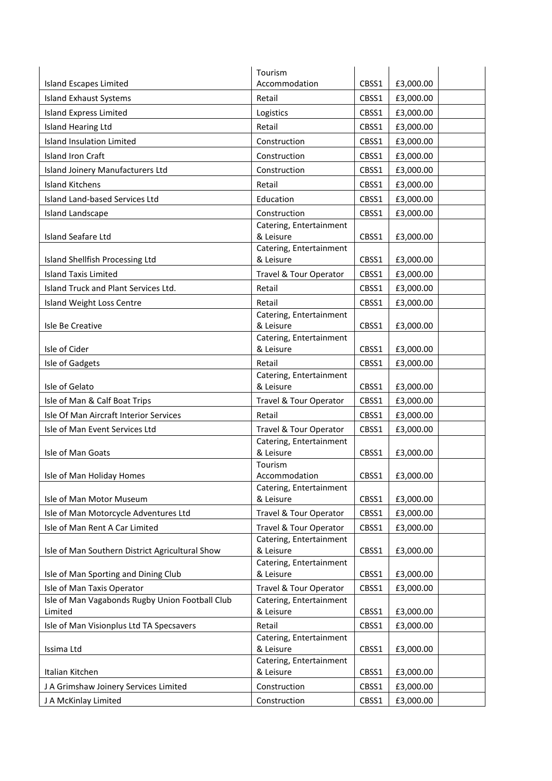|                                                                     | Tourism                                  |       |           |  |
|---------------------------------------------------------------------|------------------------------------------|-------|-----------|--|
| <b>Island Escapes Limited</b>                                       | Accommodation                            | CBSS1 | £3,000.00 |  |
| <b>Island Exhaust Systems</b>                                       | Retail                                   | CBSS1 | £3,000.00 |  |
| <b>Island Express Limited</b>                                       | Logistics                                | CBSS1 | £3,000.00 |  |
| Island Hearing Ltd                                                  | Retail                                   | CBSS1 | £3,000.00 |  |
| <b>Island Insulation Limited</b>                                    | Construction                             | CBSS1 | £3,000.00 |  |
| <b>Island Iron Craft</b>                                            | Construction                             | CBSS1 | £3,000.00 |  |
| Island Joinery Manufacturers Ltd                                    | Construction                             | CBSS1 | £3,000.00 |  |
| <b>Island Kitchens</b>                                              | Retail                                   | CBSS1 | £3,000.00 |  |
| Island Land-based Services Ltd                                      | Education                                | CBSS1 | £3,000.00 |  |
| Island Landscape                                                    | Construction                             | CBSS1 | £3,000.00 |  |
|                                                                     | Catering, Entertainment                  |       |           |  |
| <b>Island Seafare Ltd</b>                                           | & Leisure                                | CBSS1 | £3,000.00 |  |
| Island Shellfish Processing Ltd                                     | Catering, Entertainment<br>& Leisure     | CBSS1 | £3,000.00 |  |
|                                                                     |                                          |       |           |  |
| <b>Island Taxis Limited</b><br>Island Truck and Plant Services Ltd. | Travel & Tour Operator<br>Retail         | CBSS1 | £3,000.00 |  |
|                                                                     |                                          | CBSS1 | £3,000.00 |  |
| Island Weight Loss Centre                                           | Retail<br>Catering, Entertainment        | CBSS1 | £3,000.00 |  |
| Isle Be Creative                                                    | & Leisure                                | CBSS1 | £3,000.00 |  |
|                                                                     | Catering, Entertainment                  |       |           |  |
| Isle of Cider                                                       | & Leisure                                | CBSS1 | £3,000.00 |  |
| Isle of Gadgets                                                     | Retail                                   | CBSS1 | £3,000.00 |  |
| Isle of Gelato                                                      | Catering, Entertainment<br>& Leisure     | CBSS1 | £3,000.00 |  |
| Isle of Man & Calf Boat Trips                                       | Travel & Tour Operator                   | CBSS1 | £3,000.00 |  |
| Isle Of Man Aircraft Interior Services                              | Retail                                   | CBSS1 | £3,000.00 |  |
| Isle of Man Event Services Ltd                                      | Travel & Tour Operator                   | CBSS1 | £3,000.00 |  |
|                                                                     | Catering, Entertainment                  |       |           |  |
| Isle of Man Goats                                                   | & Leisure                                | CBSS1 | £3,000.00 |  |
|                                                                     | Tourism                                  |       |           |  |
| Isle of Man Holiday Homes                                           | Accommodation<br>Catering, Entertainment | CBSS1 | £3,000.00 |  |
| Isle of Man Motor Museum                                            | & Leisure                                | CBSS1 | £3,000.00 |  |
| Isle of Man Motorcycle Adventures Ltd                               | Travel & Tour Operator                   | CBSS1 | £3,000.00 |  |
| Isle of Man Rent A Car Limited                                      | Travel & Tour Operator                   | CBSS1 | £3,000.00 |  |
|                                                                     | Catering, Entertainment                  |       |           |  |
| Isle of Man Southern District Agricultural Show                     | & Leisure                                | CBSS1 | £3,000.00 |  |
| Isle of Man Sporting and Dining Club                                | Catering, Entertainment<br>& Leisure     | CBSS1 | £3,000.00 |  |
| Isle of Man Taxis Operator                                          | Travel & Tour Operator                   | CBSS1 | £3,000.00 |  |
| Isle of Man Vagabonds Rugby Union Football Club                     | Catering, Entertainment                  |       |           |  |
| Limited                                                             | & Leisure                                | CBSS1 | £3,000.00 |  |
| Isle of Man Visionplus Ltd TA Specsavers                            | Retail                                   | CBSS1 | £3,000.00 |  |
|                                                                     | Catering, Entertainment                  |       |           |  |
| Issima Ltd                                                          | & Leisure                                | CBSS1 | £3,000.00 |  |
| Italian Kitchen                                                     | Catering, Entertainment<br>& Leisure     | CBSS1 | £3,000.00 |  |
| J A Grimshaw Joinery Services Limited                               | Construction                             | CBSS1 | £3,000.00 |  |
| J A McKinlay Limited                                                | Construction                             | CBSS1 | £3,000.00 |  |
|                                                                     |                                          |       |           |  |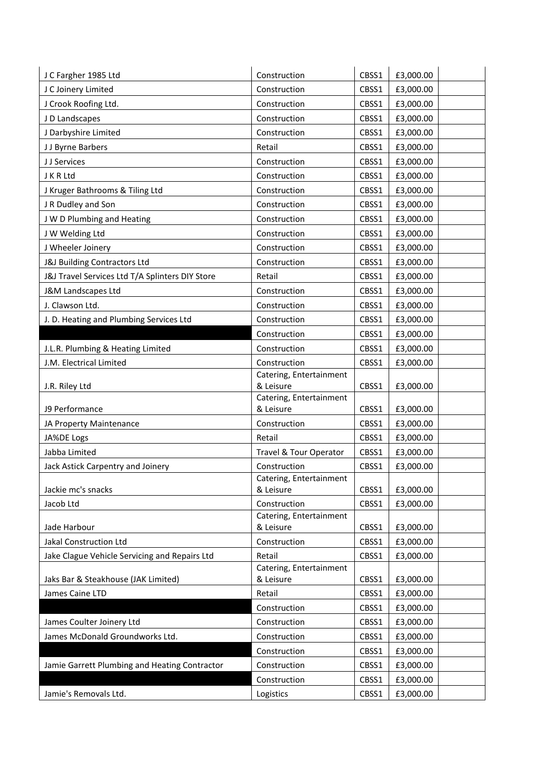| J C Fargher 1985 Ltd                            | Construction                         | CBSS1 | £3,000.00 |
|-------------------------------------------------|--------------------------------------|-------|-----------|
| J C Joinery Limited                             | Construction                         | CBSS1 | £3,000.00 |
| J Crook Roofing Ltd.                            | Construction                         | CBSS1 | £3,000.00 |
| J D Landscapes                                  | Construction                         | CBSS1 | £3,000.00 |
| J Darbyshire Limited                            | Construction                         | CBSS1 | £3,000.00 |
| JJ Byrne Barbers                                | Retail                               | CBSS1 | £3,000.00 |
| J J Services                                    | Construction                         | CBSS1 | £3,000.00 |
| J K R Ltd                                       | Construction                         | CBSS1 | £3,000.00 |
| J Kruger Bathrooms & Tiling Ltd                 | Construction                         | CBSS1 | £3,000.00 |
| J R Dudley and Son                              | Construction                         | CBSS1 | £3,000.00 |
| J W D Plumbing and Heating                      | Construction                         | CBSS1 | £3,000.00 |
| J W Welding Ltd                                 | Construction                         | CBSS1 | £3,000.00 |
| J Wheeler Joinery                               | Construction                         | CBSS1 | £3,000.00 |
| J&J Building Contractors Ltd                    | Construction                         | CBSS1 | £3,000.00 |
| J&J Travel Services Ltd T/A Splinters DIY Store | Retail                               | CBSS1 | £3,000.00 |
| J&M Landscapes Ltd                              | Construction                         | CBSS1 | £3,000.00 |
| J. Clawson Ltd.                                 | Construction                         | CBSS1 | £3,000.00 |
| J. D. Heating and Plumbing Services Ltd         | Construction                         | CBSS1 | £3,000.00 |
|                                                 | Construction                         | CBSS1 | £3,000.00 |
| J.L.R. Plumbing & Heating Limited               | Construction                         | CBSS1 | £3,000.00 |
| J.M. Electrical Limited                         | Construction                         | CBSS1 | £3,000.00 |
|                                                 | Catering, Entertainment              |       |           |
| J.R. Riley Ltd                                  | & Leisure<br>Catering, Entertainment | CBSS1 | £3,000.00 |
| J9 Performance                                  | & Leisure                            | CBSS1 | £3,000.00 |
| JA Property Maintenance                         | Construction                         | CBSS1 | £3,000.00 |
| JA%DE Logs                                      | Retail                               | CBSS1 | £3,000.00 |
| Jabba Limited                                   | Travel & Tour Operator               | CBSS1 | £3,000.00 |
| Jack Astick Carpentry and Joinery               | Construction                         | CBSS1 | £3,000.00 |
|                                                 | Catering, Entertainment              |       |           |
| Jackie mc's snacks                              | & Leisure                            | CBSS1 | £3,000.00 |
| Jacob Ltd                                       | Construction                         | CBSS1 | £3,000.00 |
| Jade Harbour                                    | Catering, Entertainment<br>& Leisure | CBSS1 | £3,000.00 |
| Jakal Construction Ltd                          | Construction                         | CBSS1 | £3,000.00 |
| Jake Clague Vehicle Servicing and Repairs Ltd   | Retail                               | CBSS1 | £3,000.00 |
|                                                 | Catering, Entertainment              |       |           |
| Jaks Bar & Steakhouse (JAK Limited)             | & Leisure                            | CBSS1 | £3,000.00 |
| James Caine LTD                                 | Retail                               | CBSS1 | £3,000.00 |
|                                                 | Construction                         | CBSS1 | £3,000.00 |
| James Coulter Joinery Ltd                       | Construction                         | CBSS1 | £3,000.00 |
| James McDonald Groundworks Ltd.                 | Construction                         | CBSS1 | £3,000.00 |
|                                                 | Construction                         | CBSS1 | £3,000.00 |
| Jamie Garrett Plumbing and Heating Contractor   | Construction                         | CBSS1 | £3,000.00 |
|                                                 | Construction                         | CBSS1 | £3,000.00 |
| Jamie's Removals Ltd.                           | Logistics                            | CBSS1 | £3,000.00 |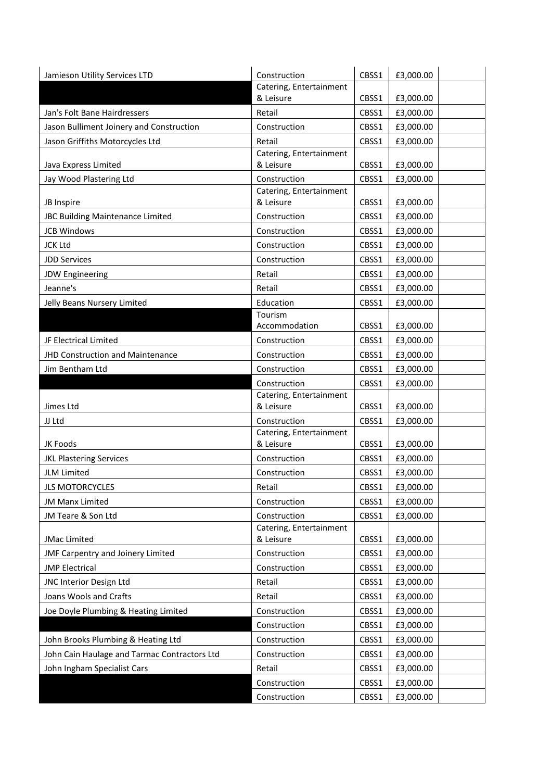| Jamieson Utility Services LTD                | Construction                            | CBSS1          | £3,000.00              |  |
|----------------------------------------------|-----------------------------------------|----------------|------------------------|--|
|                                              | Catering, Entertainment                 |                |                        |  |
|                                              | & Leisure                               | CBSS1          | £3,000.00              |  |
| Jan's Folt Bane Hairdressers                 | Retail                                  | CBSS1          | £3,000.00              |  |
| Jason Bulliment Joinery and Construction     | Construction                            | CBSS1          | £3,000.00              |  |
| Jason Griffiths Motorcycles Ltd              | Retail                                  | CBSS1          | £3,000.00              |  |
|                                              | Catering, Entertainment                 |                |                        |  |
| Java Express Limited                         | & Leisure                               | CBSS1          | £3,000.00              |  |
| Jay Wood Plastering Ltd                      | Construction<br>Catering, Entertainment | CBSS1          | £3,000.00              |  |
| JB Inspire                                   | & Leisure                               | CBSS1          | £3,000.00              |  |
| JBC Building Maintenance Limited             | Construction                            | CBSS1          | £3,000.00              |  |
| <b>JCB Windows</b>                           | Construction                            | CBSS1          | £3,000.00              |  |
| <b>JCK Ltd</b>                               | Construction                            | CBSS1          | £3,000.00              |  |
| <b>JDD Services</b>                          | Construction                            | CBSS1          | £3,000.00              |  |
| <b>JDW Engineering</b>                       | Retail                                  | CBSS1          | £3,000.00              |  |
| Jeanne's                                     | Retail                                  | CBSS1          | £3,000.00              |  |
|                                              | Education                               |                |                        |  |
| Jelly Beans Nursery Limited                  | Tourism                                 | CBSS1          | £3,000.00              |  |
|                                              | Accommodation                           | CBSS1          | £3,000.00              |  |
| JF Electrical Limited                        | Construction                            | CBSS1          | £3,000.00              |  |
| JHD Construction and Maintenance             | Construction                            | CBSS1          | £3,000.00              |  |
| Jim Bentham Ltd                              | Construction                            | CBSS1          | £3,000.00              |  |
|                                              | Construction                            | CBSS1          | £3,000.00              |  |
|                                              |                                         |                |                        |  |
|                                              | Catering, Entertainment                 |                |                        |  |
| Jimes Ltd                                    | & Leisure                               | CBSS1          | £3,000.00              |  |
| JJ Ltd                                       | Construction                            | CBSS1          | £3,000.00              |  |
|                                              | Catering, Entertainment                 |                |                        |  |
| JK Foods                                     | & Leisure                               | CBSS1          | £3,000.00              |  |
| <b>JKL Plastering Services</b>               | Construction                            | CBSS1          | £3,000.00              |  |
| JLM Limited                                  | Construction                            | CBSS1          | £3,000.00              |  |
| <b>JLS MOTORCYCLES</b>                       | Retail                                  | CBSS1          | £3,000.00              |  |
| JM Manx Limited                              | Construction                            | CBSS1          | £3,000.00              |  |
| JM Teare & Son Ltd                           | Construction                            | CBSS1          | £3,000.00              |  |
|                                              | Catering, Entertainment                 |                |                        |  |
| <b>JMac Limited</b>                          | & Leisure                               | CBSS1          | £3,000.00              |  |
| JMF Carpentry and Joinery Limited            | Construction                            | CBSS1          | £3,000.00              |  |
| <b>JMP Electrical</b>                        | Construction                            | CBSS1          | £3,000.00              |  |
| JNC Interior Design Ltd                      | Retail                                  | CBSS1          | £3,000.00              |  |
| Joans Wools and Crafts                       | Retail                                  | CBSS1          | £3,000.00              |  |
| Joe Doyle Plumbing & Heating Limited         | Construction                            | CBSS1          | £3,000.00              |  |
|                                              | Construction                            | CBSS1          | £3,000.00              |  |
| John Brooks Plumbing & Heating Ltd           | Construction                            | CBSS1          | £3,000.00              |  |
| John Cain Haulage and Tarmac Contractors Ltd | Construction                            | CBSS1          | £3,000.00              |  |
| John Ingham Specialist Cars                  | Retail                                  | CBSS1          | £3,000.00              |  |
|                                              | Construction<br>Construction            | CBSS1<br>CBSS1 | £3,000.00<br>£3,000.00 |  |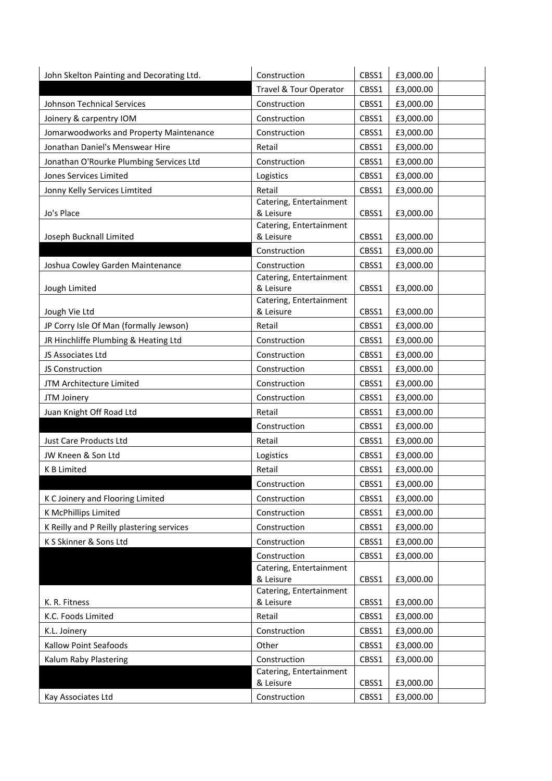| John Skelton Painting and Decorating Ltd. | Construction                         | CBSS1 | £3,000.00 |
|-------------------------------------------|--------------------------------------|-------|-----------|
|                                           | Travel & Tour Operator               | CBSS1 | £3,000.00 |
| Johnson Technical Services                | Construction                         | CBSS1 | £3,000.00 |
| Joinery & carpentry IOM                   | Construction                         | CBSS1 | £3,000.00 |
| Jomarwoodworks and Property Maintenance   | Construction                         | CBSS1 | £3,000.00 |
| Jonathan Daniel's Menswear Hire           | Retail                               | CBSS1 | £3,000.00 |
| Jonathan O'Rourke Plumbing Services Ltd   | Construction                         | CBSS1 | £3,000.00 |
| Jones Services Limited                    | Logistics                            | CBSS1 | £3,000.00 |
| Jonny Kelly Services Limtited             | Retail                               | CBSS1 | £3,000.00 |
| Jo's Place                                | Catering, Entertainment<br>& Leisure | CBSS1 | £3,000.00 |
| Joseph Bucknall Limited                   | Catering, Entertainment<br>& Leisure | CBSS1 | £3,000.00 |
|                                           | Construction                         | CBSS1 | £3,000.00 |
| Joshua Cowley Garden Maintenance          | Construction                         | CBSS1 | £3,000.00 |
| Jough Limited                             | Catering, Entertainment<br>& Leisure | CBSS1 | £3,000.00 |
| Jough Vie Ltd                             | Catering, Entertainment<br>& Leisure | CBSS1 | £3,000.00 |
| JP Corry Isle Of Man (formally Jewson)    | Retail                               | CBSS1 | £3,000.00 |
| JR Hinchliffe Plumbing & Heating Ltd      | Construction                         | CBSS1 | £3,000.00 |
| JS Associates Ltd                         | Construction                         | CBSS1 | £3,000.00 |
| JS Construction                           | Construction                         | CBSS1 | £3,000.00 |
| JTM Architecture Limited                  | Construction                         | CBSS1 | £3,000.00 |
| JTM Joinery                               | Construction                         | CBSS1 | £3,000.00 |
| Juan Knight Off Road Ltd                  | Retail                               | CBSS1 | £3,000.00 |
|                                           | Construction                         | CBSS1 | £3,000.00 |
| Just Care Products Ltd                    | Retail                               | CBSS1 | £3,000.00 |
| JW Kneen & Son Ltd                        | Logistics                            | CBSS1 | £3,000.00 |
| <b>KB Limited</b>                         | Retail                               | CBSS1 | £3,000.00 |
|                                           | Construction                         | CBSS1 | £3,000.00 |
| K C Joinery and Flooring Limited          | Construction                         | CBSS1 | £3,000.00 |
| K McPhillips Limited                      | Construction                         | CBSS1 | £3,000.00 |
| K Reilly and P Reilly plastering services | Construction                         | CBSS1 | £3,000.00 |
| K S Skinner & Sons Ltd                    | Construction                         | CBSS1 | £3,000.00 |
|                                           | Construction                         | CBSS1 | £3,000.00 |
|                                           | Catering, Entertainment              |       |           |
|                                           | & Leisure<br>Catering, Entertainment | CBSS1 | £3,000.00 |
| K. R. Fitness                             | & Leisure                            | CBSS1 | £3,000.00 |
| K.C. Foods Limited                        | Retail                               | CBSS1 | £3,000.00 |
| K.L. Joinery                              | Construction                         | CBSS1 | £3,000.00 |
| Kallow Point Seafoods                     | Other                                | CBSS1 | £3,000.00 |
| Kalum Raby Plastering                     | Construction                         | CBSS1 | £3,000.00 |
|                                           | Catering, Entertainment<br>& Leisure | CBSS1 | £3,000.00 |
| Kay Associates Ltd                        | Construction                         | CBSS1 | £3,000.00 |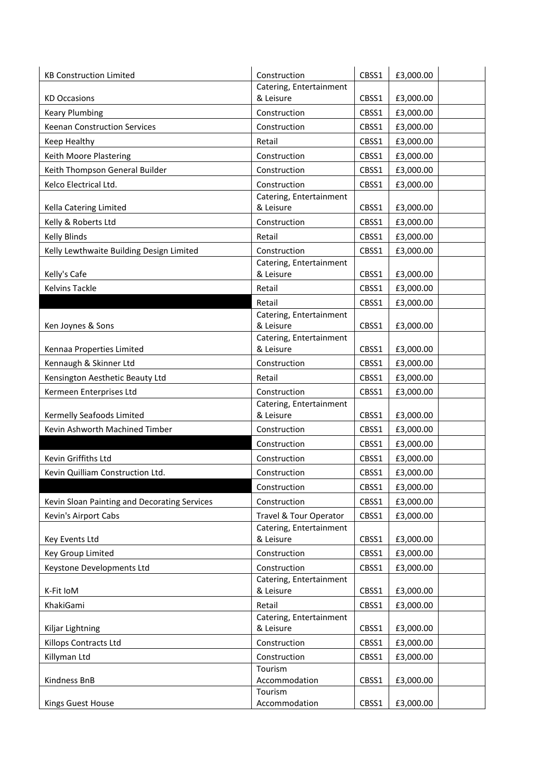| <b>KB Construction Limited</b>               | Construction                         | CBSS1 | £3,000.00 |  |
|----------------------------------------------|--------------------------------------|-------|-----------|--|
|                                              | Catering, Entertainment              |       |           |  |
| <b>KD Occasions</b>                          | & Leisure                            | CBSS1 | £3,000.00 |  |
| <b>Keary Plumbing</b>                        | Construction                         | CBSS1 | £3,000.00 |  |
| <b>Keenan Construction Services</b>          | Construction                         | CBSS1 | £3,000.00 |  |
| Keep Healthy                                 | Retail                               | CBSS1 | £3,000.00 |  |
| Keith Moore Plastering                       | Construction                         | CBSS1 | £3,000.00 |  |
| Keith Thompson General Builder               | Construction                         | CBSS1 | £3,000.00 |  |
| Kelco Electrical Ltd.                        | Construction                         | CBSS1 | £3,000.00 |  |
|                                              | Catering, Entertainment              |       |           |  |
| Kella Catering Limited                       | & Leisure                            | CBSS1 | £3,000.00 |  |
| Kelly & Roberts Ltd                          | Construction                         | CBSS1 | £3,000.00 |  |
| <b>Kelly Blinds</b>                          | Retail                               | CBSS1 | £3,000.00 |  |
| Kelly Lewthwaite Building Design Limited     | Construction                         | CBSS1 | £3,000.00 |  |
|                                              | Catering, Entertainment              |       |           |  |
| Kelly's Cafe                                 | & Leisure                            | CBSS1 | £3,000.00 |  |
| <b>Kelvins Tackle</b>                        | Retail                               | CBSS1 | £3,000.00 |  |
|                                              | Retail                               | CBSS1 | £3,000.00 |  |
|                                              | Catering, Entertainment              |       |           |  |
| Ken Joynes & Sons                            | & Leisure                            | CBSS1 | £3,000.00 |  |
| Kennaa Properties Limited                    | Catering, Entertainment<br>& Leisure | CBSS1 | £3,000.00 |  |
| Kennaugh & Skinner Ltd                       | Construction                         | CBSS1 | £3,000.00 |  |
| Kensington Aesthetic Beauty Ltd              | Retail                               | CBSS1 | £3,000.00 |  |
| Kermeen Enterprises Ltd                      | Construction                         | CBSS1 | £3,000.00 |  |
|                                              | Catering, Entertainment              |       |           |  |
| Kermelly Seafoods Limited                    | & Leisure                            | CBSS1 | £3,000.00 |  |
| Kevin Ashworth Machined Timber               | Construction                         | CBSS1 | £3,000.00 |  |
|                                              | Construction                         | CBSS1 | £3,000.00 |  |
| Kevin Griffiths Ltd                          | Construction                         | CBSS1 | £3,000.00 |  |
| Kevin Quilliam Construction Ltd.             | Construction                         | CBSS1 | £3,000.00 |  |
|                                              | Construction                         | CBSS1 | £3,000.00 |  |
| Kevin Sloan Painting and Decorating Services | Construction                         | CBSS1 | £3,000.00 |  |
| Kevin's Airport Cabs                         | Travel & Tour Operator               | CBSS1 | £3,000.00 |  |
|                                              | Catering, Entertainment              |       |           |  |
| Key Events Ltd                               | & Leisure                            | CBSS1 | £3,000.00 |  |
| Key Group Limited                            | Construction                         | CBSS1 | £3,000.00 |  |
| Keystone Developments Ltd                    | Construction                         | CBSS1 | £3,000.00 |  |
|                                              | Catering, Entertainment              |       |           |  |
| K-Fit IoM                                    | & Leisure                            | CBSS1 | £3,000.00 |  |
| KhakiGami                                    | Retail                               | CBSS1 | £3,000.00 |  |
|                                              | Catering, Entertainment              |       |           |  |
| Kiljar Lightning                             | & Leisure                            | CBSS1 | £3,000.00 |  |
| Killops Contracts Ltd                        | Construction                         | CBSS1 | £3,000.00 |  |
| Killyman Ltd                                 | Construction                         | CBSS1 | £3,000.00 |  |
| Kindness BnB                                 | Tourism<br>Accommodation             | CBSS1 | £3,000.00 |  |
|                                              | Tourism                              |       |           |  |
| Kings Guest House                            | Accommodation                        | CBSS1 | £3,000.00 |  |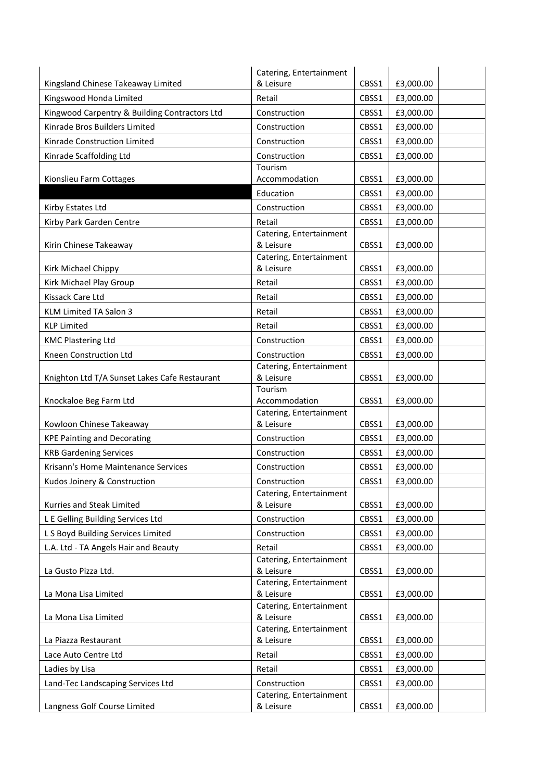|                                               | Catering, Entertainment                 |       |           |  |
|-----------------------------------------------|-----------------------------------------|-------|-----------|--|
| Kingsland Chinese Takeaway Limited            | & Leisure                               | CBSS1 | £3,000.00 |  |
| Kingswood Honda Limited                       | Retail                                  | CBSS1 | £3,000.00 |  |
| Kingwood Carpentry & Building Contractors Ltd | Construction                            | CBSS1 | £3,000.00 |  |
| Kinrade Bros Builders Limited                 | Construction                            | CBSS1 | £3,000.00 |  |
| Kinrade Construction Limited                  | Construction                            | CBSS1 | £3,000.00 |  |
| Kinrade Scaffolding Ltd                       | Construction                            | CBSS1 | £3,000.00 |  |
|                                               | Tourism                                 |       |           |  |
| Kionslieu Farm Cottages                       | Accommodation                           | CBSS1 | £3,000.00 |  |
|                                               | Education                               | CBSS1 | £3,000.00 |  |
| Kirby Estates Ltd                             | Construction                            | CBSS1 | £3,000.00 |  |
| Kirby Park Garden Centre                      | Retail                                  | CBSS1 | £3,000.00 |  |
|                                               | Catering, Entertainment                 |       |           |  |
| Kirin Chinese Takeaway                        | & Leisure<br>Catering, Entertainment    | CBSS1 | £3,000.00 |  |
| Kirk Michael Chippy                           | & Leisure                               | CBSS1 | £3,000.00 |  |
| Kirk Michael Play Group                       | Retail                                  | CBSS1 | £3,000.00 |  |
| Kissack Care Ltd                              | Retail                                  | CBSS1 | £3,000.00 |  |
| <b>KLM Limited TA Salon 3</b>                 | Retail                                  | CBSS1 | £3,000.00 |  |
| <b>KLP Limited</b>                            | Retail                                  | CBSS1 | £3,000.00 |  |
| <b>KMC Plastering Ltd</b>                     | Construction                            | CBSS1 | £3,000.00 |  |
| Kneen Construction Ltd                        | Construction                            | CBSS1 | £3,000.00 |  |
|                                               | Catering, Entertainment                 |       |           |  |
| Knighton Ltd T/A Sunset Lakes Cafe Restaurant | & Leisure                               | CBSS1 | £3,000.00 |  |
|                                               | Tourism                                 |       |           |  |
| Knockaloe Beg Farm Ltd                        | Accommodation                           | CBSS1 | £3,000.00 |  |
| Kowloon Chinese Takeaway                      | Catering, Entertainment<br>& Leisure    | CBSS1 | £3,000.00 |  |
| <b>KPE Painting and Decorating</b>            | Construction                            | CBSS1 | £3,000.00 |  |
|                                               | Construction                            | CBSS1 |           |  |
| <b>KRB Gardening Services</b>                 |                                         |       | £3,000.00 |  |
| Krisann's Home Maintenance Services           | Construction                            | CBSS1 | £3,000.00 |  |
| Kudos Joinery & Construction                  | Construction<br>Catering, Entertainment | CBSS1 | £3,000.00 |  |
| Kurries and Steak Limited                     | & Leisure                               | CBSS1 | £3,000.00 |  |
| L E Gelling Building Services Ltd             | Construction                            | CBSS1 | £3,000.00 |  |
| L S Boyd Building Services Limited            | Construction                            | CBSS1 | £3,000.00 |  |
| L.A. Ltd - TA Angels Hair and Beauty          | Retail                                  | CBSS1 | £3,000.00 |  |
|                                               | Catering, Entertainment                 |       |           |  |
| La Gusto Pizza Ltd.                           | & Leisure                               | CBSS1 | £3,000.00 |  |
|                                               | Catering, Entertainment                 |       |           |  |
| La Mona Lisa Limited                          | & Leisure                               | CBSS1 | £3,000.00 |  |
| La Mona Lisa Limited                          | Catering, Entertainment<br>& Leisure    | CBSS1 | £3,000.00 |  |
|                                               | Catering, Entertainment                 |       |           |  |
| La Piazza Restaurant                          | & Leisure                               | CBSS1 | £3,000.00 |  |
| Lace Auto Centre Ltd                          | Retail                                  | CBSS1 | £3,000.00 |  |
| Ladies by Lisa                                | Retail                                  | CBSS1 | £3,000.00 |  |
| Land-Tec Landscaping Services Ltd             | Construction                            | CBSS1 | £3,000.00 |  |
|                                               | Catering, Entertainment                 |       |           |  |
| Langness Golf Course Limited                  | & Leisure                               | CBSS1 | £3,000.00 |  |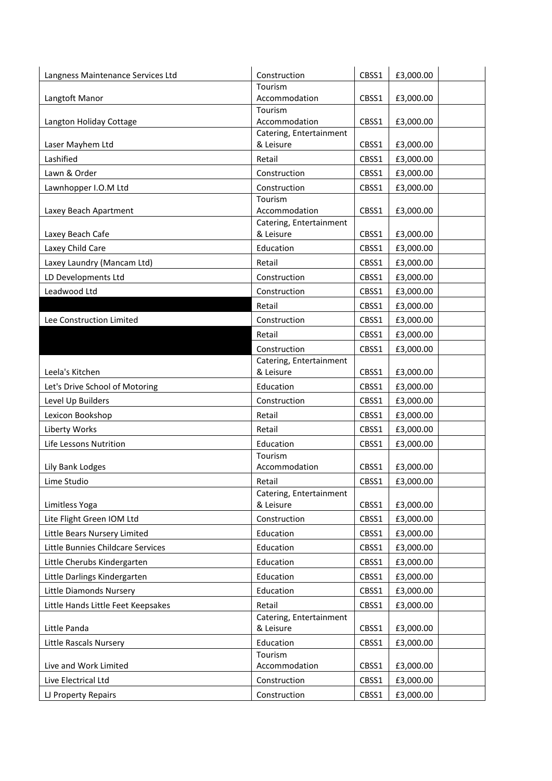| Langness Maintenance Services Ltd  | Construction                         | CBSS1 | £3,000.00 |
|------------------------------------|--------------------------------------|-------|-----------|
|                                    | Tourism                              |       |           |
| Langtoft Manor                     | Accommodation                        | CBSS1 | £3,000.00 |
| Langton Holiday Cottage            | Tourism<br>Accommodation             | CBSS1 | £3,000.00 |
|                                    | Catering, Entertainment              |       |           |
| Laser Mayhem Ltd                   | & Leisure                            | CBSS1 | £3,000.00 |
| Lashified                          | Retail                               | CBSS1 | £3,000.00 |
| Lawn & Order                       | Construction                         | CBSS1 | £3,000.00 |
| Lawnhopper I.O.M Ltd               | Construction                         | CBSS1 | £3,000.00 |
|                                    | Tourism                              |       |           |
| Laxey Beach Apartment              | Accommodation                        | CBSS1 | £3,000.00 |
| Laxey Beach Cafe                   | Catering, Entertainment<br>& Leisure | CBSS1 | £3,000.00 |
| Laxey Child Care                   | Education                            | CBSS1 | £3,000.00 |
| Laxey Laundry (Mancam Ltd)         | Retail                               | CBSS1 | £3,000.00 |
| LD Developments Ltd                | Construction                         | CBSS1 | £3,000.00 |
| Leadwood Ltd                       | Construction                         | CBSS1 | £3,000.00 |
|                                    | Retail                               | CBSS1 | £3,000.00 |
| Lee Construction Limited           | Construction                         | CBSS1 | £3,000.00 |
|                                    | Retail                               | CBSS1 | £3,000.00 |
|                                    | Construction                         | CBSS1 | £3,000.00 |
|                                    | Catering, Entertainment              |       |           |
| Leela's Kitchen                    | & Leisure                            | CBSS1 | £3,000.00 |
| Let's Drive School of Motoring     | Education                            | CBSS1 | £3,000.00 |
| Level Up Builders                  | Construction                         | CBSS1 | £3,000.00 |
| Lexicon Bookshop                   | Retail                               | CBSS1 | £3,000.00 |
| Liberty Works                      | Retail                               | CBSS1 | £3,000.00 |
| Life Lessons Nutrition             | Education                            | CBSS1 | £3,000.00 |
|                                    | Tourism                              |       |           |
| Lily Bank Lodges                   | Accommodation                        | CBSS1 | £3,000.00 |
| Lime Studio                        | Retail<br>Catering, Entertainment    | CBSS1 | £3,000.00 |
| Limitless Yoga                     | & Leisure                            | CBSS1 | £3,000.00 |
| Lite Flight Green IOM Ltd          | Construction                         | CBSS1 | £3,000.00 |
| Little Bears Nursery Limited       | Education                            | CBSS1 | £3,000.00 |
| Little Bunnies Childcare Services  | Education                            | CBSS1 | £3,000.00 |
| Little Cherubs Kindergarten        | Education                            | CBSS1 | £3,000.00 |
| Little Darlings Kindergarten       | Education                            | CBSS1 | £3,000.00 |
| Little Diamonds Nursery            | Education                            | CBSS1 | £3,000.00 |
| Little Hands Little Feet Keepsakes | Retail                               | CBSS1 | £3,000.00 |
|                                    | Catering, Entertainment              |       |           |
| Little Panda                       | & Leisure                            | CBSS1 | £3,000.00 |
| Little Rascals Nursery             | Education                            | CBSS1 | £3,000.00 |
| Live and Work Limited              | Tourism<br>Accommodation             | CBSS1 | £3,000.00 |
| Live Electrical Ltd                | Construction                         | CBSS1 | £3,000.00 |
|                                    | Construction                         | CBSS1 | £3,000.00 |
| LJ Property Repairs                |                                      |       |           |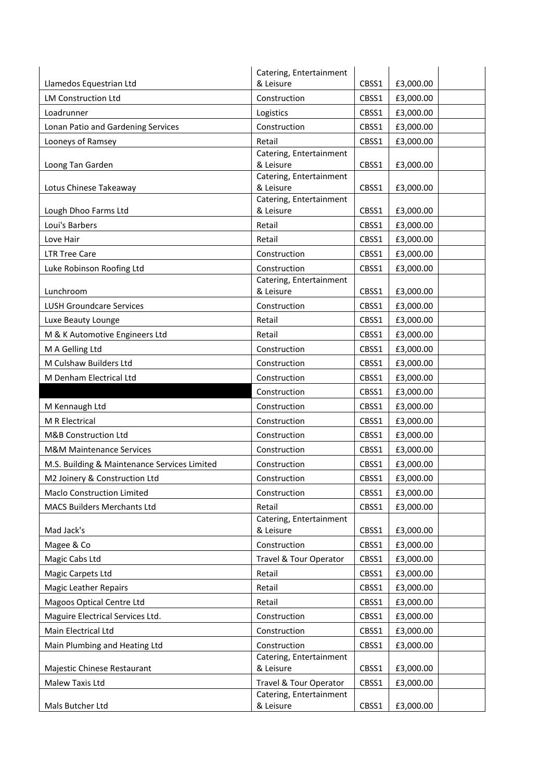|                                              | Catering, Entertainment              |       |           |
|----------------------------------------------|--------------------------------------|-------|-----------|
| Llamedos Equestrian Ltd                      | & Leisure                            | CBSS1 | £3,000.00 |
| <b>LM Construction Ltd</b>                   | Construction                         | CBSS1 | £3,000.00 |
| Loadrunner                                   | Logistics                            | CBSS1 | £3,000.00 |
| Lonan Patio and Gardening Services           | Construction                         | CBSS1 | £3,000.00 |
| Looneys of Ramsey                            | Retail                               | CBSS1 | £3,000.00 |
|                                              | Catering, Entertainment              |       |           |
| Loong Tan Garden                             | & Leisure                            | CBSS1 | £3,000.00 |
| Lotus Chinese Takeaway                       | Catering, Entertainment<br>& Leisure | CBSS1 | £3,000.00 |
|                                              | Catering, Entertainment              |       |           |
| Lough Dhoo Farms Ltd                         | & Leisure                            | CBSS1 | £3,000.00 |
| Loui's Barbers                               | Retail                               | CBSS1 | £3,000.00 |
| Love Hair                                    | Retail                               | CBSS1 | £3,000.00 |
| <b>LTR Tree Care</b>                         | Construction                         | CBSS1 | £3,000.00 |
| Luke Robinson Roofing Ltd                    | Construction                         | CBSS1 | £3,000.00 |
|                                              | Catering, Entertainment              |       |           |
| Lunchroom                                    | & Leisure                            | CBSS1 | £3,000.00 |
| <b>LUSH Groundcare Services</b>              | Construction                         | CBSS1 | £3,000.00 |
| Luxe Beauty Lounge                           | Retail                               | CBSS1 | £3,000.00 |
| M & K Automotive Engineers Ltd               | Retail                               | CBSS1 | £3,000.00 |
| M A Gelling Ltd                              | Construction                         | CBSS1 | £3,000.00 |
| M Culshaw Builders Ltd                       | Construction                         | CBSS1 | £3,000.00 |
| M Denham Electrical Ltd                      | Construction                         | CBSS1 | £3,000.00 |
|                                              | Construction                         | CBSS1 | £3,000.00 |
| M Kennaugh Ltd                               | Construction                         | CBSS1 | £3,000.00 |
| M R Electrical                               | Construction                         | CBSS1 | £3,000.00 |
| M&B Construction Ltd                         | Construction                         | CBSS1 | £3,000.00 |
| <b>M&amp;M Maintenance Services</b>          | Construction                         | CBSS1 | £3,000.00 |
| M.S. Building & Maintenance Services Limited | Construction                         | CBSS1 | £3,000.00 |
| M2 Joinery & Construction Ltd                | Construction                         | CBSS1 | £3,000.00 |
| Maclo Construction Limited                   | Construction                         | CBSS1 | £3,000.00 |
| <b>MACS Builders Merchants Ltd</b>           | Retail                               | CBSS1 | £3,000.00 |
|                                              | Catering, Entertainment              |       |           |
| Mad Jack's                                   | & Leisure                            | CBSS1 | £3,000.00 |
| Magee & Co                                   | Construction                         | CBSS1 | £3,000.00 |
| Magic Cabs Ltd                               | Travel & Tour Operator               | CBSS1 | £3,000.00 |
| Magic Carpets Ltd                            | Retail                               | CBSS1 | £3,000.00 |
| <b>Magic Leather Repairs</b>                 | Retail                               | CBSS1 | £3,000.00 |
| Magoos Optical Centre Ltd                    | Retail                               | CBSS1 | £3,000.00 |
| Maguire Electrical Services Ltd.             | Construction                         | CBSS1 | £3,000.00 |
| Main Electrical Ltd                          | Construction                         | CBSS1 | £3,000.00 |
| Main Plumbing and Heating Ltd                | Construction                         | CBSS1 | £3,000.00 |
| Majestic Chinese Restaurant                  | Catering, Entertainment<br>& Leisure | CBSS1 | £3,000.00 |
| Malew Taxis Ltd                              | Travel & Tour Operator               | CBSS1 | £3,000.00 |
|                                              | Catering, Entertainment              |       |           |
| Mals Butcher Ltd                             | & Leisure                            | CBSS1 | £3,000.00 |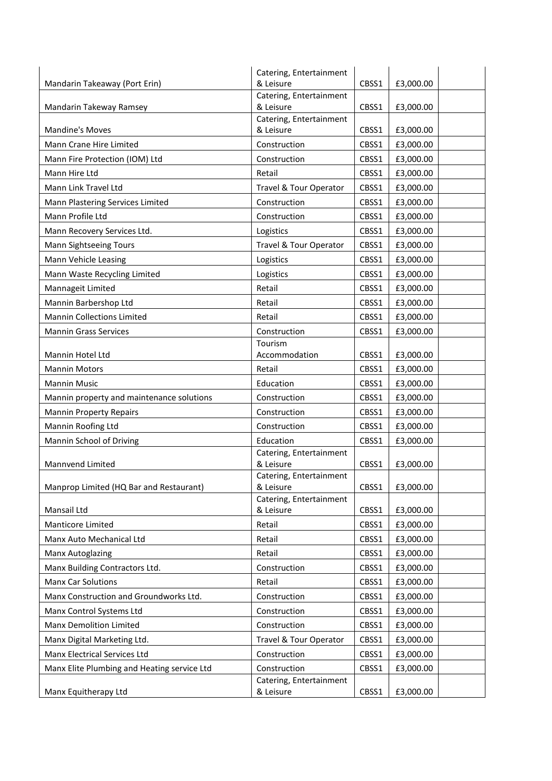|                                             | Catering, Entertainment              |       |           |
|---------------------------------------------|--------------------------------------|-------|-----------|
| Mandarin Takeaway (Port Erin)               | & Leisure                            | CBSS1 | £3,000.00 |
|                                             | Catering, Entertainment<br>& Leisure |       |           |
| Mandarin Takeway Ramsey                     | Catering, Entertainment              | CBSS1 | £3,000.00 |
| <b>Mandine's Moves</b>                      | & Leisure                            | CBSS1 | £3,000.00 |
| Mann Crane Hire Limited                     | Construction                         | CBSS1 | £3,000.00 |
| Mann Fire Protection (IOM) Ltd              | Construction                         | CBSS1 | £3,000.00 |
| Mann Hire Ltd                               | Retail                               | CBSS1 | £3,000.00 |
| Mann Link Travel Ltd                        | Travel & Tour Operator               | CBSS1 | £3,000.00 |
| Mann Plastering Services Limited            | Construction                         | CBSS1 | £3,000.00 |
| Mann Profile Ltd                            | Construction                         | CBSS1 | £3,000.00 |
| Mann Recovery Services Ltd.                 | Logistics                            | CBSS1 | £3,000.00 |
| Mann Sightseeing Tours                      | Travel & Tour Operator               | CBSS1 | £3,000.00 |
| Mann Vehicle Leasing                        | Logistics                            | CBSS1 | £3,000.00 |
| Mann Waste Recycling Limited                | Logistics                            | CBSS1 | £3,000.00 |
| Mannageit Limited                           | Retail                               | CBSS1 | £3,000.00 |
| Mannin Barbershop Ltd                       | Retail                               | CBSS1 | £3,000.00 |
| <b>Mannin Collections Limited</b>           | Retail                               | CBSS1 | £3,000.00 |
| <b>Mannin Grass Services</b>                | Construction                         | CBSS1 | £3,000.00 |
|                                             | Tourism                              |       |           |
| Mannin Hotel Ltd                            | Accommodation                        | CBSS1 | £3,000.00 |
| <b>Mannin Motors</b>                        | Retail                               | CBSS1 | £3,000.00 |
| <b>Mannin Music</b>                         | Education                            | CBSS1 | £3,000.00 |
| Mannin property and maintenance solutions   | Construction                         | CBSS1 | £3,000.00 |
| <b>Mannin Property Repairs</b>              | Construction                         | CBSS1 | £3,000.00 |
| Mannin Roofing Ltd                          | Construction                         | CBSS1 | £3,000.00 |
| Mannin School of Driving                    | Education                            | CBSS1 | £3,000.00 |
|                                             | Catering, Entertainment              |       |           |
| Mannvend Limited                            | & Leisure                            | CBSS1 | £3,000.00 |
| Manprop Limited (HQ Bar and Restaurant)     | Catering, Entertainment<br>& Leisure | CBSS1 | £3,000.00 |
|                                             | Catering, Entertainment              |       |           |
| Mansail Ltd                                 | & Leisure                            | CBSS1 | £3,000.00 |
| Manticore Limited                           | Retail                               | CBSS1 | £3,000.00 |
| Manx Auto Mechanical Ltd                    | Retail                               | CBSS1 | £3,000.00 |
| Manx Autoglazing                            | Retail                               | CBSS1 | £3,000.00 |
| Manx Building Contractors Ltd.              | Construction                         | CBSS1 | £3,000.00 |
| Manx Car Solutions                          | Retail                               | CBSS1 | £3,000.00 |
| Manx Construction and Groundworks Ltd.      | Construction                         | CBSS1 | £3,000.00 |
| Manx Control Systems Ltd                    | Construction                         | CBSS1 | £3,000.00 |
| Manx Demolition Limited                     | Construction                         | CBSS1 | £3,000.00 |
| Manx Digital Marketing Ltd.                 | Travel & Tour Operator               | CBSS1 | £3,000.00 |
| Manx Electrical Services Ltd                | Construction                         | CBSS1 | £3,000.00 |
| Manx Elite Plumbing and Heating service Ltd | Construction                         | CBSS1 | £3,000.00 |
|                                             | Catering, Entertainment              |       |           |
| Manx Equitherapy Ltd                        | & Leisure                            | CBSS1 | £3,000.00 |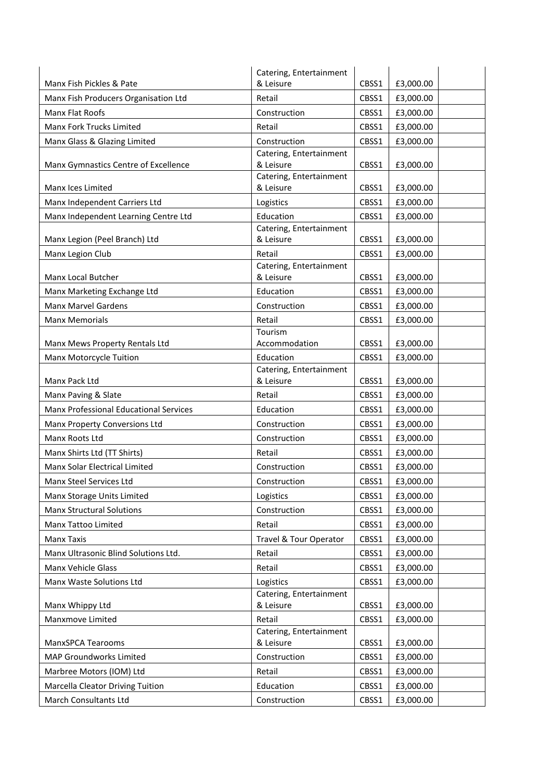|                                        | Catering, Entertainment              |       |           |
|----------------------------------------|--------------------------------------|-------|-----------|
| Manx Fish Pickles & Pate               | & Leisure                            | CBSS1 | £3,000.00 |
| Manx Fish Producers Organisation Ltd   | Retail                               | CBSS1 | £3,000.00 |
| Manx Flat Roofs                        | Construction                         | CBSS1 | £3,000.00 |
| Manx Fork Trucks Limited               | Retail                               | CBSS1 | £3,000.00 |
| Manx Glass & Glazing Limited           | Construction                         | CBSS1 | £3,000.00 |
|                                        | Catering, Entertainment              |       |           |
| Manx Gymnastics Centre of Excellence   | & Leisure                            | CBSS1 | £3,000.00 |
| Manx Ices Limited                      | Catering, Entertainment<br>& Leisure | CBSS1 | £3,000.00 |
| Manx Independent Carriers Ltd          | Logistics                            | CBSS1 | £3,000.00 |
| Manx Independent Learning Centre Ltd   | Education                            | CBSS1 | £3,000.00 |
|                                        | Catering, Entertainment              |       |           |
| Manx Legion (Peel Branch) Ltd          | & Leisure                            | CBSS1 | £3,000.00 |
| Manx Legion Club                       | Retail                               | CBSS1 | £3,000.00 |
|                                        | Catering, Entertainment              |       |           |
| Manx Local Butcher                     | & Leisure                            | CBSS1 | £3,000.00 |
| Manx Marketing Exchange Ltd            | Education                            | CBSS1 | £3,000.00 |
| Manx Marvel Gardens                    | Construction                         | CBSS1 | £3,000.00 |
| <b>Manx Memorials</b>                  | Retail                               | CBSS1 | £3,000.00 |
|                                        | Tourism                              |       |           |
| Manx Mews Property Rentals Ltd         | Accommodation                        | CBSS1 | £3,000.00 |
| Manx Motorcycle Tuition                | Education<br>Catering, Entertainment | CBSS1 | £3,000.00 |
| Manx Pack Ltd                          | & Leisure                            | CBSS1 | £3,000.00 |
| Manx Paving & Slate                    | Retail                               | CBSS1 | £3,000.00 |
| Manx Professional Educational Services | Education                            | CBSS1 | £3,000.00 |
| Manx Property Conversions Ltd          | Construction                         | CBSS1 | £3,000.00 |
| Manx Roots Ltd                         | Construction                         | CBSS1 | £3,000.00 |
| Manx Shirts Ltd (TT Shirts)            | Retail                               | CBSS1 | £3,000.00 |
| Manx Solar Electrical Limited          | Construction                         | CBSS1 | £3,000.00 |
| Manx Steel Services Ltd                | Construction                         | CBSS1 | £3,000.00 |
| Manx Storage Units Limited             | Logistics                            | CBSS1 | £3,000.00 |
| <b>Manx Structural Solutions</b>       | Construction                         | CBSS1 | £3,000.00 |
| Manx Tattoo Limited                    | Retail                               | CBSS1 | £3,000.00 |
| Manx Taxis                             | <b>Travel &amp; Tour Operator</b>    | CBSS1 | £3,000.00 |
| Manx Ultrasonic Blind Solutions Ltd.   | Retail                               | CBSS1 | £3,000.00 |
| Manx Vehicle Glass                     | Retail                               | CBSS1 | £3,000.00 |
| Manx Waste Solutions Ltd               | Logistics                            | CBSS1 | £3,000.00 |
|                                        | Catering, Entertainment              |       |           |
| Manx Whippy Ltd                        | & Leisure                            | CBSS1 | £3,000.00 |
| Manxmove Limited                       | Retail                               | CBSS1 | £3,000.00 |
| ManxSPCA Tearooms                      | Catering, Entertainment<br>& Leisure | CBSS1 | £3,000.00 |
|                                        |                                      |       |           |
| MAP Groundworks Limited                | Construction                         | CBSS1 | £3,000.00 |
| Marbree Motors (IOM) Ltd               | Retail                               | CBSS1 | £3,000.00 |
| Marcella Cleator Driving Tuition       | Education                            | CBSS1 | £3,000.00 |
| March Consultants Ltd                  | Construction                         | CBSS1 | £3,000.00 |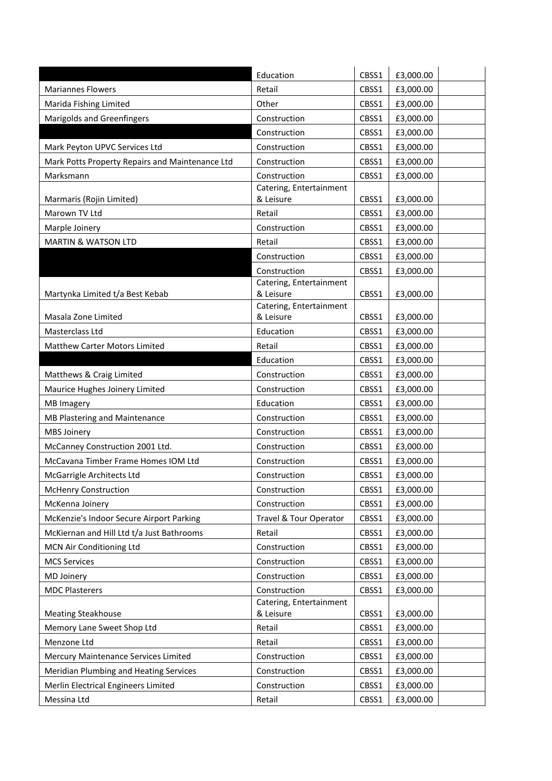|                                                 | Education                               | CBSS1 | £3,000.00 |
|-------------------------------------------------|-----------------------------------------|-------|-----------|
| <b>Mariannes Flowers</b>                        | Retail                                  | CBSS1 | £3,000.00 |
| Marida Fishing Limited                          | Other                                   | CBSS1 | £3,000.00 |
| Marigolds and Greenfingers                      | Construction                            | CBSS1 | £3,000.00 |
|                                                 | Construction                            | CBSS1 | £3,000.00 |
| Mark Peyton UPVC Services Ltd                   | Construction                            | CBSS1 | £3,000.00 |
| Mark Potts Property Repairs and Maintenance Ltd | Construction                            | CBSS1 | £3,000.00 |
| Marksmann                                       | Construction                            | CBSS1 | £3,000.00 |
|                                                 | Catering, Entertainment                 |       |           |
| Marmaris (Rojin Limited)                        | & Leisure                               | CBSS1 | £3,000.00 |
| Marown TV Ltd                                   | Retail                                  | CBSS1 | £3,000.00 |
| Marple Joinery                                  | Construction                            | CBSS1 | £3,000.00 |
| <b>MARTIN &amp; WATSON LTD</b>                  | Retail                                  | CBSS1 | £3,000.00 |
|                                                 | Construction                            | CBSS1 | £3,000.00 |
|                                                 | Construction<br>Catering, Entertainment | CBSS1 | £3,000.00 |
| Martynka Limited t/a Best Kebab                 | & Leisure                               | CBSS1 | £3,000.00 |
|                                                 | Catering, Entertainment                 |       |           |
| Masala Zone Limited                             | & Leisure                               | CBSS1 | £3,000.00 |
| Masterclass Ltd                                 | Education                               | CBSS1 | £3,000.00 |
| Matthew Carter Motors Limited                   | Retail                                  | CBSS1 | £3,000.00 |
|                                                 | Education                               | CBSS1 | £3,000.00 |
| Matthews & Craig Limited                        | Construction                            | CBSS1 | £3,000.00 |
| Maurice Hughes Joinery Limited                  | Construction                            | CBSS1 | £3,000.00 |
| <b>MB Imagery</b>                               | Education                               | CBSS1 | £3,000.00 |
| MB Plastering and Maintenance                   | Construction                            | CBSS1 | £3,000.00 |
| <b>MBS Joinery</b>                              | Construction                            | CBSS1 | £3,000.00 |
| McCanney Construction 2001 Ltd.                 | Construction                            | CBSS1 | £3,000.00 |
| McCavana Timber Frame Homes IOM Ltd             | Construction                            | CBSS1 | £3,000.00 |
| McGarrigle Architects Ltd                       | Construction                            | CBSS1 | £3,000.00 |
| <b>McHenry Construction</b>                     | Construction                            | CBSS1 | £3,000.00 |
| McKenna Joinery                                 | Construction                            | CBSS1 | £3,000.00 |
| McKenzie's Indoor Secure Airport Parking        | Travel & Tour Operator                  | CBSS1 | £3,000.00 |
| McKiernan and Hill Ltd t/a Just Bathrooms       | Retail                                  | CBSS1 | £3,000.00 |
| MCN Air Conditioning Ltd                        | Construction                            | CBSS1 | £3,000.00 |
| <b>MCS Services</b>                             | Construction                            | CBSS1 | £3,000.00 |
| MD Joinery                                      | Construction                            | CBSS1 | £3,000.00 |
| <b>MDC Plasterers</b>                           | Construction                            | CBSS1 | £3,000.00 |
| <b>Meating Steakhouse</b>                       | Catering, Entertainment<br>& Leisure    | CBSS1 | £3,000.00 |
| Memory Lane Sweet Shop Ltd                      | Retail                                  | CBSS1 | £3,000.00 |
| Menzone Ltd                                     | Retail                                  | CBSS1 | £3,000.00 |
| Mercury Maintenance Services Limited            | Construction                            | CBSS1 | £3,000.00 |
| Meridian Plumbing and Heating Services          | Construction                            | CBSS1 | £3,000.00 |
|                                                 | Construction                            | CBSS1 |           |
| Merlin Electrical Engineers Limited             |                                         |       | £3,000.00 |
| Messina Ltd                                     | Retail                                  | CBSS1 | £3,000.00 |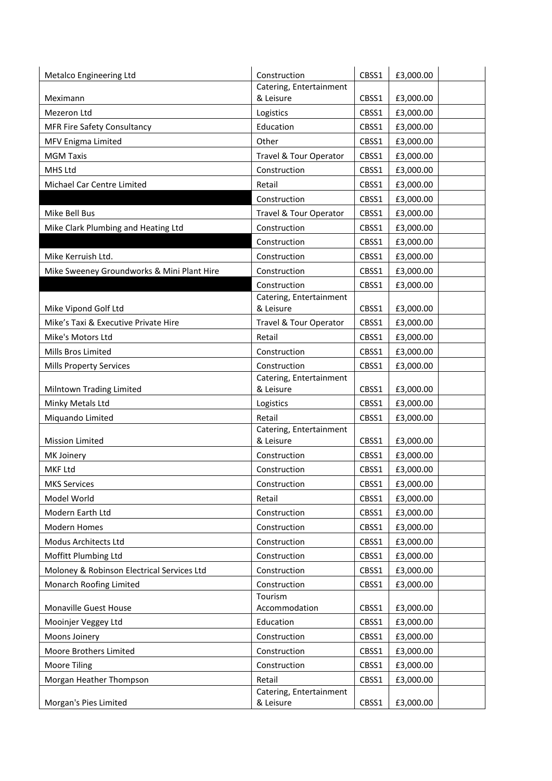| Metalco Engineering Ltd                    | Construction                         | CBSS1 | £3,000.00 |
|--------------------------------------------|--------------------------------------|-------|-----------|
|                                            | Catering, Entertainment              |       |           |
| Meximann                                   | & Leisure                            | CBSS1 | £3,000.00 |
| Mezeron Ltd                                | Logistics                            | CBSS1 | £3,000.00 |
| <b>MFR Fire Safety Consultancy</b>         | Education                            | CBSS1 | £3,000.00 |
| MFV Enigma Limited                         | Other                                | CBSS1 | £3,000.00 |
| <b>MGM Taxis</b>                           | Travel & Tour Operator               | CBSS1 | £3,000.00 |
| MHS Ltd                                    | Construction                         | CBSS1 | £3,000.00 |
| Michael Car Centre Limited                 | Retail                               | CBSS1 | £3,000.00 |
|                                            | Construction                         | CBSS1 | £3,000.00 |
| Mike Bell Bus                              | Travel & Tour Operator               | CBSS1 | £3,000.00 |
| Mike Clark Plumbing and Heating Ltd        | Construction                         | CBSS1 | £3,000.00 |
|                                            | Construction                         | CBSS1 | £3,000.00 |
| Mike Kerruish Ltd.                         | Construction                         | CBSS1 | £3,000.00 |
| Mike Sweeney Groundworks & Mini Plant Hire | Construction                         | CBSS1 | £3,000.00 |
|                                            | Construction                         | CBSS1 | £3,000.00 |
| Mike Vipond Golf Ltd                       | Catering, Entertainment<br>& Leisure | CBSS1 | £3,000.00 |
| Mike's Taxi & Executive Private Hire       | Travel & Tour Operator               | CBSS1 | £3,000.00 |
| Mike's Motors Ltd                          | Retail                               | CBSS1 | £3,000.00 |
| Mills Bros Limited                         | Construction                         | CBSS1 | £3,000.00 |
| <b>Mills Property Services</b>             | Construction                         | CBSS1 | £3,000.00 |
|                                            | Catering, Entertainment              |       |           |
| Milntown Trading Limited                   | & Leisure                            | CBSS1 | £3,000.00 |
| Minky Metals Ltd                           | Logistics                            | CBSS1 | £3,000.00 |
| Miquando Limited                           | Retail                               | CBSS1 | £3,000.00 |
| <b>Mission Limited</b>                     | Catering, Entertainment<br>& Leisure | CBSS1 | £3,000.00 |
| MK Joinery                                 | Construction                         | CBSS1 | £3,000.00 |
| MKF Ltd                                    | Construction                         | CBSS1 | £3,000.00 |
| <b>MKS Services</b>                        | Construction                         | CBSS1 | £3,000.00 |
| Model World                                | Retail                               | CBSS1 | £3,000.00 |
| Modern Earth Ltd                           | Construction                         | CBSS1 | £3,000.00 |
| Modern Homes                               | Construction                         | CBSS1 | £3,000.00 |
| Modus Architects Ltd                       | Construction                         | CBSS1 | £3,000.00 |
|                                            |                                      |       |           |
| Moffitt Plumbing Ltd                       | Construction                         | CBSS1 | £3,000.00 |
| Moloney & Robinson Electrical Services Ltd | Construction                         | CBSS1 | £3,000.00 |
| Monarch Roofing Limited                    | Construction<br>Tourism              | CBSS1 | £3,000.00 |
| Monaville Guest House                      | Accommodation                        | CBSS1 | £3,000.00 |
| Mooinjer Veggey Ltd                        | Education                            | CBSS1 | £3,000.00 |
| Moons Joinery                              | Construction                         | CBSS1 | £3,000.00 |
| Moore Brothers Limited                     | Construction                         | CBSS1 | £3,000.00 |
| <b>Moore Tiling</b>                        | Construction                         | CBSS1 | £3,000.00 |
| Morgan Heather Thompson                    | Retail                               | CBSS1 | £3,000.00 |
|                                            | Catering, Entertainment              |       |           |
| Morgan's Pies Limited                      | & Leisure                            | CBSS1 | £3,000.00 |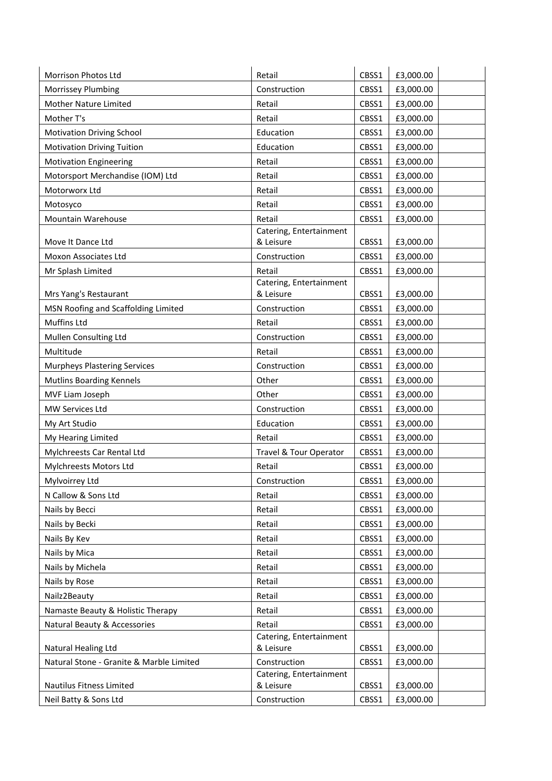| Morrison Photos Ltd                                | Retail                               | CBSS1 | £3,000.00 |
|----------------------------------------------------|--------------------------------------|-------|-----------|
| Morrissey Plumbing                                 | Construction                         | CBSS1 | £3,000.00 |
| Mother Nature Limited                              | Retail                               | CBSS1 | £3,000.00 |
| Mother T's                                         | Retail                               | CBSS1 | £3,000.00 |
| <b>Motivation Driving School</b>                   | Education                            | CBSS1 | £3,000.00 |
| <b>Motivation Driving Tuition</b>                  | Education                            | CBSS1 | £3,000.00 |
| <b>Motivation Engineering</b>                      | Retail                               | CBSS1 | £3,000.00 |
| Motorsport Merchandise (IOM) Ltd                   | Retail                               | CBSS1 | £3,000.00 |
| Motorworx Ltd                                      | Retail                               | CBSS1 | £3,000.00 |
| Motosyco                                           | Retail                               | CBSS1 | £3,000.00 |
| Mountain Warehouse                                 | Retail                               | CBSS1 | £3,000.00 |
|                                                    | Catering, Entertainment              |       |           |
| Move It Dance Ltd                                  | & Leisure                            | CBSS1 | £3,000.00 |
| Moxon Associates Ltd                               | Construction                         | CBSS1 | £3,000.00 |
| Mr Splash Limited                                  | Retail                               | CBSS1 | £3,000.00 |
| Mrs Yang's Restaurant                              | Catering, Entertainment<br>& Leisure | CBSS1 | £3,000.00 |
|                                                    | Construction                         | CBSS1 | £3,000.00 |
| MSN Roofing and Scaffolding Limited<br>Muffins Ltd | Retail                               |       |           |
|                                                    |                                      | CBSS1 | £3,000.00 |
| Mullen Consulting Ltd                              | Construction                         | CBSS1 | £3,000.00 |
| Multitude                                          | Retail                               | CBSS1 | £3,000.00 |
| <b>Murpheys Plastering Services</b>                | Construction                         | CBSS1 | £3,000.00 |
| <b>Mutlins Boarding Kennels</b>                    | Other                                | CBSS1 | £3,000.00 |
| MVF Liam Joseph                                    | Other                                | CBSS1 | £3,000.00 |
| MW Services Ltd                                    | Construction                         | CBSS1 | £3,000.00 |
| My Art Studio                                      | Education                            | CBSS1 | £3,000.00 |
| My Hearing Limited                                 | Retail                               | CBSS1 | £3,000.00 |
| Mylchreests Car Rental Ltd                         | Travel & Tour Operator               | CBSS1 | £3,000.00 |
| Mylchreests Motors Ltd                             | Retail                               | CBSS1 | £3,000.00 |
| Mylvoirrey Ltd                                     | Construction                         | CBSS1 | £3,000.00 |
| N Callow & Sons Ltd                                | Retail                               | CBSS1 | £3,000.00 |
| Nails by Becci                                     | Retail                               | CBSS1 | £3,000.00 |
| Nails by Becki                                     | Retail                               | CBSS1 | £3,000.00 |
| Nails By Kev                                       | Retail                               | CBSS1 | £3,000.00 |
| Nails by Mica                                      | Retail                               | CBSS1 | £3,000.00 |
| Nails by Michela                                   | Retail                               | CBSS1 | £3,000.00 |
| Nails by Rose                                      | Retail                               | CBSS1 | £3,000.00 |
| Nailz2Beauty                                       | Retail                               | CBSS1 | £3,000.00 |
| Namaste Beauty & Holistic Therapy                  | Retail                               | CBSS1 | £3,000.00 |
| Natural Beauty & Accessories                       | Retail                               | CBSS1 | £3,000.00 |
|                                                    | Catering, Entertainment              |       |           |
| Natural Healing Ltd                                | & Leisure                            | CBSS1 | £3,000.00 |
| Natural Stone - Granite & Marble Limited           | Construction                         | CBSS1 | £3,000.00 |
| Nautilus Fitness Limited                           | Catering, Entertainment<br>& Leisure | CBSS1 | £3,000.00 |
| Neil Batty & Sons Ltd                              | Construction                         | CBSS1 | £3,000.00 |
|                                                    |                                      |       |           |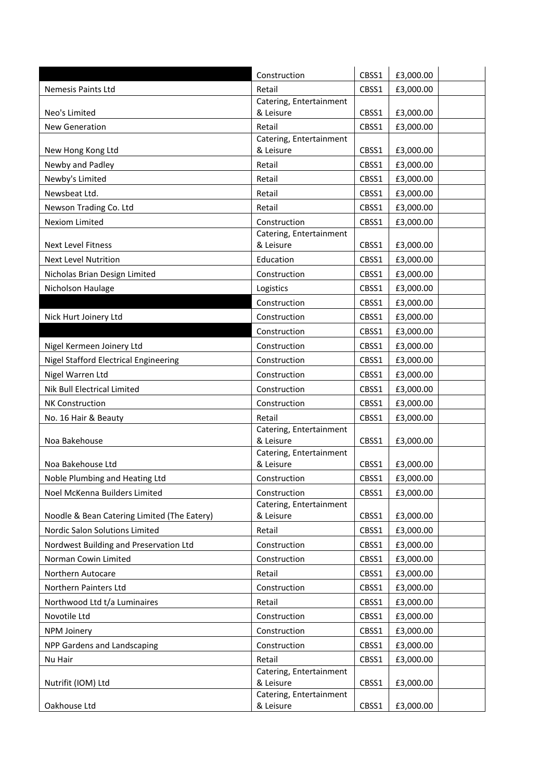|                                              | Construction                         | CBSS1 | £3,000.00 |
|----------------------------------------------|--------------------------------------|-------|-----------|
| Nemesis Paints Ltd                           | Retail                               | CBSS1 | £3,000.00 |
|                                              | Catering, Entertainment              |       |           |
| Neo's Limited                                | & Leisure                            | CBSS1 | £3,000.00 |
| <b>New Generation</b>                        | Retail                               | CBSS1 | £3,000.00 |
| New Hong Kong Ltd                            | Catering, Entertainment<br>& Leisure | CBSS1 | £3,000.00 |
| Newby and Padley                             | Retail                               | CBSS1 | £3,000.00 |
| Newby's Limited                              | Retail                               | CBSS1 | £3,000.00 |
| Newsbeat Ltd.                                | Retail                               | CBSS1 | £3,000.00 |
| Newson Trading Co. Ltd                       | Retail                               | CBSS1 | £3,000.00 |
| Nexiom Limited                               | Construction                         | CBSS1 | £3,000.00 |
|                                              | Catering, Entertainment              |       |           |
| <b>Next Level Fitness</b>                    | & Leisure                            | CBSS1 | £3,000.00 |
| <b>Next Level Nutrition</b>                  | Education                            | CBSS1 | £3,000.00 |
| Nicholas Brian Design Limited                | Construction                         | CBSS1 | £3,000.00 |
| Nicholson Haulage                            | Logistics                            | CBSS1 | £3,000.00 |
|                                              | Construction                         | CBSS1 | £3,000.00 |
| Nick Hurt Joinery Ltd                        | Construction                         | CBSS1 | £3,000.00 |
|                                              | Construction                         | CBSS1 | £3,000.00 |
| Nigel Kermeen Joinery Ltd                    | Construction                         | CBSS1 | £3,000.00 |
| <b>Nigel Stafford Electrical Engineering</b> | Construction                         | CBSS1 | £3,000.00 |
| Nigel Warren Ltd                             | Construction                         | CBSS1 | £3,000.00 |
| Nik Bull Electrical Limited                  | Construction                         | CBSS1 | £3,000.00 |
| <b>NK Construction</b>                       | Construction                         | CBSS1 | £3,000.00 |
| No. 16 Hair & Beauty                         | Retail                               | CBSS1 | £3,000.00 |
|                                              | Catering, Entertainment              |       |           |
| Noa Bakehouse                                | & Leisure<br>Catering, Entertainment | CBSS1 | £3,000.00 |
| Noa Bakehouse Ltd                            | & Leisure                            | CBSS1 | £3,000.00 |
| Noble Plumbing and Heating Ltd               | Construction                         | CBSS1 | £3,000.00 |
| Noel McKenna Builders Limited                | Construction                         | CBSS1 | £3,000.00 |
|                                              | Catering, Entertainment              |       |           |
| Noodle & Bean Catering Limited (The Eatery)  | & Leisure                            | CBSS1 | £3,000.00 |
| Nordic Salon Solutions Limited               | Retail                               | CBSS1 | £3,000.00 |
| Nordwest Building and Preservation Ltd       | Construction                         | CBSS1 | £3,000.00 |
| Norman Cowin Limited                         | Construction                         | CBSS1 | £3,000.00 |
| Northern Autocare                            | Retail                               | CBSS1 | £3,000.00 |
| Northern Painters Ltd                        | Construction                         | CBSS1 | £3,000.00 |
| Northwood Ltd t/a Luminaires                 | Retail                               | CBSS1 | £3,000.00 |
| Novotile Ltd                                 | Construction                         | CBSS1 | £3,000.00 |
| <b>NPM Joinery</b>                           | Construction                         | CBSS1 | £3,000.00 |
| NPP Gardens and Landscaping                  | Construction                         | CBSS1 | £3,000.00 |
| Nu Hair                                      | Retail                               | CBSS1 | £3,000.00 |
| Nutrifit (IOM) Ltd                           | Catering, Entertainment<br>& Leisure | CBSS1 | £3,000.00 |
|                                              | Catering, Entertainment              |       |           |
| Oakhouse Ltd                                 | & Leisure                            | CBSS1 | £3,000.00 |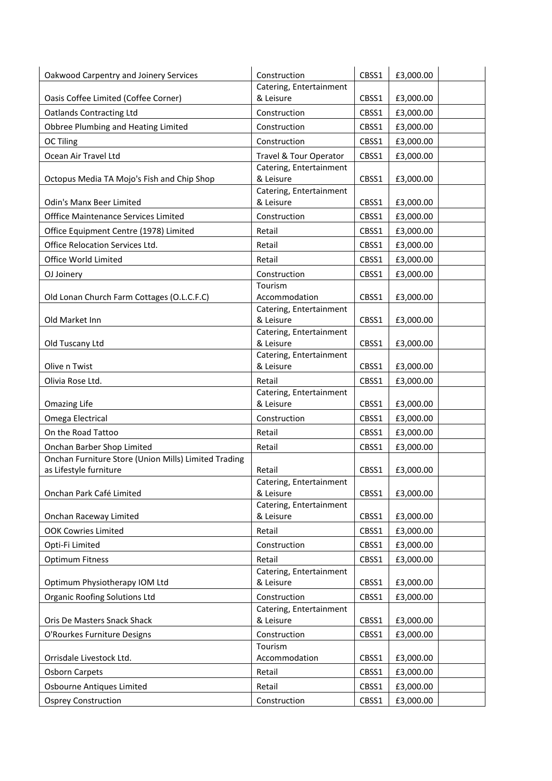| Oakwood Carpentry and Joinery Services               | Construction                         | CBSS1 | £3,000.00 |
|------------------------------------------------------|--------------------------------------|-------|-----------|
|                                                      | Catering, Entertainment              |       |           |
| Oasis Coffee Limited (Coffee Corner)                 | & Leisure                            | CBSS1 | £3,000.00 |
| <b>Oatlands Contracting Ltd</b>                      | Construction                         | CBSS1 | £3,000.00 |
| Obbree Plumbing and Heating Limited                  | Construction                         | CBSS1 | £3,000.00 |
| <b>OC Tiling</b>                                     | Construction                         | CBSS1 | £3,000.00 |
| Ocean Air Travel Ltd                                 | Travel & Tour Operator               | CBSS1 | £3,000.00 |
|                                                      | Catering, Entertainment              |       |           |
| Octopus Media TA Mojo's Fish and Chip Shop           | & Leisure                            | CBSS1 | £3,000.00 |
| <b>Odin's Manx Beer Limited</b>                      | Catering, Entertainment<br>& Leisure | CBSS1 | £3,000.00 |
| Offfice Maintenance Services Limited                 | Construction                         | CBSS1 | £3,000.00 |
| Office Equipment Centre (1978) Limited               | Retail                               | CBSS1 | £3,000.00 |
| Office Relocation Services Ltd.                      | Retail                               | CBSS1 | £3,000.00 |
|                                                      |                                      |       |           |
| Office World Limited                                 | Retail                               | CBSS1 | £3,000.00 |
| OJ Joinery                                           | Construction<br>Tourism              | CBSS1 | £3,000.00 |
| Old Lonan Church Farm Cottages (O.L.C.F.C)           | Accommodation                        | CBSS1 | £3,000.00 |
|                                                      | Catering, Entertainment              |       |           |
| Old Market Inn                                       | & Leisure                            | CBSS1 | £3,000.00 |
|                                                      | Catering, Entertainment              |       |           |
| Old Tuscany Ltd                                      | & Leisure                            | CBSS1 | £3,000.00 |
| Olive n Twist                                        | Catering, Entertainment<br>& Leisure | CBSS1 | £3,000.00 |
|                                                      |                                      |       |           |
| Olivia Rose Ltd.                                     | Retail<br>Catering, Entertainment    | CBSS1 | £3,000.00 |
| <b>Omazing Life</b>                                  | & Leisure                            | CBSS1 | £3,000.00 |
| Omega Electrical                                     | Construction                         | CBSS1 | £3,000.00 |
| On the Road Tattoo                                   | Retail                               | CBSS1 | £3,000.00 |
| Onchan Barber Shop Limited                           | Retail                               | CBSS1 | £3,000.00 |
| Onchan Furniture Store (Union Mills) Limited Trading |                                      |       |           |
| as Lifestyle furniture                               | Retail                               | CBSS1 | £3,000.00 |
|                                                      | Catering, Entertainment              |       |           |
| Onchan Park Café Limited                             | & Leisure                            | CBSS1 | £3,000.00 |
|                                                      | Catering, Entertainment              |       |           |
| Onchan Raceway Limited                               | & Leisure                            | CBSS1 | £3,000.00 |
| <b>OOK Cowries Limited</b>                           | Retail                               | CBSS1 | £3,000.00 |
| Opti-Fi Limited                                      | Construction                         | CBSS1 | £3,000.00 |
| <b>Optimum Fitness</b>                               | Retail                               | CBSS1 | £3,000.00 |
| Optimum Physiotherapy IOM Ltd                        | Catering, Entertainment<br>& Leisure | CBSS1 | £3,000.00 |
| <b>Organic Roofing Solutions Ltd</b>                 | Construction                         | CBSS1 | £3,000.00 |
|                                                      | Catering, Entertainment              |       |           |
| Oris De Masters Snack Shack                          | & Leisure                            | CBSS1 | £3,000.00 |
| O'Rourkes Furniture Designs                          | Construction                         | CBSS1 | £3,000.00 |
|                                                      | Tourism                              |       |           |
| Orrisdale Livestock Ltd.                             | Accommodation                        | CBSS1 | £3,000.00 |
| <b>Osborn Carpets</b>                                | Retail                               | CBSS1 | £3,000.00 |
| Osbourne Antiques Limited                            | Retail                               | CBSS1 | £3,000.00 |
| <b>Osprey Construction</b>                           | Construction                         | CBSS1 | £3,000.00 |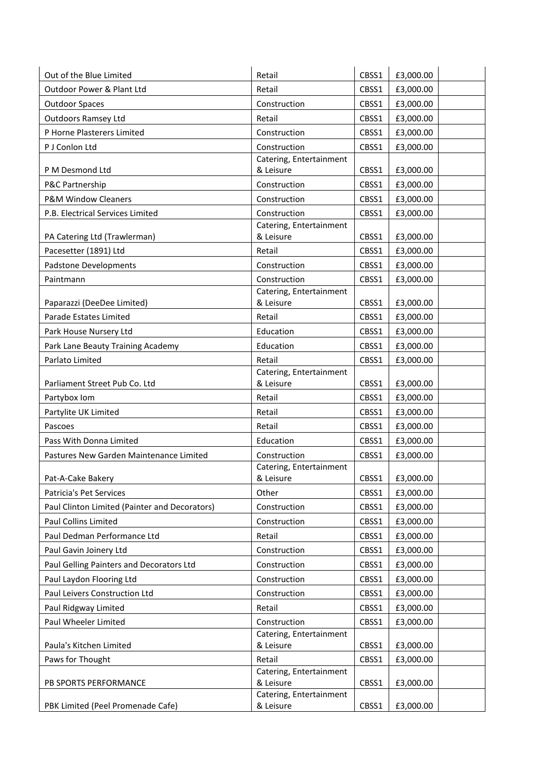| Out of the Blue Limited                       | Retail                                  | CBSS1 | £3,000.00 |  |
|-----------------------------------------------|-----------------------------------------|-------|-----------|--|
| Outdoor Power & Plant Ltd                     | Retail                                  | CBSS1 | £3,000.00 |  |
| <b>Outdoor Spaces</b>                         | Construction                            | CBSS1 | £3,000.00 |  |
| <b>Outdoors Ramsey Ltd</b>                    | Retail                                  | CBSS1 | £3,000.00 |  |
| P Horne Plasterers Limited                    | Construction                            | CBSS1 | £3,000.00 |  |
| P J Conlon Ltd                                | Construction                            | CBSS1 | £3,000.00 |  |
|                                               | Catering, Entertainment                 |       |           |  |
| P M Desmond Ltd                               | & Leisure                               | CBSS1 | £3,000.00 |  |
| P&C Partnership                               | Construction                            | CBSS1 | £3,000.00 |  |
| <b>P&amp;M Window Cleaners</b>                | Construction                            | CBSS1 | £3,000.00 |  |
| P.B. Electrical Services Limited              | Construction                            | CBSS1 | £3,000.00 |  |
|                                               | Catering, Entertainment                 |       |           |  |
| PA Catering Ltd (Trawlerman)                  | & Leisure                               | CBSS1 | £3,000.00 |  |
| Pacesetter (1891) Ltd                         | Retail                                  | CBSS1 | £3,000.00 |  |
| <b>Padstone Developments</b>                  | Construction                            | CBSS1 | £3,000.00 |  |
| Paintmann                                     | Construction<br>Catering, Entertainment | CBSS1 | £3,000.00 |  |
| Paparazzi (DeeDee Limited)                    | & Leisure                               | CBSS1 | £3,000.00 |  |
| Parade Estates Limited                        | Retail                                  | CBSS1 | £3,000.00 |  |
| Park House Nursery Ltd                        | Education                               | CBSS1 | £3,000.00 |  |
| Park Lane Beauty Training Academy             | Education                               | CBSS1 | £3,000.00 |  |
| Parlato Limited                               | Retail                                  | CBSS1 | £3,000.00 |  |
|                                               | Catering, Entertainment                 |       |           |  |
| Parliament Street Pub Co. Ltd                 | & Leisure                               | CBSS1 | £3,000.00 |  |
| Partybox Iom                                  | Retail                                  | CBSS1 | £3,000.00 |  |
| Partylite UK Limited                          | Retail                                  | CBSS1 | £3,000.00 |  |
| Pascoes                                       | Retail                                  | CBSS1 | £3,000.00 |  |
| Pass With Donna Limited                       | Education                               | CBSS1 | £3,000.00 |  |
| Pastures New Garden Maintenance Limited       | Construction                            | CBSS1 | £3,000.00 |  |
|                                               | Catering, Entertainment                 |       |           |  |
| Pat-A-Cake Bakery                             | & Leisure                               | CBSS1 | £3,000.00 |  |
| Patricia's Pet Services                       | Other                                   | CBSS1 | £3,000.00 |  |
| Paul Clinton Limited (Painter and Decorators) | Construction                            | CBSS1 | £3,000.00 |  |
| Paul Collins Limited                          | Construction                            | CBSS1 | £3,000.00 |  |
| Paul Dedman Performance Ltd                   | Retail                                  | CBSS1 | £3,000.00 |  |
| Paul Gavin Joinery Ltd                        | Construction                            | CBSS1 | £3,000.00 |  |
| Paul Gelling Painters and Decorators Ltd      | Construction                            | CBSS1 | £3,000.00 |  |
| Paul Laydon Flooring Ltd                      | Construction                            | CBSS1 | £3,000.00 |  |
| Paul Leivers Construction Ltd                 | Construction                            | CBSS1 | £3,000.00 |  |
| Paul Ridgway Limited                          | Retail                                  | CBSS1 | £3,000.00 |  |
| Paul Wheeler Limited                          | Construction                            | CBSS1 | £3,000.00 |  |
|                                               | Catering, Entertainment                 |       |           |  |
| Paula's Kitchen Limited                       | & Leisure                               | CBSS1 | £3,000.00 |  |
| Paws for Thought                              | Retail                                  | CBSS1 | £3,000.00 |  |
| PB SPORTS PERFORMANCE                         | Catering, Entertainment<br>& Leisure    | CBSS1 | £3,000.00 |  |
|                                               | Catering, Entertainment                 |       |           |  |
| PBK Limited (Peel Promenade Cafe)             | & Leisure                               | CBSS1 | £3,000.00 |  |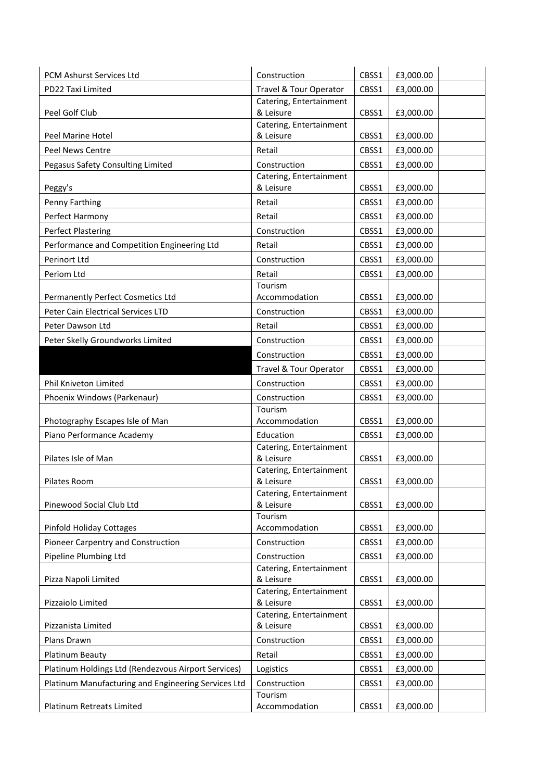| <b>PCM Ashurst Services Ltd</b>                     | Construction                         | CBSS1 | £3,000.00 |
|-----------------------------------------------------|--------------------------------------|-------|-----------|
| PD22 Taxi Limited                                   | Travel & Tour Operator               | CBSS1 | £3,000.00 |
|                                                     | Catering, Entertainment              |       |           |
| Peel Golf Club                                      | & Leisure                            | CBSS1 | £3,000.00 |
| Peel Marine Hotel                                   | Catering, Entertainment<br>& Leisure | CBSS1 | £3,000.00 |
| Peel News Centre                                    | Retail                               | CBSS1 | £3,000.00 |
| Pegasus Safety Consulting Limited                   | Construction                         | CBSS1 | £3,000.00 |
|                                                     | Catering, Entertainment              |       |           |
| Peggy's                                             | & Leisure                            | CBSS1 | £3,000.00 |
| Penny Farthing                                      | Retail                               | CBSS1 | £3,000.00 |
| Perfect Harmony                                     | Retail                               | CBSS1 | £3,000.00 |
| Perfect Plastering                                  | Construction                         | CBSS1 | £3,000.00 |
| Performance and Competition Engineering Ltd         | Retail                               | CBSS1 | £3,000.00 |
| Perinort Ltd                                        | Construction                         | CBSS1 | £3,000.00 |
| Periom Ltd                                          | Retail                               | CBSS1 | £3,000.00 |
|                                                     | Tourism                              |       |           |
| Permanently Perfect Cosmetics Ltd                   | Accommodation                        | CBSS1 | £3,000.00 |
| Peter Cain Electrical Services LTD                  | Construction                         | CBSS1 | £3,000.00 |
| Peter Dawson Ltd                                    | Retail                               | CBSS1 | £3,000.00 |
| Peter Skelly Groundworks Limited                    | Construction                         | CBSS1 | £3,000.00 |
|                                                     | Construction                         | CBSS1 | £3,000.00 |
|                                                     | Travel & Tour Operator               | CBSS1 | £3,000.00 |
| Phil Kniveton Limited                               | Construction                         | CBSS1 | £3,000.00 |
| Phoenix Windows (Parkenaur)                         | Construction                         | CBSS1 | £3,000.00 |
|                                                     | Tourism                              |       |           |
| Photography Escapes Isle of Man                     | Accommodation                        | CBSS1 | £3,000.00 |
| Piano Performance Academy                           | Education                            | CBSS1 | £3,000.00 |
|                                                     | Catering, Entertainment              |       |           |
| Pilates Isle of Man                                 | & Leisure                            | CBSS1 | £3,000.00 |
|                                                     | Catering, Entertainment              |       |           |
| Pilates Room                                        | & Leisure<br>Catering, Entertainment | CBSS1 | £3,000.00 |
| Pinewood Social Club Ltd                            | & Leisure                            | CBSS1 | £3,000.00 |
|                                                     | Tourism                              |       |           |
| Pinfold Holiday Cottages                            | Accommodation                        | CBSS1 | £3,000.00 |
| Pioneer Carpentry and Construction                  | Construction                         | CBSS1 | £3,000.00 |
| Pipeline Plumbing Ltd                               | Construction                         | CBSS1 | £3,000.00 |
|                                                     | Catering, Entertainment              |       |           |
| Pizza Napoli Limited                                | & Leisure                            | CBSS1 | £3,000.00 |
| Pizzaiolo Limited                                   | Catering, Entertainment<br>& Leisure | CBSS1 | £3,000.00 |
|                                                     | Catering, Entertainment              |       |           |
| Pizzanista Limited                                  | & Leisure                            | CBSS1 | £3,000.00 |
| Plans Drawn                                         | Construction                         | CBSS1 | £3,000.00 |
| Platinum Beauty                                     | Retail                               | CBSS1 | £3,000.00 |
| Platinum Holdings Ltd (Rendezvous Airport Services) | Logistics                            | CBSS1 | £3,000.00 |
| Platinum Manufacturing and Engineering Services Ltd | Construction                         | CBSS1 | £3,000.00 |
|                                                     | Tourism                              |       |           |
| Platinum Retreats Limited                           | Accommodation                        | CBSS1 | £3,000.00 |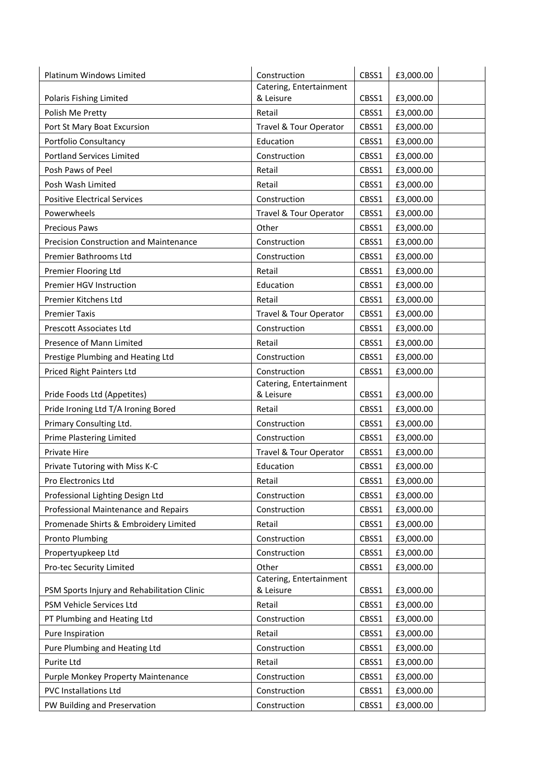| Catering, Entertainment<br>& Leisure<br>CBSS1<br>Polaris Fishing Limited<br>£3,000.00<br>Retail<br>Polish Me Pretty<br>CBSS1<br>£3,000.00<br>Port St Mary Boat Excursion<br>Travel & Tour Operator<br>CBSS1<br>£3,000.00<br>Portfolio Consultancy<br>Education<br>CBSS1<br>£3,000.00<br><b>Portland Services Limited</b><br>Construction<br>CBSS1<br>£3,000.00<br>Posh Paws of Peel<br>Retail<br>CBSS1<br>£3,000.00<br>Posh Wash Limited<br>Retail<br>CBSS1<br>£3,000.00<br><b>Positive Electrical Services</b><br>Construction<br>CBSS1<br>£3,000.00<br>Powerwheels<br>Travel & Tour Operator<br>CBSS1<br>£3,000.00<br>Other<br><b>Precious Paws</b><br>CBSS1<br>£3,000.00<br><b>Precision Construction and Maintenance</b><br>Construction<br>CBSS1<br>£3,000.00<br>Premier Bathrooms Ltd<br>Construction<br>CBSS1<br>£3,000.00<br>Premier Flooring Ltd<br>Retail<br>CBSS1<br>£3,000.00<br>Premier HGV Instruction<br>Education<br>CBSS1<br>£3,000.00<br>Premier Kitchens Ltd<br>Retail<br>£3,000.00<br>CBSS1<br><b>Premier Taxis</b><br>Travel & Tour Operator<br>CBSS1<br>£3,000.00<br>Prescott Associates Ltd<br>Construction<br>CBSS1<br>£3,000.00<br>Presence of Mann Limited<br>Retail<br>£3,000.00<br>CBSS1<br>Prestige Plumbing and Heating Ltd<br>Construction<br>CBSS1<br>£3,000.00<br>Construction<br>Priced Right Painters Ltd<br>CBSS1<br>£3,000.00<br>Catering, Entertainment<br>& Leisure<br>Pride Foods Ltd (Appetites)<br>CBSS1<br>£3,000.00<br>Pride Ironing Ltd T/A Ironing Bored<br>Retail<br>CBSS1<br>£3,000.00<br>Primary Consulting Ltd.<br>Construction<br>£3,000.00<br>CBSS1<br>Prime Plastering Limited<br>Construction<br>CBSS1<br>£3,000.00<br>CBSS1<br>Private Hire<br>Travel & Tour Operator<br>£3,000.00<br>Private Tutoring with Miss K-C<br>Education<br>CBSS1<br>£3,000.00<br>CBSS1<br>£3,000.00<br>Pro Electronics Ltd<br>Retail<br>CBSS1<br>£3,000.00<br>Professional Lighting Design Ltd<br>Construction<br>£3,000.00<br>Professional Maintenance and Repairs<br>Construction<br>CBSS1<br>Promenade Shirts & Embroidery Limited<br>Retail<br>CBSS1<br>£3,000.00<br><b>Pronto Plumbing</b><br>Construction<br>CBSS1<br>£3,000.00<br>Propertyupkeep Ltd<br>Construction<br>CBSS1<br>£3,000.00<br>Other<br>£3,000.00<br>Pro-tec Security Limited<br>CBSS1<br>Catering, Entertainment<br>PSM Sports Injury and Rehabilitation Clinic<br>& Leisure<br>CBSS1<br>£3,000.00<br>PSM Vehicle Services Ltd<br>Retail<br>£3,000.00<br>CBSS1<br>PT Plumbing and Heating Ltd<br>Construction<br>CBSS1<br>£3,000.00<br>Pure Inspiration<br>Retail<br>CBSS1<br>£3,000.00<br>Pure Plumbing and Heating Ltd<br>Construction<br>CBSS1<br>£3,000.00<br>Retail<br>Purite Ltd<br>CBSS1<br>£3,000.00<br>Purple Monkey Property Maintenance<br>Construction<br>£3,000.00<br>CBSS1<br><b>PVC Installations Ltd</b><br>Construction<br>CBSS1<br>£3,000.00<br>PW Building and Preservation<br>Construction<br>CBSS1<br>£3,000.00 | Platinum Windows Limited | Construction | CBSS1 | £3,000.00 |
|----------------------------------------------------------------------------------------------------------------------------------------------------------------------------------------------------------------------------------------------------------------------------------------------------------------------------------------------------------------------------------------------------------------------------------------------------------------------------------------------------------------------------------------------------------------------------------------------------------------------------------------------------------------------------------------------------------------------------------------------------------------------------------------------------------------------------------------------------------------------------------------------------------------------------------------------------------------------------------------------------------------------------------------------------------------------------------------------------------------------------------------------------------------------------------------------------------------------------------------------------------------------------------------------------------------------------------------------------------------------------------------------------------------------------------------------------------------------------------------------------------------------------------------------------------------------------------------------------------------------------------------------------------------------------------------------------------------------------------------------------------------------------------------------------------------------------------------------------------------------------------------------------------------------------------------------------------------------------------------------------------------------------------------------------------------------------------------------------------------------------------------------------------------------------------------------------------------------------------------------------------------------------------------------------------------------------------------------------------------------------------------------------------------------------------------------------------------------------------------------------------------------------------------------------------------------------------------------------------------------------------------------------------------------------------------------------------------------------------------------------------------------------------------------------------------------------------------------------------------------------------------------------------------------------------------------|--------------------------|--------------|-------|-----------|
|                                                                                                                                                                                                                                                                                                                                                                                                                                                                                                                                                                                                                                                                                                                                                                                                                                                                                                                                                                                                                                                                                                                                                                                                                                                                                                                                                                                                                                                                                                                                                                                                                                                                                                                                                                                                                                                                                                                                                                                                                                                                                                                                                                                                                                                                                                                                                                                                                                                                                                                                                                                                                                                                                                                                                                                                                                                                                                                                              |                          |              |       |           |
|                                                                                                                                                                                                                                                                                                                                                                                                                                                                                                                                                                                                                                                                                                                                                                                                                                                                                                                                                                                                                                                                                                                                                                                                                                                                                                                                                                                                                                                                                                                                                                                                                                                                                                                                                                                                                                                                                                                                                                                                                                                                                                                                                                                                                                                                                                                                                                                                                                                                                                                                                                                                                                                                                                                                                                                                                                                                                                                                              |                          |              |       |           |
|                                                                                                                                                                                                                                                                                                                                                                                                                                                                                                                                                                                                                                                                                                                                                                                                                                                                                                                                                                                                                                                                                                                                                                                                                                                                                                                                                                                                                                                                                                                                                                                                                                                                                                                                                                                                                                                                                                                                                                                                                                                                                                                                                                                                                                                                                                                                                                                                                                                                                                                                                                                                                                                                                                                                                                                                                                                                                                                                              |                          |              |       |           |
|                                                                                                                                                                                                                                                                                                                                                                                                                                                                                                                                                                                                                                                                                                                                                                                                                                                                                                                                                                                                                                                                                                                                                                                                                                                                                                                                                                                                                                                                                                                                                                                                                                                                                                                                                                                                                                                                                                                                                                                                                                                                                                                                                                                                                                                                                                                                                                                                                                                                                                                                                                                                                                                                                                                                                                                                                                                                                                                                              |                          |              |       |           |
|                                                                                                                                                                                                                                                                                                                                                                                                                                                                                                                                                                                                                                                                                                                                                                                                                                                                                                                                                                                                                                                                                                                                                                                                                                                                                                                                                                                                                                                                                                                                                                                                                                                                                                                                                                                                                                                                                                                                                                                                                                                                                                                                                                                                                                                                                                                                                                                                                                                                                                                                                                                                                                                                                                                                                                                                                                                                                                                                              |                          |              |       |           |
|                                                                                                                                                                                                                                                                                                                                                                                                                                                                                                                                                                                                                                                                                                                                                                                                                                                                                                                                                                                                                                                                                                                                                                                                                                                                                                                                                                                                                                                                                                                                                                                                                                                                                                                                                                                                                                                                                                                                                                                                                                                                                                                                                                                                                                                                                                                                                                                                                                                                                                                                                                                                                                                                                                                                                                                                                                                                                                                                              |                          |              |       |           |
|                                                                                                                                                                                                                                                                                                                                                                                                                                                                                                                                                                                                                                                                                                                                                                                                                                                                                                                                                                                                                                                                                                                                                                                                                                                                                                                                                                                                                                                                                                                                                                                                                                                                                                                                                                                                                                                                                                                                                                                                                                                                                                                                                                                                                                                                                                                                                                                                                                                                                                                                                                                                                                                                                                                                                                                                                                                                                                                                              |                          |              |       |           |
|                                                                                                                                                                                                                                                                                                                                                                                                                                                                                                                                                                                                                                                                                                                                                                                                                                                                                                                                                                                                                                                                                                                                                                                                                                                                                                                                                                                                                                                                                                                                                                                                                                                                                                                                                                                                                                                                                                                                                                                                                                                                                                                                                                                                                                                                                                                                                                                                                                                                                                                                                                                                                                                                                                                                                                                                                                                                                                                                              |                          |              |       |           |
|                                                                                                                                                                                                                                                                                                                                                                                                                                                                                                                                                                                                                                                                                                                                                                                                                                                                                                                                                                                                                                                                                                                                                                                                                                                                                                                                                                                                                                                                                                                                                                                                                                                                                                                                                                                                                                                                                                                                                                                                                                                                                                                                                                                                                                                                                                                                                                                                                                                                                                                                                                                                                                                                                                                                                                                                                                                                                                                                              |                          |              |       |           |
|                                                                                                                                                                                                                                                                                                                                                                                                                                                                                                                                                                                                                                                                                                                                                                                                                                                                                                                                                                                                                                                                                                                                                                                                                                                                                                                                                                                                                                                                                                                                                                                                                                                                                                                                                                                                                                                                                                                                                                                                                                                                                                                                                                                                                                                                                                                                                                                                                                                                                                                                                                                                                                                                                                                                                                                                                                                                                                                                              |                          |              |       |           |
|                                                                                                                                                                                                                                                                                                                                                                                                                                                                                                                                                                                                                                                                                                                                                                                                                                                                                                                                                                                                                                                                                                                                                                                                                                                                                                                                                                                                                                                                                                                                                                                                                                                                                                                                                                                                                                                                                                                                                                                                                                                                                                                                                                                                                                                                                                                                                                                                                                                                                                                                                                                                                                                                                                                                                                                                                                                                                                                                              |                          |              |       |           |
|                                                                                                                                                                                                                                                                                                                                                                                                                                                                                                                                                                                                                                                                                                                                                                                                                                                                                                                                                                                                                                                                                                                                                                                                                                                                                                                                                                                                                                                                                                                                                                                                                                                                                                                                                                                                                                                                                                                                                                                                                                                                                                                                                                                                                                                                                                                                                                                                                                                                                                                                                                                                                                                                                                                                                                                                                                                                                                                                              |                          |              |       |           |
|                                                                                                                                                                                                                                                                                                                                                                                                                                                                                                                                                                                                                                                                                                                                                                                                                                                                                                                                                                                                                                                                                                                                                                                                                                                                                                                                                                                                                                                                                                                                                                                                                                                                                                                                                                                                                                                                                                                                                                                                                                                                                                                                                                                                                                                                                                                                                                                                                                                                                                                                                                                                                                                                                                                                                                                                                                                                                                                                              |                          |              |       |           |
|                                                                                                                                                                                                                                                                                                                                                                                                                                                                                                                                                                                                                                                                                                                                                                                                                                                                                                                                                                                                                                                                                                                                                                                                                                                                                                                                                                                                                                                                                                                                                                                                                                                                                                                                                                                                                                                                                                                                                                                                                                                                                                                                                                                                                                                                                                                                                                                                                                                                                                                                                                                                                                                                                                                                                                                                                                                                                                                                              |                          |              |       |           |
|                                                                                                                                                                                                                                                                                                                                                                                                                                                                                                                                                                                                                                                                                                                                                                                                                                                                                                                                                                                                                                                                                                                                                                                                                                                                                                                                                                                                                                                                                                                                                                                                                                                                                                                                                                                                                                                                                                                                                                                                                                                                                                                                                                                                                                                                                                                                                                                                                                                                                                                                                                                                                                                                                                                                                                                                                                                                                                                                              |                          |              |       |           |
|                                                                                                                                                                                                                                                                                                                                                                                                                                                                                                                                                                                                                                                                                                                                                                                                                                                                                                                                                                                                                                                                                                                                                                                                                                                                                                                                                                                                                                                                                                                                                                                                                                                                                                                                                                                                                                                                                                                                                                                                                                                                                                                                                                                                                                                                                                                                                                                                                                                                                                                                                                                                                                                                                                                                                                                                                                                                                                                                              |                          |              |       |           |
|                                                                                                                                                                                                                                                                                                                                                                                                                                                                                                                                                                                                                                                                                                                                                                                                                                                                                                                                                                                                                                                                                                                                                                                                                                                                                                                                                                                                                                                                                                                                                                                                                                                                                                                                                                                                                                                                                                                                                                                                                                                                                                                                                                                                                                                                                                                                                                                                                                                                                                                                                                                                                                                                                                                                                                                                                                                                                                                                              |                          |              |       |           |
|                                                                                                                                                                                                                                                                                                                                                                                                                                                                                                                                                                                                                                                                                                                                                                                                                                                                                                                                                                                                                                                                                                                                                                                                                                                                                                                                                                                                                                                                                                                                                                                                                                                                                                                                                                                                                                                                                                                                                                                                                                                                                                                                                                                                                                                                                                                                                                                                                                                                                                                                                                                                                                                                                                                                                                                                                                                                                                                                              |                          |              |       |           |
|                                                                                                                                                                                                                                                                                                                                                                                                                                                                                                                                                                                                                                                                                                                                                                                                                                                                                                                                                                                                                                                                                                                                                                                                                                                                                                                                                                                                                                                                                                                                                                                                                                                                                                                                                                                                                                                                                                                                                                                                                                                                                                                                                                                                                                                                                                                                                                                                                                                                                                                                                                                                                                                                                                                                                                                                                                                                                                                                              |                          |              |       |           |
|                                                                                                                                                                                                                                                                                                                                                                                                                                                                                                                                                                                                                                                                                                                                                                                                                                                                                                                                                                                                                                                                                                                                                                                                                                                                                                                                                                                                                                                                                                                                                                                                                                                                                                                                                                                                                                                                                                                                                                                                                                                                                                                                                                                                                                                                                                                                                                                                                                                                                                                                                                                                                                                                                                                                                                                                                                                                                                                                              |                          |              |       |           |
|                                                                                                                                                                                                                                                                                                                                                                                                                                                                                                                                                                                                                                                                                                                                                                                                                                                                                                                                                                                                                                                                                                                                                                                                                                                                                                                                                                                                                                                                                                                                                                                                                                                                                                                                                                                                                                                                                                                                                                                                                                                                                                                                                                                                                                                                                                                                                                                                                                                                                                                                                                                                                                                                                                                                                                                                                                                                                                                                              |                          |              |       |           |
|                                                                                                                                                                                                                                                                                                                                                                                                                                                                                                                                                                                                                                                                                                                                                                                                                                                                                                                                                                                                                                                                                                                                                                                                                                                                                                                                                                                                                                                                                                                                                                                                                                                                                                                                                                                                                                                                                                                                                                                                                                                                                                                                                                                                                                                                                                                                                                                                                                                                                                                                                                                                                                                                                                                                                                                                                                                                                                                                              |                          |              |       |           |
|                                                                                                                                                                                                                                                                                                                                                                                                                                                                                                                                                                                                                                                                                                                                                                                                                                                                                                                                                                                                                                                                                                                                                                                                                                                                                                                                                                                                                                                                                                                                                                                                                                                                                                                                                                                                                                                                                                                                                                                                                                                                                                                                                                                                                                                                                                                                                                                                                                                                                                                                                                                                                                                                                                                                                                                                                                                                                                                                              |                          |              |       |           |
|                                                                                                                                                                                                                                                                                                                                                                                                                                                                                                                                                                                                                                                                                                                                                                                                                                                                                                                                                                                                                                                                                                                                                                                                                                                                                                                                                                                                                                                                                                                                                                                                                                                                                                                                                                                                                                                                                                                                                                                                                                                                                                                                                                                                                                                                                                                                                                                                                                                                                                                                                                                                                                                                                                                                                                                                                                                                                                                                              |                          |              |       |           |
|                                                                                                                                                                                                                                                                                                                                                                                                                                                                                                                                                                                                                                                                                                                                                                                                                                                                                                                                                                                                                                                                                                                                                                                                                                                                                                                                                                                                                                                                                                                                                                                                                                                                                                                                                                                                                                                                                                                                                                                                                                                                                                                                                                                                                                                                                                                                                                                                                                                                                                                                                                                                                                                                                                                                                                                                                                                                                                                                              |                          |              |       |           |
|                                                                                                                                                                                                                                                                                                                                                                                                                                                                                                                                                                                                                                                                                                                                                                                                                                                                                                                                                                                                                                                                                                                                                                                                                                                                                                                                                                                                                                                                                                                                                                                                                                                                                                                                                                                                                                                                                                                                                                                                                                                                                                                                                                                                                                                                                                                                                                                                                                                                                                                                                                                                                                                                                                                                                                                                                                                                                                                                              |                          |              |       |           |
|                                                                                                                                                                                                                                                                                                                                                                                                                                                                                                                                                                                                                                                                                                                                                                                                                                                                                                                                                                                                                                                                                                                                                                                                                                                                                                                                                                                                                                                                                                                                                                                                                                                                                                                                                                                                                                                                                                                                                                                                                                                                                                                                                                                                                                                                                                                                                                                                                                                                                                                                                                                                                                                                                                                                                                                                                                                                                                                                              |                          |              |       |           |
|                                                                                                                                                                                                                                                                                                                                                                                                                                                                                                                                                                                                                                                                                                                                                                                                                                                                                                                                                                                                                                                                                                                                                                                                                                                                                                                                                                                                                                                                                                                                                                                                                                                                                                                                                                                                                                                                                                                                                                                                                                                                                                                                                                                                                                                                                                                                                                                                                                                                                                                                                                                                                                                                                                                                                                                                                                                                                                                                              |                          |              |       |           |
|                                                                                                                                                                                                                                                                                                                                                                                                                                                                                                                                                                                                                                                                                                                                                                                                                                                                                                                                                                                                                                                                                                                                                                                                                                                                                                                                                                                                                                                                                                                                                                                                                                                                                                                                                                                                                                                                                                                                                                                                                                                                                                                                                                                                                                                                                                                                                                                                                                                                                                                                                                                                                                                                                                                                                                                                                                                                                                                                              |                          |              |       |           |
|                                                                                                                                                                                                                                                                                                                                                                                                                                                                                                                                                                                                                                                                                                                                                                                                                                                                                                                                                                                                                                                                                                                                                                                                                                                                                                                                                                                                                                                                                                                                                                                                                                                                                                                                                                                                                                                                                                                                                                                                                                                                                                                                                                                                                                                                                                                                                                                                                                                                                                                                                                                                                                                                                                                                                                                                                                                                                                                                              |                          |              |       |           |
|                                                                                                                                                                                                                                                                                                                                                                                                                                                                                                                                                                                                                                                                                                                                                                                                                                                                                                                                                                                                                                                                                                                                                                                                                                                                                                                                                                                                                                                                                                                                                                                                                                                                                                                                                                                                                                                                                                                                                                                                                                                                                                                                                                                                                                                                                                                                                                                                                                                                                                                                                                                                                                                                                                                                                                                                                                                                                                                                              |                          |              |       |           |
|                                                                                                                                                                                                                                                                                                                                                                                                                                                                                                                                                                                                                                                                                                                                                                                                                                                                                                                                                                                                                                                                                                                                                                                                                                                                                                                                                                                                                                                                                                                                                                                                                                                                                                                                                                                                                                                                                                                                                                                                                                                                                                                                                                                                                                                                                                                                                                                                                                                                                                                                                                                                                                                                                                                                                                                                                                                                                                                                              |                          |              |       |           |
|                                                                                                                                                                                                                                                                                                                                                                                                                                                                                                                                                                                                                                                                                                                                                                                                                                                                                                                                                                                                                                                                                                                                                                                                                                                                                                                                                                                                                                                                                                                                                                                                                                                                                                                                                                                                                                                                                                                                                                                                                                                                                                                                                                                                                                                                                                                                                                                                                                                                                                                                                                                                                                                                                                                                                                                                                                                                                                                                              |                          |              |       |           |
|                                                                                                                                                                                                                                                                                                                                                                                                                                                                                                                                                                                                                                                                                                                                                                                                                                                                                                                                                                                                                                                                                                                                                                                                                                                                                                                                                                                                                                                                                                                                                                                                                                                                                                                                                                                                                                                                                                                                                                                                                                                                                                                                                                                                                                                                                                                                                                                                                                                                                                                                                                                                                                                                                                                                                                                                                                                                                                                                              |                          |              |       |           |
|                                                                                                                                                                                                                                                                                                                                                                                                                                                                                                                                                                                                                                                                                                                                                                                                                                                                                                                                                                                                                                                                                                                                                                                                                                                                                                                                                                                                                                                                                                                                                                                                                                                                                                                                                                                                                                                                                                                                                                                                                                                                                                                                                                                                                                                                                                                                                                                                                                                                                                                                                                                                                                                                                                                                                                                                                                                                                                                                              |                          |              |       |           |
|                                                                                                                                                                                                                                                                                                                                                                                                                                                                                                                                                                                                                                                                                                                                                                                                                                                                                                                                                                                                                                                                                                                                                                                                                                                                                                                                                                                                                                                                                                                                                                                                                                                                                                                                                                                                                                                                                                                                                                                                                                                                                                                                                                                                                                                                                                                                                                                                                                                                                                                                                                                                                                                                                                                                                                                                                                                                                                                                              |                          |              |       |           |
|                                                                                                                                                                                                                                                                                                                                                                                                                                                                                                                                                                                                                                                                                                                                                                                                                                                                                                                                                                                                                                                                                                                                                                                                                                                                                                                                                                                                                                                                                                                                                                                                                                                                                                                                                                                                                                                                                                                                                                                                                                                                                                                                                                                                                                                                                                                                                                                                                                                                                                                                                                                                                                                                                                                                                                                                                                                                                                                                              |                          |              |       |           |
|                                                                                                                                                                                                                                                                                                                                                                                                                                                                                                                                                                                                                                                                                                                                                                                                                                                                                                                                                                                                                                                                                                                                                                                                                                                                                                                                                                                                                                                                                                                                                                                                                                                                                                                                                                                                                                                                                                                                                                                                                                                                                                                                                                                                                                                                                                                                                                                                                                                                                                                                                                                                                                                                                                                                                                                                                                                                                                                                              |                          |              |       |           |
|                                                                                                                                                                                                                                                                                                                                                                                                                                                                                                                                                                                                                                                                                                                                                                                                                                                                                                                                                                                                                                                                                                                                                                                                                                                                                                                                                                                                                                                                                                                                                                                                                                                                                                                                                                                                                                                                                                                                                                                                                                                                                                                                                                                                                                                                                                                                                                                                                                                                                                                                                                                                                                                                                                                                                                                                                                                                                                                                              |                          |              |       |           |
|                                                                                                                                                                                                                                                                                                                                                                                                                                                                                                                                                                                                                                                                                                                                                                                                                                                                                                                                                                                                                                                                                                                                                                                                                                                                                                                                                                                                                                                                                                                                                                                                                                                                                                                                                                                                                                                                                                                                                                                                                                                                                                                                                                                                                                                                                                                                                                                                                                                                                                                                                                                                                                                                                                                                                                                                                                                                                                                                              |                          |              |       |           |
|                                                                                                                                                                                                                                                                                                                                                                                                                                                                                                                                                                                                                                                                                                                                                                                                                                                                                                                                                                                                                                                                                                                                                                                                                                                                                                                                                                                                                                                                                                                                                                                                                                                                                                                                                                                                                                                                                                                                                                                                                                                                                                                                                                                                                                                                                                                                                                                                                                                                                                                                                                                                                                                                                                                                                                                                                                                                                                                                              |                          |              |       |           |
|                                                                                                                                                                                                                                                                                                                                                                                                                                                                                                                                                                                                                                                                                                                                                                                                                                                                                                                                                                                                                                                                                                                                                                                                                                                                                                                                                                                                                                                                                                                                                                                                                                                                                                                                                                                                                                                                                                                                                                                                                                                                                                                                                                                                                                                                                                                                                                                                                                                                                                                                                                                                                                                                                                                                                                                                                                                                                                                                              |                          |              |       |           |
|                                                                                                                                                                                                                                                                                                                                                                                                                                                                                                                                                                                                                                                                                                                                                                                                                                                                                                                                                                                                                                                                                                                                                                                                                                                                                                                                                                                                                                                                                                                                                                                                                                                                                                                                                                                                                                                                                                                                                                                                                                                                                                                                                                                                                                                                                                                                                                                                                                                                                                                                                                                                                                                                                                                                                                                                                                                                                                                                              |                          |              |       |           |
|                                                                                                                                                                                                                                                                                                                                                                                                                                                                                                                                                                                                                                                                                                                                                                                                                                                                                                                                                                                                                                                                                                                                                                                                                                                                                                                                                                                                                                                                                                                                                                                                                                                                                                                                                                                                                                                                                                                                                                                                                                                                                                                                                                                                                                                                                                                                                                                                                                                                                                                                                                                                                                                                                                                                                                                                                                                                                                                                              |                          |              |       |           |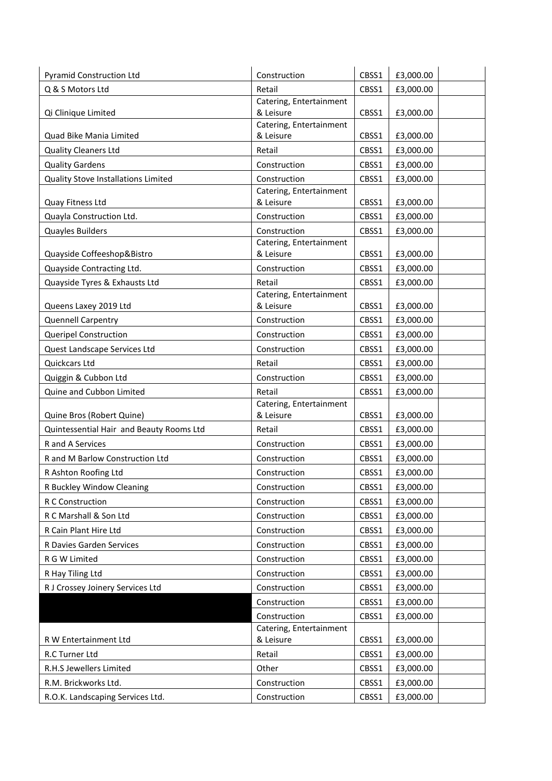| <b>Pyramid Construction Ltd</b>                          | Construction                            | CBSS1          | £3,000.00              |
|----------------------------------------------------------|-----------------------------------------|----------------|------------------------|
| Q & S Motors Ltd                                         | Retail                                  | CBSS1          | £3,000.00              |
|                                                          | Catering, Entertainment                 |                |                        |
| Qi Clinique Limited                                      | & Leisure                               | CBSS1          | £3,000.00              |
| Quad Bike Mania Limited                                  | Catering, Entertainment<br>& Leisure    | CBSS1          | £3,000.00              |
| <b>Quality Cleaners Ltd</b>                              | Retail                                  | CBSS1          | £3,000.00              |
| <b>Quality Gardens</b>                                   | Construction                            | CBSS1          | £3,000.00              |
|                                                          |                                         |                |                        |
| Quality Stove Installations Limited                      | Construction<br>Catering, Entertainment | CBSS1          | £3,000.00              |
| Quay Fitness Ltd                                         | & Leisure                               | CBSS1          | £3,000.00              |
| Quayla Construction Ltd.                                 | Construction                            | CBSS1          | £3,000.00              |
| Quayles Builders                                         | Construction                            | CBSS1          | £3,000.00              |
|                                                          | Catering, Entertainment                 |                |                        |
| Quayside Coffeeshop&Bistro                               | & Leisure                               | CBSS1          | £3,000.00              |
| Quayside Contracting Ltd.                                | Construction                            | CBSS1          | £3,000.00              |
| Quayside Tyres & Exhausts Ltd                            | Retail                                  | CBSS1          | £3,000.00              |
|                                                          | Catering, Entertainment                 |                |                        |
| Queens Laxey 2019 Ltd                                    | & Leisure                               | CBSS1          | £3,000.00              |
| <b>Quennell Carpentry</b>                                | Construction                            | CBSS1          | £3,000.00              |
| <b>Queripel Construction</b>                             | Construction                            | CBSS1          | £3,000.00              |
| Quest Landscape Services Ltd                             | Construction                            | CBSS1          | £3,000.00              |
| Quickcars Ltd                                            | Retail                                  | CBSS1          | £3,000.00              |
| Quiggin & Cubbon Ltd                                     | Construction                            | CBSS1          | £3,000.00              |
| Quine and Cubbon Limited                                 | Retail                                  | CBSS1          | £3,000.00              |
| Quine Bros (Robert Quine)                                | Catering, Entertainment<br>& Leisure    | CBSS1          | £3,000.00              |
| Quintessential Hair and Beauty Rooms Ltd                 | Retail                                  | CBSS1          | £3,000.00              |
| R and A Services                                         | Construction                            | CBSS1          | £3,000.00              |
|                                                          |                                         |                |                        |
| R and M Barlow Construction Ltd                          | Construction                            | CBSS1          | £3,000.00              |
| R Ashton Roofing Ltd                                     | Construction                            | CBSS1          | £3,000.00              |
| R Buckley Window Cleaning                                | Construction                            | CBSS1          | £3,000.00              |
| R C Construction                                         | Construction                            | CBSS1          | £3,000.00              |
| R C Marshall & Son Ltd                                   | Construction                            | CBSS1          | £3,000.00              |
| R Cain Plant Hire Ltd                                    | Construction                            | CBSS1          | £3,000.00              |
| R Davies Garden Services                                 | Construction                            | CBSS1          | £3,000.00              |
| R G W Limited                                            | Construction                            | CBSS1          | £3,000.00              |
| R Hay Tiling Ltd                                         | Construction                            | CBSS1          | £3,000.00              |
| R J Crossey Joinery Services Ltd                         | Construction                            | CBSS1          | £3,000.00              |
|                                                          | Construction                            | CBSS1          | £3,000.00              |
|                                                          | Construction                            | CBSS1          | £3,000.00              |
|                                                          | Catering, Entertainment                 |                |                        |
| R W Entertainment Ltd                                    | & Leisure                               | CBSS1          | £3,000.00              |
| R.C Turner Ltd                                           |                                         | CBSS1          | £3,000.00              |
|                                                          | Retail                                  |                |                        |
| R.H.S Jewellers Limited                                  | Other                                   | CBSS1          | £3,000.00              |
| R.M. Brickworks Ltd.<br>R.O.K. Landscaping Services Ltd. | Construction<br>Construction            | CBSS1<br>CBSS1 | £3,000.00<br>£3,000.00 |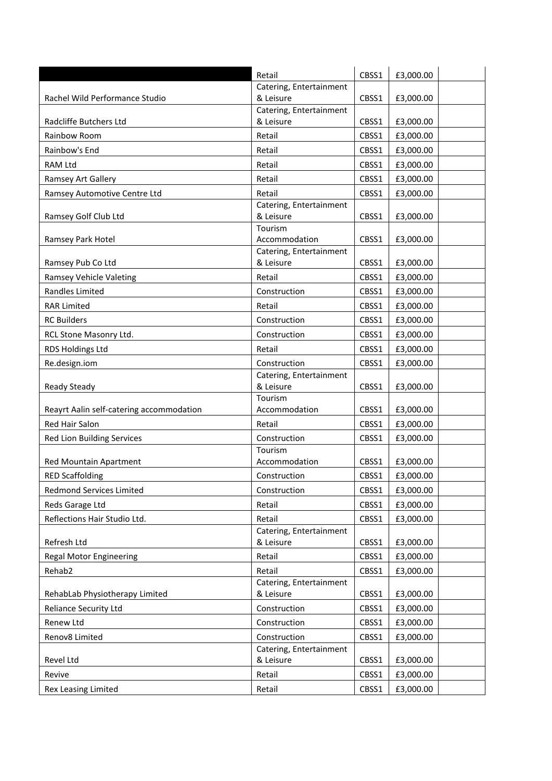|                                          | Retail                                  | CBSS1 | £3,000.00 |
|------------------------------------------|-----------------------------------------|-------|-----------|
|                                          | Catering, Entertainment                 |       |           |
| Rachel Wild Performance Studio           | & Leisure                               | CBSS1 | £3,000.00 |
| Radcliffe Butchers Ltd                   | Catering, Entertainment<br>& Leisure    | CBSS1 | £3,000.00 |
|                                          |                                         |       |           |
| Rainbow Room                             | Retail                                  | CBSS1 | £3,000.00 |
| Rainbow's End                            | Retail                                  | CBSS1 | £3,000.00 |
| RAM Ltd                                  | Retail                                  | CBSS1 | £3,000.00 |
| <b>Ramsey Art Gallery</b>                | Retail                                  | CBSS1 | £3,000.00 |
| Ramsey Automotive Centre Ltd             | Retail                                  | CBSS1 | £3,000.00 |
|                                          | Catering, Entertainment                 |       |           |
| Ramsey Golf Club Ltd                     | & Leisure<br>Tourism                    | CBSS1 | £3,000.00 |
| Ramsey Park Hotel                        | Accommodation                           | CBSS1 | £3,000.00 |
|                                          | Catering, Entertainment                 |       |           |
| Ramsey Pub Co Ltd                        | & Leisure                               | CBSS1 | £3,000.00 |
| Ramsey Vehicle Valeting                  | Retail                                  | CBSS1 | £3,000.00 |
| Randles Limited                          | Construction                            | CBSS1 | £3,000.00 |
| <b>RAR Limited</b>                       | Retail                                  | CBSS1 | £3,000.00 |
| <b>RC Builders</b>                       | Construction                            | CBSS1 | £3,000.00 |
| RCL Stone Masonry Ltd.                   | Construction                            | CBSS1 | £3,000.00 |
| RDS Holdings Ltd                         | Retail                                  | CBSS1 | £3,000.00 |
|                                          |                                         |       |           |
| Re.design.iom                            | Construction<br>Catering, Entertainment | CBSS1 | £3,000.00 |
| <b>Ready Steady</b>                      | & Leisure                               | CBSS1 | £3,000.00 |
|                                          | Tourism                                 |       |           |
| Reayrt Aalin self-catering accommodation | Accommodation                           | CBSS1 | £3,000.00 |
| Red Hair Salon                           | Retail                                  | CBSS1 | £3,000.00 |
| Red Lion Building Services               | Construction                            | CBSS1 | £3,000.00 |
|                                          | Tourism                                 |       |           |
| Red Mountain Apartment                   | Accommodation                           | CBSS1 | £3,000.00 |
| <b>RED Scaffolding</b>                   | Construction                            | CBSS1 | £3,000.00 |
| Redmond Services Limited                 | Construction                            | CBSS1 | £3,000.00 |
| Reds Garage Ltd                          | Retail                                  | CBSS1 | £3,000.00 |
| Reflections Hair Studio Ltd.             | Retail                                  | CBSS1 | £3,000.00 |
|                                          | Catering, Entertainment                 |       |           |
| Refresh Ltd                              | & Leisure                               | CBSS1 | £3,000.00 |
| <b>Regal Motor Engineering</b>           | Retail                                  | CBSS1 | £3,000.00 |
| Rehab2                                   | Retail                                  | CBSS1 | £3,000.00 |
|                                          | Catering, Entertainment                 |       |           |
| RehabLab Physiotherapy Limited           | & Leisure                               | CBSS1 | £3,000.00 |
| <b>Reliance Security Ltd</b>             | Construction                            | CBSS1 | £3,000.00 |
| Renew Ltd                                | Construction                            | CBSS1 | £3,000.00 |
| Renov8 Limited                           | Construction                            | CBSS1 | £3,000.00 |
|                                          | Catering, Entertainment                 |       |           |
| Revel Ltd                                | & Leisure                               | CBSS1 | £3,000.00 |
| Revive                                   | Retail                                  | CBSS1 | £3,000.00 |
| Rex Leasing Limited                      | Retail                                  | CBSS1 | £3,000.00 |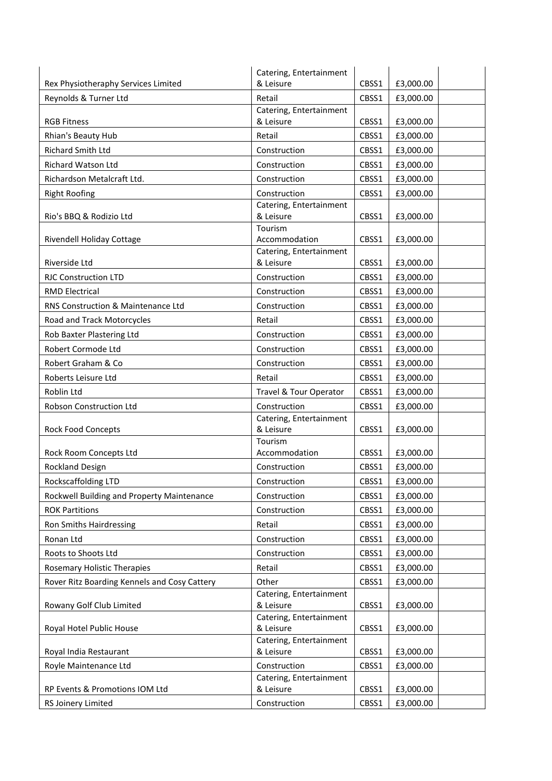|                                              | Catering, Entertainment              |       |           |
|----------------------------------------------|--------------------------------------|-------|-----------|
| Rex Physiotheraphy Services Limited          | & Leisure                            | CBSS1 | £3,000.00 |
| Reynolds & Turner Ltd                        | Retail                               | CBSS1 | £3,000.00 |
| <b>RGB Fitness</b>                           | Catering, Entertainment<br>& Leisure | CBSS1 | £3,000.00 |
| Rhian's Beauty Hub                           | Retail                               | CBSS1 | £3,000.00 |
| <b>Richard Smith Ltd</b>                     | Construction                         | CBSS1 | £3,000.00 |
| <b>Richard Watson Ltd</b>                    | Construction                         | CBSS1 |           |
|                                              |                                      |       | £3,000.00 |
| Richardson Metalcraft Ltd.                   | Construction                         | CBSS1 | £3,000.00 |
| <b>Right Roofing</b>                         | Construction                         | CBSS1 | £3,000.00 |
| Rio's BBQ & Rodizio Ltd                      | Catering, Entertainment<br>& Leisure | CBSS1 | £3,000.00 |
|                                              | Tourism                              |       |           |
| Rivendell Holiday Cottage                    | Accommodation                        | CBSS1 | £3,000.00 |
|                                              | Catering, Entertainment              |       |           |
| Riverside Ltd                                | & Leisure                            | CBSS1 | £3,000.00 |
| <b>RJC Construction LTD</b>                  | Construction                         | CBSS1 | £3,000.00 |
| <b>RMD Electrical</b>                        | Construction                         | CBSS1 | £3,000.00 |
| RNS Construction & Maintenance Ltd           | Construction                         | CBSS1 | £3,000.00 |
| Road and Track Motorcycles                   | Retail                               | CBSS1 | £3,000.00 |
| Rob Baxter Plastering Ltd                    | Construction                         | CBSS1 | £3,000.00 |
| Robert Cormode Ltd                           | Construction                         | CBSS1 | £3,000.00 |
| Robert Graham & Co                           | Construction                         | CBSS1 | £3,000.00 |
| Roberts Leisure Ltd                          | Retail                               | CBSS1 | £3,000.00 |
| Roblin Ltd                                   | Travel & Tour Operator               | CBSS1 | £3,000.00 |
| Robson Construction Ltd                      | Construction                         | CBSS1 | £3,000.00 |
| Rock Food Concepts                           | Catering, Entertainment<br>& Leisure | CBSS1 | £3,000.00 |
|                                              | Tourism                              |       |           |
| Rock Room Concepts Ltd                       | Accommodation                        | CBSS1 | £3,000.00 |
| Rockland Design                              | Construction                         | CBSS1 | £3,000.00 |
| Rockscaffolding LTD                          | Construction                         | CBSS1 | £3,000.00 |
| Rockwell Building and Property Maintenance   | Construction                         | CBSS1 | £3,000.00 |
| <b>ROK Partitions</b>                        | Construction                         | CBSS1 | £3,000.00 |
| Ron Smiths Hairdressing                      | Retail                               | CBSS1 | £3,000.00 |
| Ronan Ltd                                    | Construction                         | CBSS1 | £3,000.00 |
| Roots to Shoots Ltd                          | Construction                         | CBSS1 | £3,000.00 |
| Rosemary Holistic Therapies                  | Retail                               | CBSS1 | £3,000.00 |
| Rover Ritz Boarding Kennels and Cosy Cattery | Other                                | CBSS1 | £3,000.00 |
|                                              | Catering, Entertainment              |       |           |
| Rowany Golf Club Limited                     | & Leisure                            | CBSS1 | £3,000.00 |
|                                              | Catering, Entertainment              |       |           |
| Royal Hotel Public House                     | & Leisure<br>Catering, Entertainment | CBSS1 | £3,000.00 |
| Royal India Restaurant                       | & Leisure                            | CBSS1 | £3,000.00 |
| Royle Maintenance Ltd                        | Construction                         | CBSS1 | £3,000.00 |
|                                              | Catering, Entertainment              |       |           |
| RP Events & Promotions IOM Ltd               | & Leisure                            | CBSS1 | £3,000.00 |
| RS Joinery Limited                           | Construction                         | CBSS1 | £3,000.00 |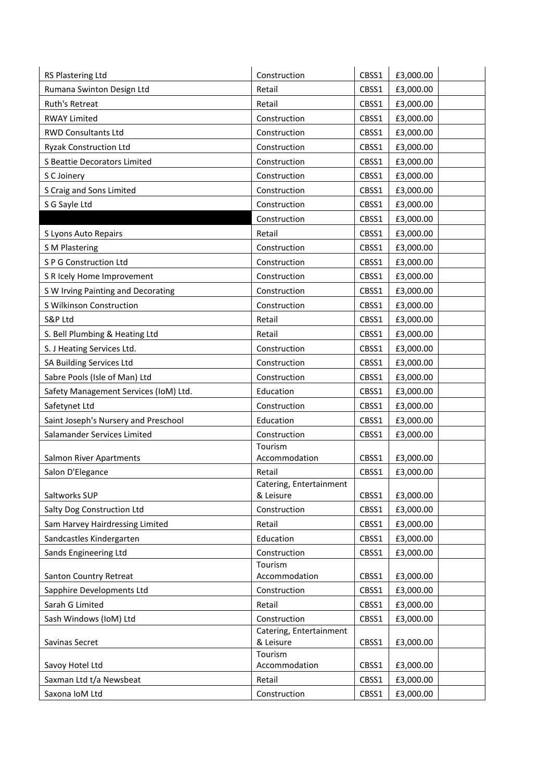| RS Plastering Ltd                     | Construction                         | CBSS1 | £3,000.00 |  |
|---------------------------------------|--------------------------------------|-------|-----------|--|
| Rumana Swinton Design Ltd             | Retail                               | CBSS1 | £3,000.00 |  |
| Ruth's Retreat                        | Retail                               | CBSS1 | £3,000.00 |  |
| <b>RWAY Limited</b>                   | Construction                         | CBSS1 | £3,000.00 |  |
| <b>RWD Consultants Ltd</b>            | Construction                         | CBSS1 | £3,000.00 |  |
| <b>Ryzak Construction Ltd</b>         | Construction                         | CBSS1 | £3,000.00 |  |
| S Beattie Decorators Limited          | Construction                         | CBSS1 | £3,000.00 |  |
| S C Joinery                           | Construction                         | CBSS1 | £3,000.00 |  |
| S Craig and Sons Limited              | Construction                         | CBSS1 | £3,000.00 |  |
| S G Sayle Ltd                         | Construction                         | CBSS1 | £3,000.00 |  |
|                                       | Construction                         | CBSS1 | £3,000.00 |  |
| S Lyons Auto Repairs                  | Retail                               | CBSS1 | £3,000.00 |  |
| <b>S M Plastering</b>                 | Construction                         | CBSS1 | £3,000.00 |  |
| S P G Construction Ltd                | Construction                         | CBSS1 | £3,000.00 |  |
| S R Icely Home Improvement            | Construction                         | CBSS1 | £3,000.00 |  |
| S W Irving Painting and Decorating    | Construction                         | CBSS1 | £3,000.00 |  |
| S Wilkinson Construction              | Construction                         | CBSS1 | £3,000.00 |  |
| S&P Ltd                               | Retail                               | CBSS1 | £3,000.00 |  |
| S. Bell Plumbing & Heating Ltd        | Retail                               | CBSS1 | £3,000.00 |  |
| S. J Heating Services Ltd.            | Construction                         | CBSS1 | £3,000.00 |  |
| SA Building Services Ltd              | Construction                         | CBSS1 | £3,000.00 |  |
| Sabre Pools (Isle of Man) Ltd         | Construction                         | CBSS1 | £3,000.00 |  |
| Safety Management Services (IoM) Ltd. | Education                            | CBSS1 | £3,000.00 |  |
| Safetynet Ltd                         | Construction                         | CBSS1 | £3,000.00 |  |
| Saint Joseph's Nursery and Preschool  | Education                            | CBSS1 | £3,000.00 |  |
| Salamander Services Limited           | Construction                         | CBSS1 | £3,000.00 |  |
|                                       | Tourism                              |       |           |  |
| <b>Salmon River Apartments</b>        | Accommodation                        | CBSS1 | £3,000.00 |  |
| Salon D'Elegance                      | Retail                               | CBSS1 | £3,000.00 |  |
| Saltworks SUP                         | Catering, Entertainment<br>& Leisure | CBSS1 | £3,000.00 |  |
| Salty Dog Construction Ltd            | Construction                         | CBSS1 | £3,000.00 |  |
| Sam Harvey Hairdressing Limited       | Retail                               | CBSS1 | £3,000.00 |  |
| Sandcastles Kindergarten              | Education                            | CBSS1 | £3,000.00 |  |
| Sands Engineering Ltd                 | Construction                         | CBSS1 | £3,000.00 |  |
|                                       | Tourism                              |       |           |  |
| Santon Country Retreat                | Accommodation                        | CBSS1 | £3,000.00 |  |
| Sapphire Developments Ltd             | Construction                         | CBSS1 | £3,000.00 |  |
| Sarah G Limited                       | Retail                               | CBSS1 | £3,000.00 |  |
| Sash Windows (IoM) Ltd                | Construction                         | CBSS1 | £3,000.00 |  |
|                                       | Catering, Entertainment              |       |           |  |
| Savinas Secret                        | & Leisure<br>Tourism                 | CBSS1 | £3,000.00 |  |
| Savoy Hotel Ltd                       | Accommodation                        | CBSS1 | £3,000.00 |  |
| Saxman Ltd t/a Newsbeat               | Retail                               | CBSS1 | £3,000.00 |  |
| Saxona IoM Ltd                        | Construction                         | CBSS1 | £3,000.00 |  |
|                                       |                                      |       |           |  |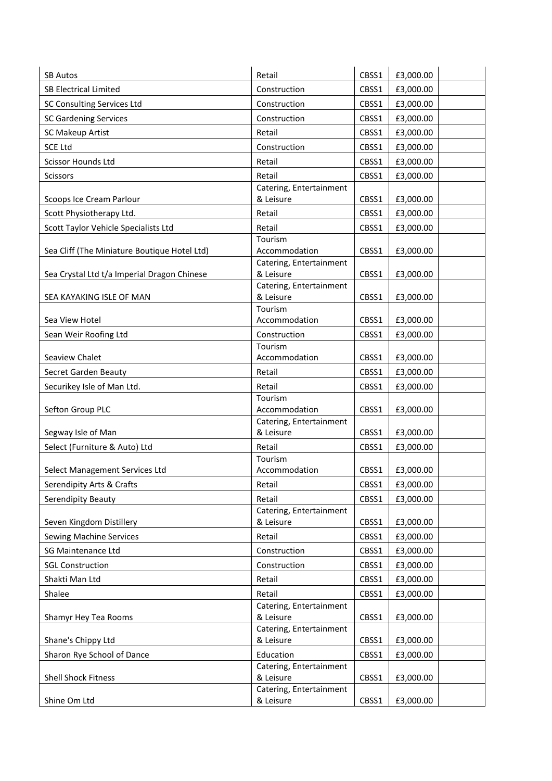| <b>SB Autos</b>                              | Retail                               | CBSS1 | £3,000.00 |
|----------------------------------------------|--------------------------------------|-------|-----------|
| <b>SB Electrical Limited</b>                 | Construction                         | CBSS1 | £3,000.00 |
| SC Consulting Services Ltd                   | Construction                         | CBSS1 | £3,000.00 |
| <b>SC Gardening Services</b>                 | Construction                         | CBSS1 | £3,000.00 |
| SC Makeup Artist                             | Retail                               | CBSS1 | £3,000.00 |
| <b>SCE Ltd</b>                               | Construction                         | CBSS1 | £3,000.00 |
| Scissor Hounds Ltd                           | Retail                               | CBSS1 | £3,000.00 |
| <b>Scissors</b>                              | Retail                               | CBSS1 | £3,000.00 |
|                                              | Catering, Entertainment              |       |           |
| Scoops Ice Cream Parlour                     | & Leisure                            | CBSS1 | £3,000.00 |
| Scott Physiotherapy Ltd.                     | Retail                               | CBSS1 | £3,000.00 |
| Scott Taylor Vehicle Specialists Ltd         | Retail                               | CBSS1 | £3,000.00 |
|                                              | Tourism                              |       |           |
| Sea Cliff (The Miniature Boutique Hotel Ltd) | Accommodation                        | CBSS1 | £3,000.00 |
|                                              | Catering, Entertainment<br>& Leisure |       |           |
| Sea Crystal Ltd t/a Imperial Dragon Chinese  | Catering, Entertainment              | CBSS1 | £3,000.00 |
| SEA KAYAKING ISLE OF MAN                     | & Leisure                            | CBSS1 | £3,000.00 |
|                                              | Tourism                              |       |           |
| Sea View Hotel                               | Accommodation                        | CBSS1 | £3,000.00 |
| Sean Weir Roofing Ltd                        | Construction                         | CBSS1 | £3,000.00 |
|                                              | Tourism                              |       |           |
| Seaview Chalet                               | Accommodation                        | CBSS1 | £3,000.00 |
| Secret Garden Beauty                         | Retail                               | CBSS1 | £3,000.00 |
| Securikey Isle of Man Ltd.                   | Retail                               | CBSS1 | £3,000.00 |
|                                              | Tourism                              |       |           |
| Sefton Group PLC                             | Accommodation                        | CBSS1 | £3,000.00 |
| Segway Isle of Man                           | Catering, Entertainment<br>& Leisure | CBSS1 | £3,000.00 |
|                                              |                                      |       |           |
| Select (Furniture & Auto) Ltd                | Retail<br>Tourism                    | CBSS1 | £3,000.00 |
| Select Management Services Ltd               | Accommodation                        | CBSS1 | £3,000.00 |
| Serendipity Arts & Crafts                    | Retail                               | CBSS1 | £3,000.00 |
| Serendipity Beauty                           | Retail                               | CBSS1 | £3,000.00 |
|                                              | Catering, Entertainment              |       |           |
| Seven Kingdom Distillery                     | & Leisure                            | CBSS1 | £3,000.00 |
| <b>Sewing Machine Services</b>               | Retail                               | CBSS1 | £3,000.00 |
| <b>SG Maintenance Ltd</b>                    | Construction                         | CBSS1 | £3,000.00 |
| <b>SGL Construction</b>                      | Construction                         | CBSS1 | £3,000.00 |
| Shakti Man Ltd                               | Retail                               | CBSS1 | £3,000.00 |
| Shalee                                       | Retail                               | CBSS1 | £3,000.00 |
|                                              | Catering, Entertainment              |       |           |
| Shamyr Hey Tea Rooms                         | & Leisure                            | CBSS1 | £3,000.00 |
|                                              | Catering, Entertainment              |       |           |
| Shane's Chippy Ltd                           | & Leisure                            | CBSS1 | £3,000.00 |
| Sharon Rye School of Dance                   | Education                            | CBSS1 | £3,000.00 |
|                                              | Catering, Entertainment              |       |           |
| <b>Shell Shock Fitness</b>                   | & Leisure                            | CBSS1 | £3,000.00 |
| Shine Om Ltd                                 | Catering, Entertainment<br>& Leisure | CBSS1 | £3,000.00 |
|                                              |                                      |       |           |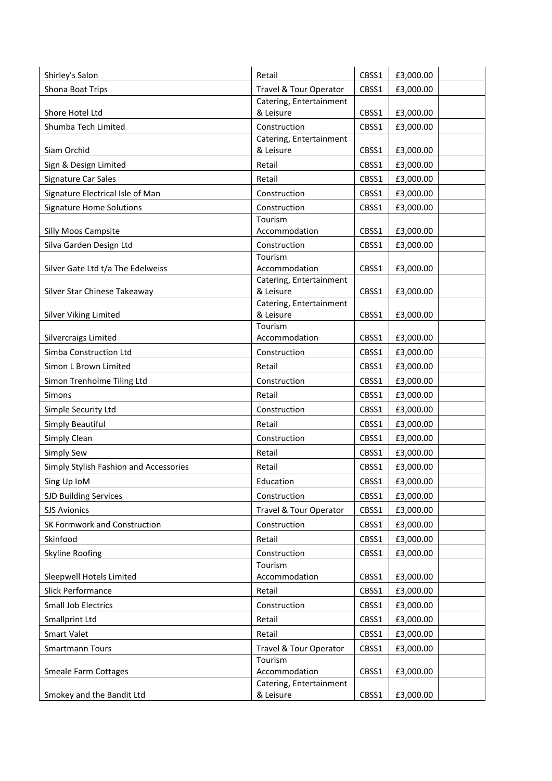| Shirley's Salon                        | Retail                                   | CBSS1 | £3,000.00 |
|----------------------------------------|------------------------------------------|-------|-----------|
| Shona Boat Trips                       | Travel & Tour Operator                   | CBSS1 | £3,000.00 |
|                                        | Catering, Entertainment                  |       |           |
| Shore Hotel Ltd                        | & Leisure                                | CBSS1 | £3,000.00 |
| Shumba Tech Limited                    | Construction                             | CBSS1 | £3,000.00 |
| Siam Orchid                            | Catering, Entertainment<br>& Leisure     | CBSS1 | £3,000.00 |
| Sign & Design Limited                  | Retail                                   | CBSS1 | £3,000.00 |
| Signature Car Sales                    | Retail                                   | CBSS1 | £3,000.00 |
| Signature Electrical Isle of Man       | Construction                             | CBSS1 | £3,000.00 |
| <b>Signature Home Solutions</b>        | Construction                             | CBSS1 | £3,000.00 |
|                                        | Tourism                                  |       |           |
| Silly Moos Campsite                    | Accommodation                            | CBSS1 | £3,000.00 |
| Silva Garden Design Ltd                | Construction                             | CBSS1 | £3,000.00 |
|                                        | Tourism                                  |       |           |
| Silver Gate Ltd t/a The Edelweiss      | Accommodation<br>Catering, Entertainment | CBSS1 | £3,000.00 |
| Silver Star Chinese Takeaway           | & Leisure                                | CBSS1 | £3,000.00 |
|                                        | Catering, Entertainment                  |       |           |
| Silver Viking Limited                  | & Leisure                                | CBSS1 | £3,000.00 |
| Silvercraigs Limited                   | Tourism<br>Accommodation                 | CBSS1 | £3,000.00 |
| Simba Construction Ltd                 | Construction                             | CBSS1 | £3,000.00 |
| Simon L Brown Limited                  | Retail                                   | CBSS1 | £3,000.00 |
| Simon Trenholme Tiling Ltd             | Construction                             | CBSS1 | £3,000.00 |
| Simons                                 | Retail                                   | CBSS1 | £3,000.00 |
| Simple Security Ltd                    | Construction                             | CBSS1 | £3,000.00 |
| Simply Beautiful                       | Retail                                   | CBSS1 | £3,000.00 |
| Simply Clean                           | Construction                             | CBSS1 | £3,000.00 |
| Simply Sew                             | Retail                                   | CBSS1 | £3,000.00 |
| Simply Stylish Fashion and Accessories | Retail                                   | CBSS1 | £3,000.00 |
| Sing Up IoM                            | Education                                | CBSS1 | £3,000.00 |
| <b>SJD Building Services</b>           | Construction                             | CBSS1 | £3,000.00 |
| <b>SJS Avionics</b>                    | Travel & Tour Operator                   | CBSS1 | £3,000.00 |
| SK Formwork and Construction           | Construction                             | CBSS1 | £3,000.00 |
| Skinfood                               | Retail                                   | CBSS1 | £3,000.00 |
| Skyline Roofing                        | Construction                             | CBSS1 | £3,000.00 |
|                                        | Tourism                                  |       |           |
| Sleepwell Hotels Limited               | Accommodation                            | CBSS1 | £3,000.00 |
| Slick Performance                      | Retail                                   | CBSS1 | £3,000.00 |
| Small Job Electrics                    | Construction                             | CBSS1 | £3,000.00 |
| Smallprint Ltd                         | Retail                                   | CBSS1 | £3,000.00 |
| Smart Valet                            | Retail                                   | CBSS1 | £3,000.00 |
| <b>Smartmann Tours</b>                 | Travel & Tour Operator                   | CBSS1 | £3,000.00 |
| <b>Smeale Farm Cottages</b>            | Tourism<br>Accommodation                 | CBSS1 | £3,000.00 |
|                                        | Catering, Entertainment                  |       |           |
| Smokey and the Bandit Ltd              | & Leisure                                | CBSS1 | £3,000.00 |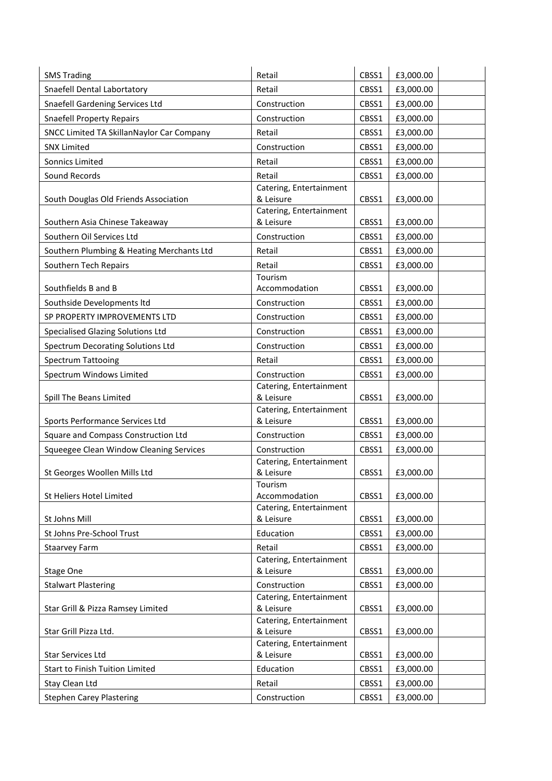| <b>SMS Trading</b>                        | Retail                               | CBSS1 | £3,000.00 |
|-------------------------------------------|--------------------------------------|-------|-----------|
| Snaefell Dental Labortatory               | Retail                               | CBSS1 | £3,000.00 |
| Snaefell Gardening Services Ltd           | Construction                         | CBSS1 | £3,000.00 |
| <b>Snaefell Property Repairs</b>          | Construction                         | CBSS1 | £3,000.00 |
| SNCC Limited TA SkillanNaylor Car Company | Retail                               | CBSS1 | £3,000.00 |
| <b>SNX Limited</b>                        | Construction                         | CBSS1 | £3,000.00 |
| Sonnics Limited                           | Retail                               | CBSS1 | £3,000.00 |
| Sound Records                             | Retail                               | CBSS1 | £3,000.00 |
|                                           | Catering, Entertainment              |       |           |
| South Douglas Old Friends Association     | & Leisure                            | CBSS1 | £3,000.00 |
| Southern Asia Chinese Takeaway            | Catering, Entertainment<br>& Leisure | CBSS1 | £3,000.00 |
| Southern Oil Services Ltd                 | Construction                         | CBSS1 | £3,000.00 |
| Southern Plumbing & Heating Merchants Ltd | Retail                               | CBSS1 | £3,000.00 |
| Southern Tech Repairs                     | Retail                               | CBSS1 | £3,000.00 |
|                                           | Tourism                              |       |           |
| Southfields B and B                       | Accommodation                        | CBSS1 | £3,000.00 |
| Southside Developments Itd                | Construction                         | CBSS1 | £3,000.00 |
| SP PROPERTY IMPROVEMENTS LTD              | Construction                         | CBSS1 | £3,000.00 |
| Specialised Glazing Solutions Ltd         | Construction                         | CBSS1 | £3,000.00 |
| Spectrum Decorating Solutions Ltd         | Construction                         | CBSS1 | £3,000.00 |
| Spectrum Tattooing                        | Retail                               | CBSS1 | £3,000.00 |
| Spectrum Windows Limited                  | Construction                         | CBSS1 | £3,000.00 |
| Spill The Beans Limited                   | Catering, Entertainment<br>& Leisure | CBSS1 | £3,000.00 |
|                                           | Catering, Entertainment              |       |           |
| Sports Performance Services Ltd           | & Leisure                            | CBSS1 | £3,000.00 |
| Square and Compass Construction Ltd       | Construction                         | CBSS1 | £3,000.00 |
| Squeegee Clean Window Cleaning Services   | Construction                         | CBSS1 | £3,000.00 |
| St Georges Woollen Mills Ltd              | Catering, Entertainment<br>& Leisure | CBSS1 | £3,000.00 |
|                                           | Tourism                              |       |           |
| St Heliers Hotel Limited                  | Accommodation                        | CBSS1 | £3,000.00 |
|                                           | Catering, Entertainment              |       |           |
| St Johns Mill                             | & Leisure                            | CBSS1 | £3,000.00 |
| St Johns Pre-School Trust                 | Education                            | CBSS1 | £3,000.00 |
| Staarvey Farm                             | Retail                               | CBSS1 | £3,000.00 |
| Stage One                                 | Catering, Entertainment<br>& Leisure | CBSS1 | £3,000.00 |
| <b>Stalwart Plastering</b>                | Construction                         | CBSS1 | £3,000.00 |
|                                           | Catering, Entertainment              |       |           |
| Star Grill & Pizza Ramsey Limited         | & Leisure<br>Catering, Entertainment | CBSS1 | £3,000.00 |
| Star Grill Pizza Ltd.                     | & Leisure                            | CBSS1 | £3,000.00 |
|                                           | Catering, Entertainment              |       |           |
| <b>Star Services Ltd</b>                  | & Leisure                            | CBSS1 | £3,000.00 |
| Start to Finish Tuition Limited           | Education                            | CBSS1 | £3,000.00 |
| Stay Clean Ltd                            | Retail                               | CBSS1 | £3,000.00 |
|                                           |                                      |       |           |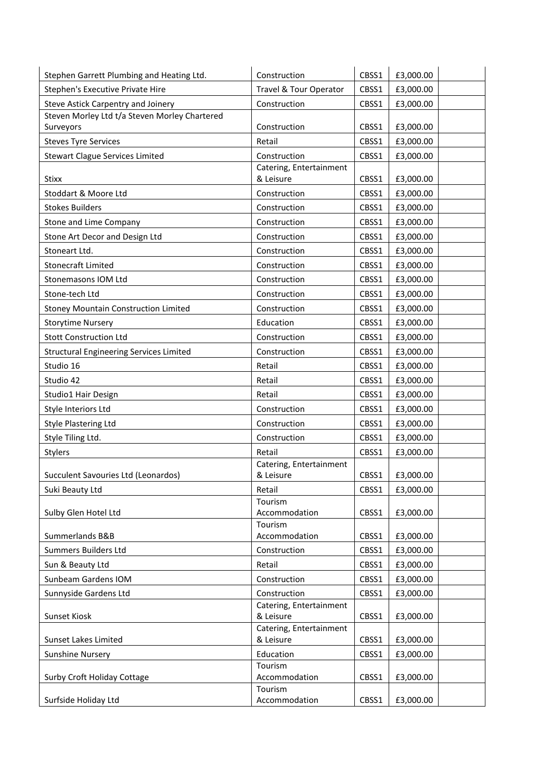| Stephen Garrett Plumbing and Heating Ltd.      | Construction                         | CBSS1 | £3,000.00 |
|------------------------------------------------|--------------------------------------|-------|-----------|
| Stephen's Executive Private Hire               | Travel & Tour Operator               | CBSS1 | £3,000.00 |
| Steve Astick Carpentry and Joinery             | Construction                         | CBSS1 | £3,000.00 |
| Steven Morley Ltd t/a Steven Morley Chartered  |                                      |       |           |
| Surveyors                                      | Construction                         | CBSS1 | £3,000.00 |
| <b>Steves Tyre Services</b>                    | Retail                               | CBSS1 | £3,000.00 |
| <b>Stewart Clague Services Limited</b>         | Construction                         | CBSS1 | £3,000.00 |
|                                                | Catering, Entertainment<br>& Leisure | CBSS1 | £3,000.00 |
| Stixx                                          |                                      |       |           |
| Stoddart & Moore Ltd                           | Construction                         | CBSS1 | £3,000.00 |
| <b>Stokes Builders</b>                         | Construction                         | CBSS1 | £3,000.00 |
| Stone and Lime Company                         | Construction                         | CBSS1 | £3,000.00 |
| Stone Art Decor and Design Ltd                 | Construction                         | CBSS1 | £3,000.00 |
| Stoneart Ltd.                                  | Construction                         | CBSS1 | £3,000.00 |
| Stonecraft Limited                             | Construction                         | CBSS1 | £3,000.00 |
| Stonemasons IOM Ltd                            | Construction                         | CBSS1 | £3,000.00 |
| Stone-tech Ltd                                 | Construction                         | CBSS1 | £3,000.00 |
| Stoney Mountain Construction Limited           | Construction                         | CBSS1 | £3,000.00 |
| <b>Storytime Nursery</b>                       | Education                            | CBSS1 | £3,000.00 |
| <b>Stott Construction Ltd</b>                  | Construction                         | CBSS1 | £3,000.00 |
| <b>Structural Engineering Services Limited</b> | Construction                         | CBSS1 | £3,000.00 |
| Studio 16                                      | Retail                               | CBSS1 | £3,000.00 |
| Studio 42                                      | Retail                               | CBSS1 | £3,000.00 |
| Studio1 Hair Design                            | Retail                               | CBSS1 | £3,000.00 |
| Style Interiors Ltd                            | Construction                         | CBSS1 | £3,000.00 |
| <b>Style Plastering Ltd</b>                    | Construction                         | CBSS1 | £3,000.00 |
| Style Tiling Ltd.                              | Construction                         | CBSS1 | £3,000.00 |
| Stylers                                        | Retail                               | CBSS1 | £3,000.00 |
|                                                | Catering, Entertainment              |       |           |
| Succulent Savouries Ltd (Leonardos)            | & Leisure                            | CBSS1 | £3,000.00 |
| Suki Beauty Ltd                                | Retail                               | CBSS1 | £3,000.00 |
| Sulby Glen Hotel Ltd                           | Tourism<br>Accommodation             | CBSS1 | £3,000.00 |
|                                                | Tourism                              |       |           |
| Summerlands B&B                                | Accommodation                        | CBSS1 | £3,000.00 |
| Summers Builders Ltd                           | Construction                         | CBSS1 | £3,000.00 |
| Sun & Beauty Ltd                               | Retail                               | CBSS1 | £3,000.00 |
| Sunbeam Gardens IOM                            | Construction                         | CBSS1 | £3,000.00 |
| Sunnyside Gardens Ltd                          | Construction                         | CBSS1 | £3,000.00 |
|                                                | Catering, Entertainment              |       |           |
| Sunset Kiosk                                   | & Leisure                            | CBSS1 | £3,000.00 |
|                                                | Catering, Entertainment              |       |           |
| Sunset Lakes Limited                           | & Leisure                            | CBSS1 | £3,000.00 |
| <b>Sunshine Nursery</b>                        | Education<br>Tourism                 | CBSS1 | £3,000.00 |
| Surby Croft Holiday Cottage                    | Accommodation                        | CBSS1 | £3,000.00 |
|                                                | Tourism                              |       |           |
| Surfside Holiday Ltd                           | Accommodation                        | CBSS1 | £3,000.00 |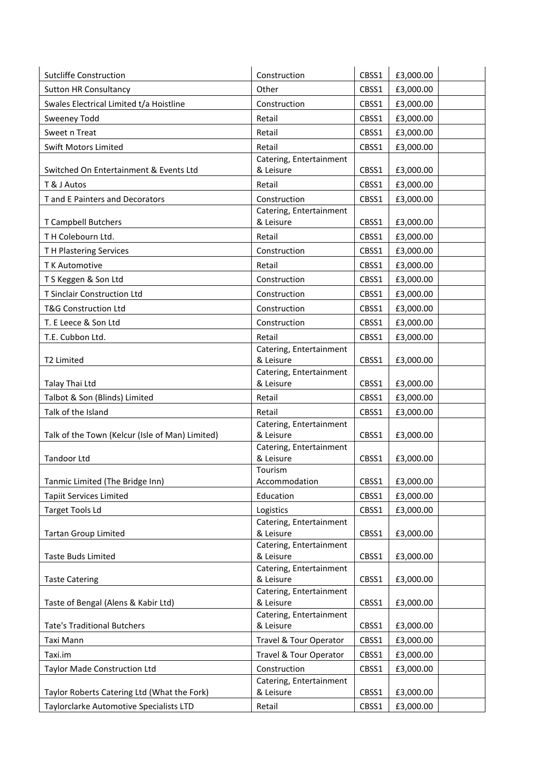| <b>Sutcliffe Construction</b>                   | Construction                            | CBSS1 | £3,000.00 |
|-------------------------------------------------|-----------------------------------------|-------|-----------|
| <b>Sutton HR Consultancy</b>                    | Other                                   | CBSS1 | £3,000.00 |
| Swales Electrical Limited t/a Hoistline         | Construction                            | CBSS1 | £3,000.00 |
| <b>Sweeney Todd</b>                             | Retail                                  | CBSS1 | £3,000.00 |
| Sweet n Treat                                   | Retail                                  | CBSS1 | £3,000.00 |
| <b>Swift Motors Limited</b>                     | Retail                                  | CBSS1 | £3,000.00 |
|                                                 | Catering, Entertainment                 |       |           |
| Switched On Entertainment & Events Ltd          | & Leisure                               | CBSS1 | £3,000.00 |
| T & J Autos                                     | Retail                                  | CBSS1 | £3,000.00 |
| T and E Painters and Decorators                 | Construction                            | CBSS1 | £3,000.00 |
|                                                 | Catering, Entertainment                 |       |           |
| T Campbell Butchers                             | & Leisure                               | CBSS1 | £3,000.00 |
| TH Colebourn Ltd.                               | Retail                                  | CBSS1 | £3,000.00 |
| TH Plastering Services                          | Construction                            | CBSS1 | £3,000.00 |
| T K Automotive                                  | Retail                                  | CBSS1 | £3,000.00 |
| TS Keggen & Son Ltd                             | Construction                            | CBSS1 | £3,000.00 |
| T Sinclair Construction Ltd                     | Construction                            | CBSS1 | £3,000.00 |
| <b>T&amp;G Construction Ltd</b>                 | Construction                            | CBSS1 | £3,000.00 |
| T. E Leece & Son Ltd                            | Construction                            | CBSS1 | £3,000.00 |
| T.E. Cubbon Ltd.                                | Retail                                  | CBSS1 | £3,000.00 |
|                                                 | Catering, Entertainment                 |       |           |
| T2 Limited                                      | & Leisure                               | CBSS1 | £3,000.00 |
| Talay Thai Ltd                                  | Catering, Entertainment<br>& Leisure    | CBSS1 | £3,000.00 |
|                                                 |                                         |       |           |
| Talbot & Son (Blinds) Limited                   | Retail                                  | CBSS1 | £3,000.00 |
| Talk of the Island                              | Retail                                  | CBSS1 | £3,000.00 |
| Talk of the Town (Kelcur (Isle of Man) Limited) | Catering, Entertainment<br>& Leisure    | CBSS1 | £3,000.00 |
|                                                 | Catering, Entertainment                 |       |           |
| <b>Tandoor Ltd</b>                              | & Leisure                               | CBSS1 | £3,000.00 |
|                                                 | Tourism                                 |       |           |
| Tanmic Limited (The Bridge Inn)                 | Accommodation                           | CBSS1 | £3,000.00 |
| <b>Tapiit Services Limited</b>                  | Education                               | CBSS1 | £3,000.00 |
| <b>Target Tools Ld</b>                          | Logistics                               | CBSS1 | £3,000.00 |
|                                                 | Catering, Entertainment                 |       |           |
| <b>Tartan Group Limited</b>                     | & Leisure<br>Catering, Entertainment    | CBSS1 | £3,000.00 |
| <b>Taste Buds Limited</b>                       | & Leisure                               | CBSS1 | £3,000.00 |
|                                                 | Catering, Entertainment                 |       |           |
| <b>Taste Catering</b>                           | & Leisure                               | CBSS1 | £3,000.00 |
|                                                 | Catering, Entertainment                 |       |           |
| Taste of Bengal (Alens & Kabir Ltd)             | & Leisure                               | CBSS1 | £3,000.00 |
| <b>Tate's Traditional Butchers</b>              | Catering, Entertainment<br>& Leisure    | CBSS1 | £3,000.00 |
| Taxi Mann                                       | Travel & Tour Operator                  | CBSS1 | £3,000.00 |
|                                                 |                                         |       |           |
| Taxi.im                                         | Travel & Tour Operator                  | CBSS1 | £3,000.00 |
| Taylor Made Construction Ltd                    | Construction<br>Catering, Entertainment | CBSS1 | £3,000.00 |
| Taylor Roberts Catering Ltd (What the Fork)     | & Leisure                               | CBSS1 | £3,000.00 |
| Taylorclarke Automotive Specialists LTD         | Retail                                  | CBSS1 | £3,000.00 |
|                                                 |                                         |       |           |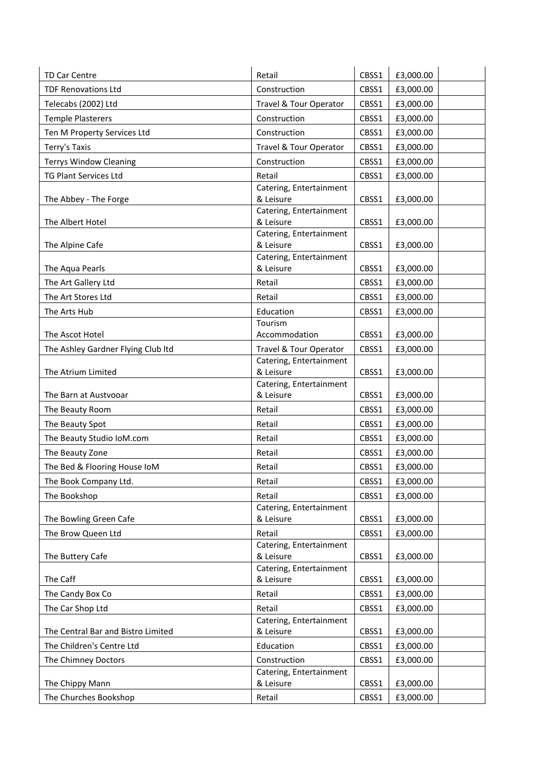| <b>TD Car Centre</b>               | Retail                               | CBSS1 | £3,000.00 |
|------------------------------------|--------------------------------------|-------|-----------|
| <b>TDF Renovations Ltd</b>         | Construction                         | CBSS1 | £3,000.00 |
| Telecabs (2002) Ltd                | Travel & Tour Operator               | CBSS1 | £3,000.00 |
| <b>Temple Plasterers</b>           | Construction                         | CBSS1 | £3,000.00 |
| Ten M Property Services Ltd        | Construction                         | CBSS1 | £3,000.00 |
| Terry's Taxis                      | Travel & Tour Operator               | CBSS1 | £3,000.00 |
| <b>Terrys Window Cleaning</b>      | Construction                         | CBSS1 | £3,000.00 |
| <b>TG Plant Services Ltd</b>       | Retail                               | CBSS1 | £3,000.00 |
|                                    | Catering, Entertainment              |       |           |
| The Abbey - The Forge              | & Leisure                            | CBSS1 | £3,000.00 |
|                                    | Catering, Entertainment              |       |           |
| The Albert Hotel                   | & Leisure<br>Catering, Entertainment | CBSS1 | £3,000.00 |
| The Alpine Cafe                    | & Leisure                            | CBSS1 | £3,000.00 |
|                                    | Catering, Entertainment              |       |           |
| The Aqua Pearls                    | & Leisure                            | CBSS1 | £3,000.00 |
| The Art Gallery Ltd                | Retail                               | CBSS1 | £3,000.00 |
| The Art Stores Ltd                 | Retail                               | CBSS1 | £3,000.00 |
| The Arts Hub                       | Education                            | CBSS1 | £3,000.00 |
|                                    | Tourism                              |       |           |
| The Ascot Hotel                    | Accommodation                        | CBSS1 | £3,000.00 |
| The Ashley Gardner Flying Club Itd | Travel & Tour Operator               | CBSS1 | £3,000.00 |
|                                    | Catering, Entertainment<br>& Leisure |       |           |
| The Atrium Limited                 | Catering, Entertainment              | CBSS1 | £3,000.00 |
| The Barn at Austvooar              | & Leisure                            | CBSS1 | £3,000.00 |
| The Beauty Room                    | Retail                               | CBSS1 | £3,000.00 |
| The Beauty Spot                    | Retail                               | CBSS1 | £3,000.00 |
| The Beauty Studio IoM.com          | Retail                               | CBSS1 | £3,000.00 |
| The Beauty Zone                    | Retail                               | CBSS1 | £3,000.00 |
| The Bed & Flooring House IoM       | Retail                               | CBSS1 | £3,000.00 |
| The Book Company Ltd.              | Retail                               | CBSS1 | £3,000.00 |
| The Bookshop                       | Retail                               | CBSS1 | £3,000.00 |
|                                    | Catering, Entertainment              |       |           |
| The Bowling Green Cafe             | & Leisure                            | CBSS1 | £3,000.00 |
| The Brow Queen Ltd                 | Retail                               | CBSS1 | £3,000.00 |
|                                    | Catering, Entertainment              |       |           |
| The Buttery Cafe                   | & Leisure<br>Catering, Entertainment | CBSS1 | £3,000.00 |
| The Caff                           | & Leisure                            | CBSS1 | £3,000.00 |
| The Candy Box Co                   | Retail                               | CBSS1 | £3,000.00 |
| The Car Shop Ltd                   | Retail                               | CBSS1 | £3,000.00 |
|                                    | Catering, Entertainment              |       |           |
| The Central Bar and Bistro Limited | & Leisure                            | CBSS1 | £3,000.00 |
| The Children's Centre Ltd          | Education                            | CBSS1 | £3,000.00 |
| The Chimney Doctors                | Construction                         | CBSS1 | £3,000.00 |
|                                    | Catering, Entertainment              |       |           |
| The Chippy Mann                    | & Leisure                            | CBSS1 | £3,000.00 |
| The Churches Bookshop              | Retail                               | CBSS1 | £3,000.00 |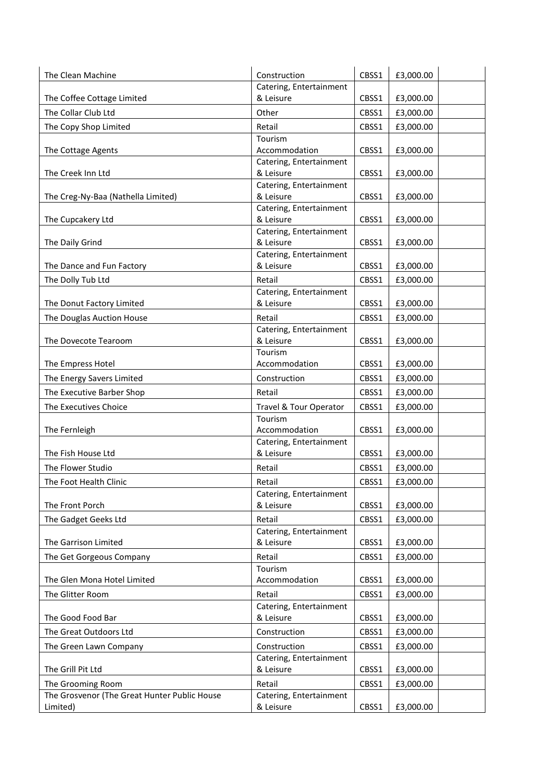| The Clean Machine                            | Construction                         | CBSS1 | £3,000.00 |  |
|----------------------------------------------|--------------------------------------|-------|-----------|--|
|                                              | Catering, Entertainment              |       |           |  |
| The Coffee Cottage Limited                   | & Leisure                            | CBSS1 | £3,000.00 |  |
| The Collar Club Ltd                          | Other                                | CBSS1 | £3,000.00 |  |
| The Copy Shop Limited                        | Retail                               | CBSS1 | £3,000.00 |  |
|                                              | Tourism                              |       |           |  |
| The Cottage Agents                           | Accommodation                        | CBSS1 | £3,000.00 |  |
|                                              | Catering, Entertainment              |       |           |  |
| The Creek Inn Ltd                            | & Leisure                            | CBSS1 | £3,000.00 |  |
|                                              | Catering, Entertainment              |       |           |  |
| The Creg-Ny-Baa (Nathella Limited)           | & Leisure<br>Catering, Entertainment | CBSS1 | £3,000.00 |  |
| The Cupcakery Ltd                            | & Leisure                            | CBSS1 | £3,000.00 |  |
|                                              | Catering, Entertainment              |       |           |  |
| The Daily Grind                              | & Leisure                            | CBSS1 | £3,000.00 |  |
|                                              | Catering, Entertainment              |       |           |  |
| The Dance and Fun Factory                    | & Leisure                            | CBSS1 | £3,000.00 |  |
| The Dolly Tub Ltd                            | Retail                               | CBSS1 | £3,000.00 |  |
|                                              | Catering, Entertainment              |       |           |  |
| The Donut Factory Limited                    | & Leisure                            | CBSS1 | £3,000.00 |  |
| The Douglas Auction House                    | Retail                               | CBSS1 | £3,000.00 |  |
|                                              | Catering, Entertainment              |       |           |  |
| The Dovecote Tearoom                         | & Leisure                            | CBSS1 | £3,000.00 |  |
|                                              | Tourism                              |       |           |  |
| The Empress Hotel                            | Accommodation                        | CBSS1 | £3,000.00 |  |
| The Energy Savers Limited                    | Construction                         | CBSS1 | £3,000.00 |  |
| The Executive Barber Shop                    | Retail                               | CBSS1 | £3,000.00 |  |
| The Executives Choice                        | Travel & Tour Operator               | CBSS1 | £3,000.00 |  |
|                                              | Tourism                              |       |           |  |
| The Fernleigh                                | Accommodation                        | CBSS1 | £3,000.00 |  |
| The Fish House Ltd                           | Catering, Entertainment<br>& Leisure | CBSS1 | £3,000.00 |  |
|                                              |                                      |       |           |  |
| The Flower Studio                            | Retail                               | CBSS1 | £3,000.00 |  |
| The Foot Health Clinic                       | Retail                               | CBSS1 | £3,000.00 |  |
| The Front Porch                              | Catering, Entertainment<br>& Leisure | CBSS1 | £3,000.00 |  |
|                                              | Retail                               |       | £3,000.00 |  |
| The Gadget Geeks Ltd                         | Catering, Entertainment              | CBSS1 |           |  |
| The Garrison Limited                         | & Leisure                            | CBSS1 | £3,000.00 |  |
| The Get Gorgeous Company                     | Retail                               | CBSS1 | £3,000.00 |  |
|                                              | Tourism                              |       |           |  |
| The Glen Mona Hotel Limited                  | Accommodation                        | CBSS1 | £3,000.00 |  |
| The Glitter Room                             | Retail                               | CBSS1 | £3,000.00 |  |
|                                              | Catering, Entertainment              |       |           |  |
| The Good Food Bar                            | & Leisure                            | CBSS1 | £3,000.00 |  |
| The Great Outdoors Ltd                       | Construction                         | CBSS1 | £3,000.00 |  |
| The Green Lawn Company                       | Construction                         | CBSS1 | £3,000.00 |  |
|                                              | Catering, Entertainment              |       |           |  |
| The Grill Pit Ltd                            | & Leisure                            | CBSS1 | £3,000.00 |  |
| The Grooming Room                            | Retail                               | CBSS1 | £3,000.00 |  |
| The Grosvenor (The Great Hunter Public House | Catering, Entertainment              |       |           |  |
| Limited)                                     | & Leisure                            | CBSS1 | £3,000.00 |  |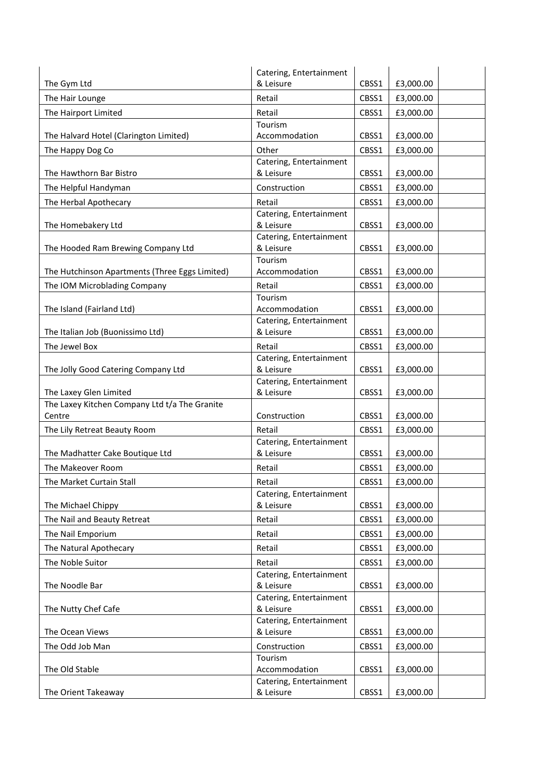|                                                | Catering, Entertainment              |       |           |
|------------------------------------------------|--------------------------------------|-------|-----------|
| The Gym Ltd                                    | & Leisure                            | CBSS1 | £3,000.00 |
| The Hair Lounge                                | Retail                               | CBSS1 | £3,000.00 |
| The Hairport Limited                           | Retail                               | CBSS1 | £3,000.00 |
|                                                | Tourism                              |       |           |
| The Halvard Hotel (Clarington Limited)         | Accommodation                        | CBSS1 | £3,000.00 |
| The Happy Dog Co                               | Other                                | CBSS1 | £3,000.00 |
|                                                | Catering, Entertainment              |       |           |
| The Hawthorn Bar Bistro                        | & Leisure                            | CBSS1 | £3,000.00 |
| The Helpful Handyman                           | Construction                         | CBSS1 | £3,000.00 |
| The Herbal Apothecary                          | Retail                               | CBSS1 | £3,000.00 |
|                                                | Catering, Entertainment<br>& Leisure |       |           |
| The Homebakery Ltd                             | Catering, Entertainment              | CBSS1 | £3,000.00 |
| The Hooded Ram Brewing Company Ltd             | & Leisure                            | CBSS1 | £3,000.00 |
|                                                | Tourism                              |       |           |
| The Hutchinson Apartments (Three Eggs Limited) | Accommodation                        | CBSS1 | £3,000.00 |
| The IOM Microblading Company                   | Retail                               | CBSS1 | £3,000.00 |
|                                                | Tourism                              |       |           |
| The Island (Fairland Ltd)                      | Accommodation                        | CBSS1 | £3,000.00 |
|                                                | Catering, Entertainment              |       |           |
| The Italian Job (Buonissimo Ltd)               | & Leisure                            | CBSS1 | £3,000.00 |
| The Jewel Box                                  | Retail                               | CBSS1 | £3,000.00 |
| The Jolly Good Catering Company Ltd            | Catering, Entertainment<br>& Leisure | CBSS1 | £3,000.00 |
|                                                | Catering, Entertainment              |       |           |
| The Laxey Glen Limited                         | & Leisure                            | CBSS1 | £3,000.00 |
| The Laxey Kitchen Company Ltd t/a The Granite  |                                      |       |           |
| Centre                                         | Construction                         | CBSS1 | £3,000.00 |
| The Lily Retreat Beauty Room                   | Retail                               | CBSS1 | £3,000.00 |
|                                                | Catering, Entertainment              |       |           |
| The Madhatter Cake Boutique Ltd                | & Leisure                            | CBSS1 | £3,000.00 |
| The Makeover Room                              | Retail                               | CBSS1 | £3,000.00 |
| The Market Curtain Stall                       | Retail                               | CBSS1 | £3,000.00 |
|                                                | Catering, Entertainment              |       |           |
| The Michael Chippy                             | & Leisure                            | CBSS1 | £3,000.00 |
| The Nail and Beauty Retreat                    | Retail                               | CBSS1 | £3,000.00 |
| The Nail Emporium                              | Retail                               | CBSS1 | £3,000.00 |
| The Natural Apothecary                         | Retail                               | CBSS1 | £3,000.00 |
| The Noble Suitor                               | Retail                               | CBSS1 | £3,000.00 |
|                                                | Catering, Entertainment              |       |           |
| The Noodle Bar                                 | & Leisure                            | CBSS1 | £3,000.00 |
|                                                | Catering, Entertainment              |       |           |
| The Nutty Chef Cafe                            | & Leisure<br>Catering, Entertainment | CBSS1 | £3,000.00 |
| The Ocean Views                                | & Leisure                            | CBSS1 | £3,000.00 |
| The Odd Job Man                                | Construction                         | CBSS1 | £3,000.00 |
|                                                | Tourism                              |       |           |
| The Old Stable                                 | Accommodation                        | CBSS1 | £3,000.00 |
|                                                | Catering, Entertainment              |       |           |
| The Orient Takeaway                            | & Leisure                            | CBSS1 | £3,000.00 |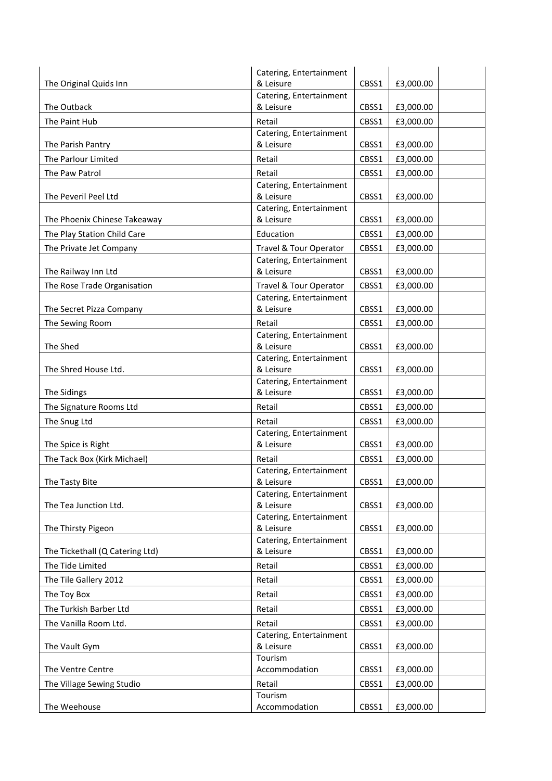|                                 | Catering, Entertainment              |       |           |
|---------------------------------|--------------------------------------|-------|-----------|
| The Original Quids Inn          | & Leisure                            | CBSS1 | £3,000.00 |
|                                 | Catering, Entertainment              |       |           |
| The Outback                     | & Leisure                            | CBSS1 | £3,000.00 |
| The Paint Hub                   | Retail                               | CBSS1 | £3,000.00 |
| The Parish Pantry               | Catering, Entertainment<br>& Leisure | CBSS1 | £3,000.00 |
| The Parlour Limited             | Retail                               | CBSS1 | £3,000.00 |
|                                 | Retail                               |       |           |
| The Paw Patrol                  | Catering, Entertainment              | CBSS1 | £3,000.00 |
| The Peveril Peel Ltd            | & Leisure                            | CBSS1 | £3,000.00 |
|                                 | Catering, Entertainment              |       |           |
| The Phoenix Chinese Takeaway    | & Leisure                            | CBSS1 | £3,000.00 |
| The Play Station Child Care     | Education                            | CBSS1 | £3,000.00 |
| The Private Jet Company         | Travel & Tour Operator               | CBSS1 | £3,000.00 |
|                                 | Catering, Entertainment              |       |           |
| The Railway Inn Ltd             | & Leisure                            | CBSS1 | £3,000.00 |
| The Rose Trade Organisation     | Travel & Tour Operator               | CBSS1 | £3,000.00 |
|                                 | Catering, Entertainment              |       |           |
| The Secret Pizza Company        | & Leisure                            | CBSS1 | £3,000.00 |
| The Sewing Room                 | Retail<br>Catering, Entertainment    | CBSS1 | £3,000.00 |
| The Shed                        | & Leisure                            | CBSS1 | £3,000.00 |
|                                 | Catering, Entertainment              |       |           |
| The Shred House Ltd.            | & Leisure                            | CBSS1 | £3,000.00 |
|                                 | Catering, Entertainment              |       |           |
| The Sidings                     | & Leisure                            | CBSS1 | £3,000.00 |
| The Signature Rooms Ltd         | Retail                               | CBSS1 | £3,000.00 |
| The Snug Ltd                    | Retail                               | CBSS1 | £3,000.00 |
| The Spice is Right              | Catering, Entertainment<br>& Leisure | CBSS1 | £3,000.00 |
| The Tack Box (Kirk Michael)     | Retail                               | CBSS1 | £3,000.00 |
|                                 | Catering, Entertainment              |       |           |
| The Tasty Bite                  | & Leisure                            | CBSS1 | £3,000.00 |
|                                 | Catering, Entertainment              |       |           |
| The Tea Junction Ltd.           | & Leisure                            | CBSS1 | £3,000.00 |
|                                 | Catering, Entertainment              |       |           |
| The Thirsty Pigeon              | & Leisure<br>Catering, Entertainment | CBSS1 | £3,000.00 |
| The Tickethall (Q Catering Ltd) | & Leisure                            | CBSS1 | £3,000.00 |
| The Tide Limited                | Retail                               | CBSS1 | £3,000.00 |
| The Tile Gallery 2012           | Retail                               | CBSS1 | £3,000.00 |
| The Toy Box                     | Retail                               | CBSS1 | £3,000.00 |
| The Turkish Barber Ltd          | Retail                               | CBSS1 | £3,000.00 |
| The Vanilla Room Ltd.           | Retail                               | CBSS1 | £3,000.00 |
|                                 | Catering, Entertainment              |       |           |
| The Vault Gym                   | & Leisure                            | CBSS1 | £3,000.00 |
|                                 | Tourism                              |       |           |
| The Ventre Centre               | Accommodation                        | CBSS1 | £3,000.00 |
| The Village Sewing Studio       | Retail                               | CBSS1 | £3,000.00 |
|                                 | Tourism                              |       |           |
| The Weehouse                    | Accommodation                        | CBSS1 | £3,000.00 |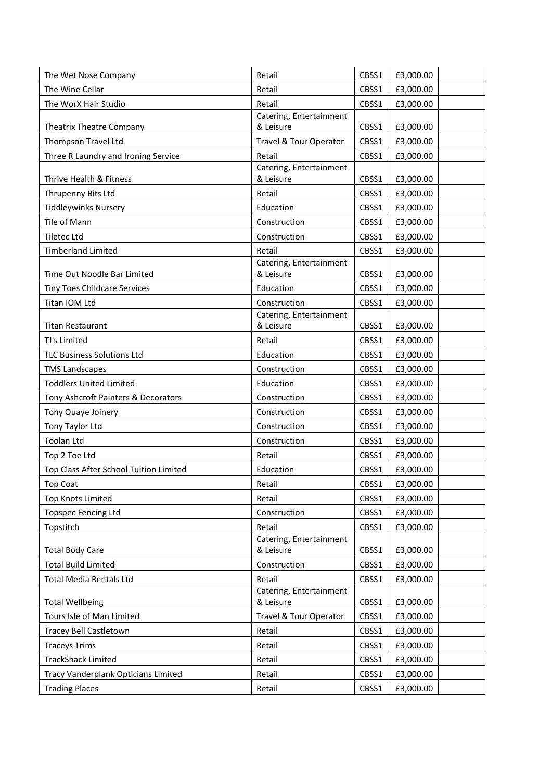| The Wine Cellar<br>Retail<br>CBSS1<br>£3,000.00<br>The WorX Hair Studio<br>Retail<br>£3,000.00<br>CBSS1<br>Catering, Entertainment<br>& Leisure<br><b>Theatrix Theatre Company</b><br>CBSS1<br>£3,000.00<br>Thompson Travel Ltd<br>Travel & Tour Operator<br>CBSS1<br>£3,000.00<br>Three R Laundry and Ironing Service<br>Retail<br>CBSS1<br>£3,000.00<br>Catering, Entertainment<br>Thrive Health & Fitness<br>& Leisure<br>CBSS1<br>£3,000.00<br>Thrupenny Bits Ltd<br>Retail<br>CBSS1<br>£3,000.00<br><b>Tiddleywinks Nursery</b><br>Education<br>CBSS1<br>£3,000.00<br>Tile of Mann<br>Construction<br>CBSS1<br>£3,000.00<br><b>Tiletec Ltd</b><br>Construction<br>CBSS1<br>£3,000.00<br>Retail<br><b>Timberland Limited</b><br>CBSS1<br>£3,000.00<br>Catering, Entertainment<br>Time Out Noodle Bar Limited<br>& Leisure<br>CBSS1<br>£3,000.00<br><b>Tiny Toes Childcare Services</b><br>Education<br>CBSS1<br>£3,000.00<br>Titan IOM Ltd<br>Construction<br>CBSS1<br>£3,000.00<br>Catering, Entertainment<br>& Leisure<br>CBSS1<br><b>Titan Restaurant</b><br>£3,000.00<br>Retail<br>CBSS1<br>TJ's Limited<br>£3,000.00<br><b>TLC Business Solutions Ltd</b><br>Education<br>CBSS1<br>£3,000.00<br>Construction<br>CBSS1<br>£3,000.00<br><b>TMS Landscapes</b><br><b>Toddlers United Limited</b><br>Education<br>CBSS1<br>£3,000.00<br>Tony Ashcroft Painters & Decorators<br>Construction<br>CBSS1<br>£3,000.00<br>Tony Quaye Joinery<br>Construction<br>CBSS1<br>£3,000.00<br>Tony Taylor Ltd<br>Construction<br>CBSS1<br>£3,000.00<br><b>Toolan Ltd</b><br>CBSS1<br>£3,000.00<br>Construction<br>Retail<br>CBSS1<br>£3,000.00<br>Top 2 Toe Ltd<br>Top Class After School Tuition Limited<br>£3,000.00<br>Education<br>CBSS1<br>CBSS1<br>£3,000.00<br>Retail<br>Top Coat<br><b>Top Knots Limited</b><br>Retail<br>CBSS1<br>£3,000.00<br>Construction<br>CBSS1<br>£3,000.00<br><b>Topspec Fencing Ltd</b><br>Topstitch<br>Retail<br>CBSS1<br>£3,000.00<br>Catering, Entertainment<br>& Leisure<br>CBSS1<br>£3,000.00<br><b>Total Body Care</b><br><b>Total Build Limited</b><br>Construction<br>CBSS1<br>£3,000.00<br>Retail<br><b>Total Media Rentals Ltd</b><br>CBSS1<br>£3,000.00<br>Catering, Entertainment<br><b>Total Wellbeing</b><br>& Leisure<br>£3,000.00<br>CBSS1<br>Tours Isle of Man Limited<br>£3,000.00<br>Travel & Tour Operator<br>CBSS1<br><b>Tracey Bell Castletown</b><br>Retail<br>CBSS1<br>£3,000.00<br><b>Traceys Trims</b><br>Retail<br>CBSS1<br>£3,000.00<br><b>TrackShack Limited</b><br>Retail<br>CBSS1<br>£3,000.00<br>Retail<br>Tracy Vanderplank Opticians Limited<br>CBSS1<br>£3,000.00<br>£3,000.00<br><b>Trading Places</b><br>Retail<br>CBSS1 | The Wet Nose Company | Retail | CBSS1 | £3,000.00 |
|----------------------------------------------------------------------------------------------------------------------------------------------------------------------------------------------------------------------------------------------------------------------------------------------------------------------------------------------------------------------------------------------------------------------------------------------------------------------------------------------------------------------------------------------------------------------------------------------------------------------------------------------------------------------------------------------------------------------------------------------------------------------------------------------------------------------------------------------------------------------------------------------------------------------------------------------------------------------------------------------------------------------------------------------------------------------------------------------------------------------------------------------------------------------------------------------------------------------------------------------------------------------------------------------------------------------------------------------------------------------------------------------------------------------------------------------------------------------------------------------------------------------------------------------------------------------------------------------------------------------------------------------------------------------------------------------------------------------------------------------------------------------------------------------------------------------------------------------------------------------------------------------------------------------------------------------------------------------------------------------------------------------------------------------------------------------------------------------------------------------------------------------------------------------------------------------------------------------------------------------------------------------------------------------------------------------------------------------------------------------------------------------------------------------------------------------------------------------------------------------------------------------------------------------------------------------------------------------------------------------------------------------------------------------------------------|----------------------|--------|-------|-----------|
|                                                                                                                                                                                                                                                                                                                                                                                                                                                                                                                                                                                                                                                                                                                                                                                                                                                                                                                                                                                                                                                                                                                                                                                                                                                                                                                                                                                                                                                                                                                                                                                                                                                                                                                                                                                                                                                                                                                                                                                                                                                                                                                                                                                                                                                                                                                                                                                                                                                                                                                                                                                                                                                                                        |                      |        |       |           |
|                                                                                                                                                                                                                                                                                                                                                                                                                                                                                                                                                                                                                                                                                                                                                                                                                                                                                                                                                                                                                                                                                                                                                                                                                                                                                                                                                                                                                                                                                                                                                                                                                                                                                                                                                                                                                                                                                                                                                                                                                                                                                                                                                                                                                                                                                                                                                                                                                                                                                                                                                                                                                                                                                        |                      |        |       |           |
|                                                                                                                                                                                                                                                                                                                                                                                                                                                                                                                                                                                                                                                                                                                                                                                                                                                                                                                                                                                                                                                                                                                                                                                                                                                                                                                                                                                                                                                                                                                                                                                                                                                                                                                                                                                                                                                                                                                                                                                                                                                                                                                                                                                                                                                                                                                                                                                                                                                                                                                                                                                                                                                                                        |                      |        |       |           |
|                                                                                                                                                                                                                                                                                                                                                                                                                                                                                                                                                                                                                                                                                                                                                                                                                                                                                                                                                                                                                                                                                                                                                                                                                                                                                                                                                                                                                                                                                                                                                                                                                                                                                                                                                                                                                                                                                                                                                                                                                                                                                                                                                                                                                                                                                                                                                                                                                                                                                                                                                                                                                                                                                        |                      |        |       |           |
|                                                                                                                                                                                                                                                                                                                                                                                                                                                                                                                                                                                                                                                                                                                                                                                                                                                                                                                                                                                                                                                                                                                                                                                                                                                                                                                                                                                                                                                                                                                                                                                                                                                                                                                                                                                                                                                                                                                                                                                                                                                                                                                                                                                                                                                                                                                                                                                                                                                                                                                                                                                                                                                                                        |                      |        |       |           |
|                                                                                                                                                                                                                                                                                                                                                                                                                                                                                                                                                                                                                                                                                                                                                                                                                                                                                                                                                                                                                                                                                                                                                                                                                                                                                                                                                                                                                                                                                                                                                                                                                                                                                                                                                                                                                                                                                                                                                                                                                                                                                                                                                                                                                                                                                                                                                                                                                                                                                                                                                                                                                                                                                        |                      |        |       |           |
|                                                                                                                                                                                                                                                                                                                                                                                                                                                                                                                                                                                                                                                                                                                                                                                                                                                                                                                                                                                                                                                                                                                                                                                                                                                                                                                                                                                                                                                                                                                                                                                                                                                                                                                                                                                                                                                                                                                                                                                                                                                                                                                                                                                                                                                                                                                                                                                                                                                                                                                                                                                                                                                                                        |                      |        |       |           |
|                                                                                                                                                                                                                                                                                                                                                                                                                                                                                                                                                                                                                                                                                                                                                                                                                                                                                                                                                                                                                                                                                                                                                                                                                                                                                                                                                                                                                                                                                                                                                                                                                                                                                                                                                                                                                                                                                                                                                                                                                                                                                                                                                                                                                                                                                                                                                                                                                                                                                                                                                                                                                                                                                        |                      |        |       |           |
|                                                                                                                                                                                                                                                                                                                                                                                                                                                                                                                                                                                                                                                                                                                                                                                                                                                                                                                                                                                                                                                                                                                                                                                                                                                                                                                                                                                                                                                                                                                                                                                                                                                                                                                                                                                                                                                                                                                                                                                                                                                                                                                                                                                                                                                                                                                                                                                                                                                                                                                                                                                                                                                                                        |                      |        |       |           |
|                                                                                                                                                                                                                                                                                                                                                                                                                                                                                                                                                                                                                                                                                                                                                                                                                                                                                                                                                                                                                                                                                                                                                                                                                                                                                                                                                                                                                                                                                                                                                                                                                                                                                                                                                                                                                                                                                                                                                                                                                                                                                                                                                                                                                                                                                                                                                                                                                                                                                                                                                                                                                                                                                        |                      |        |       |           |
|                                                                                                                                                                                                                                                                                                                                                                                                                                                                                                                                                                                                                                                                                                                                                                                                                                                                                                                                                                                                                                                                                                                                                                                                                                                                                                                                                                                                                                                                                                                                                                                                                                                                                                                                                                                                                                                                                                                                                                                                                                                                                                                                                                                                                                                                                                                                                                                                                                                                                                                                                                                                                                                                                        |                      |        |       |           |
|                                                                                                                                                                                                                                                                                                                                                                                                                                                                                                                                                                                                                                                                                                                                                                                                                                                                                                                                                                                                                                                                                                                                                                                                                                                                                                                                                                                                                                                                                                                                                                                                                                                                                                                                                                                                                                                                                                                                                                                                                                                                                                                                                                                                                                                                                                                                                                                                                                                                                                                                                                                                                                                                                        |                      |        |       |           |
|                                                                                                                                                                                                                                                                                                                                                                                                                                                                                                                                                                                                                                                                                                                                                                                                                                                                                                                                                                                                                                                                                                                                                                                                                                                                                                                                                                                                                                                                                                                                                                                                                                                                                                                                                                                                                                                                                                                                                                                                                                                                                                                                                                                                                                                                                                                                                                                                                                                                                                                                                                                                                                                                                        |                      |        |       |           |
|                                                                                                                                                                                                                                                                                                                                                                                                                                                                                                                                                                                                                                                                                                                                                                                                                                                                                                                                                                                                                                                                                                                                                                                                                                                                                                                                                                                                                                                                                                                                                                                                                                                                                                                                                                                                                                                                                                                                                                                                                                                                                                                                                                                                                                                                                                                                                                                                                                                                                                                                                                                                                                                                                        |                      |        |       |           |
|                                                                                                                                                                                                                                                                                                                                                                                                                                                                                                                                                                                                                                                                                                                                                                                                                                                                                                                                                                                                                                                                                                                                                                                                                                                                                                                                                                                                                                                                                                                                                                                                                                                                                                                                                                                                                                                                                                                                                                                                                                                                                                                                                                                                                                                                                                                                                                                                                                                                                                                                                                                                                                                                                        |                      |        |       |           |
|                                                                                                                                                                                                                                                                                                                                                                                                                                                                                                                                                                                                                                                                                                                                                                                                                                                                                                                                                                                                                                                                                                                                                                                                                                                                                                                                                                                                                                                                                                                                                                                                                                                                                                                                                                                                                                                                                                                                                                                                                                                                                                                                                                                                                                                                                                                                                                                                                                                                                                                                                                                                                                                                                        |                      |        |       |           |
|                                                                                                                                                                                                                                                                                                                                                                                                                                                                                                                                                                                                                                                                                                                                                                                                                                                                                                                                                                                                                                                                                                                                                                                                                                                                                                                                                                                                                                                                                                                                                                                                                                                                                                                                                                                                                                                                                                                                                                                                                                                                                                                                                                                                                                                                                                                                                                                                                                                                                                                                                                                                                                                                                        |                      |        |       |           |
|                                                                                                                                                                                                                                                                                                                                                                                                                                                                                                                                                                                                                                                                                                                                                                                                                                                                                                                                                                                                                                                                                                                                                                                                                                                                                                                                                                                                                                                                                                                                                                                                                                                                                                                                                                                                                                                                                                                                                                                                                                                                                                                                                                                                                                                                                                                                                                                                                                                                                                                                                                                                                                                                                        |                      |        |       |           |
|                                                                                                                                                                                                                                                                                                                                                                                                                                                                                                                                                                                                                                                                                                                                                                                                                                                                                                                                                                                                                                                                                                                                                                                                                                                                                                                                                                                                                                                                                                                                                                                                                                                                                                                                                                                                                                                                                                                                                                                                                                                                                                                                                                                                                                                                                                                                                                                                                                                                                                                                                                                                                                                                                        |                      |        |       |           |
|                                                                                                                                                                                                                                                                                                                                                                                                                                                                                                                                                                                                                                                                                                                                                                                                                                                                                                                                                                                                                                                                                                                                                                                                                                                                                                                                                                                                                                                                                                                                                                                                                                                                                                                                                                                                                                                                                                                                                                                                                                                                                                                                                                                                                                                                                                                                                                                                                                                                                                                                                                                                                                                                                        |                      |        |       |           |
|                                                                                                                                                                                                                                                                                                                                                                                                                                                                                                                                                                                                                                                                                                                                                                                                                                                                                                                                                                                                                                                                                                                                                                                                                                                                                                                                                                                                                                                                                                                                                                                                                                                                                                                                                                                                                                                                                                                                                                                                                                                                                                                                                                                                                                                                                                                                                                                                                                                                                                                                                                                                                                                                                        |                      |        |       |           |
|                                                                                                                                                                                                                                                                                                                                                                                                                                                                                                                                                                                                                                                                                                                                                                                                                                                                                                                                                                                                                                                                                                                                                                                                                                                                                                                                                                                                                                                                                                                                                                                                                                                                                                                                                                                                                                                                                                                                                                                                                                                                                                                                                                                                                                                                                                                                                                                                                                                                                                                                                                                                                                                                                        |                      |        |       |           |
|                                                                                                                                                                                                                                                                                                                                                                                                                                                                                                                                                                                                                                                                                                                                                                                                                                                                                                                                                                                                                                                                                                                                                                                                                                                                                                                                                                                                                                                                                                                                                                                                                                                                                                                                                                                                                                                                                                                                                                                                                                                                                                                                                                                                                                                                                                                                                                                                                                                                                                                                                                                                                                                                                        |                      |        |       |           |
|                                                                                                                                                                                                                                                                                                                                                                                                                                                                                                                                                                                                                                                                                                                                                                                                                                                                                                                                                                                                                                                                                                                                                                                                                                                                                                                                                                                                                                                                                                                                                                                                                                                                                                                                                                                                                                                                                                                                                                                                                                                                                                                                                                                                                                                                                                                                                                                                                                                                                                                                                                                                                                                                                        |                      |        |       |           |
|                                                                                                                                                                                                                                                                                                                                                                                                                                                                                                                                                                                                                                                                                                                                                                                                                                                                                                                                                                                                                                                                                                                                                                                                                                                                                                                                                                                                                                                                                                                                                                                                                                                                                                                                                                                                                                                                                                                                                                                                                                                                                                                                                                                                                                                                                                                                                                                                                                                                                                                                                                                                                                                                                        |                      |        |       |           |
|                                                                                                                                                                                                                                                                                                                                                                                                                                                                                                                                                                                                                                                                                                                                                                                                                                                                                                                                                                                                                                                                                                                                                                                                                                                                                                                                                                                                                                                                                                                                                                                                                                                                                                                                                                                                                                                                                                                                                                                                                                                                                                                                                                                                                                                                                                                                                                                                                                                                                                                                                                                                                                                                                        |                      |        |       |           |
|                                                                                                                                                                                                                                                                                                                                                                                                                                                                                                                                                                                                                                                                                                                                                                                                                                                                                                                                                                                                                                                                                                                                                                                                                                                                                                                                                                                                                                                                                                                                                                                                                                                                                                                                                                                                                                                                                                                                                                                                                                                                                                                                                                                                                                                                                                                                                                                                                                                                                                                                                                                                                                                                                        |                      |        |       |           |
|                                                                                                                                                                                                                                                                                                                                                                                                                                                                                                                                                                                                                                                                                                                                                                                                                                                                                                                                                                                                                                                                                                                                                                                                                                                                                                                                                                                                                                                                                                                                                                                                                                                                                                                                                                                                                                                                                                                                                                                                                                                                                                                                                                                                                                                                                                                                                                                                                                                                                                                                                                                                                                                                                        |                      |        |       |           |
|                                                                                                                                                                                                                                                                                                                                                                                                                                                                                                                                                                                                                                                                                                                                                                                                                                                                                                                                                                                                                                                                                                                                                                                                                                                                                                                                                                                                                                                                                                                                                                                                                                                                                                                                                                                                                                                                                                                                                                                                                                                                                                                                                                                                                                                                                                                                                                                                                                                                                                                                                                                                                                                                                        |                      |        |       |           |
|                                                                                                                                                                                                                                                                                                                                                                                                                                                                                                                                                                                                                                                                                                                                                                                                                                                                                                                                                                                                                                                                                                                                                                                                                                                                                                                                                                                                                                                                                                                                                                                                                                                                                                                                                                                                                                                                                                                                                                                                                                                                                                                                                                                                                                                                                                                                                                                                                                                                                                                                                                                                                                                                                        |                      |        |       |           |
|                                                                                                                                                                                                                                                                                                                                                                                                                                                                                                                                                                                                                                                                                                                                                                                                                                                                                                                                                                                                                                                                                                                                                                                                                                                                                                                                                                                                                                                                                                                                                                                                                                                                                                                                                                                                                                                                                                                                                                                                                                                                                                                                                                                                                                                                                                                                                                                                                                                                                                                                                                                                                                                                                        |                      |        |       |           |
|                                                                                                                                                                                                                                                                                                                                                                                                                                                                                                                                                                                                                                                                                                                                                                                                                                                                                                                                                                                                                                                                                                                                                                                                                                                                                                                                                                                                                                                                                                                                                                                                                                                                                                                                                                                                                                                                                                                                                                                                                                                                                                                                                                                                                                                                                                                                                                                                                                                                                                                                                                                                                                                                                        |                      |        |       |           |
|                                                                                                                                                                                                                                                                                                                                                                                                                                                                                                                                                                                                                                                                                                                                                                                                                                                                                                                                                                                                                                                                                                                                                                                                                                                                                                                                                                                                                                                                                                                                                                                                                                                                                                                                                                                                                                                                                                                                                                                                                                                                                                                                                                                                                                                                                                                                                                                                                                                                                                                                                                                                                                                                                        |                      |        |       |           |
|                                                                                                                                                                                                                                                                                                                                                                                                                                                                                                                                                                                                                                                                                                                                                                                                                                                                                                                                                                                                                                                                                                                                                                                                                                                                                                                                                                                                                                                                                                                                                                                                                                                                                                                                                                                                                                                                                                                                                                                                                                                                                                                                                                                                                                                                                                                                                                                                                                                                                                                                                                                                                                                                                        |                      |        |       |           |
|                                                                                                                                                                                                                                                                                                                                                                                                                                                                                                                                                                                                                                                                                                                                                                                                                                                                                                                                                                                                                                                                                                                                                                                                                                                                                                                                                                                                                                                                                                                                                                                                                                                                                                                                                                                                                                                                                                                                                                                                                                                                                                                                                                                                                                                                                                                                                                                                                                                                                                                                                                                                                                                                                        |                      |        |       |           |
|                                                                                                                                                                                                                                                                                                                                                                                                                                                                                                                                                                                                                                                                                                                                                                                                                                                                                                                                                                                                                                                                                                                                                                                                                                                                                                                                                                                                                                                                                                                                                                                                                                                                                                                                                                                                                                                                                                                                                                                                                                                                                                                                                                                                                                                                                                                                                                                                                                                                                                                                                                                                                                                                                        |                      |        |       |           |
|                                                                                                                                                                                                                                                                                                                                                                                                                                                                                                                                                                                                                                                                                                                                                                                                                                                                                                                                                                                                                                                                                                                                                                                                                                                                                                                                                                                                                                                                                                                                                                                                                                                                                                                                                                                                                                                                                                                                                                                                                                                                                                                                                                                                                                                                                                                                                                                                                                                                                                                                                                                                                                                                                        |                      |        |       |           |
|                                                                                                                                                                                                                                                                                                                                                                                                                                                                                                                                                                                                                                                                                                                                                                                                                                                                                                                                                                                                                                                                                                                                                                                                                                                                                                                                                                                                                                                                                                                                                                                                                                                                                                                                                                                                                                                                                                                                                                                                                                                                                                                                                                                                                                                                                                                                                                                                                                                                                                                                                                                                                                                                                        |                      |        |       |           |
|                                                                                                                                                                                                                                                                                                                                                                                                                                                                                                                                                                                                                                                                                                                                                                                                                                                                                                                                                                                                                                                                                                                                                                                                                                                                                                                                                                                                                                                                                                                                                                                                                                                                                                                                                                                                                                                                                                                                                                                                                                                                                                                                                                                                                                                                                                                                                                                                                                                                                                                                                                                                                                                                                        |                      |        |       |           |
|                                                                                                                                                                                                                                                                                                                                                                                                                                                                                                                                                                                                                                                                                                                                                                                                                                                                                                                                                                                                                                                                                                                                                                                                                                                                                                                                                                                                                                                                                                                                                                                                                                                                                                                                                                                                                                                                                                                                                                                                                                                                                                                                                                                                                                                                                                                                                                                                                                                                                                                                                                                                                                                                                        |                      |        |       |           |
|                                                                                                                                                                                                                                                                                                                                                                                                                                                                                                                                                                                                                                                                                                                                                                                                                                                                                                                                                                                                                                                                                                                                                                                                                                                                                                                                                                                                                                                                                                                                                                                                                                                                                                                                                                                                                                                                                                                                                                                                                                                                                                                                                                                                                                                                                                                                                                                                                                                                                                                                                                                                                                                                                        |                      |        |       |           |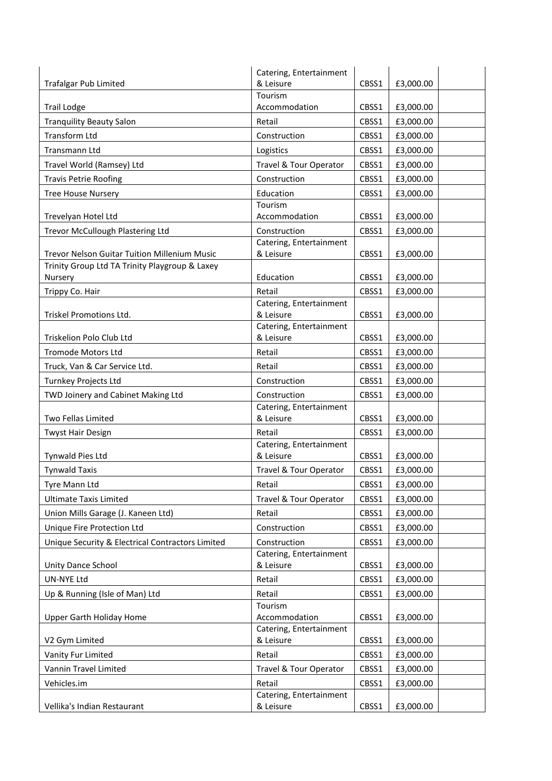|                                                           | Catering, Entertainment              |       |           |
|-----------------------------------------------------------|--------------------------------------|-------|-----------|
| <b>Trafalgar Pub Limited</b>                              | & Leisure                            | CBSS1 | £3,000.00 |
| <b>Trail Lodge</b>                                        | Tourism<br>Accommodation             | CBSS1 | £3,000.00 |
| <b>Tranquility Beauty Salon</b>                           | Retail                               | CBSS1 | £3,000.00 |
| <b>Transform Ltd</b>                                      | Construction                         | CBSS1 | £3,000.00 |
|                                                           |                                      |       |           |
| Transmann Ltd                                             | Logistics                            | CBSS1 | £3,000.00 |
| Travel World (Ramsey) Ltd                                 | Travel & Tour Operator               | CBSS1 | £3,000.00 |
| <b>Travis Petrie Roofing</b>                              | Construction                         | CBSS1 | £3,000.00 |
| <b>Tree House Nursery</b>                                 | Education<br>Tourism                 | CBSS1 | £3,000.00 |
| Trevelyan Hotel Ltd                                       | Accommodation                        | CBSS1 | £3,000.00 |
| Trevor McCullough Plastering Ltd                          | Construction                         | CBSS1 | £3,000.00 |
|                                                           | Catering, Entertainment              |       |           |
| <b>Trevor Nelson Guitar Tuition Millenium Music</b>       | & Leisure                            | CBSS1 | £3,000.00 |
| Trinity Group Ltd TA Trinity Playgroup & Laxey<br>Nursery | Education                            | CBSS1 | £3,000.00 |
| Trippy Co. Hair                                           | Retail                               | CBSS1 | £3,000.00 |
|                                                           | Catering, Entertainment              |       |           |
| Triskel Promotions Ltd.                                   | & Leisure                            | CBSS1 | £3,000.00 |
|                                                           | Catering, Entertainment              |       |           |
| Triskelion Polo Club Ltd                                  | & Leisure                            | CBSS1 | £3,000.00 |
| <b>Tromode Motors Ltd</b>                                 | Retail                               | CBSS1 | £3,000.00 |
| Truck, Van & Car Service Ltd.                             | Retail                               | CBSS1 | £3,000.00 |
| Turnkey Projects Ltd                                      | Construction                         | CBSS1 | £3,000.00 |
| TWD Joinery and Cabinet Making Ltd                        | Construction                         | CBSS1 | £3,000.00 |
| Two Fellas Limited                                        | Catering, Entertainment<br>& Leisure | CBSS1 | £3,000.00 |
| <b>Twyst Hair Design</b>                                  | Retail                               | CBSS1 | £3,000.00 |
|                                                           | Catering, Entertainment              |       |           |
| <b>Tynwald Pies Ltd</b>                                   | & Leisure                            | CBSS1 | £3,000.00 |
| <b>Tynwald Taxis</b>                                      | Travel & Tour Operator               | CBSS1 | £3,000.00 |
| Tyre Mann Ltd                                             | Retail                               | CBSS1 | £3,000.00 |
| <b>Ultimate Taxis Limited</b>                             | Travel & Tour Operator               | CBSS1 | £3,000.00 |
| Union Mills Garage (J. Kaneen Ltd)                        | Retail                               | CBSS1 | £3,000.00 |
| Unique Fire Protection Ltd                                | Construction                         | CBSS1 | £3,000.00 |
| Unique Security & Electrical Contractors Limited          | Construction                         | CBSS1 | £3,000.00 |
|                                                           | Catering, Entertainment              |       |           |
| Unity Dance School                                        | & Leisure                            | CBSS1 | £3,000.00 |
| UN-NYE Ltd                                                | Retail                               | CBSS1 | £3,000.00 |
| Up & Running (Isle of Man) Ltd                            | Retail<br>Tourism                    | CBSS1 | £3,000.00 |
| Upper Garth Holiday Home                                  | Accommodation                        | CBSS1 | £3,000.00 |
| V2 Gym Limited                                            | Catering, Entertainment<br>& Leisure | CBSS1 | £3,000.00 |
| Vanity Fur Limited                                        | Retail                               | CBSS1 | £3,000.00 |
|                                                           |                                      |       |           |
| Vannin Travel Limited                                     | Travel & Tour Operator               | CBSS1 | £3,000.00 |
| Vehicles.im                                               | Retail<br>Catering, Entertainment    | CBSS1 | £3,000.00 |
| Vellika's Indian Restaurant                               | & Leisure                            | CBSS1 | £3,000.00 |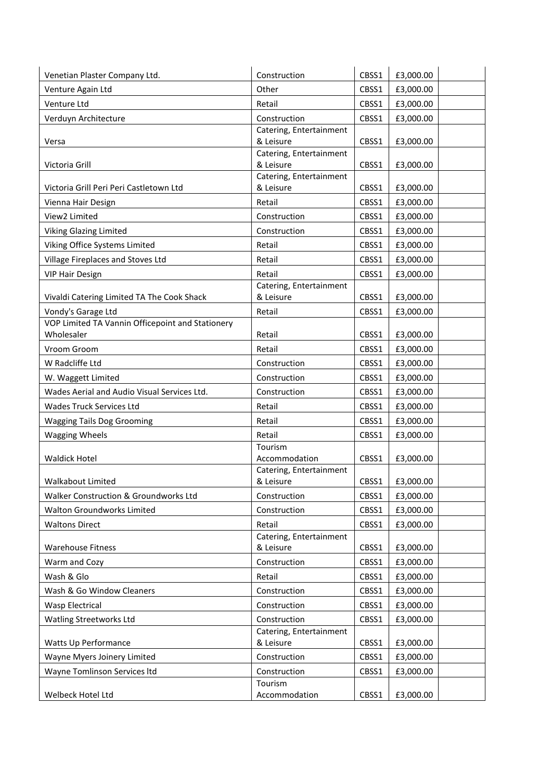| Venetian Plaster Company Ltd.                    | Construction                         | CBSS1 | £3,000.00 |
|--------------------------------------------------|--------------------------------------|-------|-----------|
| Venture Again Ltd                                | Other                                | CBSS1 | £3,000.00 |
| Venture Ltd                                      | Retail                               | CBSS1 | £3,000.00 |
| Verduyn Architecture                             | Construction                         | CBSS1 | £3,000.00 |
|                                                  | Catering, Entertainment              |       |           |
| Versa                                            | & Leisure                            | CBSS1 | £3,000.00 |
| Victoria Grill                                   | Catering, Entertainment<br>& Leisure | CBSS1 | £3,000.00 |
|                                                  | Catering, Entertainment              |       |           |
| Victoria Grill Peri Peri Castletown Ltd          | & Leisure                            | CBSS1 | £3,000.00 |
| Vienna Hair Design                               | Retail                               | CBSS1 | £3,000.00 |
| View2 Limited                                    | Construction                         | CBSS1 | £3,000.00 |
| Viking Glazing Limited                           | Construction                         | CBSS1 | £3,000.00 |
| Viking Office Systems Limited                    | Retail                               | CBSS1 | £3,000.00 |
| Village Fireplaces and Stoves Ltd                | Retail                               | CBSS1 | £3,000.00 |
| <b>VIP Hair Design</b>                           | Retail                               | CBSS1 | £3,000.00 |
|                                                  | Catering, Entertainment              |       |           |
| Vivaldi Catering Limited TA The Cook Shack       | & Leisure                            | CBSS1 | £3,000.00 |
| Vondy's Garage Ltd                               | Retail                               | CBSS1 | £3,000.00 |
| VOP Limited TA Vannin Officepoint and Stationery |                                      |       |           |
| Wholesaler                                       | Retail                               | CBSS1 | £3,000.00 |
| Vroom Groom                                      | Retail                               | CBSS1 | £3,000.00 |
| W Radcliffe Ltd                                  | Construction                         | CBSS1 | £3,000.00 |
| W. Waggett Limited                               | Construction                         | CBSS1 | £3,000.00 |
| Wades Aerial and Audio Visual Services Ltd.      | Construction                         | CBSS1 | £3,000.00 |
| <b>Wades Truck Services Ltd</b>                  | Retail                               | CBSS1 | £3,000.00 |
| <b>Wagging Tails Dog Grooming</b>                | Retail                               | CBSS1 | £3,000.00 |
| <b>Wagging Wheels</b>                            | Retail                               | CBSS1 | £3,000.00 |
|                                                  | Tourism                              |       |           |
| <b>Waldick Hotel</b>                             | Accommodation                        | CBSS1 | £3,000.00 |
| Walkabout Limited                                | Catering, Entertainment<br>& Leisure | CBSS1 | £3,000.00 |
| Walker Construction & Groundworks Ltd            |                                      |       |           |
|                                                  | Construction                         | CBSS1 | £3,000.00 |
| Walton Groundworks Limited                       | Construction                         | CBSS1 | £3,000.00 |
| <b>Waltons Direct</b>                            | Retail<br>Catering, Entertainment    | CBSS1 | £3,000.00 |
| <b>Warehouse Fitness</b>                         | & Leisure                            | CBSS1 | £3,000.00 |
| Warm and Cozy                                    | Construction                         | CBSS1 | £3,000.00 |
| Wash & Glo                                       | Retail                               | CBSS1 | £3,000.00 |
| Wash & Go Window Cleaners                        | Construction                         | CBSS1 | £3,000.00 |
| Wasp Electrical                                  | Construction                         | CBSS1 | £3,000.00 |
|                                                  | Construction                         |       |           |
| Watling Streetworks Ltd                          | Catering, Entertainment              | CBSS1 | £3,000.00 |
| Watts Up Performance                             | & Leisure                            | CBSS1 | £3,000.00 |
| Wayne Myers Joinery Limited                      | Construction                         | CBSS1 | £3,000.00 |
| Wayne Tomlinson Services Itd                     | Construction                         | CBSS1 | £3,000.00 |
|                                                  | Tourism                              |       |           |
| Welbeck Hotel Ltd                                | Accommodation                        | CBSS1 | £3,000.00 |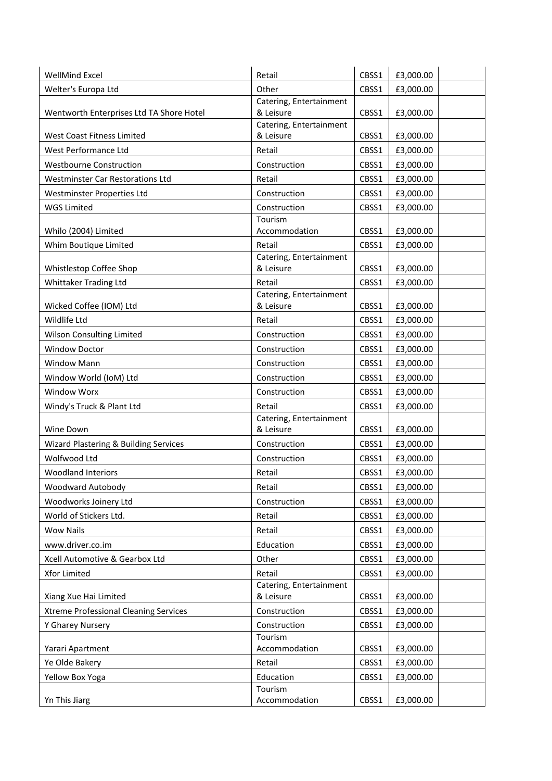| WellMind Excel                               | Retail                               | CBSS1 | £3,000.00 |
|----------------------------------------------|--------------------------------------|-------|-----------|
| Welter's Europa Ltd                          | Other                                | CBSS1 | £3,000.00 |
|                                              | Catering, Entertainment              |       |           |
| Wentworth Enterprises Ltd TA Shore Hotel     | & Leisure                            | CBSS1 | £3,000.00 |
| <b>West Coast Fitness Limited</b>            | Catering, Entertainment<br>& Leisure |       |           |
|                                              |                                      | CBSS1 | £3,000.00 |
| West Performance Ltd                         | Retail                               | CBSS1 | £3,000.00 |
| <b>Westbourne Construction</b>               | Construction                         | CBSS1 | £3,000.00 |
| <b>Westminster Car Restorations Ltd</b>      | Retail                               | CBSS1 | £3,000.00 |
| Westminster Properties Ltd                   | Construction                         | CBSS1 | £3,000.00 |
| <b>WGS Limited</b>                           | Construction                         | CBSS1 | £3,000.00 |
| Whilo (2004) Limited                         | Tourism<br>Accommodation             | CBSS1 |           |
|                                              |                                      |       | £3,000.00 |
| Whim Boutique Limited                        | Retail<br>Catering, Entertainment    | CBSS1 | £3,000.00 |
| Whistlestop Coffee Shop                      | & Leisure                            | CBSS1 | £3,000.00 |
| Whittaker Trading Ltd                        | Retail                               | CBSS1 | £3,000.00 |
|                                              | Catering, Entertainment              |       |           |
| Wicked Coffee (IOM) Ltd                      | & Leisure                            | CBSS1 | £3,000.00 |
| Wildlife Ltd                                 | Retail                               | CBSS1 | £3,000.00 |
| Wilson Consulting Limited                    | Construction                         | CBSS1 | £3,000.00 |
| <b>Window Doctor</b>                         | Construction                         | CBSS1 | £3,000.00 |
| <b>Window Mann</b>                           | Construction                         | CBSS1 | £3,000.00 |
| Window World (IoM) Ltd                       | Construction                         | CBSS1 | £3,000.00 |
| <b>Window Worx</b>                           | Construction                         | CBSS1 | £3,000.00 |
| Windy's Truck & Plant Ltd                    | Retail                               | CBSS1 | £3,000.00 |
|                                              | Catering, Entertainment              |       |           |
| Wine Down                                    | & Leisure                            | CBSS1 | £3,000.00 |
| Wizard Plastering & Building Services        | Construction                         | CBSS1 | £3,000.00 |
| Wolfwood Ltd                                 | Construction                         | CBSS1 | £3,000.00 |
| <b>Woodland Interiors</b>                    | Retail                               | CBSS1 | £3,000.00 |
| Woodward Autobody                            | Retail                               | CBSS1 | £3,000.00 |
| Woodworks Joinery Ltd                        | Construction                         | CBSS1 | £3,000.00 |
| World of Stickers Ltd.                       | Retail                               | CBSS1 | £3,000.00 |
| <b>Wow Nails</b>                             | Retail                               | CBSS1 | £3,000.00 |
| www.driver.co.im                             | Education                            | CBSS1 | £3,000.00 |
| Xcell Automotive & Gearbox Ltd               | Other                                | CBSS1 | £3,000.00 |
| Xfor Limited                                 | Retail                               | CBSS1 | £3,000.00 |
|                                              | Catering, Entertainment              |       |           |
| Xiang Xue Hai Limited                        | & Leisure                            | CBSS1 | £3,000.00 |
| <b>Xtreme Professional Cleaning Services</b> | Construction                         | CBSS1 | £3,000.00 |
| Y Gharey Nursery                             | Construction                         | CBSS1 | £3,000.00 |
|                                              | Tourism                              |       |           |
| Yarari Apartment                             | Accommodation                        | CBSS1 | £3,000.00 |
| Ye Olde Bakery                               | Retail                               | CBSS1 | £3,000.00 |
| Yellow Box Yoga                              | Education                            | CBSS1 | £3,000.00 |
|                                              | Tourism                              |       |           |
| Yn This Jiarg                                | Accommodation                        | CBSS1 | £3,000.00 |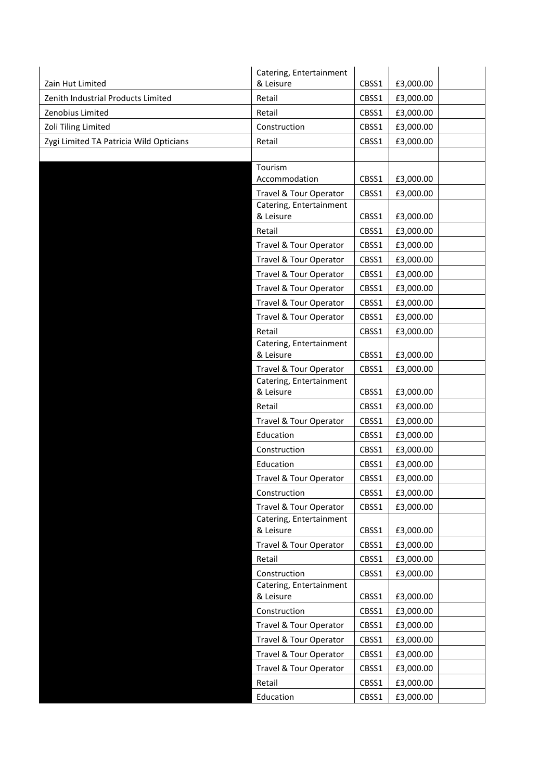|                                         | Catering, Entertainment              |       |           |
|-----------------------------------------|--------------------------------------|-------|-----------|
| Zain Hut Limited                        | & Leisure                            | CBSS1 | £3,000.00 |
| Zenith Industrial Products Limited      | Retail                               | CBSS1 | £3,000.00 |
| Zenobius Limited                        | Retail                               | CBSS1 | £3,000.00 |
| Zoli Tiling Limited                     | Construction                         | CBSS1 | £3,000.00 |
| Zygi Limited TA Patricia Wild Opticians | Retail                               | CBSS1 | £3,000.00 |
|                                         |                                      |       |           |
|                                         | Tourism                              |       |           |
|                                         | Accommodation                        | CBSS1 | £3,000.00 |
|                                         | Travel & Tour Operator               | CBSS1 | £3,000.00 |
|                                         | Catering, Entertainment<br>& Leisure | CBSS1 | £3,000.00 |
|                                         | Retail                               | CBSS1 | £3,000.00 |
|                                         | Travel & Tour Operator               | CBSS1 | £3,000.00 |
|                                         | Travel & Tour Operator               | CBSS1 | £3,000.00 |
|                                         | Travel & Tour Operator               | CBSS1 | £3,000.00 |
|                                         | Travel & Tour Operator               |       | £3,000.00 |
|                                         |                                      | CBSS1 |           |
|                                         | Travel & Tour Operator               | CBSS1 | £3,000.00 |
|                                         | Travel & Tour Operator               | CBSS1 | £3,000.00 |
|                                         | Retail<br>Catering, Entertainment    | CBSS1 | £3,000.00 |
|                                         | & Leisure                            | CBSS1 | £3,000.00 |
|                                         | Travel & Tour Operator               | CBSS1 | £3,000.00 |
|                                         | Catering, Entertainment              |       |           |
|                                         | & Leisure                            | CBSS1 | £3,000.00 |
|                                         | Retail                               | CBSS1 | £3,000.00 |
|                                         | Travel & Tour Operator               | CBSS1 | £3,000.00 |
|                                         | Education                            | CBSS1 | £3,000.00 |
|                                         | Construction                         | CBSS1 | £3,000.00 |
|                                         | Education                            | CBSS1 | £3,000.00 |
|                                         | Travel & Tour Operator               | CBSS1 | £3,000.00 |
|                                         | Construction                         | CBSS1 | £3,000.00 |
|                                         | Travel & Tour Operator               | CBSS1 | £3,000.00 |
|                                         | Catering, Entertainment<br>& Leisure | CBSS1 | £3,000.00 |
|                                         | Travel & Tour Operator               | CBSS1 | £3,000.00 |
|                                         | Retail                               | CBSS1 | £3,000.00 |
|                                         | Construction                         | CBSS1 | £3,000.00 |
|                                         | Catering, Entertainment              |       |           |
|                                         | & Leisure                            | CBSS1 | £3,000.00 |
|                                         | Construction                         | CBSS1 | £3,000.00 |
|                                         | Travel & Tour Operator               | CBSS1 | £3,000.00 |
|                                         | Travel & Tour Operator               | CBSS1 | £3,000.00 |
|                                         | Travel & Tour Operator               | CBSS1 | £3,000.00 |
|                                         | Travel & Tour Operator               | CBSS1 | £3,000.00 |
|                                         | Retail                               | CBSS1 | £3,000.00 |
|                                         | Education                            | CBSS1 | £3,000.00 |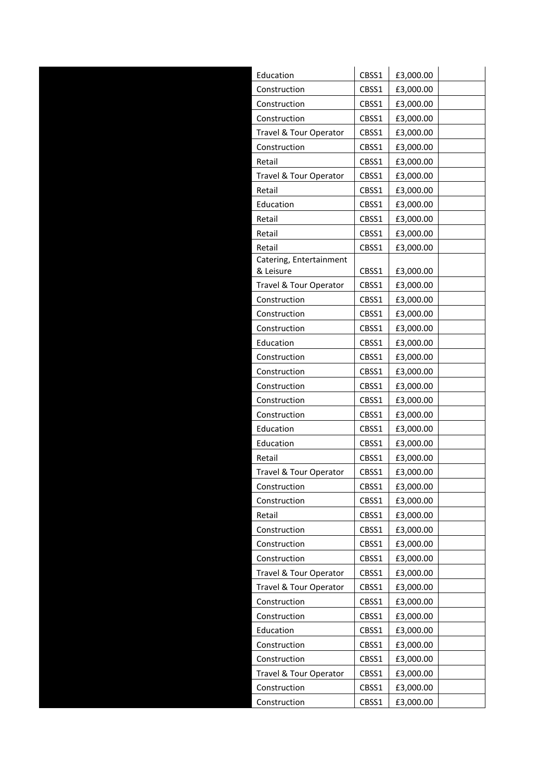| Education               | CBSS1 | £3,000.00 |
|-------------------------|-------|-----------|
| Construction            | CBSS1 | £3,000.00 |
| Construction            | CBSS1 | £3,000.00 |
| Construction            | CBSS1 | £3,000.00 |
| Travel & Tour Operator  | CBSS1 | £3,000.00 |
| Construction            | CBSS1 | £3,000.00 |
| Retail                  | CBSS1 | £3,000.00 |
| Travel & Tour Operator  | CBSS1 | £3,000.00 |
| Retail                  | CBSS1 | £3,000.00 |
| Education               | CBSS1 | £3,000.00 |
| Retail                  | CBSS1 | £3,000.00 |
| Retail                  | CBSS1 | £3,000.00 |
| Retail                  | CBSS1 | £3,000.00 |
| Catering, Entertainment |       |           |
| & Leisure               | CBSS1 | £3,000.00 |
| Travel & Tour Operator  | CBSS1 | £3,000.00 |
| Construction            | CBSS1 | £3,000.00 |
| Construction            | CBSS1 | £3,000.00 |
| Construction            | CBSS1 | £3,000.00 |
| Education               | CBSS1 | £3,000.00 |
| Construction            | CBSS1 | £3,000.00 |
| Construction            | CBSS1 | £3,000.00 |
| Construction            | CBSS1 | £3,000.00 |
| Construction            | CBSS1 | £3,000.00 |
| Construction            | CBSS1 | £3,000.00 |
| Education               | CBSS1 | £3,000.00 |
| Education               | CBSS1 | £3,000.00 |
| Retail                  | CBSS1 | £3,000.00 |
| Travel & Tour Operator  | CBSS1 | £3,000.00 |
| Construction            | CBSS1 | £3,000.00 |
| Construction            | CBSS1 | £3,000.00 |
| Retail                  | CBSS1 | £3,000.00 |
| Construction            | CBSS1 | £3,000.00 |
| Construction            | CBSS1 | £3,000.00 |
| Construction            | CBSS1 | £3,000.00 |
| Travel & Tour Operator  | CBSS1 | £3,000.00 |
| Travel & Tour Operator  | CBSS1 | £3,000.00 |
| Construction            | CBSS1 | £3,000.00 |
| Construction            | CBSS1 | £3,000.00 |
| Education               | CBSS1 | £3,000.00 |
| Construction            | CBSS1 | £3,000.00 |
| Construction            | CBSS1 | £3,000.00 |
| Travel & Tour Operator  | CBSS1 | £3,000.00 |
| Construction            | CBSS1 | £3,000.00 |
| Construction            | CBSS1 | £3,000.00 |
|                         |       |           |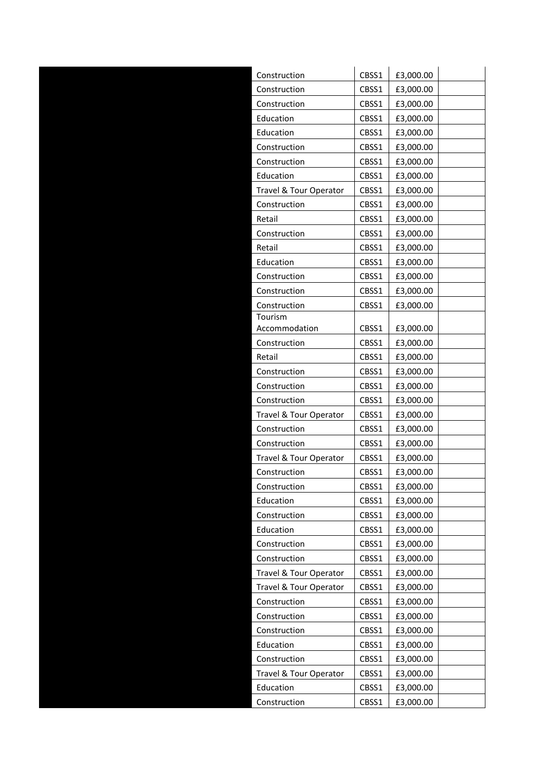| Construction             | CBSS1          | £3,000.00              |  |
|--------------------------|----------------|------------------------|--|
| Construction             | CBSS1          | £3,000.00              |  |
| Construction             | CBSS1          | £3,000.00              |  |
| Education                | CBSS1          | £3,000.00              |  |
| Education                | CBSS1          | £3,000.00              |  |
| Construction             | CBSS1          | £3,000.00              |  |
| Construction             | CBSS1          | £3,000.00              |  |
| Education                | CBSS1          | £3,000.00              |  |
| Travel & Tour Operator   | CBSS1          | £3,000.00              |  |
| Construction             | CBSS1          | £3,000.00              |  |
| Retail                   | CBSS1          | £3,000.00              |  |
| Construction             | CBSS1          | £3,000.00              |  |
| Retail                   | CBSS1          | £3,000.00              |  |
| Education                | CBSS1          | £3,000.00              |  |
| Construction             | CBSS1          | £3,000.00              |  |
| Construction             | CBSS1          | £3,000.00              |  |
| Construction             | CBSS1          | £3,000.00              |  |
| Tourism<br>Accommodation |                | £3,000.00              |  |
| Construction             | CBSS1<br>CBSS1 | £3,000.00              |  |
|                          |                |                        |  |
| Retail<br>Construction   | CBSS1          | £3,000.00              |  |
| Construction             | CBSS1<br>CBSS1 | £3,000.00<br>£3,000.00 |  |
| Construction             | CBSS1          |                        |  |
| Travel & Tour Operator   | CBSS1          | £3,000.00<br>£3,000.00 |  |
| Construction             | CBSS1          | £3,000.00              |  |
| Construction             | CBSS1          | £3,000.00              |  |
| Travel & Tour Operator   | CBSS1          | £3,000.00              |  |
| Construction             | CBSS1          | £3,000.00              |  |
| Construction             | CBSS1          | £3,000.00              |  |
| Education                | CBSS1          | £3,000.00              |  |
| Construction             | CBSS1          | £3,000.00              |  |
| Education                | CBSS1          | £3,000.00              |  |
| Construction             | CBSS1          | £3,000.00              |  |
| Construction             | CBSS1          | £3,000.00              |  |
| Travel & Tour Operator   | CBSS1          | £3,000.00              |  |
| Travel & Tour Operator   | CBSS1          | £3,000.00              |  |
| Construction             | CBSS1          | £3,000.00              |  |
| Construction             | CBSS1          | £3,000.00              |  |
| Construction             | CBSS1          | £3,000.00              |  |
| Education                | CBSS1          | £3,000.00              |  |
| Construction             | CBSS1          | £3,000.00              |  |
| Travel & Tour Operator   | CBSS1          | £3,000.00              |  |
| Education                | CBSS1          | £3,000.00              |  |
| Construction             | CBSS1          | £3,000.00              |  |
|                          |                |                        |  |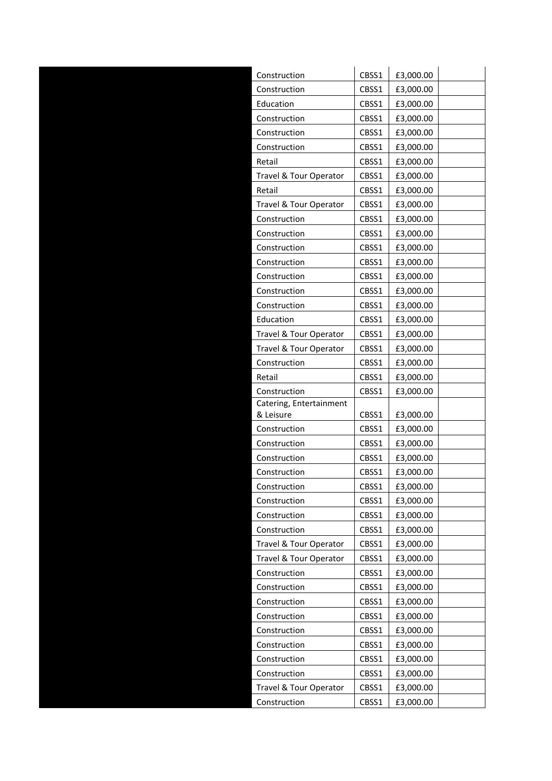| Construction                 | CBSS1          | £3,000.00              |  |
|------------------------------|----------------|------------------------|--|
| Construction                 | CBSS1          | £3,000.00              |  |
| Education                    | CBSS1          | £3,000.00              |  |
| Construction                 | CBSS1          | £3,000.00              |  |
| Construction                 | CBSS1          | £3,000.00              |  |
| Construction                 | CBSS1          | £3,000.00              |  |
| Retail                       | CBSS1          | £3,000.00              |  |
| Travel & Tour Operator       | CBSS1          | £3,000.00              |  |
| Retail                       | CBSS1          | £3,000.00              |  |
| Travel & Tour Operator       | CBSS1          | £3,000.00              |  |
| Construction                 | CBSS1          | £3,000.00              |  |
| Construction                 | CBSS1          | £3,000.00              |  |
| Construction                 | CBSS1          | £3,000.00              |  |
| Construction                 | CBSS1          | £3,000.00              |  |
| Construction                 | CBSS1          | £3,000.00              |  |
| Construction                 | CBSS1          | £3,000.00              |  |
| Construction                 | CBSS1          | £3,000.00              |  |
| Education                    | CBSS1          | £3,000.00              |  |
| Travel & Tour Operator       | CBSS1          | £3,000.00              |  |
| Travel & Tour Operator       | CBSS1          | £3,000.00              |  |
| Construction                 | CBSS1          | £3,000.00              |  |
| Retail                       | CBSS1          | £3,000.00              |  |
| Construction                 | CBSS1          | £3,000.00              |  |
| Catering, Entertainment      |                |                        |  |
| & Leisure                    | CBSS1          | £3,000.00              |  |
| Construction                 | CBSS1          | £3,000.00              |  |
| Construction                 | CBSS1          | £3,000.00              |  |
| Construction                 | CBSS1          | £3,000.00              |  |
| Construction                 | CBSS1          | £3,000.00              |  |
| Construction                 | CBSS1          | £3,000.00              |  |
| Construction                 | CBSS1          | £3,000.00              |  |
| Construction<br>Construction | CBSS1          | £3,000.00              |  |
| Travel & Tour Operator       | CBSS1          | £3,000.00              |  |
| Travel & Tour Operator       | CBSS1<br>CBSS1 | £3,000.00<br>£3,000.00 |  |
| Construction                 | CBSS1          |                        |  |
| Construction                 | CBSS1          | £3,000.00<br>£3,000.00 |  |
| Construction                 | CBSS1          | £3,000.00              |  |
| Construction                 | CBSS1          | £3,000.00              |  |
|                              |                |                        |  |
| Construction                 | CBSS1          | £3,000.00              |  |
| Construction                 | CBSS1          | £3,000.00              |  |
| Construction                 | CBSS1          | £3,000.00              |  |
| Construction                 | CBSS1          | £3,000.00              |  |
| Travel & Tour Operator       | CBSS1          | £3,000.00              |  |
| Construction                 | CBSS1          | £3,000.00              |  |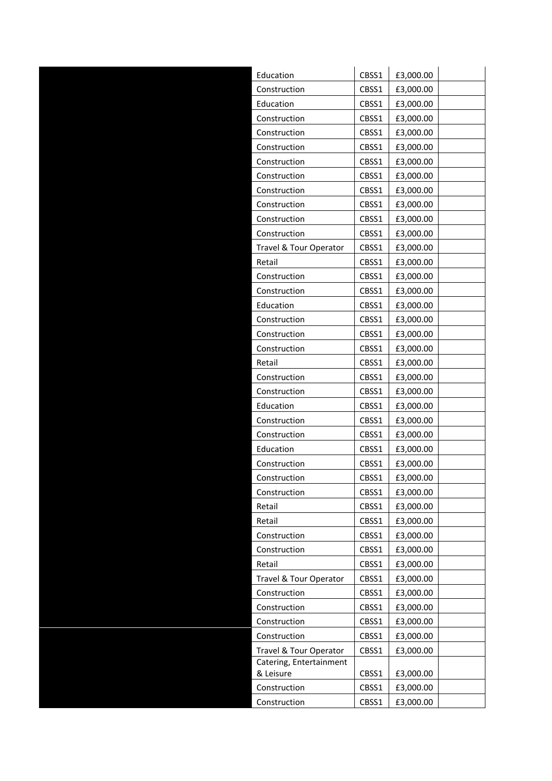| Education               | CBSS1 | £3,000.00 |  |
|-------------------------|-------|-----------|--|
| Construction            | CBSS1 | £3,000.00 |  |
| Education               | CBSS1 | £3,000.00 |  |
| Construction            | CBSS1 | £3,000.00 |  |
| Construction            | CBSS1 | £3,000.00 |  |
| Construction            | CBSS1 | £3,000.00 |  |
| Construction            | CBSS1 | £3,000.00 |  |
| Construction            | CBSS1 | £3,000.00 |  |
| Construction            | CBSS1 | £3,000.00 |  |
| Construction            | CBSS1 | £3,000.00 |  |
| Construction            | CBSS1 | £3,000.00 |  |
| Construction            | CBSS1 | £3,000.00 |  |
| Travel & Tour Operator  | CBSS1 | £3,000.00 |  |
| Retail                  | CBSS1 | £3,000.00 |  |
| Construction            | CBSS1 | £3,000.00 |  |
| Construction            | CBSS1 | £3,000.00 |  |
| Education               | CBSS1 | £3,000.00 |  |
| Construction            | CBSS1 | £3,000.00 |  |
| Construction            | CBSS1 | £3,000.00 |  |
| Construction            | CBSS1 | £3,000.00 |  |
| Retail                  | CBSS1 | £3,000.00 |  |
| Construction            | CBSS1 | £3,000.00 |  |
| Construction            | CBSS1 | £3,000.00 |  |
| Education               | CBSS1 | £3,000.00 |  |
| Construction            | CBSS1 | £3,000.00 |  |
| Construction            | CBSS1 | £3,000.00 |  |
| Education               | CBSS1 | £3,000.00 |  |
| Construction            | CBSS1 | £3,000.00 |  |
| Construction            | CBSS1 | £3,000.00 |  |
| Construction            | CBSS1 | £3,000.00 |  |
| Retail                  | CBSS1 | £3,000.00 |  |
| Retail                  | CBSS1 | £3,000.00 |  |
| Construction            | CBSS1 | £3,000.00 |  |
| Construction            | CBSS1 | £3,000.00 |  |
| Retail                  | CBSS1 | £3,000.00 |  |
| Travel & Tour Operator  | CBSS1 | £3,000.00 |  |
| Construction            | CBSS1 | £3,000.00 |  |
| Construction            | CBSS1 | £3,000.00 |  |
| Construction            | CBSS1 | £3,000.00 |  |
| Construction            | CBSS1 | £3,000.00 |  |
| Travel & Tour Operator  | CBSS1 | £3,000.00 |  |
| Catering, Entertainment |       |           |  |
| & Leisure               | CBSS1 | £3,000.00 |  |
| Construction            | CBSS1 | £3,000.00 |  |
| Construction            | CBSS1 | £3,000.00 |  |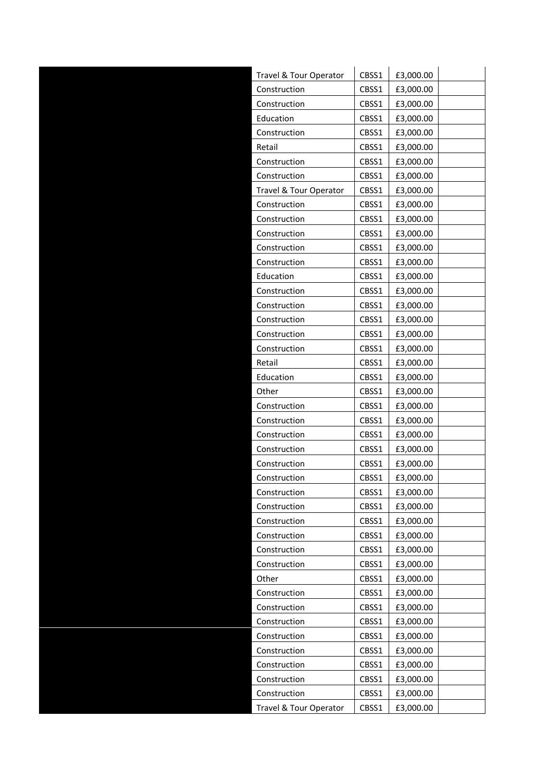| Travel & Tour Operator | CBSS1 | £3,000.00 |  |
|------------------------|-------|-----------|--|
| Construction           | CBSS1 | £3,000.00 |  |
| Construction           | CBSS1 | £3,000.00 |  |
| Education              | CBSS1 | £3,000.00 |  |
| Construction           | CBSS1 | £3,000.00 |  |
| Retail                 | CBSS1 | £3,000.00 |  |
| Construction           | CBSS1 | £3,000.00 |  |
| Construction           | CBSS1 | £3,000.00 |  |
| Travel & Tour Operator | CBSS1 | £3,000.00 |  |
| Construction           | CBSS1 | £3,000.00 |  |
| Construction           | CBSS1 | £3,000.00 |  |
| Construction           | CBSS1 | £3,000.00 |  |
| Construction           | CBSS1 | £3,000.00 |  |
| Construction           | CBSS1 | £3,000.00 |  |
| Education              | CBSS1 | £3,000.00 |  |
| Construction           | CBSS1 | £3,000.00 |  |
| Construction           | CBSS1 | £3,000.00 |  |
| Construction           | CBSS1 | £3,000.00 |  |
| Construction           | CBSS1 | £3,000.00 |  |
| Construction           | CBSS1 | £3,000.00 |  |
| Retail                 | CBSS1 | £3,000.00 |  |
| Education              | CBSS1 | £3,000.00 |  |
| Other                  | CBSS1 | £3,000.00 |  |
| Construction           | CBSS1 | £3,000.00 |  |
| Construction           | CBSS1 | £3,000.00 |  |
| Construction           | CBSS1 | £3,000.00 |  |
| Construction           | CBSS1 | £3,000.00 |  |
| Construction           | CBSS1 | £3,000.00 |  |
| Construction           | CBSS1 | £3,000.00 |  |
| Construction           | CBSS1 | £3,000.00 |  |
| Construction           | CBSS1 | £3,000.00 |  |
| Construction           | CBSS1 | £3,000.00 |  |
| Construction           | CBSS1 | £3,000.00 |  |
| Construction           | CBSS1 | £3,000.00 |  |
| Construction           | CBSS1 | £3,000.00 |  |
| Other                  | CBSS1 | £3,000.00 |  |
| Construction           | CBSS1 | £3,000.00 |  |
| Construction           | CBSS1 | £3,000.00 |  |
| Construction           | CBSS1 | £3,000.00 |  |
| Construction           | CBSS1 | £3,000.00 |  |
| Construction           | CBSS1 | £3,000.00 |  |
| Construction           | CBSS1 | £3,000.00 |  |
| Construction           | CBSS1 | £3,000.00 |  |
| Construction           | CBSS1 | £3,000.00 |  |
| Travel & Tour Operator | CBSS1 | £3,000.00 |  |
|                        |       |           |  |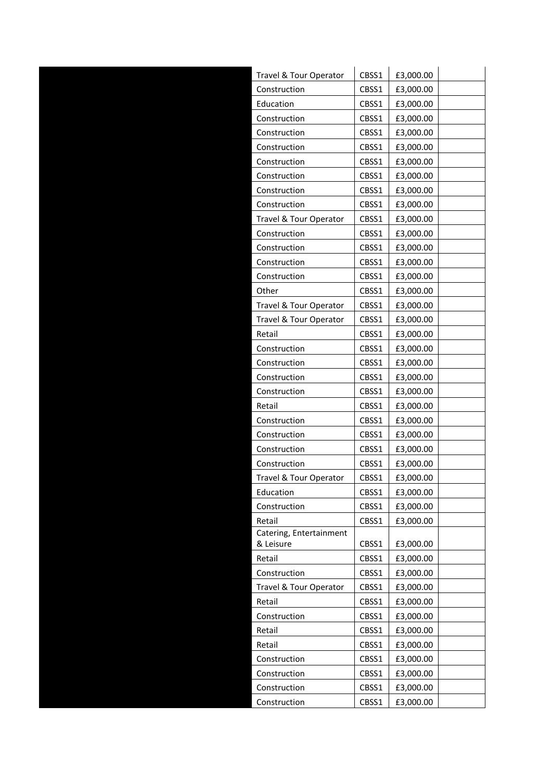| Travel & Tour Operator               | CBSS1 | £3,000.00 |  |
|--------------------------------------|-------|-----------|--|
| Construction                         | CBSS1 | £3,000.00 |  |
| Education                            | CBSS1 | £3,000.00 |  |
| Construction                         | CBSS1 | £3,000.00 |  |
| Construction                         | CBSS1 | £3,000.00 |  |
| Construction                         | CBSS1 | £3,000.00 |  |
| Construction                         | CBSS1 | £3,000.00 |  |
| Construction                         | CBSS1 | £3,000.00 |  |
| Construction                         | CBSS1 | £3,000.00 |  |
| Construction                         | CBSS1 | £3,000.00 |  |
| Travel & Tour Operator               | CBSS1 | £3,000.00 |  |
| Construction                         | CBSS1 | £3,000.00 |  |
| Construction                         | CBSS1 | £3,000.00 |  |
| Construction                         | CBSS1 | £3,000.00 |  |
| Construction                         | CBSS1 | £3,000.00 |  |
| Other                                | CBSS1 | £3,000.00 |  |
| Travel & Tour Operator               | CBSS1 | £3,000.00 |  |
| Travel & Tour Operator               | CBSS1 | £3,000.00 |  |
| Retail                               | CBSS1 | £3,000.00 |  |
| Construction                         | CBSS1 | £3,000.00 |  |
| Construction                         | CBSS1 | £3,000.00 |  |
| Construction                         | CBSS1 | £3,000.00 |  |
| Construction                         | CBSS1 | £3,000.00 |  |
| Retail                               | CBSS1 | £3,000.00 |  |
| Construction                         | CBSS1 | £3,000.00 |  |
| Construction                         | CBSS1 | £3,000.00 |  |
| Construction                         | CBSS1 | £3,000.00 |  |
| Construction                         | CBSS1 | £3,000.00 |  |
| Travel & Tour Operator               | CBSS1 | £3,000.00 |  |
| Education                            | CBSS1 | £3,000.00 |  |
| Construction                         | CBSS1 | £3,000.00 |  |
| Retail                               | CBSS1 | £3,000.00 |  |
| Catering, Entertainment<br>& Leisure | CBSS1 | £3,000.00 |  |
| Retail                               | CBSS1 | £3,000.00 |  |
| Construction                         | CBSS1 | £3,000.00 |  |
| Travel & Tour Operator               | CBSS1 | £3,000.00 |  |
| Retail                               | CBSS1 | £3,000.00 |  |
| Construction                         | CBSS1 | £3,000.00 |  |
| Retail                               | CBSS1 | £3,000.00 |  |
| Retail                               | CBSS1 | £3,000.00 |  |
| Construction                         | CBSS1 | £3,000.00 |  |
| Construction                         | CBSS1 | £3,000.00 |  |
| Construction                         | CBSS1 | £3,000.00 |  |
| Construction                         | CBSS1 | £3,000.00 |  |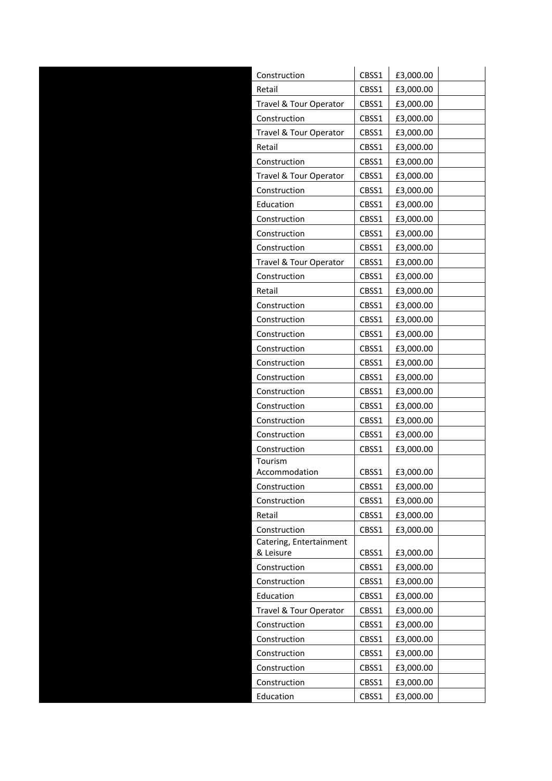| Construction            | CBSS1 | £3,000.00 |  |
|-------------------------|-------|-----------|--|
| Retail                  | CBSS1 | £3,000.00 |  |
| Travel & Tour Operator  | CBSS1 | £3,000.00 |  |
| Construction            | CBSS1 | £3,000.00 |  |
| Travel & Tour Operator  | CBSS1 | £3,000.00 |  |
| Retail                  | CBSS1 | £3,000.00 |  |
| Construction            | CBSS1 | £3,000.00 |  |
| Travel & Tour Operator  | CBSS1 | £3,000.00 |  |
| Construction            | CBSS1 | £3,000.00 |  |
| Education               | CBSS1 | £3,000.00 |  |
| Construction            | CBSS1 | £3,000.00 |  |
| Construction            | CBSS1 | £3,000.00 |  |
| Construction            | CBSS1 | £3,000.00 |  |
| Travel & Tour Operator  | CBSS1 | £3,000.00 |  |
| Construction            | CBSS1 | £3,000.00 |  |
| Retail                  | CBSS1 | £3,000.00 |  |
| Construction            | CBSS1 | £3,000.00 |  |
| Construction            | CBSS1 | £3,000.00 |  |
| Construction            | CBSS1 | £3,000.00 |  |
| Construction            | CBSS1 | £3,000.00 |  |
| Construction            | CBSS1 | £3,000.00 |  |
| Construction            | CBSS1 | £3,000.00 |  |
| Construction            | CBSS1 | £3,000.00 |  |
| Construction            | CBSS1 | £3,000.00 |  |
| Construction            | CBSS1 | £3,000.00 |  |
| Construction            | CBSS1 | £3,000.00 |  |
| Construction            | CBSS1 | £3,000.00 |  |
| Tourism                 |       |           |  |
| Accommodation           | CBSS1 | £3,000.00 |  |
| Construction            | CBSS1 | £3,000.00 |  |
| Construction            | CBSS1 | £3,000.00 |  |
| Retail                  | CBSS1 | £3,000.00 |  |
| Construction            | CBSS1 | £3,000.00 |  |
| Catering, Entertainment |       |           |  |
| & Leisure               | CBSS1 | £3,000.00 |  |
| Construction            | CBSS1 | £3,000.00 |  |
| Construction            | CBSS1 | £3,000.00 |  |
| Education               | CBSS1 | £3,000.00 |  |
| Travel & Tour Operator  | CBSS1 | £3,000.00 |  |
| Construction            | CBSS1 | £3,000.00 |  |
| Construction            | CBSS1 | £3,000.00 |  |
| Construction            | CBSS1 | £3,000.00 |  |
| Construction            | CBSS1 | £3,000.00 |  |
| Construction            | CBSS1 | £3,000.00 |  |
| Education               | CBSS1 | £3,000.00 |  |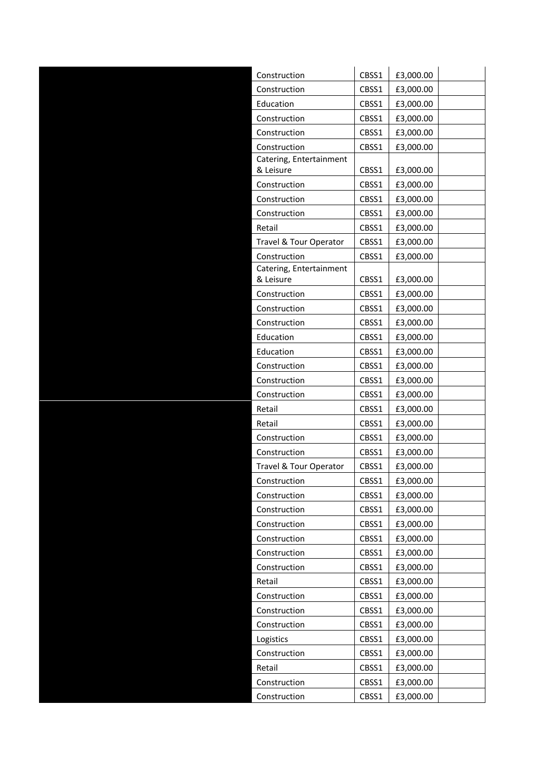| Construction                         | CBSS1 | £3,000.00 |  |
|--------------------------------------|-------|-----------|--|
| Construction                         | CBSS1 | £3,000.00 |  |
| Education                            | CBSS1 | £3,000.00 |  |
| Construction                         | CBSS1 | £3,000.00 |  |
| Construction                         | CBSS1 | £3,000.00 |  |
| Construction                         | CBSS1 | £3,000.00 |  |
| Catering, Entertainment              |       |           |  |
| & Leisure                            | CBSS1 | £3,000.00 |  |
| Construction                         | CBSS1 | £3,000.00 |  |
| Construction                         | CBSS1 | £3,000.00 |  |
| Construction                         | CBSS1 | £3,000.00 |  |
| Retail                               | CBSS1 | £3,000.00 |  |
| Travel & Tour Operator               | CBSS1 | £3,000.00 |  |
| Construction                         | CBSS1 | £3,000.00 |  |
| Catering, Entertainment<br>& Leisure | CBSS1 | £3,000.00 |  |
| Construction                         | CBSS1 | £3,000.00 |  |
| Construction                         | CBSS1 | £3,000.00 |  |
| Construction                         | CBSS1 | £3,000.00 |  |
| Education                            | CBSS1 | £3,000.00 |  |
| Education                            | CBSS1 | £3,000.00 |  |
| Construction                         | CBSS1 | £3,000.00 |  |
| Construction                         | CBSS1 | £3,000.00 |  |
| Construction                         | CBSS1 | £3,000.00 |  |
| Retail                               | CBSS1 | £3,000.00 |  |
| Retail                               | CBSS1 | £3,000.00 |  |
| Construction                         | CBSS1 | £3,000.00 |  |
| Construction                         | CBSS1 | £3,000.00 |  |
| Travel & Tour Operator               | CBSS1 | £3,000.00 |  |
| Construction                         | CBSS1 | £3,000.00 |  |
| Construction                         | CBSS1 | £3,000.00 |  |
| Construction                         | CBSS1 | £3,000.00 |  |
| Construction                         | CBSS1 | £3,000.00 |  |
| Construction                         | CBSS1 | £3,000.00 |  |
| Construction                         | CBSS1 | £3,000.00 |  |
| Construction                         | CBSS1 | £3,000.00 |  |
| Retail                               | CBSS1 | £3,000.00 |  |
| Construction                         | CBSS1 | £3,000.00 |  |
| Construction                         | CBSS1 | £3,000.00 |  |
| Construction                         | CBSS1 | £3,000.00 |  |
| Logistics                            | CBSS1 | £3,000.00 |  |
| Construction                         | CBSS1 | £3,000.00 |  |
| Retail                               | CBSS1 | £3,000.00 |  |
| Construction                         | CBSS1 | £3,000.00 |  |
| Construction                         | CBSS1 | £3,000.00 |  |
|                                      |       |           |  |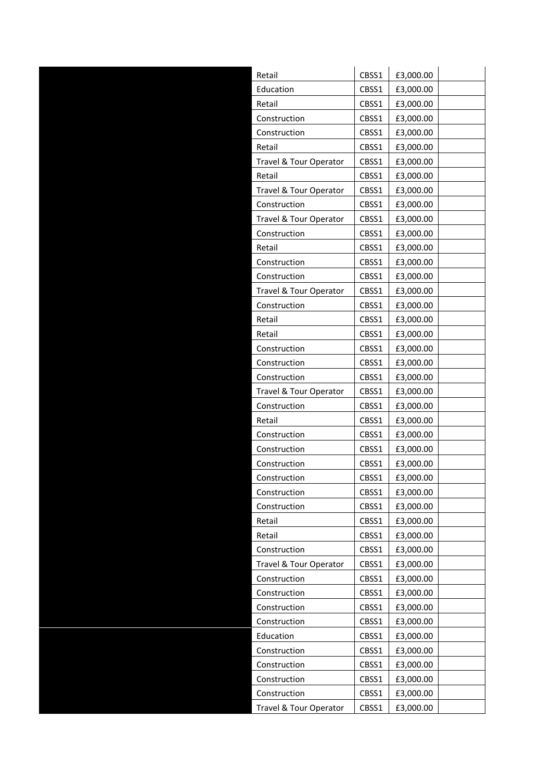| Retail                 | CBSS1 | £3,000.00 |  |
|------------------------|-------|-----------|--|
| Education              | CBSS1 | £3,000.00 |  |
| Retail                 | CBSS1 | £3,000.00 |  |
| Construction           | CBSS1 | £3,000.00 |  |
| Construction           | CBSS1 | £3,000.00 |  |
| Retail                 | CBSS1 | £3,000.00 |  |
| Travel & Tour Operator | CBSS1 | £3,000.00 |  |
| Retail                 | CBSS1 | £3,000.00 |  |
| Travel & Tour Operator | CBSS1 | £3,000.00 |  |
| Construction           | CBSS1 | £3,000.00 |  |
| Travel & Tour Operator | CBSS1 | £3,000.00 |  |
| Construction           | CBSS1 | £3,000.00 |  |
| Retail                 | CBSS1 | £3,000.00 |  |
| Construction           | CBSS1 | £3,000.00 |  |
| Construction           | CBSS1 | £3,000.00 |  |
| Travel & Tour Operator | CBSS1 | £3,000.00 |  |
| Construction           | CBSS1 | £3,000.00 |  |
| Retail                 | CBSS1 | £3,000.00 |  |
| Retail                 | CBSS1 | £3,000.00 |  |
| Construction           | CBSS1 | £3,000.00 |  |
| Construction           | CBSS1 | £3,000.00 |  |
| Construction           | CBSS1 | £3,000.00 |  |
| Travel & Tour Operator | CBSS1 | £3,000.00 |  |
| Construction           | CBSS1 | £3,000.00 |  |
| Retail                 | CBSS1 | £3,000.00 |  |
| Construction           | CBSS1 | £3,000.00 |  |
| Construction           | CBSS1 | £3,000.00 |  |
| Construction           | CBSS1 | £3,000.00 |  |
| Construction           | CBSS1 | £3,000.00 |  |
| Construction           | CBSS1 | £3,000.00 |  |
| Construction           | CBSS1 | £3,000.00 |  |
| Retail                 | CBSS1 | £3,000.00 |  |
| Retail                 | CBSS1 | £3,000.00 |  |
| Construction           | CBSS1 | £3,000.00 |  |
| Travel & Tour Operator | CBSS1 | £3,000.00 |  |
| Construction           | CBSS1 | £3,000.00 |  |
| Construction           | CBSS1 | £3,000.00 |  |
| Construction           | CBSS1 | £3,000.00 |  |
| Construction           | CBSS1 | £3,000.00 |  |
| Education              | CBSS1 | £3,000.00 |  |
| Construction           | CBSS1 | £3,000.00 |  |
| Construction           | CBSS1 | £3,000.00 |  |
| Construction           | CBSS1 | £3,000.00 |  |
| Construction           | CBSS1 | £3,000.00 |  |
| Travel & Tour Operator | CBSS1 | £3,000.00 |  |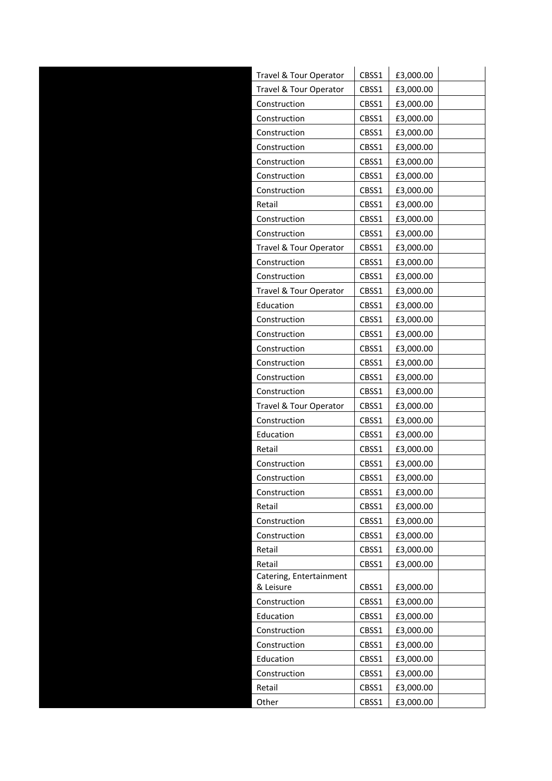| Travel & Tour Operator               | CBSS1 | £3,000.00 |  |
|--------------------------------------|-------|-----------|--|
| Travel & Tour Operator               | CBSS1 | £3,000.00 |  |
| Construction                         | CBSS1 | £3,000.00 |  |
| Construction                         | CBSS1 | £3,000.00 |  |
| Construction                         | CBSS1 | £3,000.00 |  |
| Construction                         | CBSS1 | £3,000.00 |  |
| Construction                         | CBSS1 | £3,000.00 |  |
| Construction                         | CBSS1 | £3,000.00 |  |
| Construction                         | CBSS1 | £3,000.00 |  |
| Retail                               | CBSS1 | £3,000.00 |  |
| Construction                         | CBSS1 | £3,000.00 |  |
| Construction                         | CBSS1 | £3,000.00 |  |
| Travel & Tour Operator               | CBSS1 | £3,000.00 |  |
| Construction                         | CBSS1 | £3,000.00 |  |
| Construction                         | CBSS1 | £3,000.00 |  |
| Travel & Tour Operator               | CBSS1 | £3,000.00 |  |
| Education                            | CBSS1 | £3,000.00 |  |
| Construction                         | CBSS1 | £3,000.00 |  |
| Construction                         | CBSS1 | £3,000.00 |  |
| Construction                         | CBSS1 | £3,000.00 |  |
| Construction                         | CBSS1 | £3,000.00 |  |
| Construction                         | CBSS1 | £3,000.00 |  |
| Construction                         | CBSS1 | £3,000.00 |  |
| Travel & Tour Operator               | CBSS1 | £3,000.00 |  |
| Construction                         | CBSS1 | £3,000.00 |  |
| Education                            | CBSS1 | £3,000.00 |  |
| Retail                               | CBSS1 | £3,000.00 |  |
| Construction                         | CBSS1 | £3,000.00 |  |
| Construction                         | CBSS1 | £3,000.00 |  |
| Construction                         | CBSS1 | £3,000.00 |  |
| Retail                               | CBSS1 | £3,000.00 |  |
| Construction                         | CBSS1 | £3,000.00 |  |
| Construction                         | CBSS1 | £3,000.00 |  |
| Retail                               | CBSS1 | £3,000.00 |  |
| Retail                               | CBSS1 | £3,000.00 |  |
| Catering, Entertainment<br>& Leisure | CBSS1 | £3,000.00 |  |
| Construction                         | CBSS1 | £3,000.00 |  |
| Education                            | CBSS1 | £3,000.00 |  |
| Construction                         | CBSS1 | £3,000.00 |  |
| Construction                         | CBSS1 | £3,000.00 |  |
| Education                            | CBSS1 | £3,000.00 |  |
| Construction                         | CBSS1 | £3,000.00 |  |
| Retail                               | CBSS1 | £3,000.00 |  |
| Other                                | CBSS1 | £3,000.00 |  |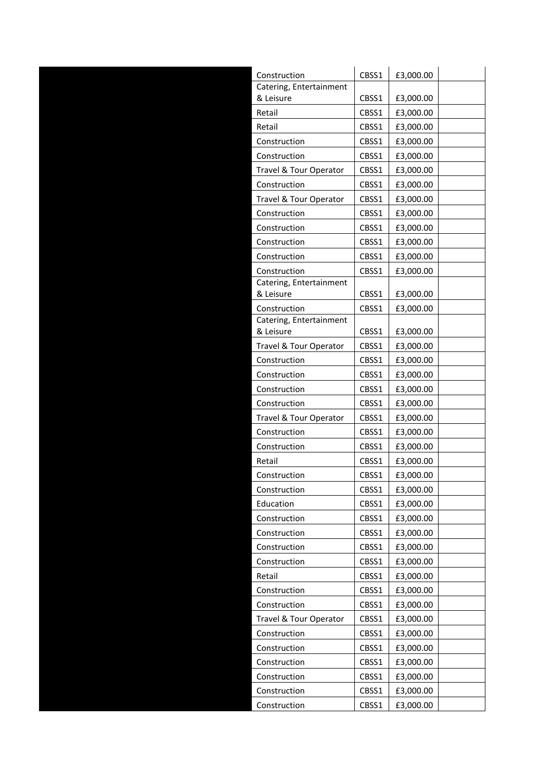| Construction                            | CBSS1 | £3,000.00 |
|-----------------------------------------|-------|-----------|
| Catering, Entertainment                 |       |           |
| & Leisure                               | CBSS1 | £3,000.00 |
| Retail                                  | CBSS1 | £3,000.00 |
| Retail                                  | CBSS1 | £3,000.00 |
| Construction                            | CBSS1 | £3,000.00 |
| Construction                            | CBSS1 | £3,000.00 |
| Travel & Tour Operator                  | CBSS1 | £3,000.00 |
| Construction                            | CBSS1 | £3,000.00 |
| Travel & Tour Operator                  | CBSS1 | £3,000.00 |
| Construction                            | CBSS1 | £3,000.00 |
| Construction                            | CBSS1 | £3,000.00 |
| Construction                            | CBSS1 | £3,000.00 |
| Construction                            | CBSS1 | £3,000.00 |
| Construction                            | CBSS1 | £3,000.00 |
| Catering, Entertainment                 |       |           |
| & Leisure                               | CBSS1 | £3,000.00 |
| Construction<br>Catering, Entertainment | CBSS1 | £3,000.00 |
| & Leisure                               | CBSS1 | £3,000.00 |
| Travel & Tour Operator                  | CBSS1 | £3,000.00 |
| Construction                            | CBSS1 | £3,000.00 |
| Construction                            | CBSS1 | £3,000.00 |
| Construction                            | CBSS1 | £3,000.00 |
| Construction                            | CBSS1 | £3,000.00 |
| Travel & Tour Operator                  | CBSS1 | £3,000.00 |
| Construction                            | CBSS1 | £3,000.00 |
| Construction                            | CBSS1 | £3,000.00 |
| Retail                                  | CBSS1 | £3,000.00 |
| Construction                            | CBSS1 | £3,000.00 |
| Construction                            | CBSS1 | £3,000.00 |
| Education                               | CBSS1 | £3,000.00 |
| Construction                            | CBSS1 | £3,000.00 |
| Construction                            | CBSS1 | £3,000.00 |
| Construction                            | CBSS1 | £3,000.00 |
| Construction                            | CBSS1 | £3,000.00 |
| Retail                                  | CBSS1 | £3,000.00 |
| Construction                            | CBSS1 | £3,000.00 |
| Construction                            | CBSS1 | £3,000.00 |
| Travel & Tour Operator                  | CBSS1 | £3,000.00 |
| Construction                            | CBSS1 | £3,000.00 |
| Construction                            | CBSS1 | £3,000.00 |
| Construction                            | CBSS1 | £3,000.00 |
| Construction                            | CBSS1 | £3,000.00 |
| Construction                            | CBSS1 | £3,000.00 |
| Construction                            | CBSS1 | £3,000.00 |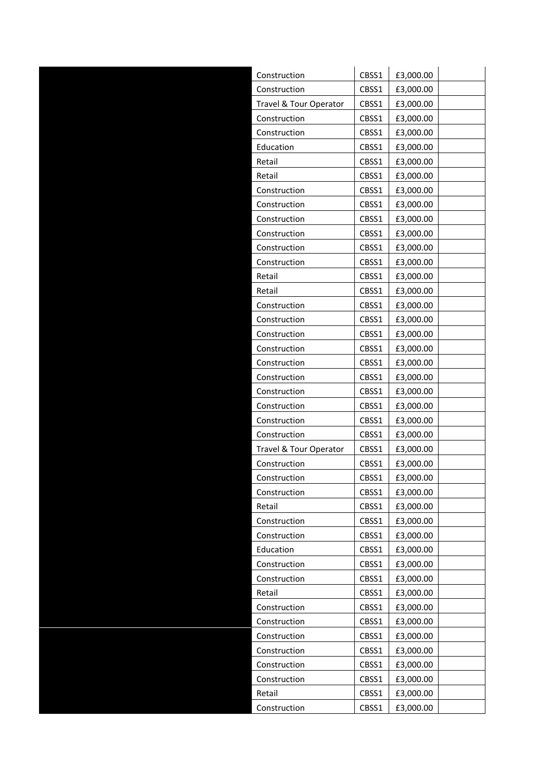| Construction           | CBSS1 | £3,000.00 |  |
|------------------------|-------|-----------|--|
| Construction           | CBSS1 | £3,000.00 |  |
| Travel & Tour Operator | CBSS1 | £3,000.00 |  |
| Construction           | CBSS1 | £3,000.00 |  |
| Construction           | CBSS1 | £3,000.00 |  |
| Education              | CBSS1 | £3,000.00 |  |
| Retail                 | CBSS1 | £3,000.00 |  |
| Retail                 | CBSS1 | £3,000.00 |  |
| Construction           | CBSS1 | £3,000.00 |  |
| Construction           | CBSS1 | £3,000.00 |  |
| Construction           | CBSS1 | £3,000.00 |  |
| Construction           | CBSS1 | £3,000.00 |  |
| Construction           | CBSS1 | £3,000.00 |  |
| Construction           | CBSS1 | £3,000.00 |  |
| Retail                 | CBSS1 | £3,000.00 |  |
| Retail                 | CBSS1 | £3,000.00 |  |
| Construction           | CBSS1 | £3,000.00 |  |
| Construction           | CBSS1 | £3,000.00 |  |
| Construction           | CBSS1 | £3,000.00 |  |
| Construction           | CBSS1 | £3,000.00 |  |
| Construction           | CBSS1 | £3,000.00 |  |
| Construction           | CBSS1 | £3,000.00 |  |
| Construction           | CBSS1 | £3,000.00 |  |
| Construction           | CBSS1 | £3,000.00 |  |
| Construction           | CBSS1 | £3,000.00 |  |
| Construction           | CBSS1 | £3,000.00 |  |
| Travel & Tour Operator | CBSS1 | £3,000.00 |  |
| Construction           | CBSS1 | £3,000.00 |  |
| Construction           | CBSS1 | £3,000.00 |  |
| Construction           | CBSS1 | £3,000.00 |  |
| Retail                 | CBSS1 | £3,000.00 |  |
| Construction           | CBSS1 | £3,000.00 |  |
| Construction           | CBSS1 | £3,000.00 |  |
| Education              | CBSS1 | £3,000.00 |  |
| Construction           | CBSS1 | £3,000.00 |  |
| Construction           | CBSS1 | £3,000.00 |  |
| Retail                 | CBSS1 | £3,000.00 |  |
| Construction           | CBSS1 | £3,000.00 |  |
| Construction           | CBSS1 | £3,000.00 |  |
| Construction           | CBSS1 | £3,000.00 |  |
| Construction           | CBSS1 | £3,000.00 |  |
| Construction           | CBSS1 | £3,000.00 |  |
| Construction           | CBSS1 | £3,000.00 |  |
| Retail                 | CBSS1 | £3,000.00 |  |
| Construction           | CBSS1 | £3,000.00 |  |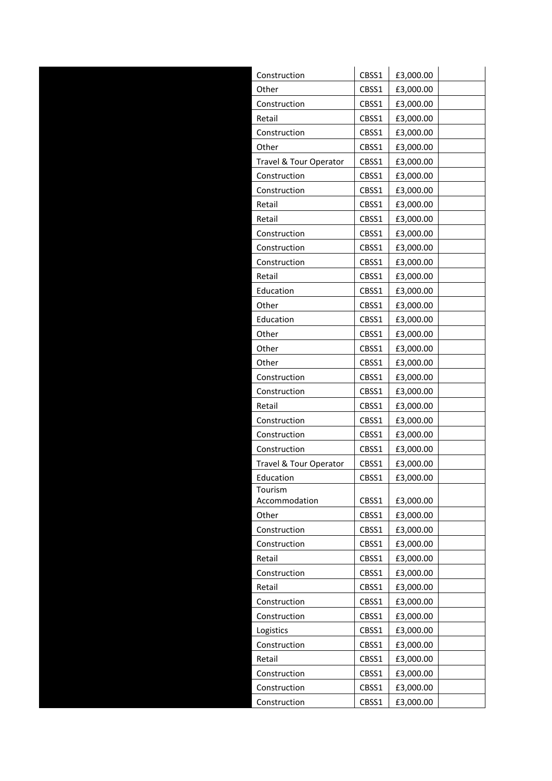| Construction             | CBSS1 | £3,000.00 |  |
|--------------------------|-------|-----------|--|
| Other                    | CBSS1 | £3,000.00 |  |
| Construction             | CBSS1 | £3,000.00 |  |
| Retail                   | CBSS1 | £3,000.00 |  |
| Construction             | CBSS1 | £3,000.00 |  |
| Other                    | CBSS1 | £3,000.00 |  |
| Travel & Tour Operator   | CBSS1 | £3,000.00 |  |
| Construction             | CBSS1 | £3,000.00 |  |
| Construction             | CBSS1 | £3,000.00 |  |
| Retail                   | CBSS1 | £3,000.00 |  |
| Retail                   | CBSS1 | £3,000.00 |  |
| Construction             | CBSS1 | £3,000.00 |  |
| Construction             | CBSS1 | £3,000.00 |  |
| Construction             | CBSS1 | £3,000.00 |  |
| Retail                   | CBSS1 | £3,000.00 |  |
| Education                | CBSS1 | £3,000.00 |  |
| Other                    | CBSS1 | £3,000.00 |  |
| Education                | CBSS1 | £3,000.00 |  |
| Other                    | CBSS1 | £3,000.00 |  |
| Other                    | CBSS1 | £3,000.00 |  |
| Other                    | CBSS1 | £3,000.00 |  |
| Construction             | CBSS1 | £3,000.00 |  |
| Construction             | CBSS1 | £3,000.00 |  |
| Retail                   | CBSS1 | £3,000.00 |  |
| Construction             | CBSS1 | £3,000.00 |  |
| Construction             | CBSS1 | £3,000.00 |  |
| Construction             | CBSS1 | £3,000.00 |  |
| Travel & Tour Operator   | CBSS1 | £3,000.00 |  |
| Education                | CBSS1 | £3,000.00 |  |
| Tourism<br>Accommodation | CBSS1 | £3,000.00 |  |
| Other                    | CBSS1 | £3,000.00 |  |
| Construction             | CBSS1 | £3,000.00 |  |
| Construction             | CBSS1 | £3,000.00 |  |
| Retail                   | CBSS1 | £3,000.00 |  |
| Construction             | CBSS1 | £3,000.00 |  |
| Retail                   | CBSS1 | £3,000.00 |  |
| Construction             | CBSS1 | £3,000.00 |  |
| Construction             | CBSS1 | £3,000.00 |  |
| Logistics                | CBSS1 | £3,000.00 |  |
| Construction             | CBSS1 | £3,000.00 |  |
| Retail                   | CBSS1 | £3,000.00 |  |
| Construction             | CBSS1 | £3,000.00 |  |
| Construction             | CBSS1 | £3,000.00 |  |
| Construction             | CBSS1 | £3,000.00 |  |
|                          |       |           |  |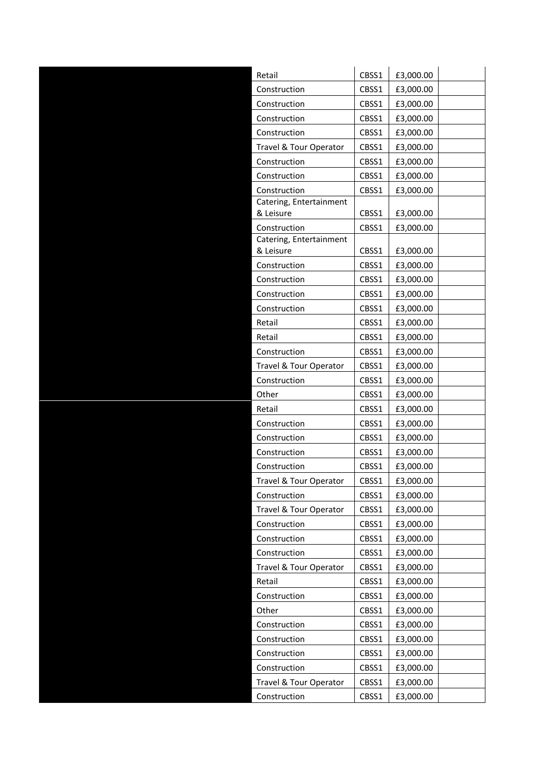| Retail                               | CBSS1 | £3,000.00 |  |
|--------------------------------------|-------|-----------|--|
| Construction                         | CBSS1 | £3,000.00 |  |
| Construction                         | CBSS1 | £3,000.00 |  |
| Construction                         | CBSS1 | £3,000.00 |  |
| Construction                         | CBSS1 | £3,000.00 |  |
| Travel & Tour Operator               | CBSS1 | £3,000.00 |  |
| Construction                         | CBSS1 | £3,000.00 |  |
| Construction                         | CBSS1 | £3,000.00 |  |
| Construction                         | CBSS1 | £3,000.00 |  |
| Catering, Entertainment<br>& Leisure | CBSS1 | £3,000.00 |  |
| Construction                         | CBSS1 | £3,000.00 |  |
| Catering, Entertainment<br>& Leisure | CBSS1 | £3,000.00 |  |
| Construction                         | CBSS1 | £3,000.00 |  |
| Construction                         | CBSS1 | £3,000.00 |  |
| Construction                         | CBSS1 | £3,000.00 |  |
| Construction                         | CBSS1 | £3,000.00 |  |
| Retail                               | CBSS1 | £3,000.00 |  |
| Retail                               | CBSS1 | £3,000.00 |  |
| Construction                         | CBSS1 | £3,000.00 |  |
| Travel & Tour Operator               | CBSS1 | £3,000.00 |  |
| Construction                         | CBSS1 | £3,000.00 |  |
| Other                                | CBSS1 | £3,000.00 |  |
| Retail                               | CBSS1 | £3,000.00 |  |
| Construction                         | CBSS1 | £3,000.00 |  |
| Construction                         | CBSS1 | £3,000.00 |  |
| Construction                         | CBSS1 | £3,000.00 |  |
| Construction                         | CBSS1 | £3,000.00 |  |
| Travel & Tour Operator               | CBSS1 | £3,000.00 |  |
| Construction                         | CBSS1 | £3,000.00 |  |
| Travel & Tour Operator               | CBSS1 | £3,000.00 |  |
| Construction                         | CBSS1 | £3,000.00 |  |
| Construction                         | CBSS1 | £3,000.00 |  |
| Construction                         | CBSS1 | £3,000.00 |  |
| Travel & Tour Operator               | CBSS1 | £3,000.00 |  |
| Retail                               | CBSS1 | £3,000.00 |  |
| Construction                         | CBSS1 | £3,000.00 |  |
| Other                                | CBSS1 | £3,000.00 |  |
| Construction                         | CBSS1 | £3,000.00 |  |
| Construction                         | CBSS1 | £3,000.00 |  |
| Construction                         | CBSS1 | £3,000.00 |  |
| Construction                         | CBSS1 | £3,000.00 |  |
| Travel & Tour Operator               | CBSS1 | £3,000.00 |  |
| Construction                         | CBSS1 | £3,000.00 |  |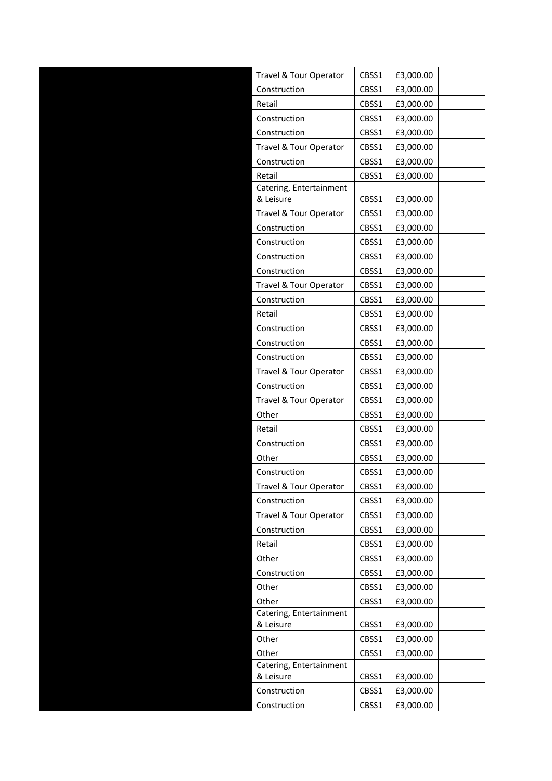| Travel & Tour Operator               | CBSS1 | £3,000.00 |
|--------------------------------------|-------|-----------|
| Construction                         | CBSS1 | £3,000.00 |
| Retail                               | CBSS1 | £3,000.00 |
| Construction                         | CBSS1 | £3,000.00 |
| Construction                         | CBSS1 | £3,000.00 |
| Travel & Tour Operator               | CBSS1 | £3,000.00 |
| Construction                         | CBSS1 | £3,000.00 |
| Retail                               | CBSS1 | £3,000.00 |
| Catering, Entertainment<br>& Leisure | CBSS1 | £3,000.00 |
| Travel & Tour Operator               | CBSS1 | £3,000.00 |
| Construction                         | CBSS1 | £3,000.00 |
| Construction                         | CBSS1 | £3,000.00 |
| Construction                         | CBSS1 | £3,000.00 |
| Construction                         | CBSS1 | £3,000.00 |
| Travel & Tour Operator               | CBSS1 | £3,000.00 |
| Construction                         | CBSS1 | £3,000.00 |
| Retail                               | CBSS1 | £3,000.00 |
| Construction                         | CBSS1 | £3,000.00 |
| Construction                         | CBSS1 | £3,000.00 |
| Construction                         | CBSS1 | £3,000.00 |
| Travel & Tour Operator               | CBSS1 | £3,000.00 |
| Construction                         | CBSS1 | £3,000.00 |
| Travel & Tour Operator               | CBSS1 | £3,000.00 |
| Other                                | CBSS1 | £3,000.00 |
| Retail                               | CBSS1 | £3,000.00 |
| Construction                         | CBSS1 | £3,000.00 |
|                                      |       |           |
| Other                                | CBSS1 | £3,000.00 |
| Construction                         | CBSS1 | £3,000.00 |
| Travel & Tour Operator               | CBSS1 | £3,000.00 |
| Construction                         | CBSS1 | £3,000.00 |
| Travel & Tour Operator               | CBSS1 | £3,000.00 |
| Construction                         | CBSS1 | £3,000.00 |
| Retail                               | CBSS1 | £3,000.00 |
| Other                                | CBSS1 | £3,000.00 |
| Construction                         | CBSS1 | £3,000.00 |
| Other                                | CBSS1 | £3,000.00 |
| Other<br>Catering, Entertainment     | CBSS1 | £3,000.00 |
| & Leisure                            | CBSS1 | £3,000.00 |
| Other                                | CBSS1 | £3,000.00 |
| Other                                | CBSS1 | £3,000.00 |
| Catering, Entertainment              |       |           |
| & Leisure                            | CBSS1 | £3,000.00 |
| Construction                         | CBSS1 | £3,000.00 |
| Construction                         | CBSS1 | £3,000.00 |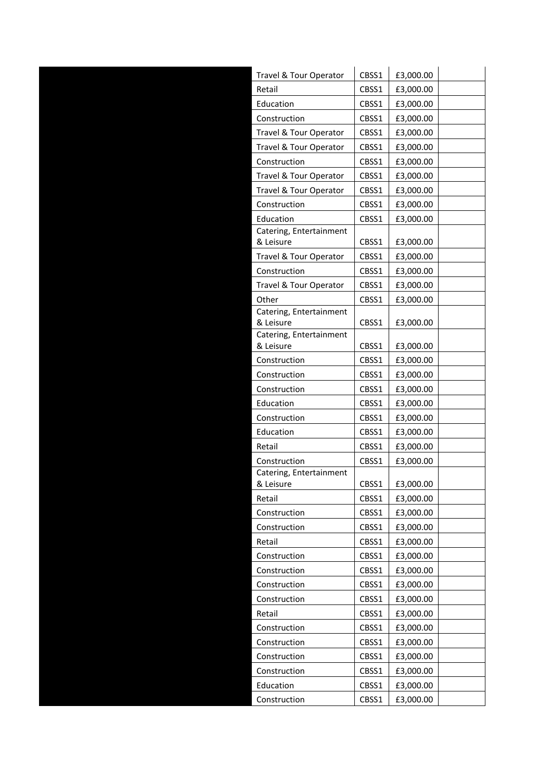| Travel & Tour Operator               | CBSS1 | £3,000.00 |
|--------------------------------------|-------|-----------|
| Retail                               | CBSS1 | £3,000.00 |
| Education                            | CBSS1 | £3,000.00 |
| Construction                         | CBSS1 | £3,000.00 |
| Travel & Tour Operator               | CBSS1 | £3,000.00 |
| Travel & Tour Operator               | CBSS1 | £3,000.00 |
| Construction                         | CBSS1 | £3,000.00 |
| Travel & Tour Operator               | CBSS1 | £3,000.00 |
| Travel & Tour Operator               | CBSS1 | £3,000.00 |
| Construction                         | CBSS1 | £3,000.00 |
| Education                            | CBSS1 | £3,000.00 |
| Catering, Entertainment              |       |           |
| & Leisure                            | CBSS1 | £3,000.00 |
| Travel & Tour Operator               | CBSS1 | £3,000.00 |
| Construction                         | CBSS1 | £3,000.00 |
| Travel & Tour Operator               | CBSS1 | £3,000.00 |
| Other                                | CBSS1 | £3,000.00 |
| Catering, Entertainment<br>& Leisure | CBSS1 | £3,000.00 |
| Catering, Entertainment              |       |           |
| & Leisure                            | CBSS1 | £3,000.00 |
| Construction                         | CBSS1 | £3,000.00 |
| Construction                         | CBSS1 | £3,000.00 |
| Construction                         | CBSS1 | £3,000.00 |
| Education                            | CBSS1 | £3,000.00 |
| Construction                         | CBSS1 | £3,000.00 |
| Education                            | CBSS1 | £3,000.00 |
| Retail                               | CBSS1 | £3,000.00 |
| Construction                         | CBSS1 | £3,000.00 |
| Catering, Entertainment              |       |           |
| & Leisure                            | CBSS1 | £3,000.00 |
| Retail                               | CBSS1 | £3,000.00 |
| Construction                         | CBSS1 | £3,000.00 |
| Construction                         | CBSS1 | £3,000.00 |
| Retail                               | CBSS1 | £3,000.00 |
| Construction                         | CBSS1 | £3,000.00 |
| Construction                         | CBSS1 | £3,000.00 |
| Construction                         | CBSS1 | £3,000.00 |
| Construction                         | CBSS1 | £3,000.00 |
| Retail                               | CBSS1 | £3,000.00 |
| Construction                         | CBSS1 | £3,000.00 |
| Construction                         | CBSS1 | £3,000.00 |
| Construction                         | CBSS1 | £3,000.00 |
| Construction                         | CBSS1 | £3,000.00 |
| Education                            | CBSS1 | £3,000.00 |
| Construction                         | CBSS1 | £3,000.00 |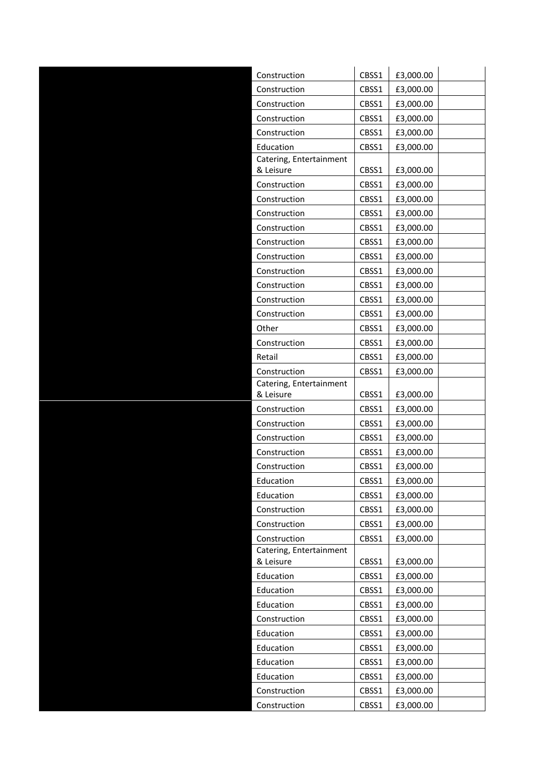| Construction                         | CBSS1 | £3,000.00 |
|--------------------------------------|-------|-----------|
| Construction                         | CBSS1 | £3,000.00 |
| Construction                         | CBSS1 | £3,000.00 |
| Construction                         | CBSS1 | £3,000.00 |
| Construction                         | CBSS1 | £3,000.00 |
| Education                            | CBSS1 | £3,000.00 |
| Catering, Entertainment              |       |           |
| & Leisure                            | CBSS1 | £3,000.00 |
| Construction                         | CBSS1 | £3,000.00 |
| Construction                         | CBSS1 | £3,000.00 |
| Construction                         | CBSS1 | £3,000.00 |
| Construction                         | CBSS1 | £3,000.00 |
| Construction                         | CBSS1 | £3,000.00 |
| Construction                         | CBSS1 | £3,000.00 |
| Construction                         | CBSS1 | £3,000.00 |
| Construction                         | CBSS1 | £3,000.00 |
| Construction                         | CBSS1 | £3,000.00 |
| Construction                         | CBSS1 | £3,000.00 |
| Other                                | CBSS1 | £3,000.00 |
| Construction                         | CBSS1 | £3,000.00 |
| Retail                               | CBSS1 | £3,000.00 |
| Construction                         | CBSS1 | £3,000.00 |
| Catering, Entertainment              |       |           |
| & Leisure                            | CBSS1 | £3,000.00 |
| Construction                         | CBSS1 | £3,000.00 |
| Construction                         | CBSS1 | £3,000.00 |
| Construction                         | CBSS1 | £3,000.00 |
| Construction                         | CBSS1 | £3,000.00 |
| Construction                         | CBSS1 | £3,000.00 |
| Education                            | CBSS1 | £3,000.00 |
| Education                            | CBSS1 | £3,000.00 |
| Construction                         | CBSS1 | £3,000.00 |
| Construction                         | CBSS1 | £3,000.00 |
| Construction                         | CBSS1 | £3,000.00 |
| Catering, Entertainment<br>& Leisure | CBSS1 | £3,000.00 |
| Education                            | CBSS1 | £3,000.00 |
| Education                            | CBSS1 | £3,000.00 |
| Education                            | CBSS1 | £3,000.00 |
| Construction                         | CBSS1 | £3,000.00 |
| Education                            | CBSS1 | £3,000.00 |
| Education                            | CBSS1 | £3,000.00 |
| Education                            | CBSS1 | £3,000.00 |
| Education                            | CBSS1 | £3,000.00 |
| Construction                         | CBSS1 | £3,000.00 |
| Construction                         | CBSS1 | £3,000.00 |
|                                      |       |           |